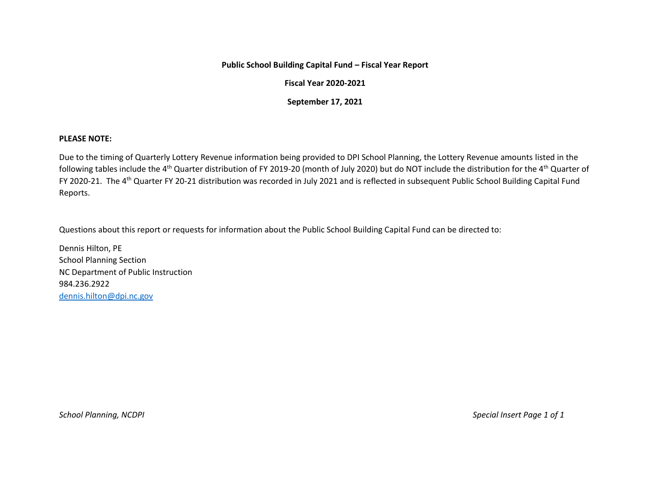## **Public School Building Capital Fund – Fiscal Year Report**

## **Fiscal Year 2020-2021**

**September 17, 2021**

## **PLEASE NOTE:**

Due to the timing of Quarterly Lottery Revenue information being provided to DPI School Planning, the Lottery Revenue amounts listed in the following tables include the 4<sup>th</sup> Quarter distribution of FY 2019-20 (month of July 2020) but do NOT include the distribution for the 4<sup>th</sup> Quarter of FY 2020-21. The 4th Quarter FY 20-21 distribution was recorded in July 2021 and is reflected in subsequent Public School Building Capital Fund Reports.

Questions about this report or requests for information about the Public School Building Capital Fund can be directed to:

Dennis Hilton, PE School Planning Section NC Department of Public Instruction 984.236.2922 [dennis.hilton@dpi.nc.gov](mailto:dennis.hilton@dpi.nc.gov)

*School Planning, NCDPI Special Insert Page 1 of 1*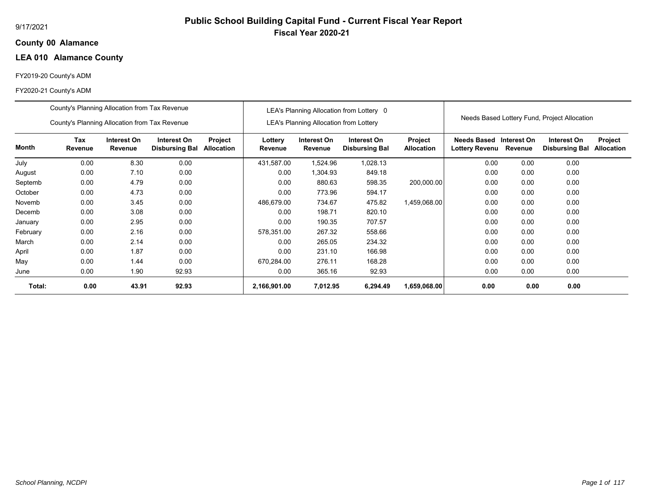## **00 Alamance County**

## **LEA 010 Alamance County**

## FY2019-20 County's ADM

|          | County's Planning Allocation from Tax Revenue |                        |                                      |                              |                    |                                               | LEA's Planning Allocation from Lottery 0 |                              |                                           |         |                                              |                              |
|----------|-----------------------------------------------|------------------------|--------------------------------------|------------------------------|--------------------|-----------------------------------------------|------------------------------------------|------------------------------|-------------------------------------------|---------|----------------------------------------------|------------------------------|
|          | County's Planning Allocation from Tax Revenue |                        |                                      |                              |                    | <b>LEA's Planning Allocation from Lottery</b> |                                          |                              |                                           |         | Needs Based Lottery Fund, Project Allocation |                              |
| Month    | <b>Tax</b><br>Revenue                         | Interest On<br>Revenue | Interest On<br><b>Disbursing Bal</b> | Project<br><b>Allocation</b> | Lottery<br>Revenue | Interest On<br>Revenue                        | Interest On<br><b>Disbursing Bal</b>     | Project<br><b>Allocation</b> | Needs Based Interest On<br>Lottery Revenu | Revenue | Interest On<br><b>Disbursing Bal</b>         | Project<br><b>Allocation</b> |
| July     | 0.00                                          | 8.30                   | 0.00                                 |                              | 431.587.00         | 1,524.96                                      | 1,028.13                                 |                              | 0.00                                      | 0.00    | 0.00                                         |                              |
| August   | 0.00                                          | 7.10                   | 0.00                                 |                              | 0.00               | 1,304.93                                      | 849.18                                   |                              | 0.00                                      | 0.00    | 0.00                                         |                              |
| Septemb  | 0.00                                          | 4.79                   | 0.00                                 |                              | 0.00               | 880.63                                        | 598.35                                   | 200,000.00                   | 0.00                                      | 0.00    | 0.00                                         |                              |
| October  | 0.00                                          | 4.73                   | 0.00                                 |                              | 0.00               | 773.96                                        | 594.17                                   |                              | 0.00                                      | 0.00    | 0.00                                         |                              |
| Novemb   | 0.00                                          | 3.45                   | 0.00                                 |                              | 486,679.00         | 734.67                                        | 475.82                                   | 1,459,068.00                 | 0.00                                      | 0.00    | 0.00                                         |                              |
| Decemb   | 0.00                                          | 3.08                   | 0.00                                 |                              | 0.00               | 198.71                                        | 820.10                                   |                              | 0.00                                      | 0.00    | 0.00                                         |                              |
| January  | 0.00                                          | 2.95                   | 0.00                                 |                              | 0.00               | 190.35                                        | 707.57                                   |                              | 0.00                                      | 0.00    | 0.00                                         |                              |
| February | 0.00                                          | 2.16                   | 0.00                                 |                              | 578,351.00         | 267.32                                        | 558.66                                   |                              | 0.00                                      | 0.00    | 0.00                                         |                              |
| March    | 0.00                                          | 2.14                   | 0.00                                 |                              | 0.00               | 265.05                                        | 234.32                                   |                              | 0.00                                      | 0.00    | 0.00                                         |                              |
| April    | 0.00                                          | 1.87                   | 0.00                                 |                              | 0.00               | 231.10                                        | 166.98                                   |                              | 0.00                                      | 0.00    | 0.00                                         |                              |
| May      | 0.00                                          | 1.44                   | 0.00                                 |                              | 670,284.00         | 276.11                                        | 168.28                                   |                              | 0.00                                      | 0.00    | 0.00                                         |                              |
| June     | 0.00                                          | 1.90                   | 92.93                                |                              | 0.00               | 365.16                                        | 92.93                                    |                              | 0.00                                      | 0.00    | 0.00                                         |                              |
| Total:   | 0.00                                          | 43.91                  | 92.93                                |                              | 2,166,901.00       | 7,012.95                                      | 6,294.49                                 | 1,659,068.00                 | 0.00                                      | 0.00    | 0.00                                         |                              |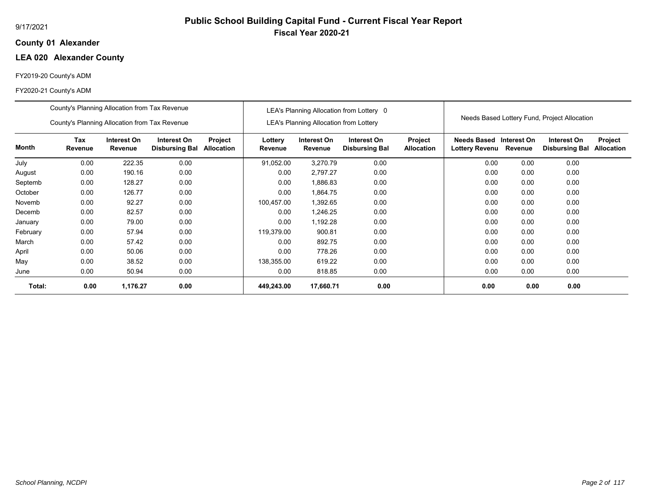## **01 Alexander County**

## **LEA 020 Alexander County**

## FY2019-20 County's ADM

|          | County's Planning Allocation from Tax Revenue |                        |                                      |                              |                    |                                               | LEA's Planning Allocation from Lottery 0 |                              |                                           |         |                                              |                              |
|----------|-----------------------------------------------|------------------------|--------------------------------------|------------------------------|--------------------|-----------------------------------------------|------------------------------------------|------------------------------|-------------------------------------------|---------|----------------------------------------------|------------------------------|
|          | County's Planning Allocation from Tax Revenue |                        |                                      |                              |                    | <b>LEA's Planning Allocation from Lottery</b> |                                          |                              |                                           |         | Needs Based Lottery Fund, Project Allocation |                              |
| Month    | <b>Tax</b><br>Revenue                         | Interest On<br>Revenue | Interest On<br><b>Disbursing Bal</b> | Project<br><b>Allocation</b> | Lottery<br>Revenue | Interest On<br>Revenue                        | Interest On<br><b>Disbursing Bal</b>     | Project<br><b>Allocation</b> | Needs Based Interest On<br>Lottery Revenu | Revenue | Interest On<br><b>Disbursing Bal</b>         | Project<br><b>Allocation</b> |
| July     | 0.00                                          | 222.35                 | 0.00                                 |                              | 91,052.00          | 3,270.79                                      | 0.00                                     |                              | 0.00                                      | 0.00    | 0.00                                         |                              |
| August   | 0.00                                          | 190.16                 | 0.00                                 |                              | 0.00               | 2,797.27                                      | 0.00                                     |                              | 0.00                                      | 0.00    | 0.00                                         |                              |
| Septemb  | 0.00                                          | 128.27                 | 0.00                                 |                              | 0.00               | 1,886.83                                      | 0.00                                     |                              | 0.00                                      | 0.00    | 0.00                                         |                              |
| October  | 0.00                                          | 126.77                 | 0.00                                 |                              | 0.00               | 1,864.75                                      | 0.00                                     |                              | 0.00                                      | 0.00    | 0.00                                         |                              |
| Novemb   | 0.00                                          | 92.27                  | 0.00                                 |                              | 100,457.00         | 1,392.65                                      | 0.00                                     |                              | 0.00                                      | 0.00    | 0.00                                         |                              |
| Decemb   | 0.00                                          | 82.57                  | 0.00                                 |                              | 0.00               | 1,246.25                                      | 0.00                                     |                              | 0.00                                      | 0.00    | 0.00                                         |                              |
| January  | 0.00                                          | 79.00                  | 0.00                                 |                              | 0.00               | 1,192.28                                      | 0.00                                     |                              | 0.00                                      | 0.00    | 0.00                                         |                              |
| February | 0.00                                          | 57.94                  | 0.00                                 |                              | 119,379.00         | 900.81                                        | 0.00                                     |                              | 0.00                                      | 0.00    | 0.00                                         |                              |
| March    | 0.00                                          | 57.42                  | 0.00                                 |                              | 0.00               | 892.75                                        | 0.00                                     |                              | 0.00                                      | 0.00    | 0.00                                         |                              |
| April    | 0.00                                          | 50.06                  | 0.00                                 |                              | 0.00               | 778.26                                        | 0.00                                     |                              | 0.00                                      | 0.00    | 0.00                                         |                              |
| May      | 0.00                                          | 38.52                  | 0.00                                 |                              | 138,355.00         | 619.22                                        | 0.00                                     |                              | 0.00                                      | 0.00    | 0.00                                         |                              |
| June     | 0.00                                          | 50.94                  | 0.00                                 |                              | 0.00               | 818.85                                        | 0.00                                     |                              | 0.00                                      | 0.00    | 0.00                                         |                              |
| Total:   | 0.00                                          | 1,176.27               | 0.00                                 |                              | 449,243.00         | 17,660.71                                     | 0.00                                     |                              | 0.00                                      | 0.00    | 0.00                                         |                              |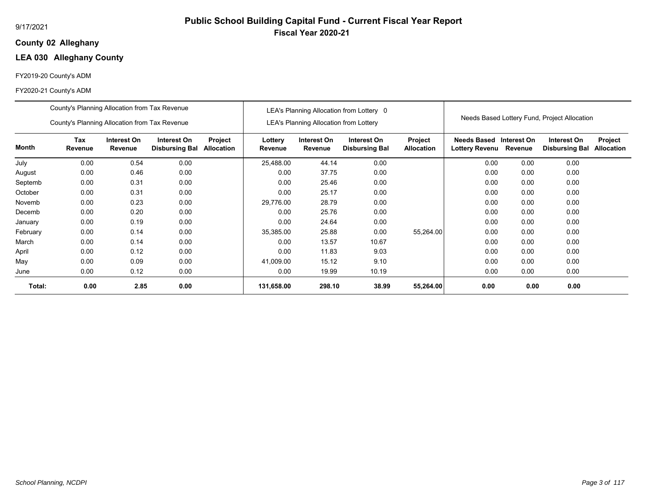## **02 Alleghany County**

## **LEA 030 Alleghany County**

## FY2019-20 County's ADM

|          | County's Planning Allocation from Tax Revenue |                        |                                      |                              |                    |                                               | LEA's Planning Allocation from Lottery 0 |                              |                                                  |         |                                              |                              |
|----------|-----------------------------------------------|------------------------|--------------------------------------|------------------------------|--------------------|-----------------------------------------------|------------------------------------------|------------------------------|--------------------------------------------------|---------|----------------------------------------------|------------------------------|
|          | County's Planning Allocation from Tax Revenue |                        |                                      |                              |                    | <b>LEA's Planning Allocation from Lottery</b> |                                          |                              |                                                  |         | Needs Based Lottery Fund, Project Allocation |                              |
| Month    | Tax<br>Revenue                                | Interest On<br>Revenue | Interest On<br><b>Disbursing Bal</b> | Project<br><b>Allocation</b> | Lottery<br>Revenue | Interest On<br>Revenue                        | Interest On<br><b>Disbursing Bal</b>     | Project<br><b>Allocation</b> | Needs Based Interest On<br><b>Lottery Revenu</b> | Revenue | Interest On<br><b>Disbursing Bal</b>         | Project<br><b>Allocation</b> |
| July     | 0.00                                          | 0.54                   | 0.00                                 |                              | 25,488.00          | 44.14                                         | 0.00                                     |                              | 0.00                                             | 0.00    | 0.00                                         |                              |
| August   | 0.00                                          | 0.46                   | 0.00                                 |                              | 0.00               | 37.75                                         | 0.00                                     |                              | 0.00                                             | 0.00    | 0.00                                         |                              |
| Septemb  | 0.00                                          | 0.31                   | 0.00                                 |                              | 0.00               | 25.46                                         | 0.00                                     |                              | 0.00                                             | 0.00    | 0.00                                         |                              |
| October  | 0.00                                          | 0.31                   | 0.00                                 |                              | 0.00               | 25.17                                         | 0.00                                     |                              | 0.00                                             | 0.00    | 0.00                                         |                              |
| Novemb   | 0.00                                          | 0.23                   | 0.00                                 |                              | 29,776.00          | 28.79                                         | 0.00                                     |                              | 0.00                                             | 0.00    | 0.00                                         |                              |
| Decemb   | 0.00                                          | 0.20                   | 0.00                                 |                              | 0.00               | 25.76                                         | 0.00                                     |                              | 0.00                                             | 0.00    | 0.00                                         |                              |
| January  | 0.00                                          | 0.19                   | 0.00                                 |                              | 0.00               | 24.64                                         | 0.00                                     |                              | 0.00                                             | 0.00    | 0.00                                         |                              |
| February | 0.00                                          | 0.14                   | 0.00                                 |                              | 35,385.00          | 25.88                                         | 0.00                                     | 55,264.00                    | 0.00                                             | 0.00    | 0.00                                         |                              |
| March    | 0.00                                          | 0.14                   | 0.00                                 |                              | 0.00               | 13.57                                         | 10.67                                    |                              | 0.00                                             | 0.00    | 0.00                                         |                              |
| April    | 0.00                                          | 0.12                   | 0.00                                 |                              | 0.00               | 11.83                                         | 9.03                                     |                              | 0.00                                             | 0.00    | 0.00                                         |                              |
| May      | 0.00                                          | 0.09                   | 0.00                                 |                              | 41,009.00          | 15.12                                         | 9.10                                     |                              | 0.00                                             | 0.00    | 0.00                                         |                              |
| June     | 0.00                                          | 0.12                   | 0.00                                 |                              | 0.00               | 19.99                                         | 10.19                                    |                              | 0.00                                             | 0.00    | 0.00                                         |                              |
| Total:   | 0.00                                          | 2.85                   | 0.00                                 |                              | 131,658.00         | 298.10                                        | 38.99                                    | 55,264.00                    | 0.00                                             | 0.00    | 0.00                                         |                              |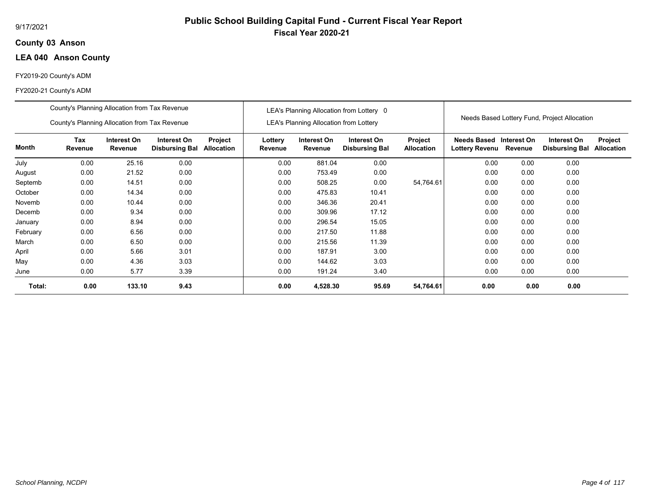## **03 Anson County**

## **LEA 040 Anson County**

## FY2019-20 County's ADM

|          | County's Planning Allocation from Tax Revenue |                        |                                      |                              |                    |                                               | LEA's Planning Allocation from Lottery 0 |                              |                                           |         |                                              |                              |
|----------|-----------------------------------------------|------------------------|--------------------------------------|------------------------------|--------------------|-----------------------------------------------|------------------------------------------|------------------------------|-------------------------------------------|---------|----------------------------------------------|------------------------------|
|          | County's Planning Allocation from Tax Revenue |                        |                                      |                              |                    | <b>LEA's Planning Allocation from Lottery</b> |                                          |                              |                                           |         | Needs Based Lottery Fund, Project Allocation |                              |
| Month    | <b>Tax</b><br>Revenue                         | Interest On<br>Revenue | Interest On<br><b>Disbursing Bal</b> | Project<br><b>Allocation</b> | Lottery<br>Revenue | Interest On<br>Revenue                        | Interest On<br><b>Disbursing Bal</b>     | Project<br><b>Allocation</b> | Needs Based Interest On<br>Lottery Revenu | Revenue | Interest On<br><b>Disbursing Bal</b>         | Project<br><b>Allocation</b> |
| July     | 0.00                                          | 25.16                  | 0.00                                 |                              | 0.00               | 881.04                                        | 0.00                                     |                              | 0.00                                      | 0.00    | 0.00                                         |                              |
| August   | 0.00                                          | 21.52                  | 0.00                                 |                              | 0.00               | 753.49                                        | 0.00                                     |                              | 0.00                                      | 0.00    | 0.00                                         |                              |
| Septemb  | 0.00                                          | 14.51                  | 0.00                                 |                              | 0.00               | 508.25                                        | 0.00                                     | 54,764.61                    | 0.00                                      | 0.00    | 0.00                                         |                              |
| October  | 0.00                                          | 14.34                  | 0.00                                 |                              | 0.00               | 475.83                                        | 10.41                                    |                              | 0.00                                      | 0.00    | 0.00                                         |                              |
| Novemb   | 0.00                                          | 10.44                  | 0.00                                 |                              | 0.00               | 346.36                                        | 20.41                                    |                              | 0.00                                      | 0.00    | 0.00                                         |                              |
| Decemb   | 0.00                                          | 9.34                   | 0.00                                 |                              | 0.00               | 309.96                                        | 17.12                                    |                              | 0.00                                      | 0.00    | 0.00                                         |                              |
| January  | 0.00                                          | 8.94                   | 0.00                                 |                              | 0.00               | 296.54                                        | 15.05                                    |                              | 0.00                                      | 0.00    | 0.00                                         |                              |
| February | 0.00                                          | 6.56                   | 0.00                                 |                              | 0.00               | 217.50                                        | 11.88                                    |                              | 0.00                                      | 0.00    | 0.00                                         |                              |
| March    | 0.00                                          | 6.50                   | 0.00                                 |                              | 0.00               | 215.56                                        | 11.39                                    |                              | 0.00                                      | 0.00    | 0.00                                         |                              |
| April    | 0.00                                          | 5.66                   | 3.01                                 |                              | 0.00               | 187.91                                        | 3.00                                     |                              | 0.00                                      | 0.00    | 0.00                                         |                              |
| May      | 0.00                                          | 4.36                   | 3.03                                 |                              | 0.00               | 144.62                                        | 3.03                                     |                              | 0.00                                      | 0.00    | 0.00                                         |                              |
| June     | 0.00                                          | 5.77                   | 3.39                                 |                              | 0.00               | 191.24                                        | 3.40                                     |                              | 0.00                                      | 0.00    | 0.00                                         |                              |
| Total:   | 0.00                                          | 133.10                 | 9.43                                 |                              | 0.00               | 4,528.30                                      | 95.69                                    | 54,764.61                    | 0.00                                      | 0.00    | 0.00                                         |                              |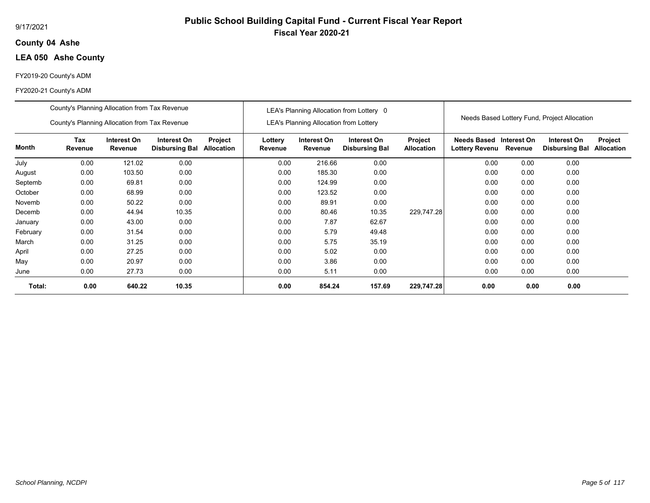## **04 Ashe County**

## **LEA 050 Ashe County**

## FY2019-20 County's ADM

|          | County's Planning Allocation from Tax Revenue |                        |                                      |                              |                    |                                               | LEA's Planning Allocation from Lottery 0 |                              |                                             |                        | Needs Based Lottery Fund, Project Allocation |                              |
|----------|-----------------------------------------------|------------------------|--------------------------------------|------------------------------|--------------------|-----------------------------------------------|------------------------------------------|------------------------------|---------------------------------------------|------------------------|----------------------------------------------|------------------------------|
|          | County's Planning Allocation from Tax Revenue |                        |                                      |                              |                    | <b>LEA's Planning Allocation from Lottery</b> |                                          |                              |                                             |                        |                                              |                              |
| Month    | Tax<br>Revenue                                | Interest On<br>Revenue | Interest On<br><b>Disbursing Bal</b> | Project<br><b>Allocation</b> | Lottery<br>Revenue | Interest On<br>Revenue                        | Interest On<br><b>Disbursing Bal</b>     | Project<br><b>Allocation</b> | <b>Needs Based</b><br><b>Lottery Revenu</b> | Interest On<br>Revenue | Interest On<br><b>Disbursing Bal</b>         | Project<br><b>Allocation</b> |
| July     | 0.00                                          | 121.02                 | 0.00                                 |                              | 0.00               | 216.66                                        | 0.00                                     |                              | 0.00                                        | 0.00                   | 0.00                                         |                              |
| August   | 0.00                                          | 103.50                 | 0.00                                 |                              | 0.00               | 185.30                                        | 0.00                                     |                              | 0.00                                        | 0.00                   | 0.00                                         |                              |
| Septemb  | 0.00                                          | 69.81                  | 0.00                                 |                              | 0.00               | 124.99                                        | 0.00                                     |                              | 0.00                                        | 0.00                   | 0.00                                         |                              |
| October  | 0.00                                          | 68.99                  | 0.00                                 |                              | 0.00               | 123.52                                        | 0.00                                     |                              | 0.00                                        | 0.00                   | 0.00                                         |                              |
| Novemb   | 0.00                                          | 50.22                  | 0.00                                 |                              | 0.00               | 89.91                                         | 0.00                                     |                              | 0.00                                        | 0.00                   | 0.00                                         |                              |
| Decemb   | 0.00                                          | 44.94                  | 10.35                                |                              | 0.00               | 80.46                                         | 10.35                                    | 229,747.28                   | 0.00                                        | 0.00                   | 0.00                                         |                              |
| January  | 0.00                                          | 43.00                  | 0.00                                 |                              | 0.00               | 7.87                                          | 62.67                                    |                              | 0.00                                        | 0.00                   | 0.00                                         |                              |
| February | 0.00                                          | 31.54                  | 0.00                                 |                              | 0.00               | 5.79                                          | 49.48                                    |                              | 0.00                                        | 0.00                   | 0.00                                         |                              |
| March    | 0.00                                          | 31.25                  | 0.00                                 |                              | 0.00               | 5.75                                          | 35.19                                    |                              | 0.00                                        | 0.00                   | 0.00                                         |                              |
| April    | 0.00                                          | 27.25                  | 0.00                                 |                              | 0.00               | 5.02                                          | 0.00                                     |                              | 0.00                                        | 0.00                   | 0.00                                         |                              |
| May      | 0.00                                          | 20.97                  | 0.00                                 |                              | 0.00               | 3.86                                          | 0.00                                     |                              | 0.00                                        | 0.00                   | 0.00                                         |                              |
| June     | 0.00                                          | 27.73                  | 0.00                                 |                              | 0.00               | 5.11                                          | 0.00                                     |                              | 0.00                                        | 0.00                   | 0.00                                         |                              |
| Total:   | 0.00                                          | 640.22                 | 10.35                                |                              | 0.00               | 854.24                                        | 157.69                                   | 229,747.28                   | 0.00                                        | 0.00                   | 0.00                                         |                              |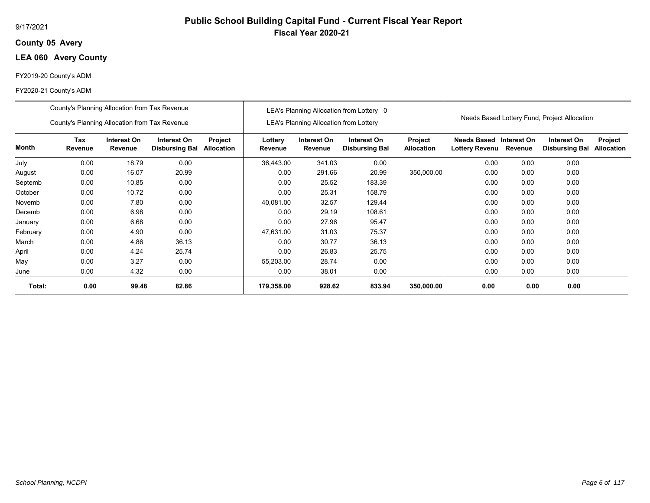## **05 Avery County**

## **LEA 060 Avery County**

## FY2019-20 County's ADM

|          | County's Planning Allocation from Tax Revenue |                        |                                      |                              |                    |                                               | LEA's Planning Allocation from Lottery 0 |                                     |                                      |                        |                                              |                              |
|----------|-----------------------------------------------|------------------------|--------------------------------------|------------------------------|--------------------|-----------------------------------------------|------------------------------------------|-------------------------------------|--------------------------------------|------------------------|----------------------------------------------|------------------------------|
|          | County's Planning Allocation from Tax Revenue |                        |                                      |                              |                    | <b>LEA's Planning Allocation from Lottery</b> |                                          |                                     |                                      |                        | Needs Based Lottery Fund, Project Allocation |                              |
| Month    | Tax<br>Revenue                                | Interest On<br>Revenue | Interest On<br><b>Disbursing Bal</b> | Project<br><b>Allocation</b> | Lottery<br>Revenue | Interest On<br>Revenue                        | Interest On<br><b>Disbursing Bal</b>     | <b>Project</b><br><b>Allocation</b> | Needs Based<br><b>Lottery Revenu</b> | Interest On<br>Revenue | Interest On<br><b>Disbursing Bal</b>         | Project<br><b>Allocation</b> |
| July     | 0.00                                          | 18.79                  | 0.00                                 |                              | 36,443.00          | 341.03                                        | 0.00                                     |                                     | 0.00                                 | 0.00                   | 0.00                                         |                              |
| August   | 0.00                                          | 16.07                  | 20.99                                |                              | 0.00               | 291.66                                        | 20.99                                    | 350,000.00                          | 0.00                                 | 0.00                   | 0.00                                         |                              |
| Septemb  | 0.00                                          | 10.85                  | 0.00                                 |                              | 0.00               | 25.52                                         | 183.39                                   |                                     | 0.00                                 | 0.00                   | 0.00                                         |                              |
| October  | 0.00                                          | 10.72                  | 0.00                                 |                              | 0.00               | 25.31                                         | 158.79                                   |                                     | 0.00                                 | 0.00                   | 0.00                                         |                              |
| Novemb   | 0.00                                          | 7.80                   | 0.00                                 |                              | 40,081.00          | 32.57                                         | 129.44                                   |                                     | 0.00                                 | 0.00                   | 0.00                                         |                              |
| Decemb   | 0.00                                          | 6.98                   | 0.00                                 |                              | 0.00               | 29.19                                         | 108.61                                   |                                     | 0.00                                 | 0.00                   | 0.00                                         |                              |
| January  | 0.00                                          | 6.68                   | 0.00                                 |                              | 0.00               | 27.96                                         | 95.47                                    |                                     | 0.00                                 | 0.00                   | 0.00                                         |                              |
| February | 0.00                                          | 4.90                   | 0.00                                 |                              | 47,631.00          | 31.03                                         | 75.37                                    |                                     | 0.00                                 | 0.00                   | 0.00                                         |                              |
| March    | 0.00                                          | 4.86                   | 36.13                                |                              | 0.00               | 30.77                                         | 36.13                                    |                                     | 0.00                                 | 0.00                   | 0.00                                         |                              |
| April    | 0.00                                          | 4.24                   | 25.74                                |                              | 0.00               | 26.83                                         | 25.75                                    |                                     | 0.00                                 | 0.00                   | 0.00                                         |                              |
| May      | 0.00                                          | 3.27                   | 0.00                                 |                              | 55,203.00          | 28.74                                         | 0.00                                     |                                     | 0.00                                 | 0.00                   | 0.00                                         |                              |
| June     | 0.00                                          | 4.32                   | 0.00                                 |                              | 0.00               | 38.01                                         | 0.00                                     |                                     | 0.00                                 | 0.00                   | 0.00                                         |                              |
| Total:   | 0.00                                          | 99.48                  | 82.86                                |                              | 179,358.00         | 928.62                                        | 833.94                                   | 350,000.00                          | 0.00                                 | 0.00                   | 0.00                                         |                              |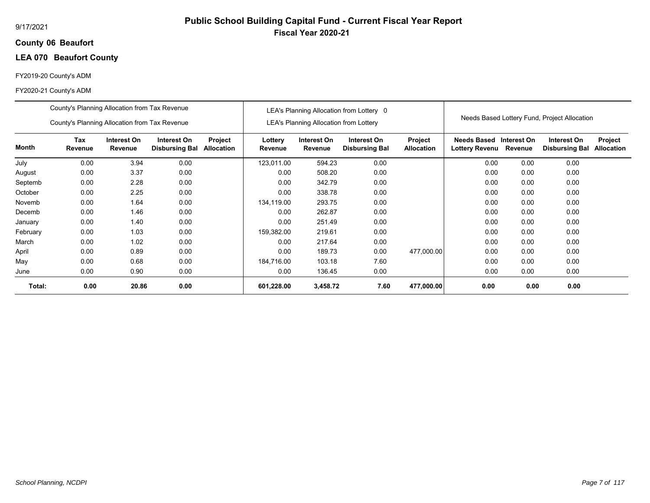## **06 Beaufort County**

## **LEA 070 Beaufort County**

## FY2019-20 County's ADM

|          | County's Planning Allocation from Tax Revenue |                        |                                      |                              |                    |                                               | LEA's Planning Allocation from Lottery 0 |                              |                                           |         |                                              |                              |
|----------|-----------------------------------------------|------------------------|--------------------------------------|------------------------------|--------------------|-----------------------------------------------|------------------------------------------|------------------------------|-------------------------------------------|---------|----------------------------------------------|------------------------------|
|          | County's Planning Allocation from Tax Revenue |                        |                                      |                              |                    | <b>LEA's Planning Allocation from Lottery</b> |                                          |                              |                                           |         | Needs Based Lottery Fund, Project Allocation |                              |
| Month    | <b>Tax</b><br>Revenue                         | Interest On<br>Revenue | Interest On<br><b>Disbursing Bal</b> | Project<br><b>Allocation</b> | Lottery<br>Revenue | Interest On<br>Revenue                        | Interest On<br><b>Disbursing Bal</b>     | Project<br><b>Allocation</b> | Needs Based Interest On<br>Lottery Revenu | Revenue | Interest On<br><b>Disbursing Bal</b>         | Project<br><b>Allocation</b> |
| July     | 0.00                                          | 3.94                   | 0.00                                 |                              | 123.011.00         | 594.23                                        | 0.00                                     |                              | 0.00                                      | 0.00    | 0.00                                         |                              |
| August   | 0.00                                          | 3.37                   | 0.00                                 |                              | 0.00               | 508.20                                        | 0.00                                     |                              | 0.00                                      | 0.00    | 0.00                                         |                              |
| Septemb  | 0.00                                          | 2.28                   | 0.00                                 |                              | 0.00               | 342.79                                        | 0.00                                     |                              | 0.00                                      | 0.00    | 0.00                                         |                              |
| October  | 0.00                                          | 2.25                   | 0.00                                 |                              | 0.00               | 338.78                                        | 0.00                                     |                              | 0.00                                      | 0.00    | 0.00                                         |                              |
| Novemb   | 0.00                                          | 1.64                   | 0.00                                 |                              | 134,119.00         | 293.75                                        | 0.00                                     |                              | 0.00                                      | 0.00    | 0.00                                         |                              |
| Decemb   | 0.00                                          | 1.46                   | 0.00                                 |                              | 0.00               | 262.87                                        | 0.00                                     |                              | 0.00                                      | 0.00    | 0.00                                         |                              |
| January  | 0.00                                          | 1.40                   | 0.00                                 |                              | 0.00               | 251.49                                        | 0.00                                     |                              | 0.00                                      | 0.00    | 0.00                                         |                              |
| February | 0.00                                          | 1.03                   | 0.00                                 |                              | 159,382.00         | 219.61                                        | 0.00                                     |                              | 0.00                                      | 0.00    | 0.00                                         |                              |
| March    | 0.00                                          | 1.02                   | 0.00                                 |                              | 0.00               | 217.64                                        | 0.00                                     |                              | 0.00                                      | 0.00    | 0.00                                         |                              |
| April    | 0.00                                          | 0.89                   | 0.00                                 |                              | 0.00               | 189.73                                        | 0.00                                     | 477,000.00                   | 0.00                                      | 0.00    | 0.00                                         |                              |
| May      | 0.00                                          | 0.68                   | 0.00                                 |                              | 184,716.00         | 103.18                                        | 7.60                                     |                              | 0.00                                      | 0.00    | 0.00                                         |                              |
| June     | 0.00                                          | 0.90                   | 0.00                                 |                              | 0.00               | 136.45                                        | 0.00                                     |                              | 0.00                                      | 0.00    | 0.00                                         |                              |
| Total:   | 0.00                                          | 20.86                  | 0.00                                 |                              | 601,228.00         | 3,458.72                                      | 7.60                                     | 477,000.00                   | 0.00                                      | 0.00    | 0.00                                         |                              |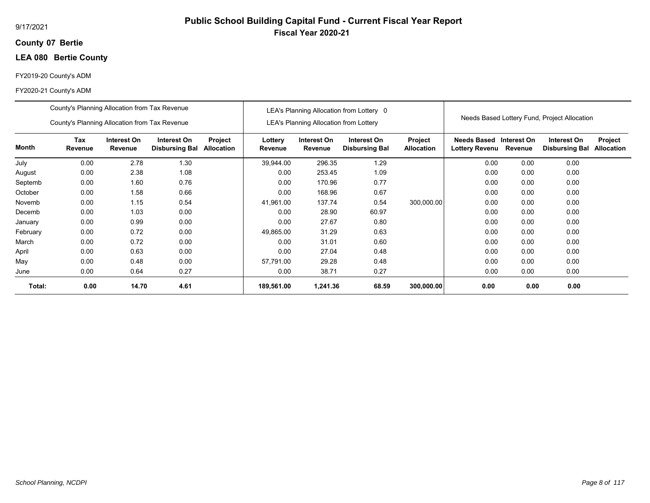## **07 Bertie County**

## **LEA 080 Bertie County**

## FY2019-20 County's ADM

|          | County's Planning Allocation from Tax Revenue |                        |                                      |                              |                    |                                        | LEA's Planning Allocation from Lottery 0 |                              |                                                  |         |                                              |                              |
|----------|-----------------------------------------------|------------------------|--------------------------------------|------------------------------|--------------------|----------------------------------------|------------------------------------------|------------------------------|--------------------------------------------------|---------|----------------------------------------------|------------------------------|
|          | County's Planning Allocation from Tax Revenue |                        |                                      |                              |                    | LEA's Planning Allocation from Lottery |                                          |                              |                                                  |         | Needs Based Lottery Fund, Project Allocation |                              |
| Month    | <b>Tax</b><br>Revenue                         | Interest On<br>Revenue | Interest On<br><b>Disbursing Bal</b> | Project<br><b>Allocation</b> | Lottery<br>Revenue | Interest On<br>Revenue                 | Interest On<br><b>Disbursing Bal</b>     | Project<br><b>Allocation</b> | Needs Based Interest On<br><b>Lottery Revenu</b> | Revenue | Interest On<br><b>Disbursing Bal</b>         | Project<br><b>Allocation</b> |
| July     | 0.00                                          | 2.78                   | 1.30                                 |                              | 39.944.00          | 296.35                                 | 1.29                                     |                              | 0.00                                             | 0.00    | 0.00                                         |                              |
| August   | 0.00                                          | 2.38                   | 1.08                                 |                              | 0.00               | 253.45                                 | 1.09                                     |                              | 0.00                                             | 0.00    | 0.00                                         |                              |
| Septemb  | 0.00                                          | 1.60                   | 0.76                                 |                              | 0.00               | 170.96                                 | 0.77                                     |                              | 0.00                                             | 0.00    | 0.00                                         |                              |
| October  | 0.00                                          | 1.58                   | 0.66                                 |                              | 0.00               | 168.96                                 | 0.67                                     |                              | 0.00                                             | 0.00    | 0.00                                         |                              |
| Novemb   | 0.00                                          | 1.15                   | 0.54                                 |                              | 41,961.00          | 137.74                                 | 0.54                                     | 300,000.00                   | 0.00                                             | 0.00    | 0.00                                         |                              |
| Decemb   | 0.00                                          | 1.03                   | 0.00                                 |                              | 0.00               | 28.90                                  | 60.97                                    |                              | 0.00                                             | 0.00    | 0.00                                         |                              |
| January  | 0.00                                          | 0.99                   | 0.00                                 |                              | 0.00               | 27.67                                  | 0.80                                     |                              | 0.00                                             | 0.00    | 0.00                                         |                              |
| February | 0.00                                          | 0.72                   | 0.00                                 |                              | 49,865.00          | 31.29                                  | 0.63                                     |                              | 0.00                                             | 0.00    | 0.00                                         |                              |
| March    | 0.00                                          | 0.72                   | 0.00                                 |                              | 0.00               | 31.01                                  | 0.60                                     |                              | 0.00                                             | 0.00    | 0.00                                         |                              |
| April    | 0.00                                          | 0.63                   | 0.00                                 |                              | 0.00               | 27.04                                  | 0.48                                     |                              | 0.00                                             | 0.00    | 0.00                                         |                              |
| May      | 0.00                                          | 0.48                   | 0.00                                 |                              | 57.791.00          | 29.28                                  | 0.48                                     |                              | 0.00                                             | 0.00    | 0.00                                         |                              |
| June     | 0.00                                          | 0.64                   | 0.27                                 |                              | 0.00               | 38.71                                  | 0.27                                     |                              | 0.00                                             | 0.00    | 0.00                                         |                              |
| Total:   | 0.00                                          | 14.70                  | 4.61                                 |                              | 189,561.00         | 1,241.36                               | 68.59                                    | 300,000.00                   | 0.00                                             | 0.00    | 0.00                                         |                              |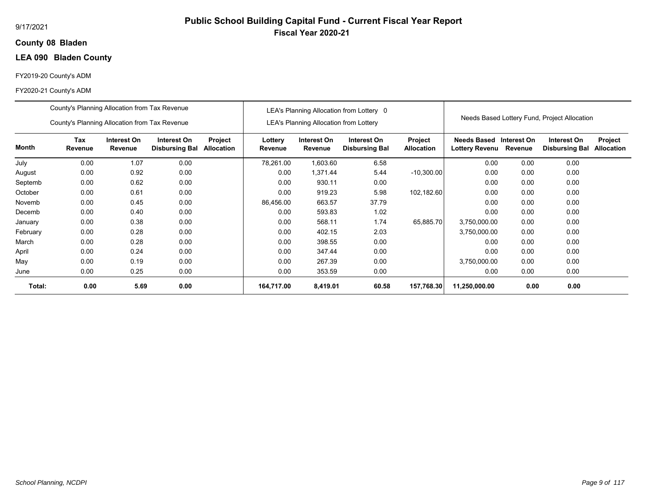## **08 Bladen County**

## **LEA 090 Bladen County**

## FY2019-20 County's ADM

|          | County's Planning Allocation from Tax Revenue |                        |                                      |                       |                    |                                               | LEA's Planning Allocation from Lottery 0 |                              |                                      |                        |                                              |                              |
|----------|-----------------------------------------------|------------------------|--------------------------------------|-----------------------|--------------------|-----------------------------------------------|------------------------------------------|------------------------------|--------------------------------------|------------------------|----------------------------------------------|------------------------------|
|          | County's Planning Allocation from Tax Revenue |                        |                                      |                       |                    | <b>LEA's Planning Allocation from Lottery</b> |                                          |                              |                                      |                        | Needs Based Lottery Fund, Project Allocation |                              |
| Month    | Tax<br>Revenue                                | Interest On<br>Revenue | Interest On<br><b>Disbursing Bal</b> | Project<br>Allocation | Lottery<br>Revenue | Interest On<br>Revenue                        | Interest On<br><b>Disbursing Bal</b>     | Project<br><b>Allocation</b> | Needs Based<br><b>Lottery Revenu</b> | Interest On<br>Revenue | Interest On<br><b>Disbursing Bal</b>         | Project<br><b>Allocation</b> |
| July     | 0.00                                          | 1.07                   | 0.00                                 |                       | 78,261.00          | 1,603.60                                      | 6.58                                     |                              | 0.00                                 | 0.00                   | 0.00                                         |                              |
| August   | 0.00                                          | 0.92                   | 0.00                                 |                       | 0.00               | 1,371.44                                      | 5.44                                     | $-10,300.00$                 | 0.00                                 | 0.00                   | 0.00                                         |                              |
| Septemb  | 0.00                                          | 0.62                   | 0.00                                 |                       | 0.00               | 930.11                                        | 0.00                                     |                              | 0.00                                 | 0.00                   | 0.00                                         |                              |
| October  | 0.00                                          | 0.61                   | 0.00                                 |                       | 0.00               | 919.23                                        | 5.98                                     | 102,182.60                   | 0.00                                 | 0.00                   | 0.00                                         |                              |
| Novemb   | 0.00                                          | 0.45                   | 0.00                                 |                       | 86,456.00          | 663.57                                        | 37.79                                    |                              | 0.00                                 | 0.00                   | 0.00                                         |                              |
| Decemb   | 0.00                                          | 0.40                   | 0.00                                 |                       | 0.00               | 593.83                                        | 1.02                                     |                              | 0.00                                 | 0.00                   | 0.00                                         |                              |
| January  | 0.00                                          | 0.38                   | 0.00                                 |                       | 0.00               | 568.11                                        | 1.74                                     | 65,885.70                    | 3,750,000.00                         | 0.00                   | 0.00                                         |                              |
| February | 0.00                                          | 0.28                   | 0.00                                 |                       | 0.00               | 402.15                                        | 2.03                                     |                              | 3,750,000.00                         | 0.00                   | 0.00                                         |                              |
| March    | 0.00                                          | 0.28                   | 0.00                                 |                       | 0.00               | 398.55                                        | 0.00                                     |                              | 0.00                                 | 0.00                   | 0.00                                         |                              |
| April    | 0.00                                          | 0.24                   | 0.00                                 |                       | 0.00               | 347.44                                        | 0.00                                     |                              | 0.00                                 | 0.00                   | 0.00                                         |                              |
| May      | 0.00                                          | 0.19                   | 0.00                                 |                       | 0.00               | 267.39                                        | 0.00                                     |                              | 3,750,000.00                         | 0.00                   | 0.00                                         |                              |
| June     | 0.00                                          | 0.25                   | 0.00                                 |                       | 0.00               | 353.59                                        | 0.00                                     |                              | 0.00                                 | 0.00                   | 0.00                                         |                              |
| Total:   | 0.00                                          | 5.69                   | 0.00                                 |                       | 164,717.00         | 8,419.01                                      | 60.58                                    | 157,768.30                   | 11,250,000.00                        | 0.00                   | 0.00                                         |                              |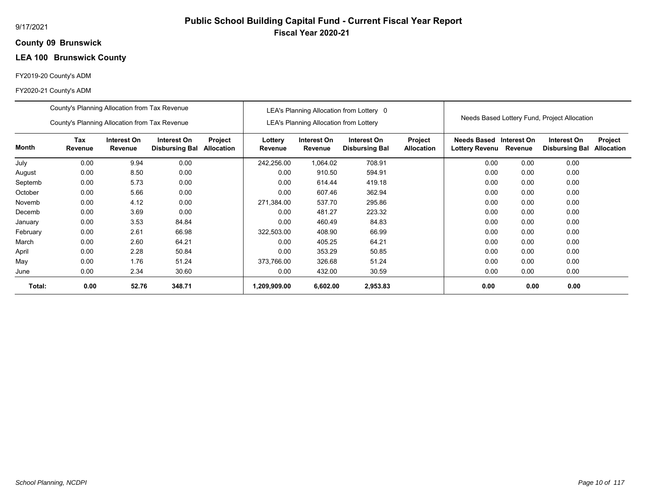# **Public School Building Capital Fund - Current Fiscal Year Report Fiscal Year 2020-21**

## **09 Brunswick County**

## **LEA 100 Brunswick County**

## FY2019-20 County's ADM

|          | County's Planning Allocation from Tax Revenue |                               |                                      |                              |                    |                                               | LEA's Planning Allocation from Lottery 0 |                              |                                             |                        |                                              |                              |
|----------|-----------------------------------------------|-------------------------------|--------------------------------------|------------------------------|--------------------|-----------------------------------------------|------------------------------------------|------------------------------|---------------------------------------------|------------------------|----------------------------------------------|------------------------------|
|          | County's Planning Allocation from Tax Revenue |                               |                                      |                              |                    | <b>LEA's Planning Allocation from Lottery</b> |                                          |                              |                                             |                        | Needs Based Lottery Fund, Project Allocation |                              |
| Month    | Tax<br>Revenue                                | Interest On<br><b>Revenue</b> | Interest On<br><b>Disbursing Bal</b> | Project<br><b>Allocation</b> | Lottery<br>Revenue | Interest On<br>Revenue                        | Interest On<br><b>Disbursing Bal</b>     | Project<br><b>Allocation</b> | <b>Needs Based</b><br><b>Lottery Revenu</b> | Interest On<br>Revenue | Interest On<br><b>Disbursing Bal</b>         | Project<br><b>Allocation</b> |
| July     | 0.00                                          | 9.94                          | 0.00                                 |                              | 242,256.00         | 1,064.02                                      | 708.91                                   |                              | 0.00                                        | 0.00                   | 0.00                                         |                              |
| August   | 0.00                                          | 8.50                          | 0.00                                 |                              | 0.00               | 910.50                                        | 594.91                                   |                              | 0.00                                        | 0.00                   | 0.00                                         |                              |
| Septemb  | 0.00                                          | 5.73                          | 0.00                                 |                              | 0.00               | 614.44                                        | 419.18                                   |                              | 0.00                                        | 0.00                   | 0.00                                         |                              |
| October  | 0.00                                          | 5.66                          | 0.00                                 |                              | 0.00               | 607.46                                        | 362.94                                   |                              | 0.00                                        | 0.00                   | 0.00                                         |                              |
| Novemb   | 0.00                                          | 4.12                          | 0.00                                 |                              | 271,384.00         | 537.70                                        | 295.86                                   |                              | 0.00                                        | 0.00                   | 0.00                                         |                              |
| Decemb   | 0.00                                          | 3.69                          | 0.00                                 |                              | 0.00               | 481.27                                        | 223.32                                   |                              | 0.00                                        | 0.00                   | 0.00                                         |                              |
| January  | 0.00                                          | 3.53                          | 84.84                                |                              | 0.00               | 460.49                                        | 84.83                                    |                              | 0.00                                        | 0.00                   | 0.00                                         |                              |
| February | 0.00                                          | 2.61                          | 66.98                                |                              | 322,503.00         | 408.90                                        | 66.99                                    |                              | 0.00                                        | 0.00                   | 0.00                                         |                              |
| March    | 0.00                                          | 2.60                          | 64.21                                |                              | 0.00               | 405.25                                        | 64.21                                    |                              | 0.00                                        | 0.00                   | 0.00                                         |                              |
| April    | 0.00                                          | 2.28                          | 50.84                                |                              | 0.00               | 353.29                                        | 50.85                                    |                              | 0.00                                        | 0.00                   | 0.00                                         |                              |
| May      | 0.00                                          | 1.76                          | 51.24                                |                              | 373,766.00         | 326.68                                        | 51.24                                    |                              | 0.00                                        | 0.00                   | 0.00                                         |                              |
| June     | 0.00                                          | 2.34                          | 30.60                                |                              | 0.00               | 432.00                                        | 30.59                                    |                              | 0.00                                        | 0.00                   | 0.00                                         |                              |
| Total:   | 0.00                                          | 52.76                         | 348.71                               |                              | 1,209,909.00       | 6,602.00                                      | 2,953.83                                 |                              | 0.00                                        | 0.00                   | 0.00                                         |                              |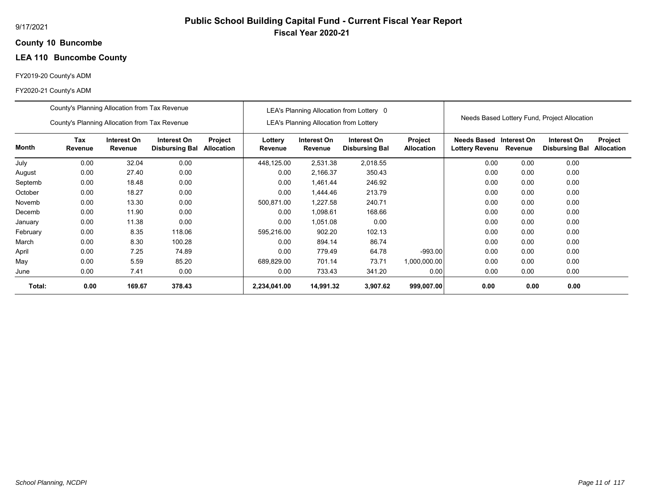# **Public School Building Capital Fund - Current Fiscal Year Report Fiscal Year 2020-21**

#### **10 Buncombe County**

## **LEA 110 Buncombe County**

## FY2019-20 County's ADM

|          | County's Planning Allocation from Tax Revenue |                        |                                      |                       |                    |                                               | LEA's Planning Allocation from Lottery 0 |                              |                                      |                        |                                              |                              |
|----------|-----------------------------------------------|------------------------|--------------------------------------|-----------------------|--------------------|-----------------------------------------------|------------------------------------------|------------------------------|--------------------------------------|------------------------|----------------------------------------------|------------------------------|
|          | County's Planning Allocation from Tax Revenue |                        |                                      |                       |                    | <b>LEA's Planning Allocation from Lottery</b> |                                          |                              |                                      |                        | Needs Based Lottery Fund, Project Allocation |                              |
| Month    | Tax<br>Revenue                                | Interest On<br>Revenue | Interest On<br><b>Disbursing Bal</b> | Project<br>Allocation | Lottery<br>Revenue | Interest On<br>Revenue                        | Interest On<br><b>Disbursing Bal</b>     | Project<br><b>Allocation</b> | <b>Needs Based</b><br>Lottery Revenu | Interest On<br>Revenue | Interest On<br><b>Disbursing Bal</b>         | Project<br><b>Allocation</b> |
| July     | 0.00                                          | 32.04                  | 0.00                                 |                       | 448,125.00         | 2,531.38                                      | 2,018.55                                 |                              | 0.00                                 | 0.00                   | 0.00                                         |                              |
| August   | 0.00                                          | 27.40                  | 0.00                                 |                       | 0.00               | 2,166.37                                      | 350.43                                   |                              | 0.00                                 | 0.00                   | 0.00                                         |                              |
| Septemb  | 0.00                                          | 18.48                  | 0.00                                 |                       | 0.00               | 1,461.44                                      | 246.92                                   |                              | 0.00                                 | 0.00                   | 0.00                                         |                              |
| October  | 0.00                                          | 18.27                  | 0.00                                 |                       | 0.00               | 1,444.46                                      | 213.79                                   |                              | 0.00                                 | 0.00                   | 0.00                                         |                              |
| Novemb   | 0.00                                          | 13.30                  | 0.00                                 |                       | 500,871.00         | 1,227.58                                      | 240.71                                   |                              | 0.00                                 | 0.00                   | 0.00                                         |                              |
| Decemb   | 0.00                                          | 11.90                  | 0.00                                 |                       | 0.00               | 1,098.61                                      | 168.66                                   |                              | 0.00                                 | 0.00                   | 0.00                                         |                              |
| January  | 0.00                                          | 11.38                  | 0.00                                 |                       | 0.00               | 1,051.08                                      | 0.00                                     |                              | 0.00                                 | 0.00                   | 0.00                                         |                              |
| February | 0.00                                          | 8.35                   | 118.06                               |                       | 595,216.00         | 902.20                                        | 102.13                                   |                              | 0.00                                 | 0.00                   | 0.00                                         |                              |
| March    | 0.00                                          | 8.30                   | 100.28                               |                       | 0.00               | 894.14                                        | 86.74                                    |                              | 0.00                                 | 0.00                   | 0.00                                         |                              |
| April    | 0.00                                          | 7.25                   | 74.89                                |                       | 0.00               | 779.49                                        | 64.78                                    | $-993.00$                    | 0.00                                 | 0.00                   | 0.00                                         |                              |
| May      | 0.00                                          | 5.59                   | 85.20                                |                       | 689,829.00         | 701.14                                        | 73.71                                    | 1,000,000.00                 | 0.00                                 | 0.00                   | 0.00                                         |                              |
| June     | 0.00                                          | 7.41                   | 0.00                                 |                       | 0.00               | 733.43                                        | 341.20                                   | 0.00                         | 0.00                                 | 0.00                   | 0.00                                         |                              |
| Total:   | 0.00                                          | 169.67                 | 378.43                               |                       | 2,234,041.00       | 14,991.32                                     | 3,907.62                                 | 999,007.00                   | 0.00                                 | 0.00                   | 0.00                                         |                              |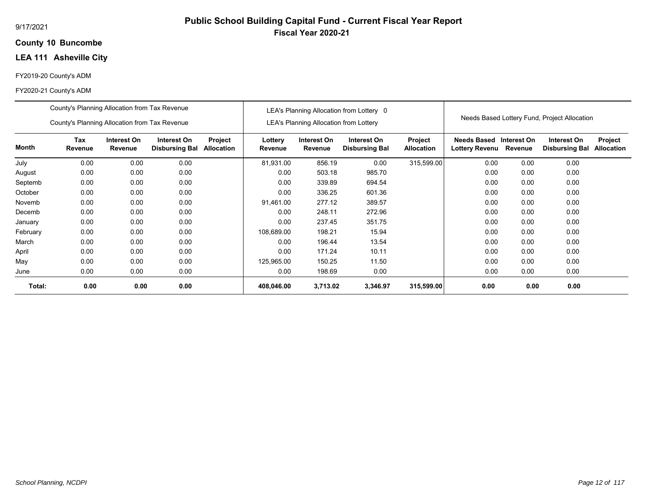## **10 Buncombe County**

## **LEA 111 Asheville City**

## FY2019-20 County's ADM

|          | County's Planning Allocation from Tax Revenue |                        |                                      |                              |                    |                                               | LEA's Planning Allocation from Lottery 0 |                              |                                             |                        |                                              |                              |
|----------|-----------------------------------------------|------------------------|--------------------------------------|------------------------------|--------------------|-----------------------------------------------|------------------------------------------|------------------------------|---------------------------------------------|------------------------|----------------------------------------------|------------------------------|
|          | County's Planning Allocation from Tax Revenue |                        |                                      |                              |                    | <b>LEA's Planning Allocation from Lottery</b> |                                          |                              |                                             |                        | Needs Based Lottery Fund, Project Allocation |                              |
| Month    | Tax<br>Revenue                                | Interest On<br>Revenue | Interest On<br><b>Disbursing Bal</b> | Project<br><b>Allocation</b> | Lottery<br>Revenue | Interest On<br>Revenue                        | Interest On<br><b>Disbursing Bal</b>     | Project<br><b>Allocation</b> | <b>Needs Based</b><br><b>Lottery Revenu</b> | Interest On<br>Revenue | Interest On<br><b>Disbursing Bal</b>         | Project<br><b>Allocation</b> |
| July     | 0.00                                          | 0.00                   | 0.00                                 |                              | 81,931.00          | 856.19                                        | 0.00                                     | 315,599.00                   | 0.00                                        | 0.00                   | 0.00                                         |                              |
| August   | 0.00                                          | 0.00                   | 0.00                                 |                              | 0.00               | 503.18                                        | 985.70                                   |                              | 0.00                                        | 0.00                   | 0.00                                         |                              |
| Septemb  | 0.00                                          | 0.00                   | 0.00                                 |                              | 0.00               | 339.89                                        | 694.54                                   |                              | 0.00                                        | 0.00                   | 0.00                                         |                              |
| October  | 0.00                                          | 0.00                   | 0.00                                 |                              | 0.00               | 336.25                                        | 601.36                                   |                              | 0.00                                        | 0.00                   | 0.00                                         |                              |
| Novemb   | 0.00                                          | 0.00                   | 0.00                                 |                              | 91,461.00          | 277.12                                        | 389.57                                   |                              | 0.00                                        | 0.00                   | 0.00                                         |                              |
| Decemb   | 0.00                                          | 0.00                   | 0.00                                 |                              | 0.00               | 248.11                                        | 272.96                                   |                              | 0.00                                        | 0.00                   | 0.00                                         |                              |
| January  | 0.00                                          | 0.00                   | 0.00                                 |                              | 0.00               | 237.45                                        | 351.75                                   |                              | 0.00                                        | 0.00                   | 0.00                                         |                              |
| February | 0.00                                          | 0.00                   | 0.00                                 |                              | 108,689.00         | 198.21                                        | 15.94                                    |                              | 0.00                                        | 0.00                   | 0.00                                         |                              |
| March    | 0.00                                          | 0.00                   | 0.00                                 |                              | 0.00               | 196.44                                        | 13.54                                    |                              | 0.00                                        | 0.00                   | 0.00                                         |                              |
| April    | 0.00                                          | 0.00                   | 0.00                                 |                              | 0.00               | 171.24                                        | 10.11                                    |                              | 0.00                                        | 0.00                   | 0.00                                         |                              |
| May      | 0.00                                          | 0.00                   | 0.00                                 |                              | 125,965.00         | 150.25                                        | 11.50                                    |                              | 0.00                                        | 0.00                   | 0.00                                         |                              |
| June     | 0.00                                          | 0.00                   | 0.00                                 |                              | 0.00               | 198.69                                        | 0.00                                     |                              | 0.00                                        | 0.00                   | 0.00                                         |                              |
| Total:   | 0.00                                          | 0.00                   | 0.00                                 |                              | 408,046.00         | 3,713.02                                      | 3,346.97                                 | 315,599.00                   | 0.00                                        | 0.00                   | 0.00                                         |                              |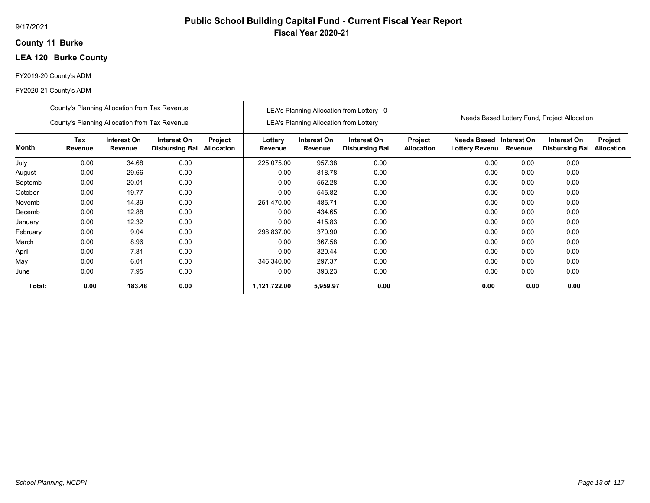## **11 Burke County**

## **LEA 120 Burke County**

## FY2019-20 County's ADM

|          | County's Planning Allocation from Tax Revenue                                                                                                    |        |      |  |                    |                                               | LEA's Planning Allocation from Lottery 0 |                              |                                           |         |                                              |                              |
|----------|--------------------------------------------------------------------------------------------------------------------------------------------------|--------|------|--|--------------------|-----------------------------------------------|------------------------------------------|------------------------------|-------------------------------------------|---------|----------------------------------------------|------------------------------|
|          | County's Planning Allocation from Tax Revenue                                                                                                    |        |      |  |                    | <b>LEA's Planning Allocation from Lottery</b> |                                          |                              |                                           |         | Needs Based Lottery Fund, Project Allocation |                              |
| Month    | <b>Tax</b><br>Interest On<br>Interest On<br>Project<br>Revenue<br>Revenue<br><b>Allocation</b><br><b>Disbursing Bal</b><br>0.00<br>34.68<br>0.00 |        |      |  | Lottery<br>Revenue | Interest On<br>Revenue                        | Interest On<br><b>Disbursing Bal</b>     | Project<br><b>Allocation</b> | Needs Based Interest On<br>Lottery Revenu | Revenue | Interest On<br><b>Disbursing Bal</b>         | Project<br><b>Allocation</b> |
| July     |                                                                                                                                                  |        |      |  | 225,075.00         | 957.38                                        | 0.00                                     |                              | 0.00                                      | 0.00    | 0.00                                         |                              |
| August   | 0.00                                                                                                                                             | 29.66  | 0.00 |  | 0.00               | 818.78                                        | 0.00                                     |                              | 0.00                                      | 0.00    | 0.00                                         |                              |
| Septemb  | 0.00                                                                                                                                             | 20.01  | 0.00 |  | 0.00               | 552.28                                        | 0.00                                     |                              | 0.00                                      | 0.00    | 0.00                                         |                              |
| October  | 0.00                                                                                                                                             | 19.77  | 0.00 |  | 0.00               | 545.82                                        | 0.00                                     |                              | 0.00                                      | 0.00    | 0.00                                         |                              |
| Novemb   | 0.00                                                                                                                                             | 14.39  | 0.00 |  | 251,470.00         | 485.71                                        | 0.00                                     |                              | 0.00                                      | 0.00    | 0.00                                         |                              |
| Decemb   | 0.00                                                                                                                                             | 12.88  | 0.00 |  | 0.00               | 434.65                                        | 0.00                                     |                              | 0.00                                      | 0.00    | 0.00                                         |                              |
| January  | 0.00                                                                                                                                             | 12.32  | 0.00 |  | 0.00               | 415.83                                        | 0.00                                     |                              | 0.00                                      | 0.00    | 0.00                                         |                              |
| February | 0.00                                                                                                                                             | 9.04   | 0.00 |  | 298,837.00         | 370.90                                        | 0.00                                     |                              | 0.00                                      | 0.00    | 0.00                                         |                              |
| March    | 0.00                                                                                                                                             | 8.96   | 0.00 |  | 0.00               | 367.58                                        | 0.00                                     |                              | 0.00                                      | 0.00    | 0.00                                         |                              |
| April    | 0.00                                                                                                                                             | 7.81   | 0.00 |  | 0.00               | 320.44                                        | 0.00                                     |                              | 0.00                                      | 0.00    | 0.00                                         |                              |
| May      | 0.00                                                                                                                                             | 6.01   | 0.00 |  | 346,340.00         | 297.37                                        | 0.00                                     |                              | 0.00                                      | 0.00    | 0.00                                         |                              |
| June     | 0.00                                                                                                                                             | 7.95   | 0.00 |  | 0.00               | 393.23                                        | 0.00                                     |                              | 0.00                                      | 0.00    | 0.00                                         |                              |
| Total:   | 0.00                                                                                                                                             | 183.48 | 0.00 |  | 1,121,722.00       | 5,959.97                                      | 0.00                                     |                              | 0.00                                      | 0.00    | 0.00                                         |                              |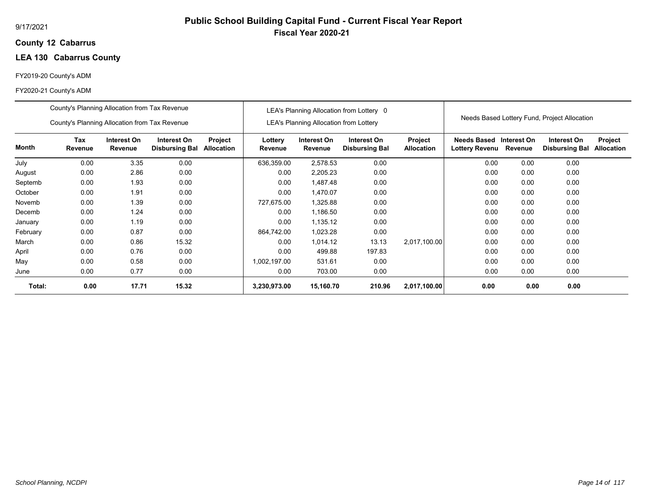## **12 Cabarrus County**

## **LEA 130 Cabarrus County**

## FY2019-20 County's ADM

|          | County's Planning Allocation from Tax Revenue                                                                                                   |       |       |  |                    |                                        | LEA's Planning Allocation from Lottery 0 |                              |                                      |                        |                                              |                              |
|----------|-------------------------------------------------------------------------------------------------------------------------------------------------|-------|-------|--|--------------------|----------------------------------------|------------------------------------------|------------------------------|--------------------------------------|------------------------|----------------------------------------------|------------------------------|
|          | County's Planning Allocation from Tax Revenue                                                                                                   |       |       |  |                    | LEA's Planning Allocation from Lottery |                                          |                              |                                      |                        | Needs Based Lottery Fund, Project Allocation |                              |
| Month    | <b>Tax</b><br>Interest On<br>Interest On<br>Project<br>Revenue<br>Revenue<br><b>Allocation</b><br><b>Disbursing Bal</b><br>3.35<br>0.00<br>0.00 |       |       |  | Lottery<br>Revenue | Interest On<br>Revenue                 | Interest On<br><b>Disbursing Bal</b>     | Project<br><b>Allocation</b> | Needs Based<br><b>Lottery Revenu</b> | Interest On<br>Revenue | Interest On<br><b>Disbursing Bal</b>         | Project<br><b>Allocation</b> |
| July     |                                                                                                                                                 |       |       |  | 636,359.00         | 2,578.53                               | 0.00                                     |                              | 0.00                                 | 0.00                   | 0.00                                         |                              |
| August   | 0.00                                                                                                                                            | 2.86  | 0.00  |  | 0.00               | 2,205.23                               | 0.00                                     |                              | 0.00                                 | 0.00                   | 0.00                                         |                              |
| Septemb  | 0.00                                                                                                                                            | 1.93  | 0.00  |  | 0.00               | 1,487.48                               | 0.00                                     |                              | 0.00                                 | 0.00                   | 0.00                                         |                              |
| October  | 0.00                                                                                                                                            | 1.91  | 0.00  |  | 0.00               | 1,470.07                               | 0.00                                     |                              | 0.00                                 | 0.00                   | 0.00                                         |                              |
| Novemb   | 0.00                                                                                                                                            | 1.39  | 0.00  |  | 727,675.00         | 1,325.88                               | 0.00                                     |                              | 0.00                                 | 0.00                   | 0.00                                         |                              |
| Decemb   | 0.00                                                                                                                                            | 1.24  | 0.00  |  | 0.00               | 1,186.50                               | 0.00                                     |                              | 0.00                                 | 0.00                   | 0.00                                         |                              |
| January  | 0.00                                                                                                                                            | 1.19  | 0.00  |  | 0.00               | 1,135.12                               | 0.00                                     |                              | 0.00                                 | 0.00                   | 0.00                                         |                              |
| February | 0.00                                                                                                                                            | 0.87  | 0.00  |  | 864,742.00         | 1,023.28                               | 0.00                                     |                              | 0.00                                 | 0.00                   | 0.00                                         |                              |
| March    | 0.00                                                                                                                                            | 0.86  | 15.32 |  | 0.00               | 1,014.12                               | 13.13                                    | 2,017,100.00                 | 0.00                                 | 0.00                   | 0.00                                         |                              |
| April    | 0.00                                                                                                                                            | 0.76  | 0.00  |  | 0.00               | 499.88                                 | 197.83                                   |                              | 0.00                                 | 0.00                   | 0.00                                         |                              |
| May      | 0.00                                                                                                                                            | 0.58  | 0.00  |  | 1,002,197.00       | 531.61                                 | 0.00                                     |                              | 0.00                                 | 0.00                   | 0.00                                         |                              |
| June     | 0.00                                                                                                                                            | 0.77  | 0.00  |  | 0.00               | 703.00                                 | 0.00                                     |                              | 0.00                                 | 0.00                   | 0.00                                         |                              |
| Total:   | 0.00                                                                                                                                            | 17.71 | 15.32 |  | 3,230,973.00       | 15,160.70                              | 210.96                                   | 2,017,100.00                 | 0.00                                 | 0.00                   | 0.00                                         |                              |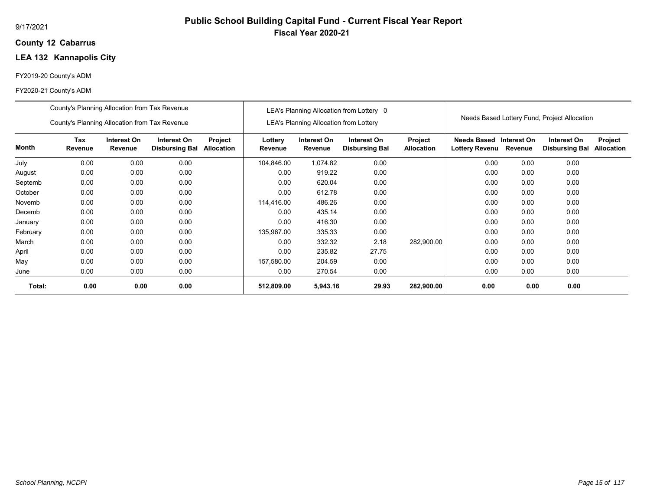## **12 Cabarrus County**

## **LEA 132 Kannapolis City**

## FY2019-20 County's ADM

|          | County's Planning Allocation from Tax Revenue                                                                                                   |      |      |  |                    |                                               | LEA's Planning Allocation from Lottery 0 |                              |                                           |         |                                              |                              |
|----------|-------------------------------------------------------------------------------------------------------------------------------------------------|------|------|--|--------------------|-----------------------------------------------|------------------------------------------|------------------------------|-------------------------------------------|---------|----------------------------------------------|------------------------------|
|          | County's Planning Allocation from Tax Revenue                                                                                                   |      |      |  |                    | <b>LEA's Planning Allocation from Lottery</b> |                                          |                              |                                           |         | Needs Based Lottery Fund, Project Allocation |                              |
| Month    | <b>Tax</b><br>Interest On<br>Interest On<br>Project<br>Revenue<br><b>Allocation</b><br>Revenue<br><b>Disbursing Bal</b><br>0.00<br>0.00<br>0.00 |      |      |  | Lottery<br>Revenue | Interest On<br>Revenue                        | Interest On<br><b>Disbursing Bal</b>     | Project<br><b>Allocation</b> | Needs Based Interest On<br>Lottery Revenu | Revenue | Interest On<br><b>Disbursing Bal</b>         | Project<br><b>Allocation</b> |
| July     |                                                                                                                                                 |      |      |  | 104,846.00         | 1,074.82                                      | 0.00                                     |                              | 0.00                                      | 0.00    | 0.00                                         |                              |
| August   | 0.00                                                                                                                                            | 0.00 | 0.00 |  | 0.00               | 919.22                                        | 0.00                                     |                              | 0.00                                      | 0.00    | 0.00                                         |                              |
| Septemb  | 0.00                                                                                                                                            | 0.00 | 0.00 |  | 0.00               | 620.04                                        | 0.00                                     |                              | 0.00                                      | 0.00    | 0.00                                         |                              |
| October  | 0.00                                                                                                                                            | 0.00 | 0.00 |  | 0.00               | 612.78                                        | 0.00                                     |                              | 0.00                                      | 0.00    | 0.00                                         |                              |
| Novemb   | 0.00                                                                                                                                            | 0.00 | 0.00 |  | 114,416.00         | 486.26                                        | 0.00                                     |                              | 0.00                                      | 0.00    | 0.00                                         |                              |
| Decemb   | 0.00                                                                                                                                            | 0.00 | 0.00 |  | 0.00               | 435.14                                        | 0.00                                     |                              | 0.00                                      | 0.00    | 0.00                                         |                              |
| January  | 0.00                                                                                                                                            | 0.00 | 0.00 |  | 0.00               | 416.30                                        | 0.00                                     |                              | 0.00                                      | 0.00    | 0.00                                         |                              |
| February | 0.00                                                                                                                                            | 0.00 | 0.00 |  | 135,967.00         | 335.33                                        | 0.00                                     |                              | 0.00                                      | 0.00    | 0.00                                         |                              |
| March    | 0.00                                                                                                                                            | 0.00 | 0.00 |  | 0.00               | 332.32                                        | 2.18                                     | 282,900.00                   | 0.00                                      | 0.00    | 0.00                                         |                              |
| April    | 0.00                                                                                                                                            | 0.00 | 0.00 |  | 0.00               | 235.82                                        | 27.75                                    |                              | 0.00                                      | 0.00    | 0.00                                         |                              |
| May      | 0.00                                                                                                                                            | 0.00 | 0.00 |  | 157,580.00         | 204.59                                        | 0.00                                     |                              | 0.00                                      | 0.00    | 0.00                                         |                              |
| June     | 0.00                                                                                                                                            | 0.00 | 0.00 |  | 0.00               | 270.54                                        | 0.00                                     |                              | 0.00                                      | 0.00    | 0.00                                         |                              |
| Total:   | 0.00                                                                                                                                            | 0.00 | 0.00 |  | 512,809.00         | 5,943.16                                      | 29.93                                    | 282,900.00                   | 0.00                                      | 0.00    | 0.00                                         |                              |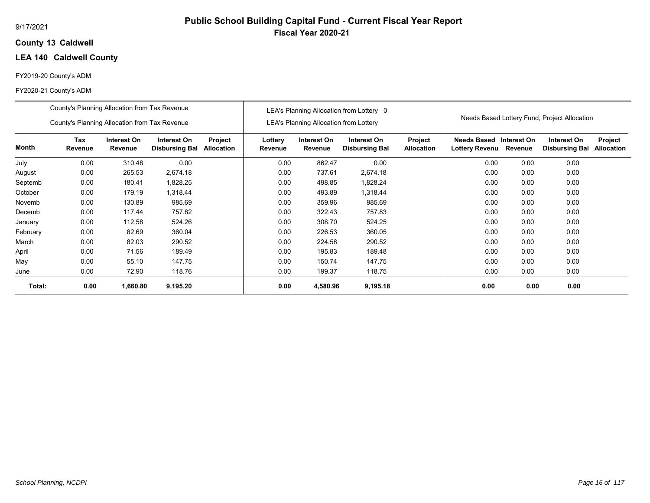## **13 Caldwell County**

## **LEA 140 Caldwell County**

## FY2019-20 County's ADM

#### FY2020-21 County's ADM

|          | County's Planning Allocation from Tax Revenue                                                                                              |          |          |  |                    |                                               | LEA's Planning Allocation from Lottery 0 |                              |                                                         |         |                                              |                              |
|----------|--------------------------------------------------------------------------------------------------------------------------------------------|----------|----------|--|--------------------|-----------------------------------------------|------------------------------------------|------------------------------|---------------------------------------------------------|---------|----------------------------------------------|------------------------------|
|          | County's Planning Allocation from Tax Revenue                                                                                              |          |          |  |                    | <b>LEA's Planning Allocation from Lottery</b> |                                          |                              |                                                         |         | Needs Based Lottery Fund, Project Allocation |                              |
| Month    | <b>Tax</b><br>Interest On<br>Interest On<br>Project<br>Revenue<br>Revenue<br>Allocation<br><b>Disbursing Bal</b><br>0.00<br>310.48<br>0.00 |          |          |  | Lottery<br>Revenue | Interest On<br>Revenue                        | Interest On<br><b>Disbursing Bal</b>     | Project<br><b>Allocation</b> | <b>Needs Based Interest On</b><br><b>Lottery Revenu</b> | Revenue | Interest On<br><b>Disbursing Bal</b>         | Project<br><b>Allocation</b> |
| July     |                                                                                                                                            |          |          |  | 0.00               | 862.47                                        | 0.00                                     |                              | 0.00                                                    | 0.00    | 0.00                                         |                              |
| August   | 0.00                                                                                                                                       | 265.53   | 2,674.18 |  | 0.00               | 737.61                                        | 2,674.18                                 |                              | 0.00                                                    | 0.00    | 0.00                                         |                              |
| Septemb  | 0.00                                                                                                                                       | 180.41   | 1,828.25 |  | 0.00               | 498.85                                        | 1,828.24                                 |                              | 0.00                                                    | 0.00    | 0.00                                         |                              |
| October  | 0.00                                                                                                                                       | 179.19   | 1,318.44 |  | 0.00               | 493.89                                        | 1,318.44                                 |                              | 0.00                                                    | 0.00    | 0.00                                         |                              |
| Novemb   | 0.00                                                                                                                                       | 130.89   | 985.69   |  | 0.00               | 359.96                                        | 985.69                                   |                              | 0.00                                                    | 0.00    | 0.00                                         |                              |
| Decemb   | 0.00                                                                                                                                       | 117.44   | 757.82   |  | 0.00               | 322.43                                        | 757.83                                   |                              | 0.00                                                    | 0.00    | 0.00                                         |                              |
| January  | 0.00                                                                                                                                       | 112.58   | 524.26   |  | 0.00               | 308.70                                        | 524.25                                   |                              | 0.00                                                    | 0.00    | 0.00                                         |                              |
| February | 0.00                                                                                                                                       | 82.69    | 360.04   |  | 0.00               | 226.53                                        | 360.05                                   |                              | 0.00                                                    | 0.00    | 0.00                                         |                              |
| March    | 0.00                                                                                                                                       | 82.03    | 290.52   |  | 0.00               | 224.58                                        | 290.52                                   |                              | 0.00                                                    | 0.00    | 0.00                                         |                              |
| April    | 0.00                                                                                                                                       | 71.56    | 189.49   |  | 0.00               | 195.83                                        | 189.48                                   |                              | 0.00                                                    | 0.00    | 0.00                                         |                              |
| May      | 0.00                                                                                                                                       | 55.10    | 147.75   |  | 0.00               | 150.74                                        | 147.75                                   |                              | 0.00                                                    | 0.00    | 0.00                                         |                              |
| June     | 0.00                                                                                                                                       | 72.90    | 118.76   |  | 0.00               | 199.37                                        | 118.75                                   |                              | 0.00                                                    | 0.00    | 0.00                                         |                              |
| Total:   | 0.00                                                                                                                                       | 1,660.80 | 9,195.20 |  | 0.00               | 4,580.96                                      | 9,195.18                                 |                              | 0.00                                                    | 0.00    | 0.00                                         |                              |

**Public School Building Capital Fund - Current Fiscal Year Report**

**Fiscal Year 2020-21**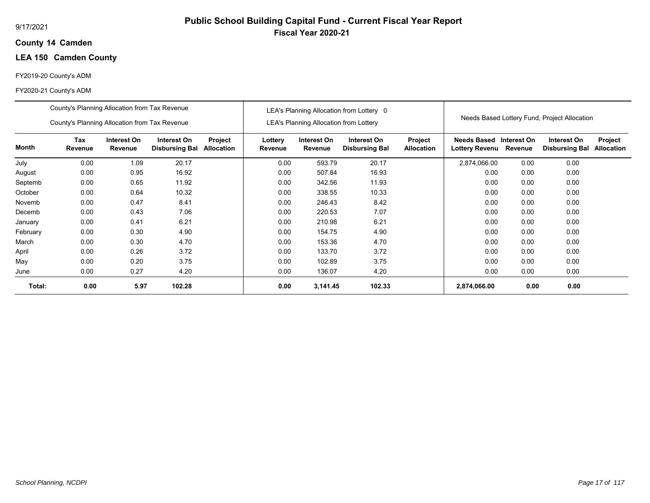## **14 Camden County**

## **LEA 150 Camden County**

## FY2019-20 County's ADM

|          | County's Planning Allocation from Tax Revenue                                                        |      |        |  |                    |                                               | LEA's Planning Allocation from Lottery 0 |                              |                                           |         |                                              |                              |
|----------|------------------------------------------------------------------------------------------------------|------|--------|--|--------------------|-----------------------------------------------|------------------------------------------|------------------------------|-------------------------------------------|---------|----------------------------------------------|------------------------------|
|          | County's Planning Allocation from Tax Revenue<br><b>Tax</b><br>Project<br>Interest On<br>Interest On |      |        |  |                    | <b>LEA's Planning Allocation from Lottery</b> |                                          |                              |                                           |         | Needs Based Lottery Fund, Project Allocation |                              |
| Month    | Revenue<br>Revenue<br><b>Allocation</b><br><b>Disbursing Bal</b><br>0.00<br>1.09<br>20.17            |      |        |  | Lottery<br>Revenue | Interest On<br>Revenue                        | Interest On<br><b>Disbursing Bal</b>     | Project<br><b>Allocation</b> | Needs Based Interest On<br>Lottery Revenu | Revenue | Interest On<br><b>Disbursing Bal</b>         | Project<br><b>Allocation</b> |
| July     |                                                                                                      |      |        |  | 0.00               | 593.79                                        | 20.17                                    |                              | 2,874,066.00                              | 0.00    | 0.00                                         |                              |
| August   | 0.00                                                                                                 | 0.95 | 16.92  |  | 0.00               | 507.84                                        | 16.93                                    |                              | 0.00                                      | 0.00    | 0.00                                         |                              |
| Septemb  | 0.00                                                                                                 | 0.65 | 11.92  |  | 0.00               | 342.56                                        | 11.93                                    |                              | 0.00                                      | 0.00    | 0.00                                         |                              |
| October  | 0.00                                                                                                 | 0.64 | 10.32  |  | 0.00               | 338.55                                        | 10.33                                    |                              | 0.00                                      | 0.00    | 0.00                                         |                              |
| Novemb   | 0.00                                                                                                 | 0.47 | 8.41   |  | 0.00               | 246.43                                        | 8.42                                     |                              | 0.00                                      | 0.00    | 0.00                                         |                              |
| Decemb   | 0.00                                                                                                 | 0.43 | 7.06   |  | 0.00               | 220.53                                        | 7.07                                     |                              | 0.00                                      | 0.00    | 0.00                                         |                              |
| January  | 0.00                                                                                                 | 0.41 | 6.21   |  | 0.00               | 210.98                                        | 6.21                                     |                              | 0.00                                      | 0.00    | 0.00                                         |                              |
| February | 0.00                                                                                                 | 0.30 | 4.90   |  | 0.00               | 154.75                                        | 4.90                                     |                              | 0.00                                      | 0.00    | 0.00                                         |                              |
| March    | 0.00                                                                                                 | 0.30 | 4.70   |  | 0.00               | 153.36                                        | 4.70                                     |                              | 0.00                                      | 0.00    | 0.00                                         |                              |
| April    | 0.00                                                                                                 | 0.26 | 3.72   |  | 0.00               | 133.70                                        | 3.72                                     |                              | 0.00                                      | 0.00    | 0.00                                         |                              |
| May      | 0.00                                                                                                 | 0.20 | 3.75   |  | 0.00               | 102.89                                        | 3.75                                     |                              | 0.00                                      | 0.00    | 0.00                                         |                              |
| June     | 0.00                                                                                                 | 0.27 | 4.20   |  | 0.00               | 136.07                                        | 4.20                                     |                              | 0.00                                      | 0.00    | 0.00                                         |                              |
| Total:   | 0.00                                                                                                 | 5.97 | 102.28 |  | 0.00               | 3,141.45                                      | 102.33                                   |                              | 2,874,066.00                              | 0.00    | 0.00                                         |                              |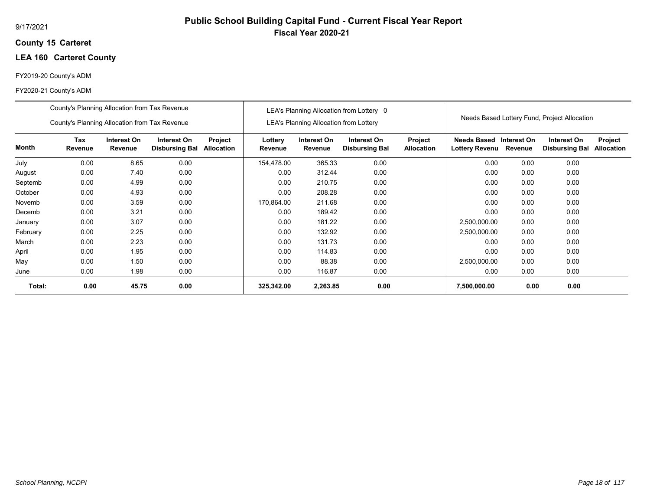## **15 Carteret County**

## **LEA 160 Carteret County**

## FY2019-20 County's ADM

|          | County's Planning Allocation from Tax Revenue                                                                                                   |       |      |  |                    |                                               | LEA's Planning Allocation from Lottery 0 |                              |                                           |         |                                              |                              |
|----------|-------------------------------------------------------------------------------------------------------------------------------------------------|-------|------|--|--------------------|-----------------------------------------------|------------------------------------------|------------------------------|-------------------------------------------|---------|----------------------------------------------|------------------------------|
|          | County's Planning Allocation from Tax Revenue                                                                                                   |       |      |  |                    | <b>LEA's Planning Allocation from Lottery</b> |                                          |                              |                                           |         | Needs Based Lottery Fund, Project Allocation |                              |
| Month    | <b>Tax</b><br>Interest On<br>Interest On<br>Project<br>Revenue<br>Revenue<br><b>Allocation</b><br><b>Disbursing Bal</b><br>0.00<br>0.00<br>8.65 |       |      |  | Lottery<br>Revenue | Interest On<br>Revenue                        | Interest On<br><b>Disbursing Bal</b>     | Project<br><b>Allocation</b> | Needs Based Interest On<br>Lottery Revenu | Revenue | Interest On<br><b>Disbursing Bal</b>         | Project<br><b>Allocation</b> |
| July     |                                                                                                                                                 |       |      |  | 154,478.00         | 365.33                                        | 0.00                                     |                              | 0.00                                      | 0.00    | 0.00                                         |                              |
| August   | 0.00                                                                                                                                            | 7.40  | 0.00 |  | 0.00               | 312.44                                        | 0.00                                     |                              | 0.00                                      | 0.00    | 0.00                                         |                              |
| Septemb  | 0.00                                                                                                                                            | 4.99  | 0.00 |  | 0.00               | 210.75                                        | 0.00                                     |                              | 0.00                                      | 0.00    | 0.00                                         |                              |
| October  | 0.00                                                                                                                                            | 4.93  | 0.00 |  | 0.00               | 208.28                                        | 0.00                                     |                              | 0.00                                      | 0.00    | 0.00                                         |                              |
| Novemb   | 0.00                                                                                                                                            | 3.59  | 0.00 |  | 170,864.00         | 211.68                                        | 0.00                                     |                              | 0.00                                      | 0.00    | 0.00                                         |                              |
| Decemb   | 0.00                                                                                                                                            | 3.21  | 0.00 |  | 0.00               | 189.42                                        | 0.00                                     |                              | 0.00                                      | 0.00    | 0.00                                         |                              |
| January  | 0.00                                                                                                                                            | 3.07  | 0.00 |  | 0.00               | 181.22                                        | 0.00                                     |                              | 2,500,000.00                              | 0.00    | 0.00                                         |                              |
| February | 0.00                                                                                                                                            | 2.25  | 0.00 |  | 0.00               | 132.92                                        | 0.00                                     |                              | 2,500,000.00                              | 0.00    | 0.00                                         |                              |
| March    | 0.00                                                                                                                                            | 2.23  | 0.00 |  | 0.00               | 131.73                                        | 0.00                                     |                              | 0.00                                      | 0.00    | 0.00                                         |                              |
| April    | 0.00                                                                                                                                            | 1.95  | 0.00 |  | 0.00               | 114.83                                        | 0.00                                     |                              | 0.00                                      | 0.00    | 0.00                                         |                              |
| May      | 0.00                                                                                                                                            | 1.50  | 0.00 |  | 0.00               | 88.38                                         | 0.00                                     |                              | 2,500,000.00                              | 0.00    | 0.00                                         |                              |
| June     | 0.00                                                                                                                                            | 1.98  | 0.00 |  | 0.00               | 116.87                                        | 0.00                                     |                              | 0.00                                      | 0.00    | 0.00                                         |                              |
| Total:   | 0.00                                                                                                                                            | 45.75 | 0.00 |  | 325,342.00         | 2,263.85                                      | 0.00                                     |                              | 7,500,000.00                              | 0.00    | 0.00                                         |                              |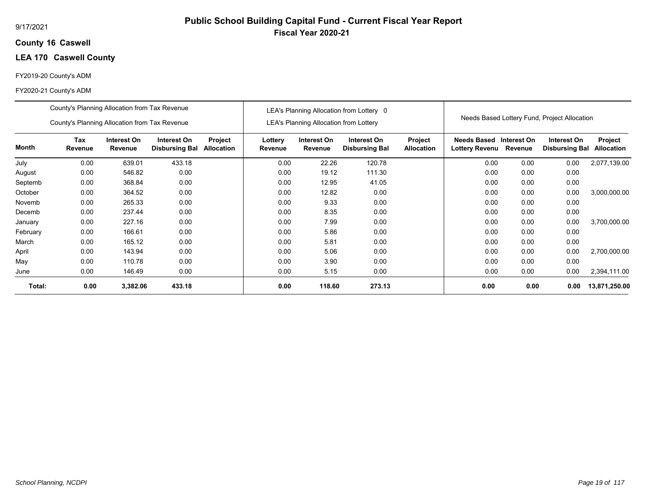## **16 Caswell County**

## **LEA 170 Caswell County**

## FY2019-20 County's ADM

|          | County's Planning Allocation from Tax Revenue |                        |                                      |                              |                    |                                               | LEA's Planning Allocation from Lottery 0 |                              |                                                  |         |                                              |                              |
|----------|-----------------------------------------------|------------------------|--------------------------------------|------------------------------|--------------------|-----------------------------------------------|------------------------------------------|------------------------------|--------------------------------------------------|---------|----------------------------------------------|------------------------------|
|          | County's Planning Allocation from Tax Revenue |                        |                                      |                              |                    | <b>LEA's Planning Allocation from Lottery</b> |                                          |                              |                                                  |         | Needs Based Lottery Fund, Project Allocation |                              |
| Month    | Tax<br>Revenue                                | Interest On<br>Revenue | Interest On<br><b>Disbursing Bal</b> | Project<br><b>Allocation</b> | Lottery<br>Revenue | Interest On<br>Revenue                        | Interest On<br><b>Disbursing Bal</b>     | Project<br><b>Allocation</b> | Needs Based Interest On<br><b>Lottery Revenu</b> | Revenue | Interest On<br><b>Disbursing Bal</b>         | Project<br><b>Allocation</b> |
| July     | 0.00                                          | 639.01                 | 433.18                               |                              | 0.00               | 22.26                                         | 120.78                                   |                              | 0.00                                             | 0.00    | 0.00                                         | 2,077,139.00                 |
| August   | 0.00                                          | 546.82                 | 0.00                                 |                              | 0.00               | 19.12                                         | 111.30                                   |                              | 0.00                                             | 0.00    | 0.00                                         |                              |
| Septemb  | 0.00                                          | 368.84                 | 0.00                                 |                              | 0.00               | 12.95                                         | 41.05                                    |                              | 0.00                                             | 0.00    | 0.00                                         |                              |
| October  | 0.00                                          | 364.52                 | 0.00                                 |                              | 0.00               | 12.82                                         | 0.00                                     |                              | 0.00                                             | 0.00    | 0.00                                         | 3,000,000.00                 |
| Novemb   | 0.00                                          | 265.33                 | 0.00                                 |                              | 0.00               | 9.33                                          | 0.00                                     |                              | 0.00                                             | 0.00    | 0.00                                         |                              |
| Decemb   | 0.00                                          | 237.44                 | 0.00                                 |                              | 0.00               | 8.35                                          | 0.00                                     |                              | 0.00                                             | 0.00    | 0.00                                         |                              |
| January  | 0.00                                          | 227.16                 | 0.00                                 |                              | 0.00               | 7.99                                          | 0.00                                     |                              | 0.00                                             | 0.00    | 0.00                                         | 3,700,000.00                 |
| February | 0.00                                          | 166.61                 | 0.00                                 |                              | 0.00               | 5.86                                          | 0.00                                     |                              | 0.00                                             | 0.00    | 0.00                                         |                              |
| March    | 0.00                                          | 165.12                 | 0.00                                 |                              | 0.00               | 5.81                                          | 0.00                                     |                              | 0.00                                             | 0.00    | 0.00                                         |                              |
| April    | 0.00                                          | 143.94                 | 0.00                                 |                              | 0.00               | 5.06                                          | 0.00                                     |                              | 0.00                                             | 0.00    | 0.00                                         | 2.700.000.00                 |
| May      | 0.00                                          | 110.78                 | 0.00                                 |                              | 0.00               | 3.90                                          | 0.00                                     |                              | 0.00                                             | 0.00    | 0.00                                         |                              |
| June     | 0.00                                          | 146.49                 | 0.00                                 |                              | 0.00               | 5.15                                          | 0.00                                     |                              | 0.00                                             | 0.00    | 0.00                                         | 2,394,111.00                 |
| Total:   | 0.00                                          | 3,382.06               | 433.18                               |                              | 0.00               | 118.60                                        | 273.13                                   |                              | 0.00                                             | 0.00    | 0.00                                         | 13,871,250.00                |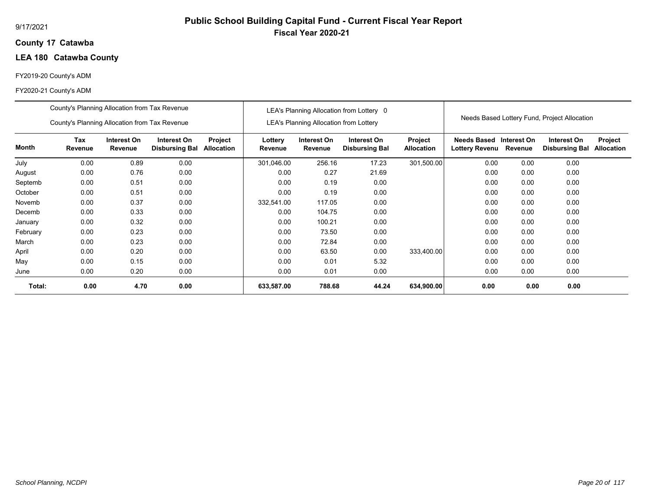## **17 Catawba County**

## **LEA 180 Catawba County**

## FY2019-20 County's ADM

|          | County's Planning Allocation from Tax Revenue                                                                                                   |      |      |  |                    |                                               | LEA's Planning Allocation from Lottery 0 |                              |                                           |         |                                              |                              |
|----------|-------------------------------------------------------------------------------------------------------------------------------------------------|------|------|--|--------------------|-----------------------------------------------|------------------------------------------|------------------------------|-------------------------------------------|---------|----------------------------------------------|------------------------------|
|          | County's Planning Allocation from Tax Revenue                                                                                                   |      |      |  |                    | <b>LEA's Planning Allocation from Lottery</b> |                                          |                              |                                           |         | Needs Based Lottery Fund, Project Allocation |                              |
| Month    | <b>Tax</b><br>Interest On<br>Interest On<br>Project<br>Revenue<br>Revenue<br><b>Allocation</b><br><b>Disbursing Bal</b><br>0.00<br>0.89<br>0.00 |      |      |  | Lottery<br>Revenue | Interest On<br>Revenue                        | Interest On<br><b>Disbursing Bal</b>     | Project<br><b>Allocation</b> | Needs Based Interest On<br>Lottery Revenu | Revenue | Interest On<br><b>Disbursing Bal</b>         | Project<br><b>Allocation</b> |
| July     |                                                                                                                                                 |      |      |  | 301,046.00         | 256.16                                        | 17.23                                    | 301,500.00                   | 0.00                                      | 0.00    | 0.00                                         |                              |
| August   | 0.00                                                                                                                                            | 0.76 | 0.00 |  | 0.00               | 0.27                                          | 21.69                                    |                              | 0.00                                      | 0.00    | 0.00                                         |                              |
| Septemb  | 0.00                                                                                                                                            | 0.51 | 0.00 |  | 0.00               | 0.19                                          | 0.00                                     |                              | 0.00                                      | 0.00    | 0.00                                         |                              |
| October  | 0.00                                                                                                                                            | 0.51 | 0.00 |  | 0.00               | 0.19                                          | 0.00                                     |                              | 0.00                                      | 0.00    | 0.00                                         |                              |
| Novemb   | 0.00                                                                                                                                            | 0.37 | 0.00 |  | 332,541.00         | 117.05                                        | 0.00                                     |                              | 0.00                                      | 0.00    | 0.00                                         |                              |
| Decemb   | 0.00                                                                                                                                            | 0.33 | 0.00 |  | 0.00               | 104.75                                        | 0.00                                     |                              | 0.00                                      | 0.00    | 0.00                                         |                              |
| January  | 0.00                                                                                                                                            | 0.32 | 0.00 |  | 0.00               | 100.21                                        | 0.00                                     |                              | 0.00                                      | 0.00    | 0.00                                         |                              |
| February | 0.00                                                                                                                                            | 0.23 | 0.00 |  | 0.00               | 73.50                                         | 0.00                                     |                              | 0.00                                      | 0.00    | 0.00                                         |                              |
| March    | 0.00                                                                                                                                            | 0.23 | 0.00 |  | 0.00               | 72.84                                         | 0.00                                     |                              | 0.00                                      | 0.00    | 0.00                                         |                              |
| April    | 0.00                                                                                                                                            | 0.20 | 0.00 |  | 0.00               | 63.50                                         | 0.00                                     | 333,400.00                   | 0.00                                      | 0.00    | 0.00                                         |                              |
| May      | 0.00                                                                                                                                            | 0.15 | 0.00 |  | 0.00               | 0.01                                          | 5.32                                     |                              | 0.00                                      | 0.00    | 0.00                                         |                              |
| June     | 0.00                                                                                                                                            | 0.20 | 0.00 |  | 0.00               | 0.01                                          | 0.00                                     |                              | 0.00                                      | 0.00    | 0.00                                         |                              |
| Total:   | 0.00                                                                                                                                            | 4.70 | 0.00 |  | 633,587.00         | 788.68                                        | 44.24                                    | 634,900.00                   | 0.00                                      | 0.00    | 0.00                                         |                              |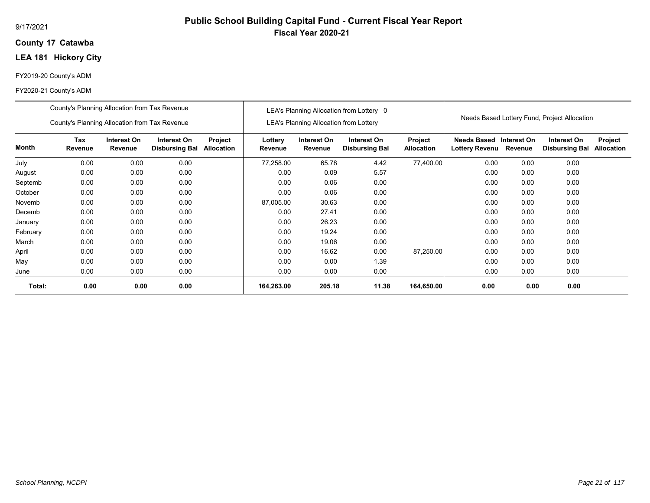## **17 Catawba County**

## **LEA 181 Hickory City**

## FY2019-20 County's ADM

|              | County's Planning Allocation from Tax Revenue<br>County's Planning Allocation from Tax Revenue |                        |                                      |                              |                    | <b>LEA's Planning Allocation from Lottery</b> | LEA's Planning Allocation from Lottery 0 |                              |                                              |             | Needs Based Lottery Fund, Project Allocation |                              |
|--------------|------------------------------------------------------------------------------------------------|------------------------|--------------------------------------|------------------------------|--------------------|-----------------------------------------------|------------------------------------------|------------------------------|----------------------------------------------|-------------|----------------------------------------------|------------------------------|
| <b>Month</b> | Tax<br>Revenue                                                                                 | Interest On<br>Revenue | Interest On<br><b>Disbursing Bal</b> | Project<br><b>Allocation</b> | Lottery<br>Revenue | Interest On<br>Revenue                        | Interest On<br><b>Disbursing Bal</b>     | Project<br><b>Allocation</b> | <b>Needs Based</b><br>Lottery Revenu Revenue | Interest On | Interest On<br><b>Disbursing Bal</b>         | Project<br><b>Allocation</b> |
| July         | 0.00                                                                                           | 0.00                   | 0.00                                 |                              | 77,258.00          | 65.78                                         | 4.42                                     | 77,400.00                    | 0.00                                         | 0.00        | 0.00                                         |                              |
| August       | 0.00                                                                                           | 0.00                   | 0.00                                 |                              | 0.00               | 0.09                                          | 5.57                                     |                              | 0.00                                         | 0.00        | 0.00                                         |                              |
| Septemb      | 0.00                                                                                           | 0.00                   | 0.00                                 |                              | 0.00               | 0.06                                          | 0.00                                     |                              | 0.00                                         | 0.00        | 0.00                                         |                              |
| October      | 0.00                                                                                           | 0.00                   | 0.00                                 |                              | 0.00               | 0.06                                          | 0.00                                     |                              | 0.00                                         | 0.00        | 0.00                                         |                              |
| Novemb       | 0.00                                                                                           | 0.00                   | 0.00                                 |                              | 87,005.00          | 30.63                                         | 0.00                                     |                              | 0.00                                         | 0.00        | 0.00                                         |                              |
| Decemb       | 0.00                                                                                           | 0.00                   | 0.00                                 |                              | 0.00               | 27.41                                         | 0.00                                     |                              | 0.00                                         | 0.00        | 0.00                                         |                              |
| January      | 0.00                                                                                           | 0.00                   | 0.00                                 |                              | 0.00               | 26.23                                         | 0.00                                     |                              | 0.00                                         | 0.00        | 0.00                                         |                              |
| February     | 0.00                                                                                           | 0.00                   | 0.00                                 |                              | 0.00               | 19.24                                         | 0.00                                     |                              | 0.00                                         | 0.00        | 0.00                                         |                              |
| March        | 0.00                                                                                           | 0.00                   | 0.00                                 |                              | 0.00               | 19.06                                         | 0.00                                     |                              | 0.00                                         | 0.00        | 0.00                                         |                              |
| April        | 0.00                                                                                           | 0.00                   | 0.00                                 |                              | 0.00               | 16.62                                         | 0.00                                     | 87,250.00                    | 0.00                                         | 0.00        | 0.00                                         |                              |
| May          | 0.00                                                                                           | 0.00                   | 0.00                                 |                              | 0.00               | 0.00                                          | 1.39                                     |                              | 0.00                                         | 0.00        | 0.00                                         |                              |
| June         | 0.00                                                                                           | 0.00                   | 0.00                                 |                              | 0.00               | 0.00                                          | 0.00                                     |                              | 0.00                                         | 0.00        | 0.00                                         |                              |
| Total:       | 0.00                                                                                           | 0.00                   | 0.00                                 |                              | 164,263.00         | 205.18                                        | 11.38                                    | 164,650.00                   | 0.00                                         | 0.00        | 0.00                                         |                              |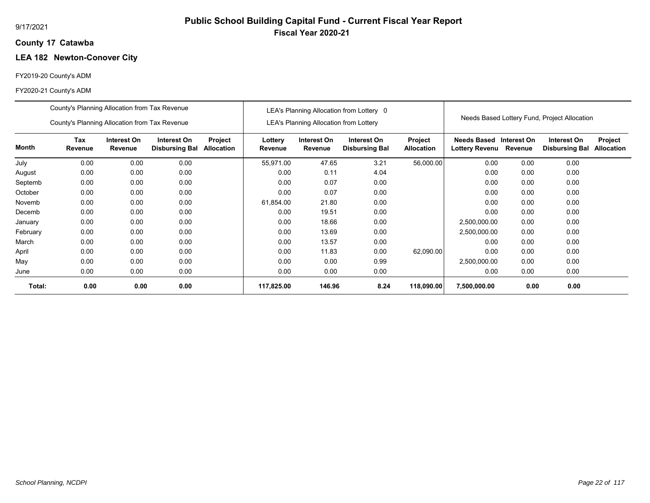# **Public School Building Capital Fund - Current Fiscal Year Report Fiscal Year 2020-21**

## **17 Catawba County**

## **LEA 182 Newton-Conover City**

## FY2019-20 County's ADM

|          | County's Planning Allocation from Tax Revenue |                        |                                      |                       |                    |                                        | LEA's Planning Allocation from Lottery 0 |                              |                                             |                        |                                              |                              |
|----------|-----------------------------------------------|------------------------|--------------------------------------|-----------------------|--------------------|----------------------------------------|------------------------------------------|------------------------------|---------------------------------------------|------------------------|----------------------------------------------|------------------------------|
|          | County's Planning Allocation from Tax Revenue |                        |                                      |                       |                    | LEA's Planning Allocation from Lottery |                                          |                              |                                             |                        | Needs Based Lottery Fund, Project Allocation |                              |
| Month    | Tax<br>Revenue                                | Interest On<br>Revenue | Interest On<br><b>Disbursing Bal</b> | Project<br>Allocation | Lottery<br>Revenue | Interest On<br>Revenue                 | Interest On<br><b>Disbursing Bal</b>     | Project<br><b>Allocation</b> | <b>Needs Based</b><br><b>Lottery Revenu</b> | Interest On<br>Revenue | Interest On<br><b>Disbursing Bal</b>         | Project<br><b>Allocation</b> |
| July     | 0.00                                          | 0.00                   | 0.00                                 |                       | 55,971.00          | 47.65                                  | 3.21                                     | 56,000.00                    | 0.00                                        | 0.00                   | 0.00                                         |                              |
| August   | 0.00                                          | 0.00                   | 0.00                                 |                       | 0.00               | 0.11                                   | 4.04                                     |                              | 0.00                                        | 0.00                   | 0.00                                         |                              |
| Septemb  | 0.00                                          | 0.00                   | 0.00                                 |                       | 0.00               | 0.07                                   | 0.00                                     |                              | 0.00                                        | 0.00                   | 0.00                                         |                              |
| October  | 0.00                                          | 0.00                   | 0.00                                 |                       | 0.00               | 0.07                                   | 0.00                                     |                              | 0.00                                        | 0.00                   | 0.00                                         |                              |
| Novemb   | 0.00                                          | 0.00                   | 0.00                                 |                       | 61,854.00          | 21.80                                  | 0.00                                     |                              | 0.00                                        | 0.00                   | 0.00                                         |                              |
| Decemb   | 0.00                                          | 0.00                   | 0.00                                 |                       | 0.00               | 19.51                                  | 0.00                                     |                              | 0.00                                        | 0.00                   | 0.00                                         |                              |
| January  | 0.00                                          | 0.00                   | 0.00                                 |                       | 0.00               | 18.66                                  | 0.00                                     |                              | 2,500,000.00                                | 0.00                   | 0.00                                         |                              |
| February | 0.00                                          | 0.00                   | 0.00                                 |                       | 0.00               | 13.69                                  | 0.00                                     |                              | 2,500,000.00                                | 0.00                   | 0.00                                         |                              |
| March    | 0.00                                          | 0.00                   | 0.00                                 |                       | 0.00               | 13.57                                  | 0.00                                     |                              | 0.00                                        | 0.00                   | 0.00                                         |                              |
| April    | 0.00                                          | 0.00                   | 0.00                                 |                       | 0.00               | 11.83                                  | 0.00                                     | 62,090.00                    | 0.00                                        | 0.00                   | 0.00                                         |                              |
| May      | 0.00                                          | 0.00                   | 0.00                                 |                       | 0.00               | 0.00                                   | 0.99                                     |                              | 2,500,000.00                                | 0.00                   | 0.00                                         |                              |
| June     | 0.00                                          | 0.00                   | 0.00                                 |                       | 0.00               | 0.00                                   | 0.00                                     |                              | 0.00                                        | 0.00                   | 0.00                                         |                              |
| Total:   | 0.00                                          | 0.00                   | 0.00                                 |                       | 117,825.00         | 146.96                                 | 8.24                                     | 118,090.00                   | 7,500,000.00                                | 0.00                   | 0.00                                         |                              |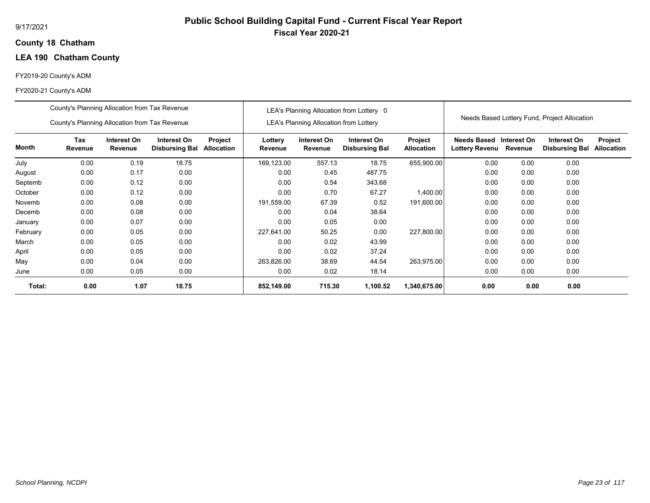## **18 Chatham County**

## **LEA 190 Chatham County**

## FY2019-20 County's ADM

|          | County's Planning Allocation from Tax Revenue                                                             |      |       |  |                    |                                               | LEA's Planning Allocation from Lottery 0 |                              |                                                  |         |                                              |                              |
|----------|-----------------------------------------------------------------------------------------------------------|------|-------|--|--------------------|-----------------------------------------------|------------------------------------------|------------------------------|--------------------------------------------------|---------|----------------------------------------------|------------------------------|
|          | County's Planning Allocation from Tax Revenue                                                             |      |       |  |                    | <b>LEA's Planning Allocation from Lottery</b> |                                          |                              |                                                  |         | Needs Based Lottery Fund, Project Allocation |                              |
| Month    | Tax<br>Interest On<br>Interest On<br>Project<br>Revenue<br>Revenue<br>Allocation<br><b>Disbursing Bal</b> |      |       |  | Lottery<br>Revenue | Interest On<br>Revenue                        | Interest On<br><b>Disbursing Bal</b>     | Project<br><b>Allocation</b> | Needs Based Interest On<br><b>Lottery Revenu</b> | Revenue | Interest On<br><b>Disbursing Bal</b>         | Project<br><b>Allocation</b> |
| July     | 0.00                                                                                                      | 0.19 | 18.75 |  | 169,123.00         | 557.13                                        | 18.75                                    | 655,900.00                   | 0.00                                             | 0.00    | 0.00                                         |                              |
| August   | 0.00                                                                                                      | 0.17 | 0.00  |  | 0.00               | 0.45                                          | 487.75                                   |                              | 0.00                                             | 0.00    | 0.00                                         |                              |
| Septemb  | 0.00                                                                                                      | 0.12 | 0.00  |  | 0.00               | 0.54                                          | 343.68                                   |                              | 0.00                                             | 0.00    | 0.00                                         |                              |
| October  | 0.00                                                                                                      | 0.12 | 0.00  |  | 0.00               | 0.70                                          | 67.27                                    | 1,400.00                     | 0.00                                             | 0.00    | 0.00                                         |                              |
| Novemb   | 0.00                                                                                                      | 0.08 | 0.00  |  | 191,559.00         | 67.39                                         | 0.52                                     | 191,600.00                   | 0.00                                             | 0.00    | 0.00                                         |                              |
| Decemb   | 0.00                                                                                                      | 0.08 | 0.00  |  | 0.00               | 0.04                                          | 38.64                                    |                              | 0.00                                             | 0.00    | 0.00                                         |                              |
| January  | 0.00                                                                                                      | 0.07 | 0.00  |  | 0.00               | 0.05                                          | 0.00                                     |                              | 0.00                                             | 0.00    | 0.00                                         |                              |
| February | 0.00                                                                                                      | 0.05 | 0.00  |  | 227,641.00         | 50.25                                         | 0.00                                     | 227,800.00                   | 0.00                                             | 0.00    | 0.00                                         |                              |
| March    | 0.00                                                                                                      | 0.05 | 0.00  |  | 0.00               | 0.02                                          | 43.99                                    |                              | 0.00                                             | 0.00    | 0.00                                         |                              |
| April    | 0.00                                                                                                      | 0.05 | 0.00  |  | 0.00               | 0.02                                          | 37.24                                    |                              | 0.00                                             | 0.00    | 0.00                                         |                              |
| May      | 0.00                                                                                                      | 0.04 | 0.00  |  | 263,826.00         | 38.69                                         | 44.54                                    | 263,975.00                   | 0.00                                             | 0.00    | 0.00                                         |                              |
| June     | 0.00                                                                                                      | 0.05 | 0.00  |  | 0.00               | 0.02                                          | 18.14                                    |                              | 0.00                                             | 0.00    | 0.00                                         |                              |
| Total:   | 0.00                                                                                                      | 1.07 | 18.75 |  | 852,149.00         | 715.30                                        | 1,100.52                                 | 1,340,675.00                 | 0.00                                             | 0.00    | 0.00                                         |                              |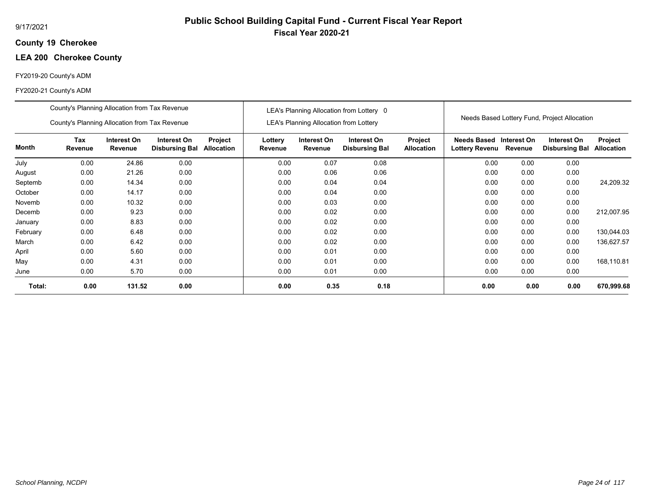## **19 Cherokee County**

## **LEA 200 Cherokee County**

## FY2019-20 County's ADM

|          | County's Planning Allocation from Tax Revenue |                        |                                      |                              |                    |                                               | LEA's Planning Allocation from Lottery 0 |                                     |                                              |             | Needs Based Lottery Fund, Project Allocation |                              |
|----------|-----------------------------------------------|------------------------|--------------------------------------|------------------------------|--------------------|-----------------------------------------------|------------------------------------------|-------------------------------------|----------------------------------------------|-------------|----------------------------------------------|------------------------------|
|          | County's Planning Allocation from Tax Revenue |                        |                                      |                              |                    | <b>LEA's Planning Allocation from Lottery</b> |                                          |                                     |                                              |             |                                              |                              |
| Month    | Tax<br>Revenue                                | Interest On<br>Revenue | Interest On<br><b>Disbursing Bal</b> | Project<br><b>Allocation</b> | Lottery<br>Revenue | Interest On<br>Revenue                        | Interest On<br><b>Disbursing Bal</b>     | <b>Project</b><br><b>Allocation</b> | <b>Needs Based</b><br>Lottery Revenu Revenue | Interest On | Interest On<br><b>Disbursing Bal</b>         | Project<br><b>Allocation</b> |
| July     | 0.00                                          | 24.86                  | 0.00                                 |                              | 0.00               | 0.07                                          | 0.08                                     |                                     | 0.00                                         | 0.00        | 0.00                                         |                              |
| August   | 0.00                                          | 21.26                  | 0.00                                 |                              | 0.00               | 0.06                                          | 0.06                                     |                                     | 0.00                                         | 0.00        | 0.00                                         |                              |
| Septemb  | 0.00                                          | 14.34                  | 0.00                                 |                              | 0.00               | 0.04                                          | 0.04                                     |                                     | 0.00                                         | 0.00        | 0.00                                         | 24,209.32                    |
| October  | 0.00                                          | 14.17                  | 0.00                                 |                              | 0.00               | 0.04                                          | 0.00                                     |                                     | 0.00                                         | 0.00        | 0.00                                         |                              |
| Novemb   | 0.00                                          | 10.32                  | 0.00                                 |                              | 0.00               | 0.03                                          | 0.00                                     |                                     | 0.00                                         | 0.00        | 0.00                                         |                              |
| Decemb   | 0.00                                          | 9.23                   | 0.00                                 |                              | 0.00               | 0.02                                          | 0.00                                     |                                     | 0.00                                         | 0.00        | 0.00                                         | 212,007.95                   |
| January  | 0.00                                          | 8.83                   | 0.00                                 |                              | 0.00               | 0.02                                          | 0.00                                     |                                     | 0.00                                         | 0.00        | 0.00                                         |                              |
| February | 0.00                                          | 6.48                   | 0.00                                 |                              | 0.00               | 0.02                                          | 0.00                                     |                                     | 0.00                                         | 0.00        | 0.00                                         | 130,044.03                   |
| March    | 0.00                                          | 6.42                   | 0.00                                 |                              | 0.00               | 0.02                                          | 0.00                                     |                                     | 0.00                                         | 0.00        | 0.00                                         | 136,627.57                   |
| April    | 0.00                                          | 5.60                   | 0.00                                 |                              | 0.00               | 0.01                                          | 0.00                                     |                                     | 0.00                                         | 0.00        | 0.00                                         |                              |
| May      | 0.00                                          | 4.31                   | 0.00                                 |                              | 0.00               | 0.01                                          | 0.00                                     |                                     | 0.00                                         | 0.00        | 0.00                                         | 168,110.81                   |
| June     | 0.00                                          | 5.70                   | 0.00                                 |                              | 0.00               | 0.01                                          | 0.00                                     |                                     | 0.00                                         | 0.00        | 0.00                                         |                              |
| Total:   | 0.00                                          | 131.52                 | 0.00                                 |                              | 0.00               | 0.35                                          | 0.18                                     |                                     | 0.00                                         | 0.00        | 0.00                                         | 670,999.68                   |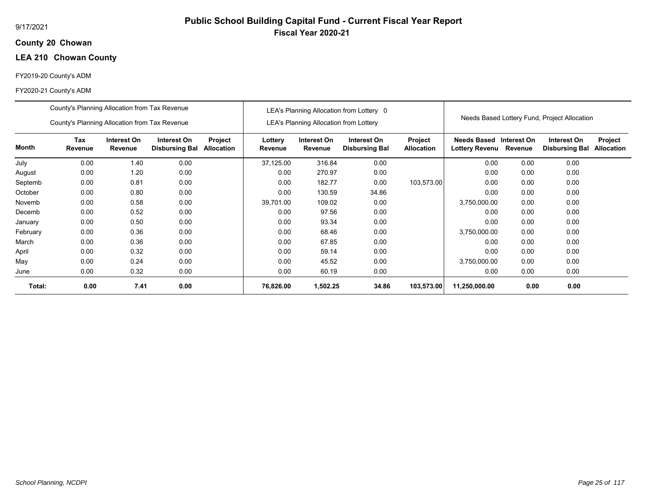## **20 Chowan County**

## **LEA 210 Chowan County**

## FY2019-20 County's ADM

|          | County's Planning Allocation from Tax Revenue |                        |                                      |                              |                    |                                               | LEA's Planning Allocation from Lottery 0 |                              |                                           |         |                                              |                              |
|----------|-----------------------------------------------|------------------------|--------------------------------------|------------------------------|--------------------|-----------------------------------------------|------------------------------------------|------------------------------|-------------------------------------------|---------|----------------------------------------------|------------------------------|
|          | County's Planning Allocation from Tax Revenue |                        |                                      |                              |                    | <b>LEA's Planning Allocation from Lottery</b> |                                          |                              |                                           |         | Needs Based Lottery Fund, Project Allocation |                              |
| Month    | <b>Tax</b><br>Revenue                         | Interest On<br>Revenue | Interest On<br><b>Disbursing Bal</b> | Project<br><b>Allocation</b> | Lottery<br>Revenue | Interest On<br>Revenue                        | Interest On<br><b>Disbursing Bal</b>     | Project<br><b>Allocation</b> | Needs Based Interest On<br>Lottery Revenu | Revenue | Interest On<br><b>Disbursing Bal</b>         | Project<br><b>Allocation</b> |
| July     | 0.00                                          | 1.40                   | 0.00                                 |                              | 37,125.00          | 316.84                                        | 0.00                                     |                              | 0.00                                      | 0.00    | 0.00                                         |                              |
| August   | 0.00                                          | 1.20                   | 0.00                                 |                              | 0.00               | 270.97                                        | 0.00                                     |                              | 0.00                                      | 0.00    | 0.00                                         |                              |
| Septemb  | 0.00                                          | 0.81                   | 0.00                                 |                              | 0.00               | 182.77                                        | 0.00                                     | 103,573.00                   | 0.00                                      | 0.00    | 0.00                                         |                              |
| October  | 0.00                                          | 0.80                   | 0.00                                 |                              | 0.00               | 130.59                                        | 34.86                                    |                              | 0.00                                      | 0.00    | 0.00                                         |                              |
| Novemb   | 0.00                                          | 0.58                   | 0.00                                 |                              | 39,701.00          | 109.02                                        | 0.00                                     |                              | 3,750,000.00                              | 0.00    | 0.00                                         |                              |
| Decemb   | 0.00                                          | 0.52                   | 0.00                                 |                              | 0.00               | 97.56                                         | 0.00                                     |                              | 0.00                                      | 0.00    | 0.00                                         |                              |
| January  | 0.00                                          | 0.50                   | 0.00                                 |                              | 0.00               | 93.34                                         | 0.00                                     |                              | 0.00                                      | 0.00    | 0.00                                         |                              |
| February | 0.00                                          | 0.36                   | 0.00                                 |                              | 0.00               | 68.46                                         | 0.00                                     |                              | 3,750,000.00                              | 0.00    | 0.00                                         |                              |
| March    | 0.00                                          | 0.36                   | 0.00                                 |                              | 0.00               | 67.85                                         | 0.00                                     |                              | 0.00                                      | 0.00    | 0.00                                         |                              |
| April    | 0.00                                          | 0.32                   | 0.00                                 |                              | 0.00               | 59.14                                         | 0.00                                     |                              | 0.00                                      | 0.00    | 0.00                                         |                              |
| May      | 0.00                                          | 0.24                   | 0.00                                 |                              | 0.00               | 45.52                                         | 0.00                                     |                              | 3,750,000.00                              | 0.00    | 0.00                                         |                              |
| June     | 0.00                                          | 0.32                   | 0.00                                 |                              | 0.00               | 60.19                                         | 0.00                                     |                              | 0.00                                      | 0.00    | 0.00                                         |                              |
| Total:   | 0.00                                          | 7.41                   | 0.00                                 |                              | 76,826.00          | 1,502.25                                      | 34.86                                    | 103,573.00                   | 11,250,000.00                             | 0.00    | 0.00                                         |                              |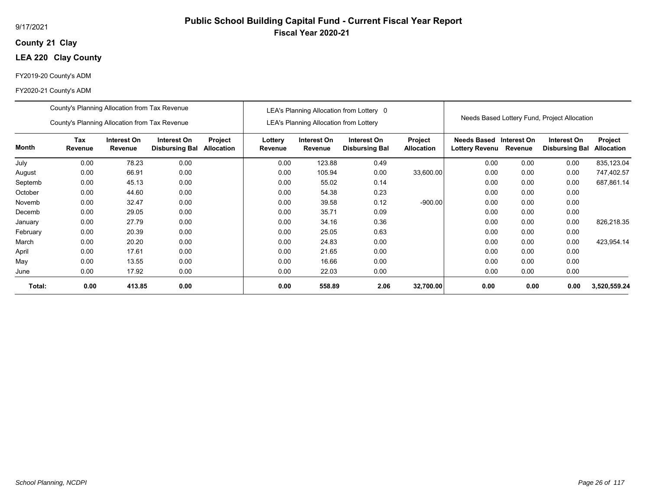## **21 Clay County**

## **LEA 220 Clay County**

## FY2019-20 County's ADM

|              | County's Planning Allocation from Tax Revenue |                        |                                      |                              |                    |                                               | LEA's Planning Allocation from Lottery 0 |                              |                                                          |      |                                              |                              |
|--------------|-----------------------------------------------|------------------------|--------------------------------------|------------------------------|--------------------|-----------------------------------------------|------------------------------------------|------------------------------|----------------------------------------------------------|------|----------------------------------------------|------------------------------|
|              | County's Planning Allocation from Tax Revenue |                        |                                      |                              |                    | <b>LEA's Planning Allocation from Lottery</b> |                                          |                              |                                                          |      | Needs Based Lottery Fund, Project Allocation |                              |
| <b>Month</b> | Tax<br>Revenue                                | Interest On<br>Revenue | Interest On<br><b>Disbursing Bal</b> | Project<br><b>Allocation</b> | Lottery<br>Revenue | Interest On<br>Revenue                        | Interest On<br><b>Disbursing Bal</b>     | Project<br><b>Allocation</b> | <b>Needs Based Interest On</b><br>Lottery Revenu Revenue |      | Interest On<br><b>Disbursing Bal</b>         | Project<br><b>Allocation</b> |
| July         | 0.00                                          | 78.23                  | 0.00                                 |                              | 0.00               | 123.88                                        | 0.49                                     |                              | 0.00                                                     | 0.00 | 0.00                                         | 835,123.04                   |
| August       | 0.00                                          | 66.91                  | 0.00                                 |                              | 0.00               | 105.94                                        | 0.00                                     | 33,600.00                    | 0.00                                                     | 0.00 | 0.00                                         | 747,402.57                   |
| Septemb      | 0.00                                          | 45.13                  | 0.00                                 |                              | 0.00               | 55.02                                         | 0.14                                     |                              | 0.00                                                     | 0.00 | 0.00                                         | 687,861.14                   |
| October      | 0.00                                          | 44.60                  | 0.00                                 |                              | 0.00               | 54.38                                         | 0.23                                     |                              | 0.00                                                     | 0.00 | 0.00                                         |                              |
| Novemb       | 0.00                                          | 32.47                  | 0.00                                 |                              | 0.00               | 39.58                                         | 0.12                                     | $-900.00$                    | 0.00                                                     | 0.00 | 0.00                                         |                              |
| Decemb       | 0.00                                          | 29.05                  | 0.00                                 |                              | 0.00               | 35.71                                         | 0.09                                     |                              | 0.00                                                     | 0.00 | 0.00                                         |                              |
| January      | 0.00                                          | 27.79                  | 0.00                                 |                              | 0.00               | 34.16                                         | 0.36                                     |                              | 0.00                                                     | 0.00 | 0.00                                         | 826,218.35                   |
| February     | 0.00                                          | 20.39                  | 0.00                                 |                              | 0.00               | 25.05                                         | 0.63                                     |                              | 0.00                                                     | 0.00 | 0.00                                         |                              |
| March        | 0.00                                          | 20.20                  | 0.00                                 |                              | 0.00               | 24.83                                         | 0.00                                     |                              | 0.00                                                     | 0.00 | 0.00                                         | 423,954.14                   |
| April        | 0.00                                          | 17.61                  | 0.00                                 |                              | 0.00               | 21.65                                         | 0.00                                     |                              | 0.00                                                     | 0.00 | 0.00                                         |                              |
| May          | 0.00                                          | 13.55                  | 0.00                                 |                              | 0.00               | 16.66                                         | 0.00                                     |                              | 0.00                                                     | 0.00 | 0.00                                         |                              |
| June         | 0.00                                          | 17.92                  | 0.00                                 |                              | 0.00               | 22.03                                         | 0.00                                     |                              | 0.00                                                     | 0.00 | 0.00                                         |                              |
| Total:       | 0.00                                          | 413.85                 | 0.00                                 |                              | 0.00               | 558.89                                        | 2.06                                     | 32,700.00                    | 0.00                                                     | 0.00 | 0.00                                         | 3,520,559.24                 |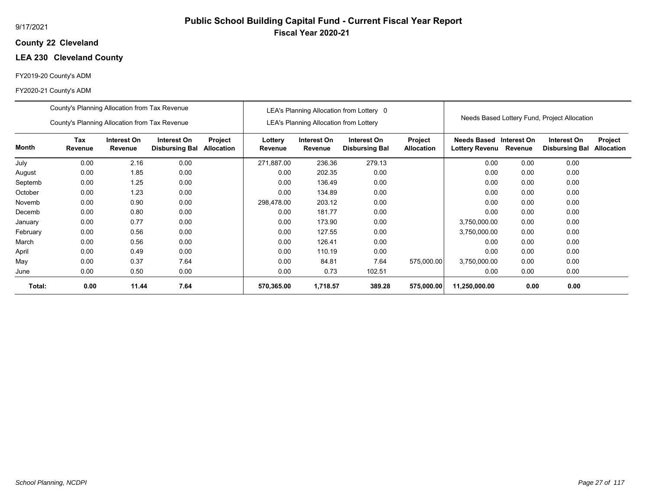## **22 Cleveland County**

## **LEA 230 Cleveland County**

## FY2019-20 County's ADM

|          | County's Planning Allocation from Tax Revenue |                        |                                      |                       |                    |                                        | LEA's Planning Allocation from Lottery 0 |                              |                                      |                        |                                              |                              |
|----------|-----------------------------------------------|------------------------|--------------------------------------|-----------------------|--------------------|----------------------------------------|------------------------------------------|------------------------------|--------------------------------------|------------------------|----------------------------------------------|------------------------------|
|          | County's Planning Allocation from Tax Revenue |                        |                                      |                       |                    | LEA's Planning Allocation from Lottery |                                          |                              |                                      |                        | Needs Based Lottery Fund, Project Allocation |                              |
| Month    | <b>Tax</b><br>Revenue                         | Interest On<br>Revenue | Interest On<br><b>Disbursing Bal</b> | Project<br>Allocation | Lottery<br>Revenue | Interest On<br>Revenue                 | Interest On<br><b>Disbursing Bal</b>     | Project<br><b>Allocation</b> | Needs Based<br><b>Lottery Revenu</b> | Interest On<br>Revenue | Interest On<br><b>Disbursing Bal</b>         | Project<br><b>Allocation</b> |
| July     | 0.00                                          | 2.16                   | 0.00                                 |                       | 271,887.00         | 236.36                                 | 279.13                                   |                              | 0.00                                 | 0.00                   | 0.00                                         |                              |
| August   | 0.00                                          | 1.85                   | 0.00                                 |                       | 0.00               | 202.35                                 | 0.00                                     |                              | 0.00                                 | 0.00                   | 0.00                                         |                              |
| Septemb  | 0.00                                          | 1.25                   | 0.00                                 |                       | 0.00               | 136.49                                 | 0.00                                     |                              | 0.00                                 | 0.00                   | 0.00                                         |                              |
| October  | 0.00                                          | 1.23                   | 0.00                                 |                       | 0.00               | 134.89                                 | 0.00                                     |                              | 0.00                                 | 0.00                   | 0.00                                         |                              |
| Novemb   | 0.00                                          | 0.90                   | 0.00                                 |                       | 298,478.00         | 203.12                                 | 0.00                                     |                              | 0.00                                 | 0.00                   | 0.00                                         |                              |
| Decemb   | 0.00                                          | 0.80                   | 0.00                                 |                       | 0.00               | 181.77                                 | 0.00                                     |                              | 0.00                                 | 0.00                   | 0.00                                         |                              |
| January  | 0.00                                          | 0.77                   | 0.00                                 |                       | 0.00               | 173.90                                 | 0.00                                     |                              | 3,750,000.00                         | 0.00                   | 0.00                                         |                              |
| February | 0.00                                          | 0.56                   | 0.00                                 |                       | 0.00               | 127.55                                 | 0.00                                     |                              | 3,750,000.00                         | 0.00                   | 0.00                                         |                              |
| March    | 0.00                                          | 0.56                   | 0.00                                 |                       | 0.00               | 126.41                                 | 0.00                                     |                              | 0.00                                 | 0.00                   | 0.00                                         |                              |
| April    | 0.00                                          | 0.49                   | 0.00                                 |                       | 0.00               | 110.19                                 | 0.00                                     |                              | 0.00                                 | 0.00                   | 0.00                                         |                              |
| May      | 0.00                                          | 0.37                   | 7.64                                 |                       | 0.00               | 84.81                                  | 7.64                                     | 575,000.00                   | 3,750,000.00                         | 0.00                   | 0.00                                         |                              |
| June     | 0.00                                          | 0.50                   | 0.00                                 |                       | 0.00               | 0.73                                   | 102.51                                   |                              | 0.00                                 | 0.00                   | 0.00                                         |                              |
| Total:   | 0.00                                          | 11.44                  | 7.64                                 |                       | 570,365.00         | 1,718.57                               | 389.28                                   | 575,000.00                   | 11,250,000.00                        | 0.00                   | 0.00                                         |                              |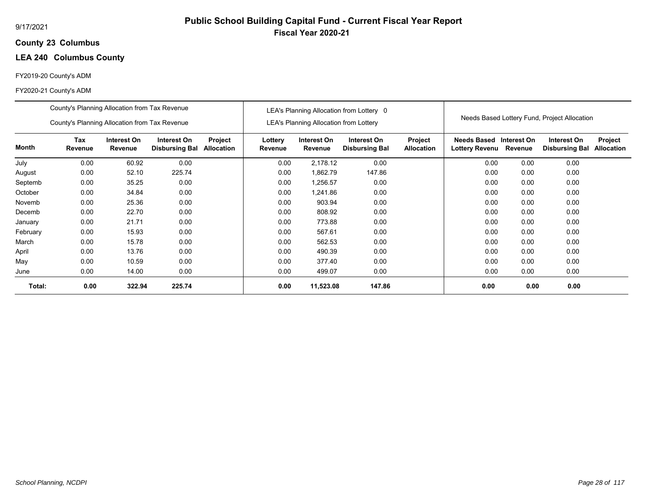## **23 Columbus County**

## **LEA 240 Columbus County**

## FY2019-20 County's ADM

|          | County's Planning Allocation from Tax Revenue |                               |                                      |                              |                    |                                               | LEA's Planning Allocation from Lottery 0 |                              |                                           |         |                                              |                              |
|----------|-----------------------------------------------|-------------------------------|--------------------------------------|------------------------------|--------------------|-----------------------------------------------|------------------------------------------|------------------------------|-------------------------------------------|---------|----------------------------------------------|------------------------------|
|          | County's Planning Allocation from Tax Revenue |                               |                                      |                              |                    | <b>LEA's Planning Allocation from Lottery</b> |                                          |                              |                                           |         | Needs Based Lottery Fund, Project Allocation |                              |
| Month    | <b>Tax</b><br>Revenue                         | Interest On<br><b>Revenue</b> | Interest On<br><b>Disbursing Bal</b> | Project<br><b>Allocation</b> | Lottery<br>Revenue | Interest On<br>Revenue                        | Interest On<br><b>Disbursing Bal</b>     | Project<br><b>Allocation</b> | Needs Based Interest On<br>Lottery Revenu | Revenue | Interest On<br><b>Disbursing Bal</b>         | Project<br><b>Allocation</b> |
| July     | 0.00                                          | 60.92                         | 0.00                                 |                              | 0.00               | 2,178.12                                      | 0.00                                     |                              | 0.00                                      | 0.00    | 0.00                                         |                              |
| August   | 0.00                                          | 52.10                         | 225.74                               |                              | 0.00               | 1,862.79                                      | 147.86                                   |                              | 0.00                                      | 0.00    | 0.00                                         |                              |
| Septemb  | 0.00                                          | 35.25                         | 0.00                                 |                              | 0.00               | 1,256.57                                      | 0.00                                     |                              | 0.00                                      | 0.00    | 0.00                                         |                              |
| October  | 0.00                                          | 34.84                         | 0.00                                 |                              | 0.00               | 1,241.86                                      | 0.00                                     |                              | 0.00                                      | 0.00    | 0.00                                         |                              |
| Novemb   | 0.00                                          | 25.36                         | 0.00                                 |                              | 0.00               | 903.94                                        | 0.00                                     |                              | 0.00                                      | 0.00    | 0.00                                         |                              |
| Decemb   | 0.00                                          | 22.70                         | 0.00                                 |                              | 0.00               | 808.92                                        | 0.00                                     |                              | 0.00                                      | 0.00    | 0.00                                         |                              |
| January  | 0.00                                          | 21.71                         | 0.00                                 |                              | 0.00               | 773.88                                        | 0.00                                     |                              | 0.00                                      | 0.00    | 0.00                                         |                              |
| February | 0.00                                          | 15.93                         | 0.00                                 |                              | 0.00               | 567.61                                        | 0.00                                     |                              | 0.00                                      | 0.00    | 0.00                                         |                              |
| March    | 0.00                                          | 15.78                         | 0.00                                 |                              | 0.00               | 562.53                                        | 0.00                                     |                              | 0.00                                      | 0.00    | 0.00                                         |                              |
| April    | 0.00                                          | 13.76                         | 0.00                                 |                              | 0.00               | 490.39                                        | 0.00                                     |                              | 0.00                                      | 0.00    | 0.00                                         |                              |
| May      | 0.00                                          | 10.59                         | 0.00                                 |                              | 0.00               | 377.40                                        | 0.00                                     |                              | 0.00                                      | 0.00    | 0.00                                         |                              |
| June     | 0.00                                          | 14.00                         | 0.00                                 |                              | 0.00               | 499.07                                        | 0.00                                     |                              | 0.00                                      | 0.00    | 0.00                                         |                              |
| Total:   | 0.00                                          | 322.94                        | 225.74                               |                              | 0.00               | 11,523.08                                     | 147.86                                   |                              | 0.00                                      | 0.00    | 0.00                                         |                              |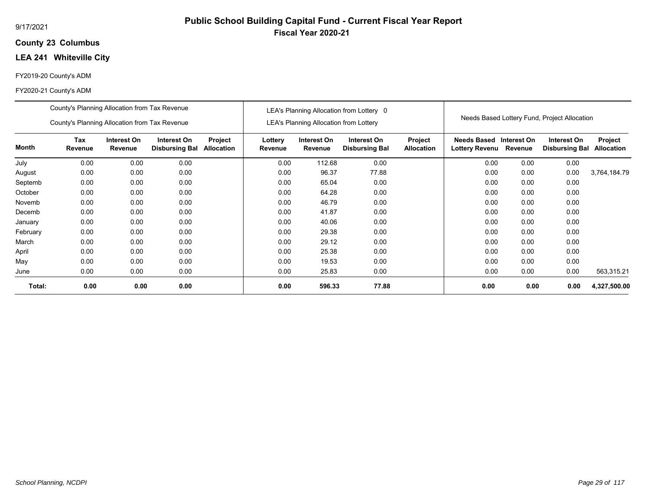## **23 Columbus County**

## **LEA 241 Whiteville City**

## FY2019-20 County's ADM

#### FY2020-21 County's ADM

|          | County's Planning Allocation from Tax Revenue<br>County's Planning Allocation from Tax Revenue                                                  |      |      |  |                    | LEA's Planning Allocation from Lottery | LEA's Planning Allocation from Lottery 0 |                                     |                                              |             | Needs Based Lottery Fund, Project Allocation |                              |
|----------|-------------------------------------------------------------------------------------------------------------------------------------------------|------|------|--|--------------------|----------------------------------------|------------------------------------------|-------------------------------------|----------------------------------------------|-------------|----------------------------------------------|------------------------------|
| Month    | <b>Tax</b><br>Interest On<br>Interest On<br>Project<br><b>Disbursing Bal</b><br><b>Allocation</b><br>Revenue<br>Revenue<br>0.00<br>0.00<br>0.00 |      |      |  | Lottery<br>Revenue | Interest On<br>Revenue                 | Interest On<br><b>Disbursing Bal</b>     | <b>Project</b><br><b>Allocation</b> | <b>Needs Based</b><br>Lottery Revenu Revenue | Interest On | Interest On<br><b>Disbursing Bal</b>         | Project<br><b>Allocation</b> |
| July     |                                                                                                                                                 |      |      |  | 0.00               | 112.68                                 | 0.00                                     |                                     | 0.00                                         | 0.00        | 0.00                                         |                              |
| August   | 0.00                                                                                                                                            | 0.00 | 0.00 |  | 0.00               | 96.37                                  | 77.88                                    |                                     | 0.00                                         | 0.00        | 0.00                                         | 3,764,184.79                 |
| Septemb  | 0.00                                                                                                                                            | 0.00 | 0.00 |  | 0.00               | 65.04                                  | 0.00                                     |                                     | 0.00                                         | 0.00        | 0.00                                         |                              |
| October  | 0.00                                                                                                                                            | 0.00 | 0.00 |  | 0.00               | 64.28                                  | 0.00                                     |                                     | 0.00                                         | 0.00        | 0.00                                         |                              |
| Novemb   | 0.00                                                                                                                                            | 0.00 | 0.00 |  | 0.00               | 46.79                                  | 0.00                                     |                                     | 0.00                                         | 0.00        | 0.00                                         |                              |
| Decemb   | 0.00                                                                                                                                            | 0.00 | 0.00 |  | 0.00               | 41.87                                  | 0.00                                     |                                     | 0.00                                         | 0.00        | 0.00                                         |                              |
| January  | 0.00                                                                                                                                            | 0.00 | 0.00 |  | 0.00               | 40.06                                  | 0.00                                     |                                     | 0.00                                         | 0.00        | 0.00                                         |                              |
| February | 0.00                                                                                                                                            | 0.00 | 0.00 |  | 0.00               | 29.38                                  | 0.00                                     |                                     | 0.00                                         | 0.00        | 0.00                                         |                              |
| March    | 0.00                                                                                                                                            | 0.00 | 0.00 |  | 0.00               | 29.12                                  | 0.00                                     |                                     | 0.00                                         | 0.00        | 0.00                                         |                              |
| April    | 0.00                                                                                                                                            | 0.00 | 0.00 |  | 0.00               | 25.38                                  | 0.00                                     |                                     | 0.00                                         | 0.00        | 0.00                                         |                              |
| May      | 0.00                                                                                                                                            | 0.00 | 0.00 |  | 0.00               | 19.53                                  | 0.00                                     |                                     | 0.00                                         | 0.00        | 0.00                                         |                              |
| June     | 0.00                                                                                                                                            | 0.00 | 0.00 |  | 0.00               | 25.83                                  | 0.00                                     |                                     | 0.00                                         | 0.00        | 0.00                                         | 563,315.21                   |
| Total:   | 0.00                                                                                                                                            | 0.00 | 0.00 |  | 0.00               | 596.33                                 | 77.88                                    |                                     | 0.00                                         | 0.00        | 0.00                                         | 4,327,500.00                 |

**Public School Building Capital Fund - Current Fiscal Year Report**

**Fiscal Year 2020-21**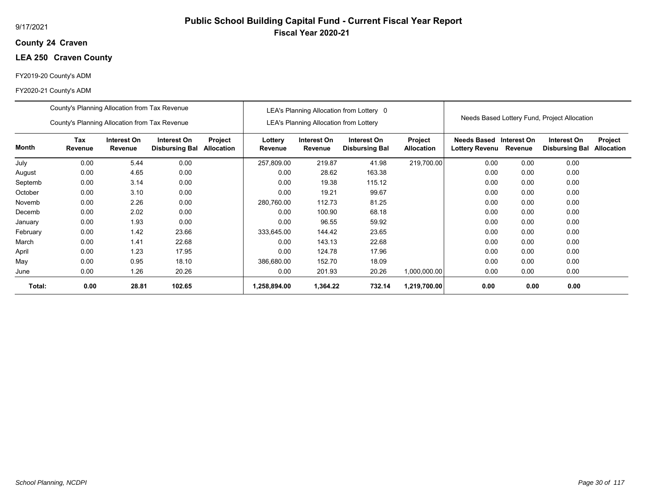## **24 Craven County**

## **LEA 250 Craven County**

## FY2019-20 County's ADM

|          | County's Planning Allocation from Tax Revenue<br>County's Planning Allocation from Tax Revenue |                        |                                      |                              |                    | LEA's Planning Allocation from Lottery | LEA's Planning Allocation from Lottery 0 |                              |                                              |             | Needs Based Lottery Fund, Project Allocation |                              |
|----------|------------------------------------------------------------------------------------------------|------------------------|--------------------------------------|------------------------------|--------------------|----------------------------------------|------------------------------------------|------------------------------|----------------------------------------------|-------------|----------------------------------------------|------------------------------|
| Month    | Tax<br>Revenue                                                                                 | Interest On<br>Revenue | Interest On<br><b>Disbursing Bal</b> | Project<br><b>Allocation</b> | Lottery<br>Revenue | Interest On<br>Revenue                 | Interest On<br><b>Disbursing Bal</b>     | Project<br><b>Allocation</b> | <b>Needs Based</b><br>Lottery Revenu Revenue | Interest On | Interest On<br><b>Disbursing Bal</b>         | Project<br><b>Allocation</b> |
| July     | 0.00                                                                                           | 5.44                   | 0.00                                 |                              | 257,809.00         | 219.87                                 | 41.98                                    | 219,700.00                   | 0.00                                         | 0.00        | 0.00                                         |                              |
| August   | 0.00                                                                                           | 4.65                   | 0.00                                 |                              | 0.00               | 28.62                                  | 163.38                                   |                              | 0.00                                         | 0.00        | 0.00                                         |                              |
| Septemb  | 0.00                                                                                           | 3.14                   | 0.00                                 |                              | 0.00               | 19.38                                  | 115.12                                   |                              | 0.00                                         | 0.00        | 0.00                                         |                              |
| October  | 0.00                                                                                           | 3.10                   | 0.00                                 |                              | 0.00               | 19.21                                  | 99.67                                    |                              | 0.00                                         | 0.00        | 0.00                                         |                              |
| Novemb   | 0.00                                                                                           | 2.26                   | 0.00                                 |                              | 280,760.00         | 112.73                                 | 81.25                                    |                              | 0.00                                         | 0.00        | 0.00                                         |                              |
| Decemb   | 0.00                                                                                           | 2.02                   | 0.00                                 |                              | 0.00               | 100.90                                 | 68.18                                    |                              | 0.00                                         | 0.00        | 0.00                                         |                              |
| January  | 0.00                                                                                           | 1.93                   | 0.00                                 |                              | 0.00               | 96.55                                  | 59.92                                    |                              | 0.00                                         | 0.00        | 0.00                                         |                              |
| February | 0.00                                                                                           | 1.42                   | 23.66                                |                              | 333,645.00         | 144.42                                 | 23.65                                    |                              | 0.00                                         | 0.00        | 0.00                                         |                              |
| March    | 0.00                                                                                           | 1.41                   | 22.68                                |                              | 0.00               | 143.13                                 | 22.68                                    |                              | 0.00                                         | 0.00        | 0.00                                         |                              |
| April    | 0.00                                                                                           | 1.23                   | 17.95                                |                              | 0.00               | 124.78                                 | 17.96                                    |                              | 0.00                                         | 0.00        | 0.00                                         |                              |
| May      | 0.00                                                                                           | 0.95                   | 18.10                                |                              | 386,680.00         | 152.70                                 | 18.09                                    |                              | 0.00                                         | 0.00        | 0.00                                         |                              |
| June     | 0.00                                                                                           | 1.26                   | 20.26                                |                              | 0.00               | 201.93                                 | 20.26                                    | 1,000,000.00                 | 0.00                                         | 0.00        | 0.00                                         |                              |
| Total:   | 0.00                                                                                           | 28.81                  | 102.65                               |                              | 1,258,894.00       | 1,364.22                               | 732.14                                   | 1,219,700.00                 | 0.00                                         | 0.00        | 0.00                                         |                              |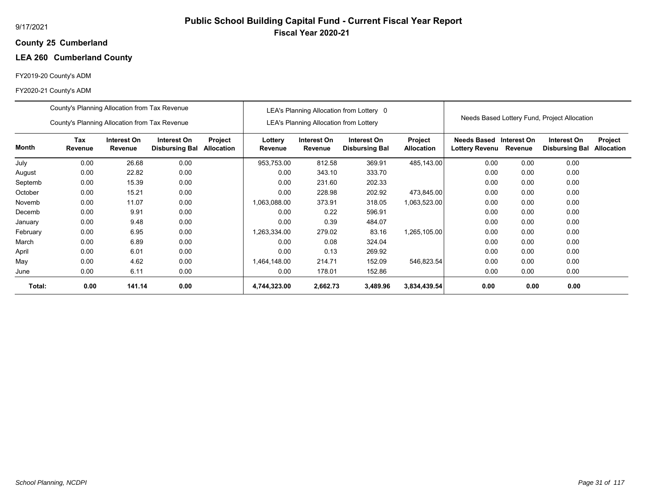# **Public School Building Capital Fund - Current Fiscal Year Report Fiscal Year 2020-21**

#### **25 Cumberland County**

## **LEA 260 Cumberland County**

## FY2019-20 County's ADM

|          | County's Planning Allocation from Tax Revenue |                        |                                      |                       |                    |                                               | LEA's Planning Allocation from Lottery 0 |                              |                                      |                        |                                              |                              |
|----------|-----------------------------------------------|------------------------|--------------------------------------|-----------------------|--------------------|-----------------------------------------------|------------------------------------------|------------------------------|--------------------------------------|------------------------|----------------------------------------------|------------------------------|
|          | County's Planning Allocation from Tax Revenue |                        |                                      |                       |                    | <b>LEA's Planning Allocation from Lottery</b> |                                          |                              |                                      |                        | Needs Based Lottery Fund, Project Allocation |                              |
| Month    | Tax<br>Revenue                                | Interest On<br>Revenue | Interest On<br><b>Disbursing Bal</b> | Project<br>Allocation | Lottery<br>Revenue | Interest On<br>Revenue                        | Interest On<br><b>Disbursing Bal</b>     | Project<br><b>Allocation</b> | <b>Needs Based</b><br>Lottery Revenu | Interest On<br>Revenue | Interest On<br><b>Disbursing Bal</b>         | Project<br><b>Allocation</b> |
| July     | 0.00                                          | 26.68                  | 0.00                                 |                       | 953,753.00         | 812.58                                        | 369.91                                   | 485,143.00                   | 0.00                                 | 0.00                   | 0.00                                         |                              |
| August   | 0.00                                          | 22.82                  | 0.00                                 |                       | 0.00               | 343.10                                        | 333.70                                   |                              | 0.00                                 | 0.00                   | 0.00                                         |                              |
| Septemb  | 0.00                                          | 15.39                  | 0.00                                 |                       | 0.00               | 231.60                                        | 202.33                                   |                              | 0.00                                 | 0.00                   | 0.00                                         |                              |
| October  | 0.00                                          | 15.21                  | 0.00                                 |                       | 0.00               | 228.98                                        | 202.92                                   | 473,845.00                   | 0.00                                 | 0.00                   | 0.00                                         |                              |
| Novemb   | 0.00                                          | 11.07                  | 0.00                                 |                       | 1,063,088.00       | 373.91                                        | 318.05                                   | 1,063,523.00                 | 0.00                                 | 0.00                   | 0.00                                         |                              |
| Decemb   | 0.00                                          | 9.91                   | 0.00                                 |                       | 0.00               | 0.22                                          | 596.91                                   |                              | 0.00                                 | 0.00                   | 0.00                                         |                              |
| January  | 0.00                                          | 9.48                   | 0.00                                 |                       | 0.00               | 0.39                                          | 484.07                                   |                              | 0.00                                 | 0.00                   | 0.00                                         |                              |
| February | 0.00                                          | 6.95                   | 0.00                                 |                       | 1,263,334.00       | 279.02                                        | 83.16                                    | 1,265,105.00                 | 0.00                                 | 0.00                   | 0.00                                         |                              |
| March    | 0.00                                          | 6.89                   | 0.00                                 |                       | 0.00               | 0.08                                          | 324.04                                   |                              | 0.00                                 | 0.00                   | 0.00                                         |                              |
| April    | 0.00                                          | 6.01                   | 0.00                                 |                       | 0.00               | 0.13                                          | 269.92                                   |                              | 0.00                                 | 0.00                   | 0.00                                         |                              |
| May      | 0.00                                          | 4.62                   | 0.00                                 |                       | 1,464,148.00       | 214.71                                        | 152.09                                   | 546,823.54                   | 0.00                                 | 0.00                   | 0.00                                         |                              |
| June     | 0.00                                          | 6.11                   | 0.00                                 |                       | 0.00               | 178.01                                        | 152.86                                   |                              | 0.00                                 | 0.00                   | 0.00                                         |                              |
| Total:   | 0.00                                          | 141.14                 | 0.00                                 |                       | 4,744,323.00       | 2,662.73                                      | 3,489.96                                 | 3,834,439.54                 | 0.00                                 | 0.00                   | 0.00                                         |                              |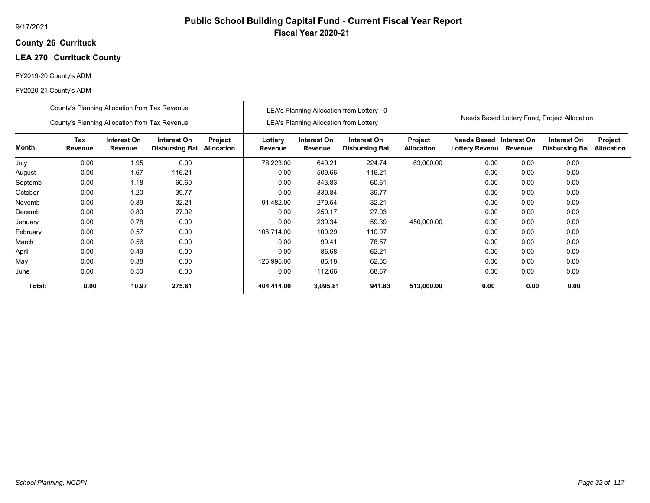## **26 Currituck County**

## **LEA 270 Currituck County**

## FY2019-20 County's ADM

|          | County's Planning Allocation from Tax Revenue |                        |                                      |                       |                    |                                               | LEA's Planning Allocation from Lottery 0 |                              |                                             |                        |                                              |                              |
|----------|-----------------------------------------------|------------------------|--------------------------------------|-----------------------|--------------------|-----------------------------------------------|------------------------------------------|------------------------------|---------------------------------------------|------------------------|----------------------------------------------|------------------------------|
|          | County's Planning Allocation from Tax Revenue |                        |                                      |                       |                    | <b>LEA's Planning Allocation from Lottery</b> |                                          |                              |                                             |                        | Needs Based Lottery Fund, Project Allocation |                              |
| Month    | Tax<br>Revenue                                | Interest On<br>Revenue | Interest On<br><b>Disbursing Bal</b> | Project<br>Allocation | Lottery<br>Revenue | Interest On<br>Revenue                        | Interest On<br><b>Disbursing Bal</b>     | Project<br><b>Allocation</b> | <b>Needs Based</b><br><b>Lottery Revenu</b> | Interest On<br>Revenue | Interest On<br><b>Disbursing Bal</b>         | Project<br><b>Allocation</b> |
| July     | 0.00                                          | 1.95                   | 0.00                                 |                       | 78,223.00          | 649.21                                        | 224.74                                   | 63,000.00                    | 0.00                                        | 0.00                   | 0.00                                         |                              |
| August   | 0.00                                          | 1.67                   | 116.21                               |                       | 0.00               | 509.66                                        | 116.21                                   |                              | 0.00                                        | 0.00                   | 0.00                                         |                              |
| Septemb  | 0.00                                          | 1.18                   | 60.60                                |                       | 0.00               | 343.83                                        | 60.61                                    |                              | 0.00                                        | 0.00                   | 0.00                                         |                              |
| October  | 0.00                                          | 1.20                   | 39.77                                |                       | 0.00               | 339.84                                        | 39.77                                    |                              | 0.00                                        | 0.00                   | 0.00                                         |                              |
| Novemb   | 0.00                                          | 0.89                   | 32.21                                |                       | 91,482.00          | 279.54                                        | 32.21                                    |                              | 0.00                                        | 0.00                   | 0.00                                         |                              |
| Decemb   | 0.00                                          | 0.80                   | 27.02                                |                       | 0.00               | 250.17                                        | 27.03                                    |                              | 0.00                                        | 0.00                   | 0.00                                         |                              |
| January  | 0.00                                          | 0.78                   | 0.00                                 |                       | 0.00               | 239.34                                        | 59.39                                    | 450,000.00                   | 0.00                                        | 0.00                   | 0.00                                         |                              |
| February | 0.00                                          | 0.57                   | 0.00                                 |                       | 108.714.00         | 100.29                                        | 110.07                                   |                              | 0.00                                        | 0.00                   | 0.00                                         |                              |
| March    | 0.00                                          | 0.56                   | 0.00                                 |                       | 0.00               | 99.41                                         | 78.57                                    |                              | 0.00                                        | 0.00                   | 0.00                                         |                              |
| April    | 0.00                                          | 0.49                   | 0.00                                 |                       | 0.00               | 86.68                                         | 62.21                                    |                              | 0.00                                        | 0.00                   | 0.00                                         |                              |
| May      | 0.00                                          | 0.38                   | 0.00                                 |                       | 125,995.00         | 85.18                                         | 62.35                                    |                              | 0.00                                        | 0.00                   | 0.00                                         |                              |
| June     | 0.00                                          | 0.50                   | 0.00                                 |                       | 0.00               | 112.66                                        | 68.67                                    |                              | 0.00                                        | 0.00                   | 0.00                                         |                              |
| Total:   | 0.00                                          | 10.97                  | 275.81                               |                       | 404,414.00         | 3,095.81                                      | 941.83                                   | 513,000.00                   | 0.00                                        | 0.00                   | 0.00                                         |                              |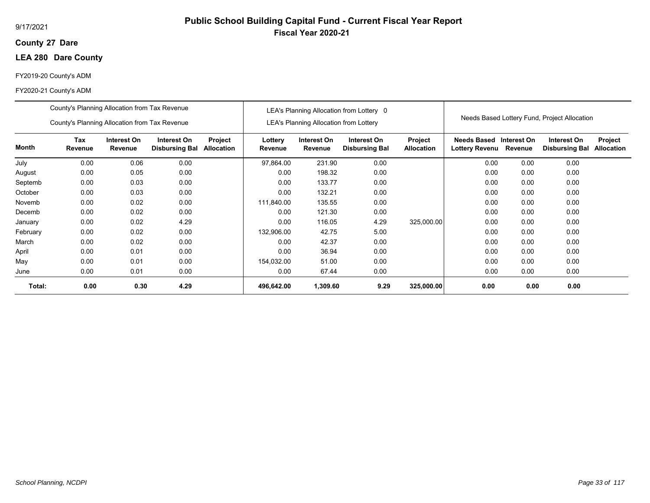## **27 Dare County**

## **LEA 280 Dare County**

## FY2019-20 County's ADM

|          | County's Planning Allocation from Tax Revenue |                        |                                      |                       |                    |                                               | LEA's Planning Allocation from Lottery 0 |                              |                               |                        |                                              |                              |
|----------|-----------------------------------------------|------------------------|--------------------------------------|-----------------------|--------------------|-----------------------------------------------|------------------------------------------|------------------------------|-------------------------------|------------------------|----------------------------------------------|------------------------------|
|          | County's Planning Allocation from Tax Revenue |                        |                                      |                       |                    | <b>LEA's Planning Allocation from Lottery</b> |                                          |                              |                               |                        | Needs Based Lottery Fund, Project Allocation |                              |
| Month    | Tax<br>Revenue                                | Interest On<br>Revenue | Interest On<br><b>Disbursing Bal</b> | Project<br>Allocation | Lottery<br>Revenue | Interest On<br>Revenue                        | Interest On<br><b>Disbursing Bal</b>     | Project<br><b>Allocation</b> | Needs Based<br>Lottery Revenu | Interest On<br>Revenue | Interest On<br><b>Disbursing Bal</b>         | Project<br><b>Allocation</b> |
| July     | 0.00                                          | 0.06                   | 0.00                                 |                       | 97,864.00          | 231.90                                        | 0.00                                     |                              | 0.00                          | 0.00                   | 0.00                                         |                              |
| August   | 0.00                                          | 0.05                   | 0.00                                 |                       | 0.00               | 198.32                                        | 0.00                                     |                              | 0.00                          | 0.00                   | 0.00                                         |                              |
| Septemb  | 0.00                                          | 0.03                   | 0.00                                 |                       | 0.00               | 133.77                                        | 0.00                                     |                              | 0.00                          | 0.00                   | 0.00                                         |                              |
| October  | 0.00                                          | 0.03                   | 0.00                                 |                       | 0.00               | 132.21                                        | 0.00                                     |                              | 0.00                          | 0.00                   | 0.00                                         |                              |
| Novemb   | 0.00                                          | 0.02                   | 0.00                                 |                       | 111,840.00         | 135.55                                        | 0.00                                     |                              | 0.00                          | 0.00                   | 0.00                                         |                              |
| Decemb   | 0.00                                          | 0.02                   | 0.00                                 |                       | 0.00               | 121.30                                        | 0.00                                     |                              | 0.00                          | 0.00                   | 0.00                                         |                              |
| January  | 0.00                                          | 0.02                   | 4.29                                 |                       | 0.00               | 116.05                                        | 4.29                                     | 325,000.00                   | 0.00                          | 0.00                   | 0.00                                         |                              |
| February | 0.00                                          | 0.02                   | 0.00                                 |                       | 132,906.00         | 42.75                                         | 5.00                                     |                              | 0.00                          | 0.00                   | 0.00                                         |                              |
| March    | 0.00                                          | 0.02                   | 0.00                                 |                       | 0.00               | 42.37                                         | 0.00                                     |                              | 0.00                          | 0.00                   | 0.00                                         |                              |
| April    | 0.00                                          | 0.01                   | 0.00                                 |                       | 0.00               | 36.94                                         | 0.00                                     |                              | 0.00                          | 0.00                   | 0.00                                         |                              |
| May      | 0.00                                          | 0.01                   | 0.00                                 |                       | 154,032.00         | 51.00                                         | 0.00                                     |                              | 0.00                          | 0.00                   | 0.00                                         |                              |
| June     | 0.00                                          | 0.01                   | 0.00                                 |                       | 0.00               | 67.44                                         | 0.00                                     |                              | 0.00                          | 0.00                   | 0.00                                         |                              |
| Total:   | 0.00                                          | 0.30                   | 4.29                                 |                       | 496,642.00         | 1,309.60                                      | 9.29                                     | 325,000.00                   | 0.00                          | 0.00                   | 0.00                                         |                              |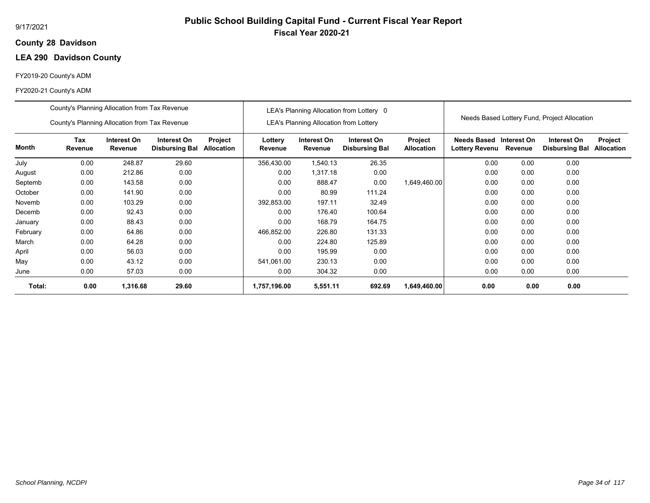## **28 Davidson County**

## **LEA 290 Davidson County**

## FY2019-20 County's ADM

|          | County's Planning Allocation from Tax Revenue |                        |                                      |                       |                    |                                               | LEA's Planning Allocation from Lottery 0 |                              |                                             |                        |                                              |                              |
|----------|-----------------------------------------------|------------------------|--------------------------------------|-----------------------|--------------------|-----------------------------------------------|------------------------------------------|------------------------------|---------------------------------------------|------------------------|----------------------------------------------|------------------------------|
|          | County's Planning Allocation from Tax Revenue |                        |                                      |                       |                    | <b>LEA's Planning Allocation from Lottery</b> |                                          |                              |                                             |                        | Needs Based Lottery Fund, Project Allocation |                              |
| Month    | Tax<br>Revenue                                | Interest On<br>Revenue | Interest On<br><b>Disbursing Bal</b> | Project<br>Allocation | Lottery<br>Revenue | Interest On<br>Revenue                        | Interest On<br><b>Disbursing Bal</b>     | Project<br><b>Allocation</b> | <b>Needs Based</b><br><b>Lottery Revenu</b> | Interest On<br>Revenue | Interest On<br><b>Disbursing Bal</b>         | Project<br><b>Allocation</b> |
| July     | 0.00                                          | 248.87                 | 29.60                                |                       | 356,430.00         | 1,540.13                                      | 26.35                                    |                              | 0.00                                        | 0.00                   | 0.00                                         |                              |
| August   | 0.00                                          | 212.86                 | 0.00                                 |                       | 0.00               | 1,317.18                                      | 0.00                                     |                              | 0.00                                        | 0.00                   | 0.00                                         |                              |
| Septemb  | 0.00                                          | 143.58                 | 0.00                                 |                       | 0.00               | 888.47                                        | 0.00                                     | 1,649,460.00                 | 0.00                                        | 0.00                   | 0.00                                         |                              |
| October  | 0.00                                          | 141.90                 | 0.00                                 |                       | 0.00               | 80.99                                         | 111.24                                   |                              | 0.00                                        | 0.00                   | 0.00                                         |                              |
| Novemb   | 0.00                                          | 103.29                 | 0.00                                 |                       | 392,853.00         | 197.11                                        | 32.49                                    |                              | 0.00                                        | 0.00                   | 0.00                                         |                              |
| Decemb   | 0.00                                          | 92.43                  | 0.00                                 |                       | 0.00               | 176.40                                        | 100.64                                   |                              | 0.00                                        | 0.00                   | 0.00                                         |                              |
| January  | 0.00                                          | 88.43                  | 0.00                                 |                       | 0.00               | 168.79                                        | 164.75                                   |                              | 0.00                                        | 0.00                   | 0.00                                         |                              |
| February | 0.00                                          | 64.86                  | 0.00                                 |                       | 466,852.00         | 226.80                                        | 131.33                                   |                              | 0.00                                        | 0.00                   | 0.00                                         |                              |
| March    | 0.00                                          | 64.28                  | 0.00                                 |                       | 0.00               | 224.80                                        | 125.89                                   |                              | 0.00                                        | 0.00                   | 0.00                                         |                              |
| April    | 0.00                                          | 56.03                  | 0.00                                 |                       | 0.00               | 195.99                                        | 0.00                                     |                              | 0.00                                        | 0.00                   | 0.00                                         |                              |
| May      | 0.00                                          | 43.12                  | 0.00                                 |                       | 541,061.00         | 230.13                                        | 0.00                                     |                              | 0.00                                        | 0.00                   | 0.00                                         |                              |
| June     | 0.00                                          | 57.03                  | 0.00                                 |                       | 0.00               | 304.32                                        | 0.00                                     |                              | 0.00                                        | 0.00                   | 0.00                                         |                              |
| Total:   | 0.00                                          | 1,316.68               | 29.60                                |                       | 1,757,196.00       | 5,551.11                                      | 692.69                                   | 1,649,460.00                 | 0.00                                        | 0.00                   | 0.00                                         |                              |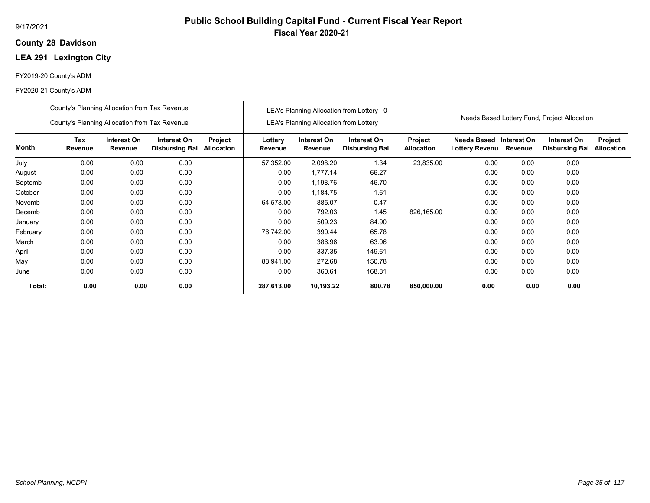## **28 Davidson County**

## **LEA 291 Lexington City**

## FY2019-20 County's ADM

|              | County's Planning Allocation from Tax Revenue<br>County's Planning Allocation from Tax Revenue |                        |                                      |                              |                    | <b>LEA's Planning Allocation from Lottery</b> | LEA's Planning Allocation from Lottery 0 |                              |                                              |             | Needs Based Lottery Fund, Project Allocation |                              |
|--------------|------------------------------------------------------------------------------------------------|------------------------|--------------------------------------|------------------------------|--------------------|-----------------------------------------------|------------------------------------------|------------------------------|----------------------------------------------|-------------|----------------------------------------------|------------------------------|
| <b>Month</b> | Tax<br>Revenue                                                                                 | Interest On<br>Revenue | Interest On<br><b>Disbursing Bal</b> | Project<br><b>Allocation</b> | Lottery<br>Revenue | Interest On<br>Revenue                        | Interest On<br><b>Disbursing Bal</b>     | Project<br><b>Allocation</b> | <b>Needs Based</b><br>Lottery Revenu Revenue | Interest On | Interest On<br><b>Disbursing Bal</b>         | Project<br><b>Allocation</b> |
| July         | 0.00                                                                                           | 0.00                   | 0.00                                 |                              | 57,352.00          | 2,098.20                                      | 1.34                                     | 23,835.00                    | 0.00                                         | 0.00        | 0.00                                         |                              |
| August       | 0.00                                                                                           | 0.00                   | 0.00                                 |                              | 0.00               | 1,777.14                                      | 66.27                                    |                              | 0.00                                         | 0.00        | 0.00                                         |                              |
| Septemb      | 0.00                                                                                           | 0.00                   | 0.00                                 |                              | 0.00               | 1,198.76                                      | 46.70                                    |                              | 0.00                                         | 0.00        | 0.00                                         |                              |
| October      | 0.00                                                                                           | 0.00                   | 0.00                                 |                              | 0.00               | 1,184.75                                      | 1.61                                     |                              | 0.00                                         | 0.00        | 0.00                                         |                              |
| Novemb       | 0.00                                                                                           | 0.00                   | 0.00                                 |                              | 64,578.00          | 885.07                                        | 0.47                                     |                              | 0.00                                         | 0.00        | 0.00                                         |                              |
| Decemb       | 0.00                                                                                           | 0.00                   | 0.00                                 |                              | 0.00               | 792.03                                        | 1.45                                     | 826,165.00                   | 0.00                                         | 0.00        | 0.00                                         |                              |
| January      | 0.00                                                                                           | 0.00                   | 0.00                                 |                              | 0.00               | 509.23                                        | 84.90                                    |                              | 0.00                                         | 0.00        | 0.00                                         |                              |
| February     | 0.00                                                                                           | 0.00                   | 0.00                                 |                              | 76,742.00          | 390.44                                        | 65.78                                    |                              | 0.00                                         | 0.00        | 0.00                                         |                              |
| March        | 0.00                                                                                           | 0.00                   | 0.00                                 |                              | 0.00               | 386.96                                        | 63.06                                    |                              | 0.00                                         | 0.00        | 0.00                                         |                              |
| April        | 0.00                                                                                           | 0.00                   | 0.00                                 |                              | 0.00               | 337.35                                        | 149.61                                   |                              | 0.00                                         | 0.00        | 0.00                                         |                              |
| May          | 0.00                                                                                           | 0.00                   | 0.00                                 |                              | 88,941.00          | 272.68                                        | 150.78                                   |                              | 0.00                                         | 0.00        | 0.00                                         |                              |
| June         | 0.00                                                                                           | 0.00                   | 0.00                                 |                              | 0.00               | 360.61                                        | 168.81                                   |                              | 0.00                                         | 0.00        | 0.00                                         |                              |
| Total:       | 0.00                                                                                           | 0.00                   | 0.00                                 |                              | 287,613.00         | 10,193.22                                     | 800.78                                   | 850,000.00                   | 0.00                                         | 0.00        | 0.00                                         |                              |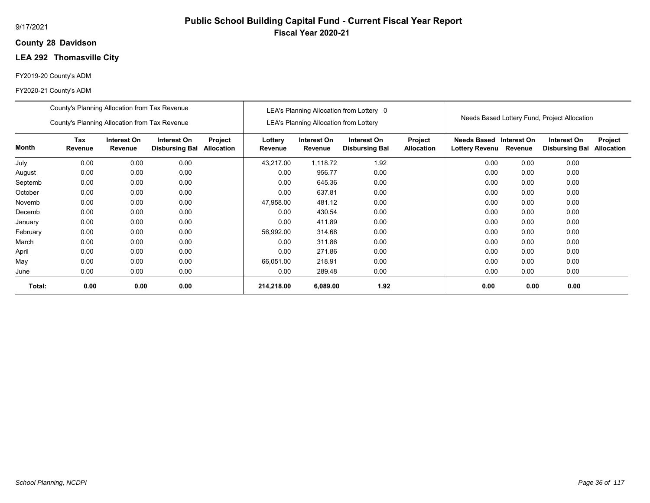## **28 Davidson County**

# **LEA 292 Thomasville City**

#### FY2019-20 County's ADM

|          | County's Planning Allocation from Tax Revenue |                        |                                      |                       |                    |                                               | LEA's Planning Allocation from Lottery 0 |                              |                                                  |         |                                              |                              |
|----------|-----------------------------------------------|------------------------|--------------------------------------|-----------------------|--------------------|-----------------------------------------------|------------------------------------------|------------------------------|--------------------------------------------------|---------|----------------------------------------------|------------------------------|
|          | County's Planning Allocation from Tax Revenue |                        |                                      |                       |                    | <b>LEA's Planning Allocation from Lottery</b> |                                          |                              |                                                  |         | Needs Based Lottery Fund, Project Allocation |                              |
| Month    | Tax<br>Revenue                                | Interest On<br>Revenue | Interest On<br><b>Disbursing Bal</b> | Project<br>Allocation | Lottery<br>Revenue | Interest On<br>Revenue                        | Interest On<br><b>Disbursing Bal</b>     | Project<br><b>Allocation</b> | Needs Based Interest On<br><b>Lottery Revenu</b> | Revenue | Interest On<br><b>Disbursing Bal</b>         | Project<br><b>Allocation</b> |
| July     | 0.00                                          | 0.00                   | 0.00                                 |                       | 43,217.00          | 1,118.72                                      | 1.92                                     |                              | 0.00                                             | 0.00    | 0.00                                         |                              |
| August   | 0.00                                          | 0.00                   | 0.00                                 |                       | 0.00               | 956.77                                        | 0.00                                     |                              | 0.00                                             | 0.00    | 0.00                                         |                              |
| Septemb  | 0.00                                          | 0.00                   | 0.00                                 |                       | 0.00               | 645.36                                        | 0.00                                     |                              | 0.00                                             | 0.00    | 0.00                                         |                              |
| October  | 0.00                                          | 0.00                   | 0.00                                 |                       | 0.00               | 637.81                                        | 0.00                                     |                              | 0.00                                             | 0.00    | 0.00                                         |                              |
| Novemb   | 0.00                                          | 0.00                   | 0.00                                 |                       | 47,958.00          | 481.12                                        | 0.00                                     |                              | 0.00                                             | 0.00    | 0.00                                         |                              |
| Decemb   | 0.00                                          | 0.00                   | 0.00                                 |                       | 0.00               | 430.54                                        | 0.00                                     |                              | 0.00                                             | 0.00    | 0.00                                         |                              |
| January  | 0.00                                          | 0.00                   | 0.00                                 |                       | 0.00               | 411.89                                        | 0.00                                     |                              | 0.00                                             | 0.00    | 0.00                                         |                              |
| February | 0.00                                          | 0.00                   | 0.00                                 |                       | 56,992.00          | 314.68                                        | 0.00                                     |                              | 0.00                                             | 0.00    | 0.00                                         |                              |
| March    | 0.00                                          | 0.00                   | 0.00                                 |                       | 0.00               | 311.86                                        | 0.00                                     |                              | 0.00                                             | 0.00    | 0.00                                         |                              |
| April    | 0.00                                          | 0.00                   | 0.00                                 |                       | 0.00               | 271.86                                        | 0.00                                     |                              | 0.00                                             | 0.00    | 0.00                                         |                              |
| May      | 0.00                                          | 0.00                   | 0.00                                 |                       | 66.051.00          | 218.91                                        | 0.00                                     |                              | 0.00                                             | 0.00    | 0.00                                         |                              |
| June     | 0.00                                          | 0.00                   | 0.00                                 |                       | 0.00               | 289.48                                        | 0.00                                     |                              | 0.00                                             | 0.00    | 0.00                                         |                              |
| Total:   | 0.00                                          | 0.00                   | 0.00                                 |                       | 214,218.00         | 6,089.00                                      | 1.92                                     |                              | 0.00                                             | 0.00    | 0.00                                         |                              |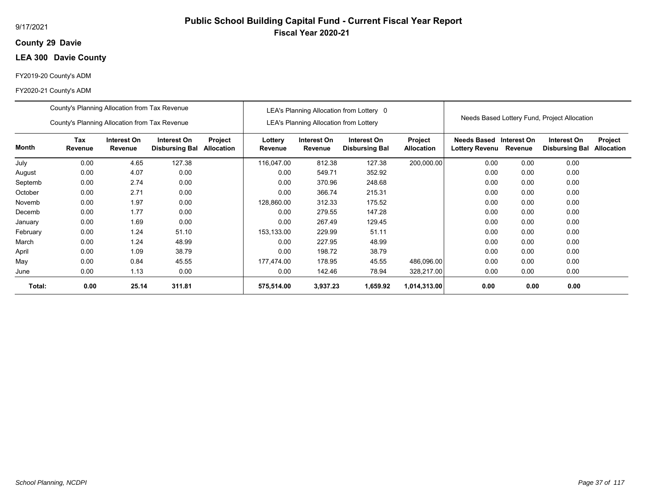#### 9/17/2021

## **29 Davie County**

# **LEA 300 Davie County**

#### FY2019-20 County's ADM

|          | County's Planning Allocation from Tax Revenue |                        |                                      |                       |                    |                                               | LEA's Planning Allocation from Lottery 0 |                              |                                           |         |                                              |                              |
|----------|-----------------------------------------------|------------------------|--------------------------------------|-----------------------|--------------------|-----------------------------------------------|------------------------------------------|------------------------------|-------------------------------------------|---------|----------------------------------------------|------------------------------|
|          | County's Planning Allocation from Tax Revenue |                        |                                      |                       |                    | <b>LEA's Planning Allocation from Lottery</b> |                                          |                              |                                           |         | Needs Based Lottery Fund, Project Allocation |                              |
| Month    | <b>Tax</b><br>Revenue                         | Interest On<br>Revenue | Interest On<br><b>Disbursing Bal</b> | Project<br>Allocation | Lottery<br>Revenue | Interest On<br>Revenue                        | Interest On<br><b>Disbursing Bal</b>     | Project<br><b>Allocation</b> | Needs Based Interest On<br>Lottery Revenu | Revenue | Interest On<br><b>Disbursing Bal</b>         | Project<br><b>Allocation</b> |
| July     | 0.00                                          | 4.65                   | 127.38                               |                       | 116,047.00         | 812.38                                        | 127.38                                   | 200,000.00                   | 0.00                                      | 0.00    | 0.00                                         |                              |
| August   | 0.00                                          | 4.07                   | 0.00                                 |                       | 0.00               | 549.71                                        | 352.92                                   |                              | 0.00                                      | 0.00    | 0.00                                         |                              |
| Septemb  | 0.00                                          | 2.74                   | 0.00                                 |                       | 0.00               | 370.96                                        | 248.68                                   |                              | 0.00                                      | 0.00    | 0.00                                         |                              |
| October  | 0.00                                          | 2.71                   | 0.00                                 |                       | 0.00               | 366.74                                        | 215.31                                   |                              | 0.00                                      | 0.00    | 0.00                                         |                              |
| Novemb   | 0.00                                          | 1.97                   | 0.00                                 |                       | 128,860.00         | 312.33                                        | 175.52                                   |                              | 0.00                                      | 0.00    | 0.00                                         |                              |
| Decemb   | 0.00                                          | 1.77                   | 0.00                                 |                       | 0.00               | 279.55                                        | 147.28                                   |                              | 0.00                                      | 0.00    | 0.00                                         |                              |
| January  | 0.00                                          | 1.69                   | 0.00                                 |                       | 0.00               | 267.49                                        | 129.45                                   |                              | 0.00                                      | 0.00    | 0.00                                         |                              |
| February | 0.00                                          | 1.24                   | 51.10                                |                       | 153,133.00         | 229.99                                        | 51.11                                    |                              | 0.00                                      | 0.00    | 0.00                                         |                              |
| March    | 0.00                                          | 1.24                   | 48.99                                |                       | 0.00               | 227.95                                        | 48.99                                    |                              | 0.00                                      | 0.00    | 0.00                                         |                              |
| April    | 0.00                                          | 1.09                   | 38.79                                |                       | 0.00               | 198.72                                        | 38.79                                    |                              | 0.00                                      | 0.00    | 0.00                                         |                              |
| May      | 0.00                                          | 0.84                   | 45.55                                |                       | 177.474.00         | 178.95                                        | 45.55                                    | 486,096.00                   | 0.00                                      | 0.00    | 0.00                                         |                              |
| June     | 0.00                                          | 1.13                   | 0.00                                 |                       | 0.00               | 142.46                                        | 78.94                                    | 328,217.00                   | 0.00                                      | 0.00    | 0.00                                         |                              |
| Total:   | 0.00                                          | 25.14                  | 311.81                               |                       | 575,514.00         | 3,937.23                                      | 1,659.92                                 | 1,014,313.00                 | 0.00                                      | 0.00    | 0.00                                         |                              |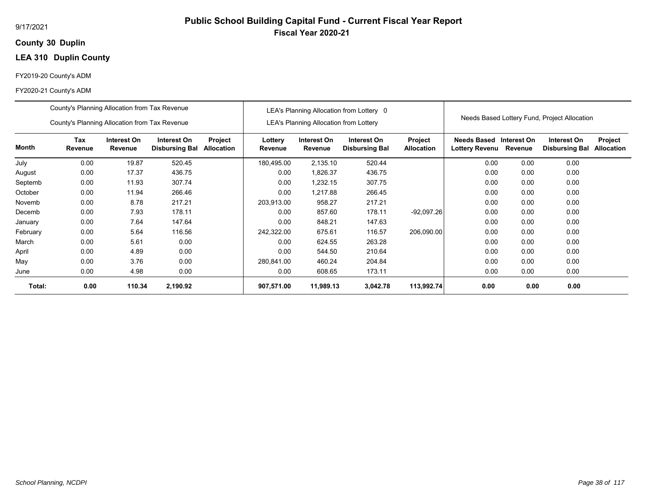## **30 Duplin County**

# **LEA 310 Duplin County**

#### FY2019-20 County's ADM

|          | County's Planning Allocation from Tax Revenue |                        |                                      |                       |                    |                                               | LEA's Planning Allocation from Lottery 0 |                                     |                                      |                        | Needs Based Lottery Fund, Project Allocation |                       |
|----------|-----------------------------------------------|------------------------|--------------------------------------|-----------------------|--------------------|-----------------------------------------------|------------------------------------------|-------------------------------------|--------------------------------------|------------------------|----------------------------------------------|-----------------------|
|          | County's Planning Allocation from Tax Revenue |                        |                                      |                       |                    | <b>LEA's Planning Allocation from Lottery</b> |                                          |                                     |                                      |                        |                                              |                       |
| Month    | Tax<br>Revenue                                | Interest On<br>Revenue | Interest On<br><b>Disbursing Bal</b> | Project<br>Allocation | Lottery<br>Revenue | Interest On<br>Revenue                        | Interest On<br><b>Disbursing Bal</b>     | <b>Project</b><br><b>Allocation</b> | Needs Based<br><b>Lottery Revenu</b> | Interest On<br>Revenue | Interest On<br><b>Disbursing Bal</b>         | Project<br>Allocation |
| July     | 0.00                                          | 19.87                  | 520.45                               |                       | 180,495.00         | 2,135.10                                      | 520.44                                   |                                     | 0.00                                 | 0.00                   | 0.00                                         |                       |
| August   | 0.00                                          | 17.37                  | 436.75                               |                       | 0.00               | 1,826.37                                      | 436.75                                   |                                     | 0.00                                 | 0.00                   | 0.00                                         |                       |
| Septemb  | 0.00                                          | 11.93                  | 307.74                               |                       | 0.00               | 1,232.15                                      | 307.75                                   |                                     | 0.00                                 | 0.00                   | 0.00                                         |                       |
| October  | 0.00                                          | 11.94                  | 266.46                               |                       | 0.00               | 1,217.88                                      | 266.45                                   |                                     | 0.00                                 | 0.00                   | 0.00                                         |                       |
| Novemb   | 0.00                                          | 8.78                   | 217.21                               |                       | 203,913.00         | 958.27                                        | 217.21                                   |                                     | 0.00                                 | 0.00                   | 0.00                                         |                       |
| Decemb   | 0.00                                          | 7.93                   | 178.11                               |                       | 0.00               | 857.60                                        | 178.11                                   | $-92,097.26$                        | 0.00                                 | 0.00                   | 0.00                                         |                       |
| January  | 0.00                                          | 7.64                   | 147.64                               |                       | 0.00               | 848.21                                        | 147.63                                   |                                     | 0.00                                 | 0.00                   | 0.00                                         |                       |
| February | 0.00                                          | 5.64                   | 116.56                               |                       | 242,322.00         | 675.61                                        | 116.57                                   | 206,090.00                          | 0.00                                 | 0.00                   | 0.00                                         |                       |
| March    | 0.00                                          | 5.61                   | 0.00                                 |                       | 0.00               | 624.55                                        | 263.28                                   |                                     | 0.00                                 | 0.00                   | 0.00                                         |                       |
| April    | 0.00                                          | 4.89                   | 0.00                                 |                       | 0.00               | 544.50                                        | 210.64                                   |                                     | 0.00                                 | 0.00                   | 0.00                                         |                       |
| May      | 0.00                                          | 3.76                   | 0.00                                 |                       | 280,841.00         | 460.24                                        | 204.84                                   |                                     | 0.00                                 | 0.00                   | 0.00                                         |                       |
| June     | 0.00                                          | 4.98                   | 0.00                                 |                       | 0.00               | 608.65                                        | 173.11                                   |                                     | 0.00                                 | 0.00                   | 0.00                                         |                       |
| Total:   | 0.00                                          | 110.34                 | 2,190.92                             |                       | 907,571.00         | 11,989.13                                     | 3,042.78                                 | 113,992.74                          | 0.00                                 | 0.00                   | 0.00                                         |                       |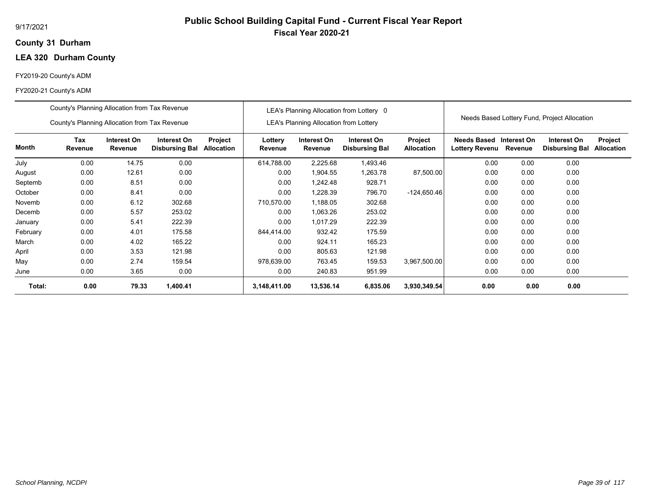## **31 Durham County**

# **LEA 320 Durham County**

#### FY2019-20 County's ADM

|          | County's Planning Allocation from Tax Revenue |                        |                                      |                       |                    |                                               | LEA's Planning Allocation from Lottery 0 |                              |                               |                        |                                              |                              |
|----------|-----------------------------------------------|------------------------|--------------------------------------|-----------------------|--------------------|-----------------------------------------------|------------------------------------------|------------------------------|-------------------------------|------------------------|----------------------------------------------|------------------------------|
|          | County's Planning Allocation from Tax Revenue |                        |                                      |                       |                    | <b>LEA's Planning Allocation from Lottery</b> |                                          |                              |                               |                        | Needs Based Lottery Fund, Project Allocation |                              |
| Month    | Tax<br>Revenue                                | Interest On<br>Revenue | Interest On<br><b>Disbursing Bal</b> | Project<br>Allocation | Lottery<br>Revenue | Interest On<br>Revenue                        | Interest On<br><b>Disbursing Bal</b>     | Project<br><b>Allocation</b> | Needs Based<br>Lottery Revenu | Interest On<br>Revenue | Interest On<br><b>Disbursing Bal</b>         | Project<br><b>Allocation</b> |
| July     | 0.00                                          | 14.75                  | 0.00                                 |                       | 614,788.00         | 2,225.68                                      | 1,493.46                                 |                              | 0.00                          | 0.00                   | 0.00                                         |                              |
| August   | 0.00                                          | 12.61                  | 0.00                                 |                       | 0.00               | 1,904.55                                      | 1,263.78                                 | 87,500.00                    | 0.00                          | 0.00                   | 0.00                                         |                              |
| Septemb  | 0.00                                          | 8.51                   | 0.00                                 |                       | 0.00               | 1,242.48                                      | 928.71                                   |                              | 0.00                          | 0.00                   | 0.00                                         |                              |
| October  | 0.00                                          | 8.41                   | 0.00                                 |                       | 0.00               | 1,228.39                                      | 796.70                                   | $-124,650.46$                | 0.00                          | 0.00                   | 0.00                                         |                              |
| Novemb   | 0.00                                          | 6.12                   | 302.68                               |                       | 710,570.00         | 1,188.05                                      | 302.68                                   |                              | 0.00                          | 0.00                   | 0.00                                         |                              |
| Decemb   | 0.00                                          | 5.57                   | 253.02                               |                       | 0.00               | 1,063.26                                      | 253.02                                   |                              | 0.00                          | 0.00                   | 0.00                                         |                              |
| January  | 0.00                                          | 5.41                   | 222.39                               |                       | 0.00               | 1.017.29                                      | 222.39                                   |                              | 0.00                          | 0.00                   | 0.00                                         |                              |
| February | 0.00                                          | 4.01                   | 175.58                               |                       | 844,414.00         | 932.42                                        | 175.59                                   |                              | 0.00                          | 0.00                   | 0.00                                         |                              |
| March    | 0.00                                          | 4.02                   | 165.22                               |                       | 0.00               | 924.11                                        | 165.23                                   |                              | 0.00                          | 0.00                   | 0.00                                         |                              |
| April    | 0.00                                          | 3.53                   | 121.98                               |                       | 0.00               | 805.63                                        | 121.98                                   |                              | 0.00                          | 0.00                   | 0.00                                         |                              |
| May      | 0.00                                          | 2.74                   | 159.54                               |                       | 978,639.00         | 763.45                                        | 159.53                                   | 3,967,500.00                 | 0.00                          | 0.00                   | 0.00                                         |                              |
| June     | 0.00                                          | 3.65                   | 0.00                                 |                       | 0.00               | 240.83                                        | 951.99                                   |                              | 0.00                          | 0.00                   | 0.00                                         |                              |
| Total:   | 0.00                                          | 79.33                  | 1,400.41                             |                       | 3,148,411.00       | 13,536.14                                     | 6,835.06                                 | 3,930,349.54                 | 0.00                          | 0.00                   | 0.00                                         |                              |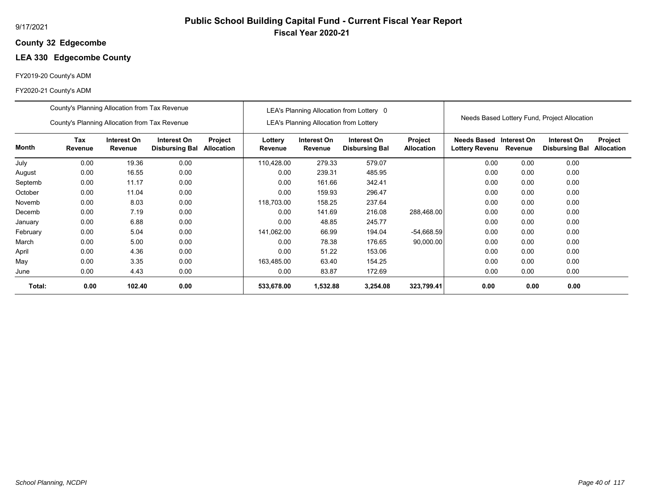## **32 Edgecombe County**

# **LEA 330 Edgecombe County**

#### FY2019-20 County's ADM

|          | County's Planning Allocation from Tax Revenue |                        |                                      |                              |                    |                                               | LEA's Planning Allocation from Lottery 0 |                              |                                           |         |                                              |                              |
|----------|-----------------------------------------------|------------------------|--------------------------------------|------------------------------|--------------------|-----------------------------------------------|------------------------------------------|------------------------------|-------------------------------------------|---------|----------------------------------------------|------------------------------|
|          | County's Planning Allocation from Tax Revenue |                        |                                      |                              |                    | <b>LEA's Planning Allocation from Lottery</b> |                                          |                              |                                           |         | Needs Based Lottery Fund, Project Allocation |                              |
| Month    | Tax<br>Revenue                                | Interest On<br>Revenue | Interest On<br><b>Disbursing Bal</b> | Project<br><b>Allocation</b> | Lottery<br>Revenue | Interest On<br>Revenue                        | Interest On<br><b>Disbursing Bal</b>     | Project<br><b>Allocation</b> | Needs Based Interest On<br>Lottery Revenu | Revenue | Interest On<br><b>Disbursing Bal</b>         | Project<br><b>Allocation</b> |
| July     | 0.00                                          | 19.36                  | 0.00                                 |                              | 110,428.00         | 279.33                                        | 579.07                                   |                              | 0.00                                      | 0.00    | 0.00                                         |                              |
| August   | 0.00                                          | 16.55                  | 0.00                                 |                              | 0.00               | 239.31                                        | 485.95                                   |                              | 0.00                                      | 0.00    | 0.00                                         |                              |
| Septemb  | 0.00                                          | 11.17                  | 0.00                                 |                              | 0.00               | 161.66                                        | 342.41                                   |                              | 0.00                                      | 0.00    | 0.00                                         |                              |
| October  | 0.00                                          | 11.04                  | 0.00                                 |                              | 0.00               | 159.93                                        | 296.47                                   |                              | 0.00                                      | 0.00    | 0.00                                         |                              |
| Novemb   | 0.00                                          | 8.03                   | 0.00                                 |                              | 118,703.00         | 158.25                                        | 237.64                                   |                              | 0.00                                      | 0.00    | 0.00                                         |                              |
| Decemb   | 0.00                                          | 7.19                   | 0.00                                 |                              | 0.00               | 141.69                                        | 216.08                                   | 288,468.00                   | 0.00                                      | 0.00    | 0.00                                         |                              |
| January  | 0.00                                          | 6.88                   | 0.00                                 |                              | 0.00               | 48.85                                         | 245.77                                   |                              | 0.00                                      | 0.00    | 0.00                                         |                              |
| February | 0.00                                          | 5.04                   | 0.00                                 |                              | 141,062.00         | 66.99                                         | 194.04                                   | $-54,668.59$                 | 0.00                                      | 0.00    | 0.00                                         |                              |
| March    | 0.00                                          | 5.00                   | 0.00                                 |                              | 0.00               | 78.38                                         | 176.65                                   | 90,000.00                    | 0.00                                      | 0.00    | 0.00                                         |                              |
| April    | 0.00                                          | 4.36                   | 0.00                                 |                              | 0.00               | 51.22                                         | 153.06                                   |                              | 0.00                                      | 0.00    | 0.00                                         |                              |
| May      | 0.00                                          | 3.35                   | 0.00                                 |                              | 163,485.00         | 63.40                                         | 154.25                                   |                              | 0.00                                      | 0.00    | 0.00                                         |                              |
| June     | 0.00                                          | 4.43                   | 0.00                                 |                              | 0.00               | 83.87                                         | 172.69                                   |                              | 0.00                                      | 0.00    | 0.00                                         |                              |
| Total:   | 0.00                                          | 102.40                 | 0.00                                 |                              | 533,678.00         | 1,532.88                                      | 3,254.08                                 | 323,799.41                   | 0.00                                      | 0.00    | 0.00                                         |                              |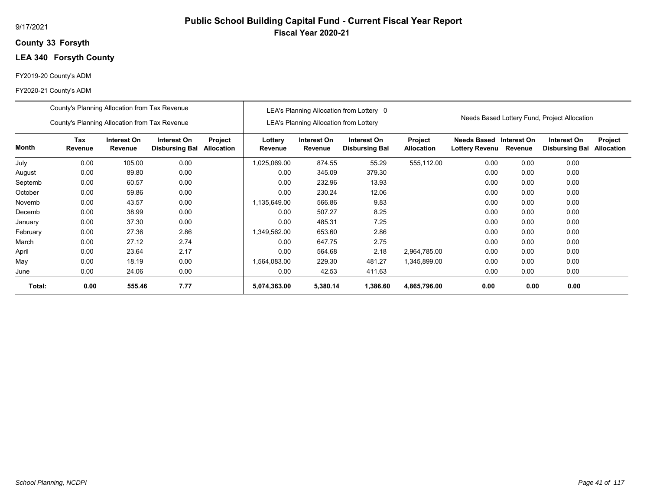## **33 Forsyth County**

# **LEA 340 Forsyth County**

#### FY2019-20 County's ADM

|          | County's Planning Allocation from Tax Revenue |                        |                                      |                       |                    |                                               | LEA's Planning Allocation from Lottery 0 |                              |                               |                        |                                              |                              |
|----------|-----------------------------------------------|------------------------|--------------------------------------|-----------------------|--------------------|-----------------------------------------------|------------------------------------------|------------------------------|-------------------------------|------------------------|----------------------------------------------|------------------------------|
|          | County's Planning Allocation from Tax Revenue |                        |                                      |                       |                    | <b>LEA's Planning Allocation from Lottery</b> |                                          |                              |                               |                        | Needs Based Lottery Fund, Project Allocation |                              |
| Month    | Tax<br>Revenue                                | Interest On<br>Revenue | Interest On<br><b>Disbursing Bal</b> | Project<br>Allocation | Lottery<br>Revenue | Interest On<br>Revenue                        | Interest On<br><b>Disbursing Bal</b>     | Project<br><b>Allocation</b> | Needs Based<br>Lottery Revenu | Interest On<br>Revenue | Interest On<br><b>Disbursing Bal</b>         | Project<br><b>Allocation</b> |
| July     | 0.00                                          | 105.00                 | 0.00                                 |                       | 1,025,069.00       | 874.55                                        | 55.29                                    | 555,112.00                   | 0.00                          | 0.00                   | 0.00                                         |                              |
| August   | 0.00                                          | 89.80                  | 0.00                                 |                       | 0.00               | 345.09                                        | 379.30                                   |                              | 0.00                          | 0.00                   | 0.00                                         |                              |
| Septemb  | 0.00                                          | 60.57                  | 0.00                                 |                       | 0.00               | 232.96                                        | 13.93                                    |                              | 0.00                          | 0.00                   | 0.00                                         |                              |
| October  | 0.00                                          | 59.86                  | 0.00                                 |                       | 0.00               | 230.24                                        | 12.06                                    |                              | 0.00                          | 0.00                   | 0.00                                         |                              |
| Novemb   | 0.00                                          | 43.57                  | 0.00                                 |                       | 1,135,649.00       | 566.86                                        | 9.83                                     |                              | 0.00                          | 0.00                   | 0.00                                         |                              |
| Decemb   | 0.00                                          | 38.99                  | 0.00                                 |                       | 0.00               | 507.27                                        | 8.25                                     |                              | 0.00                          | 0.00                   | 0.00                                         |                              |
| January  | 0.00                                          | 37.30                  | 0.00                                 |                       | 0.00               | 485.31                                        | 7.25                                     |                              | 0.00                          | 0.00                   | 0.00                                         |                              |
| February | 0.00                                          | 27.36                  | 2.86                                 |                       | 1,349,562.00       | 653.60                                        | 2.86                                     |                              | 0.00                          | 0.00                   | 0.00                                         |                              |
| March    | 0.00                                          | 27.12                  | 2.74                                 |                       | 0.00               | 647.75                                        | 2.75                                     |                              | 0.00                          | 0.00                   | 0.00                                         |                              |
| April    | 0.00                                          | 23.64                  | 2.17                                 |                       | 0.00               | 564.68                                        | 2.18                                     | 2,964,785.00                 | 0.00                          | 0.00                   | 0.00                                         |                              |
| May      | 0.00                                          | 18.19                  | 0.00                                 |                       | 1,564,083.00       | 229.30                                        | 481.27                                   | 1,345,899.00                 | 0.00                          | 0.00                   | 0.00                                         |                              |
| June     | 0.00                                          | 24.06                  | 0.00                                 |                       | 0.00               | 42.53                                         | 411.63                                   |                              | 0.00                          | 0.00                   | 0.00                                         |                              |
| Total:   | 0.00                                          | 555.46                 | 7.77                                 |                       | 5,074,363.00       | 5,380.14                                      | 1,386.60                                 | 4,865,796.00                 | 0.00                          | 0.00                   | 0.00                                         |                              |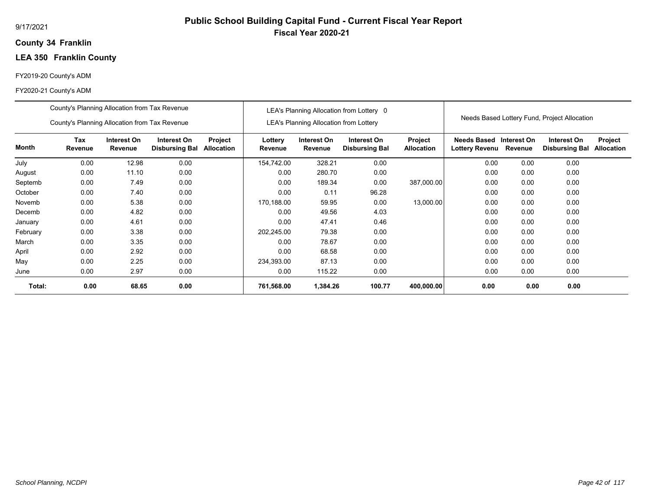## **34 Franklin County**

# **LEA 350 Franklin County**

#### FY2019-20 County's ADM

|          | County's Planning Allocation from Tax Revenue |                        |                                      |                       |                    |                                               | LEA's Planning Allocation from Lottery 0 |                              |                                                  |         |                                              |                              |
|----------|-----------------------------------------------|------------------------|--------------------------------------|-----------------------|--------------------|-----------------------------------------------|------------------------------------------|------------------------------|--------------------------------------------------|---------|----------------------------------------------|------------------------------|
|          | County's Planning Allocation from Tax Revenue |                        |                                      |                       |                    | <b>LEA's Planning Allocation from Lottery</b> |                                          |                              |                                                  |         | Needs Based Lottery Fund, Project Allocation |                              |
| Month    | Tax<br>Revenue                                | Interest On<br>Revenue | Interest On<br><b>Disbursing Bal</b> | Project<br>Allocation | Lottery<br>Revenue | Interest On<br>Revenue                        | Interest On<br><b>Disbursing Bal</b>     | Project<br><b>Allocation</b> | Needs Based Interest On<br><b>Lottery Revenu</b> | Revenue | Interest On<br><b>Disbursing Bal</b>         | Project<br><b>Allocation</b> |
| July     | 0.00                                          | 12.98                  | 0.00                                 |                       | 154,742.00         | 328.21                                        | 0.00                                     |                              | 0.00                                             | 0.00    | 0.00                                         |                              |
| August   | 0.00                                          | 11.10                  | 0.00                                 |                       | 0.00               | 280.70                                        | 0.00                                     |                              | 0.00                                             | 0.00    | 0.00                                         |                              |
| Septemb  | 0.00                                          | 7.49                   | 0.00                                 |                       | 0.00               | 189.34                                        | 0.00                                     | 387,000.00                   | 0.00                                             | 0.00    | 0.00                                         |                              |
| October  | 0.00                                          | 7.40                   | 0.00                                 |                       | 0.00               | 0.11                                          | 96.28                                    |                              | 0.00                                             | 0.00    | 0.00                                         |                              |
| Novemb   | 0.00                                          | 5.38                   | 0.00                                 |                       | 170,188.00         | 59.95                                         | 0.00                                     | 13,000.00                    | 0.00                                             | 0.00    | 0.00                                         |                              |
| Decemb   | 0.00                                          | 4.82                   | 0.00                                 |                       | 0.00               | 49.56                                         | 4.03                                     |                              | 0.00                                             | 0.00    | 0.00                                         |                              |
| January  | 0.00                                          | 4.61                   | 0.00                                 |                       | 0.00               | 47.41                                         | 0.46                                     |                              | 0.00                                             | 0.00    | 0.00                                         |                              |
| February | 0.00                                          | 3.38                   | 0.00                                 |                       | 202,245.00         | 79.38                                         | 0.00                                     |                              | 0.00                                             | 0.00    | 0.00                                         |                              |
| March    | 0.00                                          | 3.35                   | 0.00                                 |                       | 0.00               | 78.67                                         | 0.00                                     |                              | 0.00                                             | 0.00    | 0.00                                         |                              |
| April    | 0.00                                          | 2.92                   | 0.00                                 |                       | 0.00               | 68.58                                         | 0.00                                     |                              | 0.00                                             | 0.00    | 0.00                                         |                              |
| May      | 0.00                                          | 2.25                   | 0.00                                 |                       | 234,393.00         | 87.13                                         | 0.00                                     |                              | 0.00                                             | 0.00    | 0.00                                         |                              |
| June     | 0.00                                          | 2.97                   | 0.00                                 |                       | 0.00               | 115.22                                        | 0.00                                     |                              | 0.00                                             | 0.00    | 0.00                                         |                              |
| Total:   | 0.00                                          | 68.65                  | 0.00                                 |                       | 761,568.00         | 1,384.26                                      | 100.77                                   | 400,000.00                   | 0.00                                             | 0.00    | 0.00                                         |                              |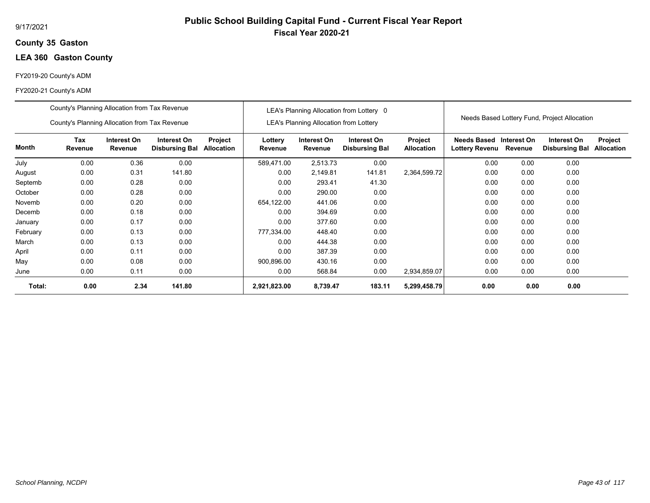## **35 Gaston County**

# **LEA 360 Gaston County**

#### FY2019-20 County's ADM

|          | County's Planning Allocation from Tax Revenue |                        |                                      |                              |                    |                                               | LEA's Planning Allocation from Lottery 0 |                                     |                                      |                        |                                              |                              |
|----------|-----------------------------------------------|------------------------|--------------------------------------|------------------------------|--------------------|-----------------------------------------------|------------------------------------------|-------------------------------------|--------------------------------------|------------------------|----------------------------------------------|------------------------------|
|          | County's Planning Allocation from Tax Revenue |                        |                                      |                              |                    | <b>LEA's Planning Allocation from Lottery</b> |                                          |                                     |                                      |                        | Needs Based Lottery Fund, Project Allocation |                              |
| Month    | Tax<br>Revenue                                | Interest On<br>Revenue | Interest On<br><b>Disbursing Bal</b> | Project<br><b>Allocation</b> | Lottery<br>Revenue | Interest On<br>Revenue                        | Interest On<br><b>Disbursing Bal</b>     | <b>Project</b><br><b>Allocation</b> | Needs Based<br><b>Lottery Revenu</b> | Interest On<br>Revenue | Interest On<br><b>Disbursing Bal</b>         | Project<br><b>Allocation</b> |
| July     | 0.00                                          | 0.36                   | 0.00                                 |                              | 589,471.00         | 2,513.73                                      | 0.00                                     |                                     | 0.00                                 | 0.00                   | 0.00                                         |                              |
| August   | 0.00                                          | 0.31                   | 141.80                               |                              | 0.00               | 2,149.81                                      | 141.81                                   | 2,364,599.72                        | 0.00                                 | 0.00                   | 0.00                                         |                              |
| Septemb  | 0.00                                          | 0.28                   | 0.00                                 |                              | 0.00               | 293.41                                        | 41.30                                    |                                     | 0.00                                 | 0.00                   | 0.00                                         |                              |
| October  | 0.00                                          | 0.28                   | 0.00                                 |                              | 0.00               | 290.00                                        | 0.00                                     |                                     | 0.00                                 | 0.00                   | 0.00                                         |                              |
| Novemb   | 0.00                                          | 0.20                   | 0.00                                 |                              | 654,122.00         | 441.06                                        | 0.00                                     |                                     | 0.00                                 | 0.00                   | 0.00                                         |                              |
| Decemb   | 0.00                                          | 0.18                   | 0.00                                 |                              | 0.00               | 394.69                                        | 0.00                                     |                                     | 0.00                                 | 0.00                   | 0.00                                         |                              |
| January  | 0.00                                          | 0.17                   | 0.00                                 |                              | 0.00               | 377.60                                        | 0.00                                     |                                     | 0.00                                 | 0.00                   | 0.00                                         |                              |
| February | 0.00                                          | 0.13                   | 0.00                                 |                              | 777,334.00         | 448.40                                        | 0.00                                     |                                     | 0.00                                 | 0.00                   | 0.00                                         |                              |
| March    | 0.00                                          | 0.13                   | 0.00                                 |                              | 0.00               | 444.38                                        | 0.00                                     |                                     | 0.00                                 | 0.00                   | 0.00                                         |                              |
| April    | 0.00                                          | 0.11                   | 0.00                                 |                              | 0.00               | 387.39                                        | 0.00                                     |                                     | 0.00                                 | 0.00                   | 0.00                                         |                              |
| May      | 0.00                                          | 0.08                   | 0.00                                 |                              | 900,896.00         | 430.16                                        | 0.00                                     |                                     | 0.00                                 | 0.00                   | 0.00                                         |                              |
| June     | 0.00                                          | 0.11                   | 0.00                                 |                              | 0.00               | 568.84                                        | 0.00                                     | 2,934,859.07                        | 0.00                                 | 0.00                   | 0.00                                         |                              |
| Total:   | 0.00                                          | 2.34                   | 141.80                               |                              | 2,921,823.00       | 8,739.47                                      | 183.11                                   | 5,299,458.79                        | 0.00                                 | 0.00                   | 0.00                                         |                              |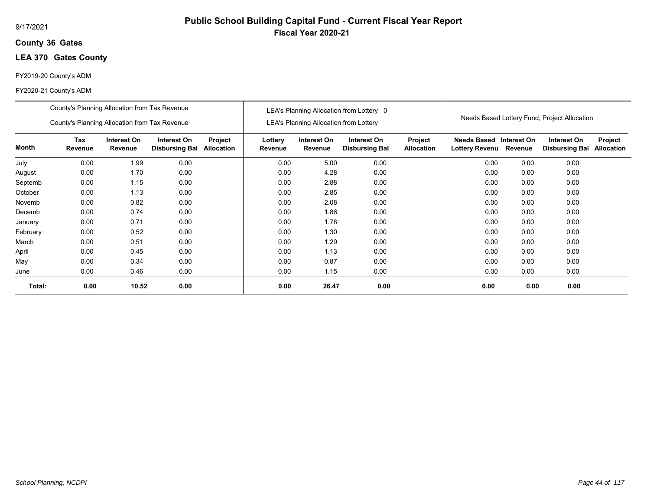## **36 Gates County**

# **LEA 370 Gates County**

#### FY2019-20 County's ADM

#### FY2020-21 County's ADM

|          | County's Planning Allocation from Tax Revenue |                               |                                      |                              |                    |                                               | LEA's Planning Allocation from Lottery 0 |                              |                                                  |         |                                              |                              |
|----------|-----------------------------------------------|-------------------------------|--------------------------------------|------------------------------|--------------------|-----------------------------------------------|------------------------------------------|------------------------------|--------------------------------------------------|---------|----------------------------------------------|------------------------------|
|          | County's Planning Allocation from Tax Revenue |                               |                                      |                              |                    | <b>LEA's Planning Allocation from Lottery</b> |                                          |                              |                                                  |         | Needs Based Lottery Fund, Project Allocation |                              |
| Month    | Tax<br>Revenue                                | Interest On<br><b>Revenue</b> | Interest On<br><b>Disbursing Bal</b> | Project<br><b>Allocation</b> | Lottery<br>Revenue | Interest On<br>Revenue                        | Interest On<br><b>Disbursing Bal</b>     | Project<br><b>Allocation</b> | Needs Based Interest On<br><b>Lottery Revenu</b> | Revenue | Interest On<br><b>Disbursing Bal</b>         | Project<br><b>Allocation</b> |
| July     | 0.00                                          | 1.99                          | 0.00                                 |                              | 0.00               | 5.00                                          | 0.00                                     |                              | 0.00                                             | 0.00    | 0.00                                         |                              |
| August   | 0.00                                          | 1.70                          | 0.00                                 |                              | 0.00               | 4.28                                          | 0.00                                     |                              | 0.00                                             | 0.00    | 0.00                                         |                              |
| Septemb  | 0.00                                          | 1.15                          | 0.00                                 |                              | 0.00               | 2.88                                          | 0.00                                     |                              | 0.00                                             | 0.00    | 0.00                                         |                              |
| October  | 0.00                                          | 1.13                          | 0.00                                 |                              | 0.00               | 2.85                                          | 0.00                                     |                              | 0.00                                             | 0.00    | 0.00                                         |                              |
| Novemb   | 0.00                                          | 0.82                          | 0.00                                 |                              | 0.00               | 2.08                                          | 0.00                                     |                              | 0.00                                             | 0.00    | 0.00                                         |                              |
| Decemb   | 0.00                                          | 0.74                          | 0.00                                 |                              | 0.00               | 1.86                                          | 0.00                                     |                              | 0.00                                             | 0.00    | 0.00                                         |                              |
| January  | 0.00                                          | 0.71                          | 0.00                                 |                              | 0.00               | 1.78                                          | 0.00                                     |                              | 0.00                                             | 0.00    | 0.00                                         |                              |
| February | 0.00                                          | 0.52                          | 0.00                                 |                              | 0.00               | 1.30                                          | 0.00                                     |                              | 0.00                                             | 0.00    | 0.00                                         |                              |
| March    | 0.00                                          | 0.51                          | 0.00                                 |                              | 0.00               | 1.29                                          | 0.00                                     |                              | 0.00                                             | 0.00    | 0.00                                         |                              |
| April    | 0.00                                          | 0.45                          | 0.00                                 |                              | 0.00               | 1.13                                          | 0.00                                     |                              | 0.00                                             | 0.00    | 0.00                                         |                              |
| May      | 0.00                                          | 0.34                          | 0.00                                 |                              | 0.00               | 0.87                                          | 0.00                                     |                              | 0.00                                             | 0.00    | 0.00                                         |                              |
| June     | 0.00                                          | 0.46                          | 0.00                                 |                              | 0.00               | 1.15                                          | 0.00                                     |                              | 0.00                                             | 0.00    | 0.00                                         |                              |
| Total:   | 0.00                                          | 10.52                         | 0.00                                 |                              | 0.00               | 26.47                                         | 0.00                                     |                              | 0.00                                             | 0.00    | 0.00                                         |                              |

**Public School Building Capital Fund - Current Fiscal Year Report**

**Fiscal Year 2020-21**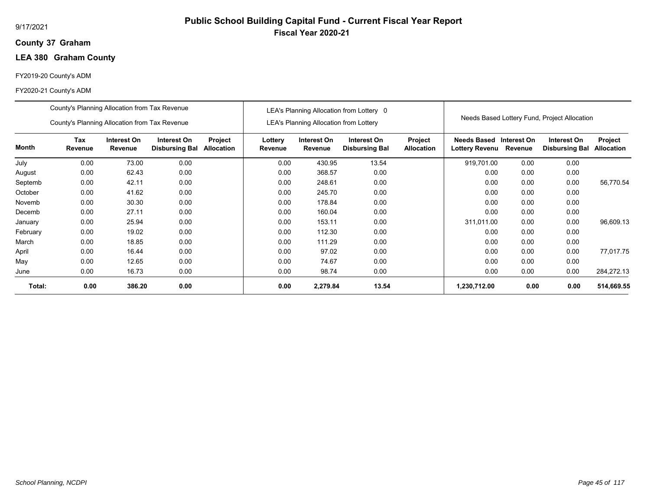## **37 Graham County**

# **LEA 380 Graham County**

#### FY2019-20 County's ADM

#### FY2020-21 County's ADM

|          | County's Planning Allocation from Tax Revenue |                        |                                      |                              |                    |                                               | LEA's Planning Allocation from Lottery 0 |                              |                                                  |         |                                              |                              |
|----------|-----------------------------------------------|------------------------|--------------------------------------|------------------------------|--------------------|-----------------------------------------------|------------------------------------------|------------------------------|--------------------------------------------------|---------|----------------------------------------------|------------------------------|
|          | County's Planning Allocation from Tax Revenue |                        |                                      |                              |                    | <b>LEA's Planning Allocation from Lottery</b> |                                          |                              |                                                  |         | Needs Based Lottery Fund, Project Allocation |                              |
| Month    | Tax<br>Revenue                                | Interest On<br>Revenue | Interest On<br><b>Disbursing Bal</b> | Project<br><b>Allocation</b> | Lottery<br>Revenue | Interest On<br>Revenue                        | Interest On<br><b>Disbursing Bal</b>     | Project<br><b>Allocation</b> | Needs Based Interest On<br><b>Lottery Revenu</b> | Revenue | Interest On<br><b>Disbursing Bal</b>         | Project<br><b>Allocation</b> |
| July     | 0.00                                          | 73.00                  | 0.00                                 |                              | 0.00               | 430.95                                        | 13.54                                    |                              | 919,701.00                                       | 0.00    | 0.00                                         |                              |
| August   | 0.00                                          | 62.43                  | 0.00                                 |                              | 0.00               | 368.57                                        | 0.00                                     |                              | 0.00                                             | 0.00    | 0.00                                         |                              |
| Septemb  | 0.00                                          | 42.11                  | 0.00                                 |                              | 0.00               | 248.61                                        | 0.00                                     |                              | 0.00                                             | 0.00    | 0.00                                         | 56,770.54                    |
| October  | 0.00                                          | 41.62                  | 0.00                                 |                              | 0.00               | 245.70                                        | 0.00                                     |                              | 0.00                                             | 0.00    | 0.00                                         |                              |
| Novemb   | 0.00                                          | 30.30                  | 0.00                                 |                              | 0.00               | 178.84                                        | 0.00                                     |                              | 0.00                                             | 0.00    | 0.00                                         |                              |
| Decemb   | 0.00                                          | 27.11                  | 0.00                                 |                              | 0.00               | 160.04                                        | 0.00                                     |                              | 0.00                                             | 0.00    | 0.00                                         |                              |
| January  | 0.00                                          | 25.94                  | 0.00                                 |                              | 0.00               | 153.11                                        | 0.00                                     |                              | 311,011.00                                       | 0.00    | 0.00                                         | 96,609.13                    |
| February | 0.00                                          | 19.02                  | 0.00                                 |                              | 0.00               | 112.30                                        | 0.00                                     |                              | 0.00                                             | 0.00    | 0.00                                         |                              |
| March    | 0.00                                          | 18.85                  | 0.00                                 |                              | 0.00               | 111.29                                        | 0.00                                     |                              | 0.00                                             | 0.00    | 0.00                                         |                              |
| April    | 0.00                                          | 16.44                  | 0.00                                 |                              | 0.00               | 97.02                                         | 0.00                                     |                              | 0.00                                             | 0.00    | 0.00                                         | 77.017.75                    |
| May      | 0.00                                          | 12.65                  | 0.00                                 |                              | 0.00               | 74.67                                         | 0.00                                     |                              | 0.00                                             | 0.00    | 0.00                                         |                              |
| June     | 0.00                                          | 16.73                  | 0.00                                 |                              | 0.00               | 98.74                                         | 0.00                                     |                              | 0.00                                             | 0.00    | 0.00                                         | 284,272.13                   |
| Total:   | 0.00                                          | 386.20                 | 0.00                                 |                              | 0.00               | 2,279.84                                      | 13.54                                    |                              | 1,230,712.00                                     | 0.00    | 0.00                                         | 514,669.55                   |

**Public School Building Capital Fund - Current Fiscal Year Report**

**Fiscal Year 2020-21**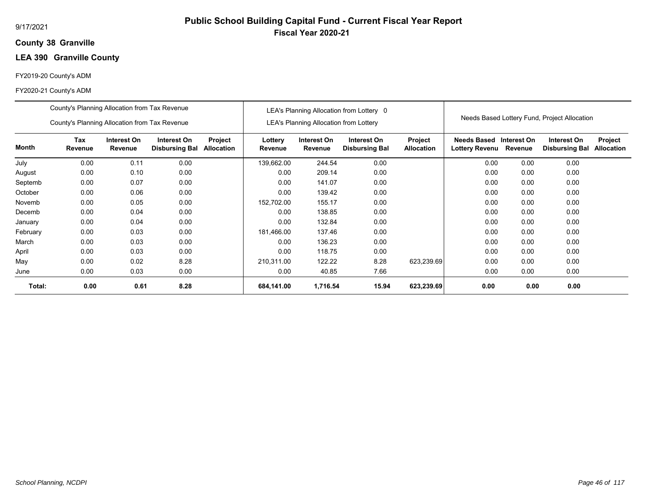## **38 Granville County**

# **LEA 390 Granville County**

#### FY2019-20 County's ADM

|          | County's Planning Allocation from Tax Revenue |                        |                                      |                              |                    |                                               | LEA's Planning Allocation from Lottery 0 |                              |                                           |         |                                              |                              |
|----------|-----------------------------------------------|------------------------|--------------------------------------|------------------------------|--------------------|-----------------------------------------------|------------------------------------------|------------------------------|-------------------------------------------|---------|----------------------------------------------|------------------------------|
|          | County's Planning Allocation from Tax Revenue |                        |                                      |                              |                    | <b>LEA's Planning Allocation from Lottery</b> |                                          |                              |                                           |         | Needs Based Lottery Fund, Project Allocation |                              |
| Month    | Tax<br>Revenue                                | Interest On<br>Revenue | Interest On<br><b>Disbursing Bal</b> | Project<br><b>Allocation</b> | Lottery<br>Revenue | Interest On<br>Revenue                        | Interest On<br><b>Disbursing Bal</b>     | Project<br><b>Allocation</b> | Needs Based Interest On<br>Lottery Revenu | Revenue | Interest On<br><b>Disbursing Bal</b>         | Project<br><b>Allocation</b> |
| July     | 0.00                                          | 0.11                   | 0.00                                 |                              | 139,662.00         | 244.54                                        | 0.00                                     |                              | 0.00                                      | 0.00    | 0.00                                         |                              |
| August   | 0.00                                          | 0.10                   | 0.00                                 |                              | 0.00               | 209.14                                        | 0.00                                     |                              | 0.00                                      | 0.00    | 0.00                                         |                              |
| Septemb  | 0.00                                          | 0.07                   | 0.00                                 |                              | 0.00               | 141.07                                        | 0.00                                     |                              | 0.00                                      | 0.00    | 0.00                                         |                              |
| October  | 0.00                                          | 0.06                   | 0.00                                 |                              | 0.00               | 139.42                                        | 0.00                                     |                              | 0.00                                      | 0.00    | 0.00                                         |                              |
| Novemb   | 0.00                                          | 0.05                   | 0.00                                 |                              | 152,702.00         | 155.17                                        | 0.00                                     |                              | 0.00                                      | 0.00    | 0.00                                         |                              |
| Decemb   | 0.00                                          | 0.04                   | 0.00                                 |                              | 0.00               | 138.85                                        | 0.00                                     |                              | 0.00                                      | 0.00    | 0.00                                         |                              |
| January  | 0.00                                          | 0.04                   | 0.00                                 |                              | 0.00               | 132.84                                        | 0.00                                     |                              | 0.00                                      | 0.00    | 0.00                                         |                              |
| February | 0.00                                          | 0.03                   | 0.00                                 |                              | 181,466.00         | 137.46                                        | 0.00                                     |                              | 0.00                                      | 0.00    | 0.00                                         |                              |
| March    | 0.00                                          | 0.03                   | 0.00                                 |                              | 0.00               | 136.23                                        | 0.00                                     |                              | 0.00                                      | 0.00    | 0.00                                         |                              |
| April    | 0.00                                          | 0.03                   | 0.00                                 |                              | 0.00               | 118.75                                        | 0.00                                     |                              | 0.00                                      | 0.00    | 0.00                                         |                              |
| May      | 0.00                                          | 0.02                   | 8.28                                 |                              | 210,311.00         | 122.22                                        | 8.28                                     | 623,239.69                   | 0.00                                      | 0.00    | 0.00                                         |                              |
| June     | 0.00                                          | 0.03                   | 0.00                                 |                              | 0.00               | 40.85                                         | 7.66                                     |                              | 0.00                                      | 0.00    | 0.00                                         |                              |
| Total:   | 0.00                                          | 0.61                   | 8.28                                 |                              | 684,141.00         | 1,716.54                                      | 15.94                                    | 623,239.69                   | 0.00                                      | 0.00    | 0.00                                         |                              |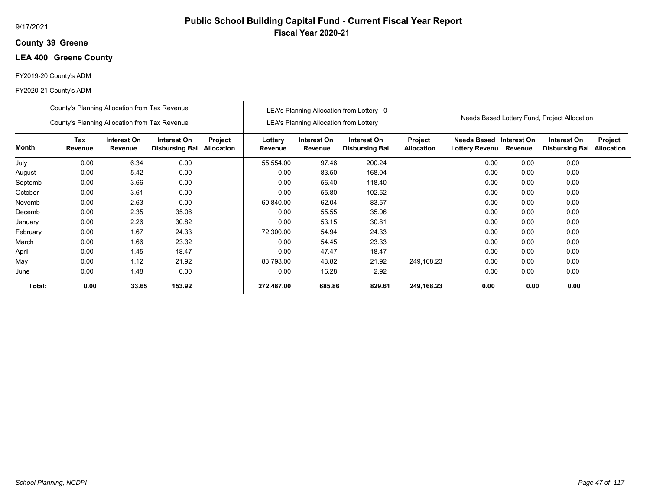## **39 Greene County**

# **LEA 400 Greene County**

#### FY2019-20 County's ADM

#### FY2020-21 County's ADM

|          | County's Planning Allocation from Tax Revenue |                        |                                      |                              |                    |                                               | LEA's Planning Allocation from Lottery 0 |                              |                                      |                        |                                              |                              |
|----------|-----------------------------------------------|------------------------|--------------------------------------|------------------------------|--------------------|-----------------------------------------------|------------------------------------------|------------------------------|--------------------------------------|------------------------|----------------------------------------------|------------------------------|
|          | County's Planning Allocation from Tax Revenue |                        |                                      |                              |                    | <b>LEA's Planning Allocation from Lottery</b> |                                          |                              |                                      |                        | Needs Based Lottery Fund, Project Allocation |                              |
| Month    | Tax<br>Revenue                                | Interest On<br>Revenue | Interest On<br><b>Disbursing Bal</b> | Project<br><b>Allocation</b> | Lottery<br>Revenue | Interest On<br>Revenue                        | Interest On<br><b>Disbursing Bal</b>     | Project<br><b>Allocation</b> | Needs Based<br><b>Lottery Revenu</b> | Interest On<br>Revenue | Interest On<br><b>Disbursing Bal</b>         | Project<br><b>Allocation</b> |
| July     | 0.00                                          | 6.34                   | 0.00                                 |                              | 55,554.00          | 97.46                                         | 200.24                                   |                              | 0.00                                 | 0.00                   | 0.00                                         |                              |
| August   | 0.00                                          | 5.42                   | 0.00                                 |                              | 0.00               | 83.50                                         | 168.04                                   |                              | 0.00                                 | 0.00                   | 0.00                                         |                              |
| Septemb  | 0.00                                          | 3.66                   | 0.00                                 |                              | 0.00               | 56.40                                         | 118.40                                   |                              | 0.00                                 | 0.00                   | 0.00                                         |                              |
| October  | 0.00                                          | 3.61                   | 0.00                                 |                              | 0.00               | 55.80                                         | 102.52                                   |                              | 0.00                                 | 0.00                   | 0.00                                         |                              |
| Novemb   | 0.00                                          | 2.63                   | 0.00                                 |                              | 60,840.00          | 62.04                                         | 83.57                                    |                              | 0.00                                 | 0.00                   | 0.00                                         |                              |
| Decemb   | 0.00                                          | 2.35                   | 35.06                                |                              | 0.00               | 55.55                                         | 35.06                                    |                              | 0.00                                 | 0.00                   | 0.00                                         |                              |
| January  | 0.00                                          | 2.26                   | 30.82                                |                              | 0.00               | 53.15                                         | 30.81                                    |                              | 0.00                                 | 0.00                   | 0.00                                         |                              |
| February | 0.00                                          | 1.67                   | 24.33                                |                              | 72,300.00          | 54.94                                         | 24.33                                    |                              | 0.00                                 | 0.00                   | 0.00                                         |                              |
| March    | 0.00                                          | 1.66                   | 23.32                                |                              | 0.00               | 54.45                                         | 23.33                                    |                              | 0.00                                 | 0.00                   | 0.00                                         |                              |
| April    | 0.00                                          | 1.45                   | 18.47                                |                              | 0.00               | 47.47                                         | 18.47                                    |                              | 0.00                                 | 0.00                   | 0.00                                         |                              |
| May      | 0.00                                          | 1.12                   | 21.92                                |                              | 83,793.00          | 48.82                                         | 21.92                                    | 249,168.23                   | 0.00                                 | 0.00                   | 0.00                                         |                              |
| June     | 0.00                                          | 1.48                   | 0.00                                 |                              | 0.00               | 16.28                                         | 2.92                                     |                              | 0.00                                 | 0.00                   | 0.00                                         |                              |
| Total:   | 0.00                                          | 33.65                  | 153.92                               |                              | 272,487.00         | 685.86                                        | 829.61                                   | 249,168.23                   | 0.00                                 | 0.00                   | 0.00                                         |                              |

# **Public School Building Capital Fund - Current Fiscal Year Report Fiscal Year 2020-21**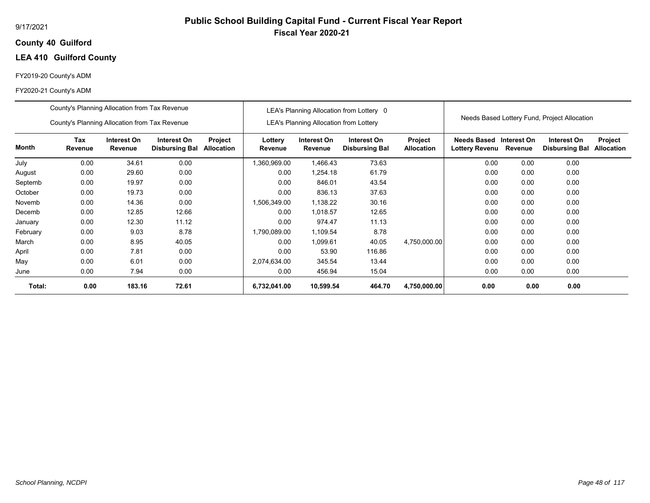## **40 Guilford County**

# **LEA 410 Guilford County**

#### FY2019-20 County's ADM

|          | County's Planning Allocation from Tax Revenue |                        |                                      |                       |                    |                                               | LEA's Planning Allocation from Lottery 0 |                              |                                      |                        |                                              |                              |
|----------|-----------------------------------------------|------------------------|--------------------------------------|-----------------------|--------------------|-----------------------------------------------|------------------------------------------|------------------------------|--------------------------------------|------------------------|----------------------------------------------|------------------------------|
|          | County's Planning Allocation from Tax Revenue |                        |                                      |                       |                    | <b>LEA's Planning Allocation from Lottery</b> |                                          |                              |                                      |                        | Needs Based Lottery Fund, Project Allocation |                              |
| Month    | Tax<br>Revenue                                | Interest On<br>Revenue | Interest On<br><b>Disbursing Bal</b> | Project<br>Allocation | Lottery<br>Revenue | Interest On<br>Revenue                        | Interest On<br><b>Disbursing Bal</b>     | Project<br><b>Allocation</b> | <b>Needs Based</b><br>Lottery Revenu | Interest On<br>Revenue | Interest On<br><b>Disbursing Bal</b>         | Project<br><b>Allocation</b> |
| July     | 0.00                                          | 34.61                  | 0.00                                 |                       | 1,360,969.00       | 1,466.43                                      | 73.63                                    |                              | 0.00                                 | 0.00                   | 0.00                                         |                              |
| August   | 0.00                                          | 29.60                  | 0.00                                 |                       | 0.00               | 1,254.18                                      | 61.79                                    |                              | 0.00                                 | 0.00                   | 0.00                                         |                              |
| Septemb  | 0.00                                          | 19.97                  | 0.00                                 |                       | 0.00               | 846.01                                        | 43.54                                    |                              | 0.00                                 | 0.00                   | 0.00                                         |                              |
| October  | 0.00                                          | 19.73                  | 0.00                                 |                       | 0.00               | 836.13                                        | 37.63                                    |                              | 0.00                                 | 0.00                   | 0.00                                         |                              |
| Novemb   | 0.00                                          | 14.36                  | 0.00                                 |                       | 1,506,349.00       | 1,138.22                                      | 30.16                                    |                              | 0.00                                 | 0.00                   | 0.00                                         |                              |
| Decemb   | 0.00                                          | 12.85                  | 12.66                                |                       | 0.00               | 1.018.57                                      | 12.65                                    |                              | 0.00                                 | 0.00                   | 0.00                                         |                              |
| January  | 0.00                                          | 12.30                  | 11.12                                |                       | 0.00               | 974.47                                        | 11.13                                    |                              | 0.00                                 | 0.00                   | 0.00                                         |                              |
| February | 0.00                                          | 9.03                   | 8.78                                 |                       | 1,790,089.00       | 1,109.54                                      | 8.78                                     |                              | 0.00                                 | 0.00                   | 0.00                                         |                              |
| March    | 0.00                                          | 8.95                   | 40.05                                |                       | 0.00               | 1,099.61                                      | 40.05                                    | 4,750,000.00                 | 0.00                                 | 0.00                   | 0.00                                         |                              |
| April    | 0.00                                          | 7.81                   | 0.00                                 |                       | 0.00               | 53.90                                         | 116.86                                   |                              | 0.00                                 | 0.00                   | 0.00                                         |                              |
| May      | 0.00                                          | 6.01                   | 0.00                                 |                       | 2,074,634.00       | 345.54                                        | 13.44                                    |                              | 0.00                                 | 0.00                   | 0.00                                         |                              |
| June     | 0.00                                          | 7.94                   | 0.00                                 |                       | 0.00               | 456.94                                        | 15.04                                    |                              | 0.00                                 | 0.00                   | 0.00                                         |                              |
| Total:   | 0.00                                          | 183.16                 | 72.61                                |                       | 6,732,041.00       | 10,599.54                                     | 464.70                                   | 4,750,000.00                 | 0.00                                 | 0.00                   | 0.00                                         |                              |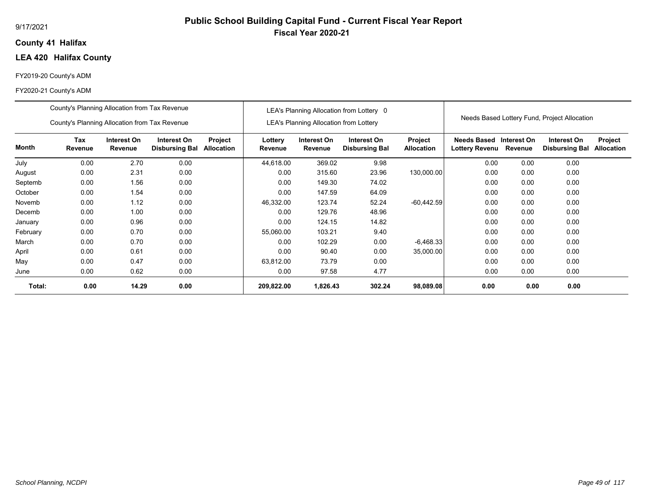## **41 Halifax County**

# **LEA 420 Halifax County**

#### FY2019-20 County's ADM

|          | County's Planning Allocation from Tax Revenue                                                                                     |       |      |  |                    |                                               | LEA's Planning Allocation from Lottery 0 |                                     |                                      |                        |                                              |                              |
|----------|-----------------------------------------------------------------------------------------------------------------------------------|-------|------|--|--------------------|-----------------------------------------------|------------------------------------------|-------------------------------------|--------------------------------------|------------------------|----------------------------------------------|------------------------------|
|          | County's Planning Allocation from Tax Revenue                                                                                     |       |      |  |                    | <b>LEA's Planning Allocation from Lottery</b> |                                          |                                     |                                      |                        | Needs Based Lottery Fund, Project Allocation |                              |
| Month    | Tax<br>Interest On<br>Interest On<br>Project<br>Allocation<br>Revenue<br>Revenue<br><b>Disbursing Bal</b><br>0.00<br>0.00<br>2.70 |       |      |  | Lottery<br>Revenue | Interest On<br>Revenue                        | Interest On<br><b>Disbursing Bal</b>     | <b>Project</b><br><b>Allocation</b> | Needs Based<br><b>Lottery Revenu</b> | Interest On<br>Revenue | Interest On<br><b>Disbursing Bal</b>         | Project<br><b>Allocation</b> |
| July     |                                                                                                                                   |       |      |  | 44,618.00          | 369.02                                        | 9.98                                     |                                     | 0.00                                 | 0.00                   | 0.00                                         |                              |
| August   | 0.00                                                                                                                              | 2.31  | 0.00 |  | 0.00               | 315.60                                        | 23.96                                    | 130,000.00                          | 0.00                                 | 0.00                   | 0.00                                         |                              |
| Septemb  | 0.00                                                                                                                              | 1.56  | 0.00 |  | 0.00               | 149.30                                        | 74.02                                    |                                     | 0.00                                 | 0.00                   | 0.00                                         |                              |
| October  | 0.00                                                                                                                              | 1.54  | 0.00 |  | 0.00               | 147.59                                        | 64.09                                    |                                     | 0.00                                 | 0.00                   | 0.00                                         |                              |
| Novemb   | 0.00                                                                                                                              | 1.12  | 0.00 |  | 46,332.00          | 123.74                                        | 52.24                                    | $-60,442.59$                        | 0.00                                 | 0.00                   | 0.00                                         |                              |
| Decemb   | 0.00                                                                                                                              | 1.00  | 0.00 |  | 0.00               | 129.76                                        | 48.96                                    |                                     | 0.00                                 | 0.00                   | 0.00                                         |                              |
| January  | 0.00                                                                                                                              | 0.96  | 0.00 |  | 0.00               | 124.15                                        | 14.82                                    |                                     | 0.00                                 | 0.00                   | 0.00                                         |                              |
| February | 0.00                                                                                                                              | 0.70  | 0.00 |  | 55,060.00          | 103.21                                        | 9.40                                     |                                     | 0.00                                 | 0.00                   | 0.00                                         |                              |
| March    | 0.00                                                                                                                              | 0.70  | 0.00 |  | 0.00               | 102.29                                        | 0.00                                     | $-6,468.33$                         | 0.00                                 | 0.00                   | 0.00                                         |                              |
| April    | 0.00                                                                                                                              | 0.61  | 0.00 |  | 0.00               | 90.40                                         | 0.00                                     | 35,000.00                           | 0.00                                 | 0.00                   | 0.00                                         |                              |
| May      | 0.00                                                                                                                              | 0.47  | 0.00 |  | 63,812.00          | 73.79                                         | 0.00                                     |                                     | 0.00                                 | 0.00                   | 0.00                                         |                              |
| June     | 0.00                                                                                                                              | 0.62  | 0.00 |  | 0.00               | 97.58                                         | 4.77                                     |                                     | 0.00                                 | 0.00                   | 0.00                                         |                              |
| Total:   | 0.00                                                                                                                              | 14.29 | 0.00 |  | 209,822.00         | 1,826.43                                      | 302.24                                   | 98,089.08                           | 0.00                                 | 0.00                   | 0.00                                         |                              |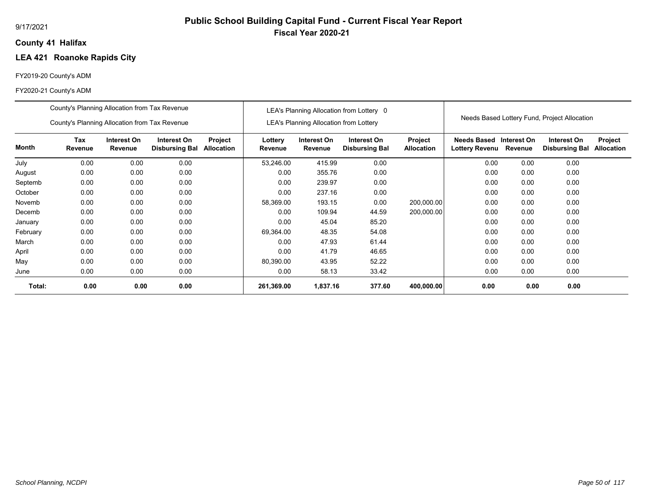# **Public School Building Capital Fund - Current Fiscal Year Report Fiscal Year 2020-21**

## **41 Halifax County**

# **LEA 421 Roanoke Rapids City**

#### FY2019-20 County's ADM

|          | County's Planning Allocation from Tax Revenue |                        |                                      |                       |                    |                                               | LEA's Planning Allocation from Lottery 0 |                              |                                             |                        |                                              |                              |
|----------|-----------------------------------------------|------------------------|--------------------------------------|-----------------------|--------------------|-----------------------------------------------|------------------------------------------|------------------------------|---------------------------------------------|------------------------|----------------------------------------------|------------------------------|
|          | County's Planning Allocation from Tax Revenue |                        |                                      |                       |                    | <b>LEA's Planning Allocation from Lottery</b> |                                          |                              |                                             |                        | Needs Based Lottery Fund, Project Allocation |                              |
| Month    | Tax<br>Revenue                                | Interest On<br>Revenue | Interest On<br><b>Disbursing Bal</b> | Project<br>Allocation | Lottery<br>Revenue | Interest On<br>Revenue                        | Interest On<br><b>Disbursing Bal</b>     | Project<br><b>Allocation</b> | <b>Needs Based</b><br><b>Lottery Revenu</b> | Interest On<br>Revenue | Interest On<br><b>Disbursing Bal</b>         | Project<br><b>Allocation</b> |
| July     | 0.00                                          | 0.00                   | 0.00                                 |                       | 53,246.00          | 415.99                                        | 0.00                                     |                              | 0.00                                        | 0.00                   | 0.00                                         |                              |
| August   | 0.00                                          | 0.00                   | 0.00                                 |                       | 0.00               | 355.76                                        | 0.00                                     |                              | 0.00                                        | 0.00                   | 0.00                                         |                              |
| Septemb  | 0.00                                          | 0.00                   | 0.00                                 |                       | 0.00               | 239.97                                        | 0.00                                     |                              | 0.00                                        | 0.00                   | 0.00                                         |                              |
| October  | 0.00                                          | 0.00                   | 0.00                                 |                       | 0.00               | 237.16                                        | 0.00                                     |                              | 0.00                                        | 0.00                   | 0.00                                         |                              |
| Novemb   | 0.00                                          | 0.00                   | 0.00                                 |                       | 58,369.00          | 193.15                                        | 0.00                                     | 200,000.00                   | 0.00                                        | 0.00                   | 0.00                                         |                              |
| Decemb   | 0.00                                          | 0.00                   | 0.00                                 |                       | 0.00               | 109.94                                        | 44.59                                    | 200,000.00                   | 0.00                                        | 0.00                   | 0.00                                         |                              |
| January  | 0.00                                          | 0.00                   | 0.00                                 |                       | 0.00               | 45.04                                         | 85.20                                    |                              | 0.00                                        | 0.00                   | 0.00                                         |                              |
| February | 0.00                                          | 0.00                   | 0.00                                 |                       | 69,364.00          | 48.35                                         | 54.08                                    |                              | 0.00                                        | 0.00                   | 0.00                                         |                              |
| March    | 0.00                                          | 0.00                   | 0.00                                 |                       | 0.00               | 47.93                                         | 61.44                                    |                              | 0.00                                        | 0.00                   | 0.00                                         |                              |
| April    | 0.00                                          | 0.00                   | 0.00                                 |                       | 0.00               | 41.79                                         | 46.65                                    |                              | 0.00                                        | 0.00                   | 0.00                                         |                              |
| May      | 0.00                                          | 0.00                   | 0.00                                 |                       | 80,390.00          | 43.95                                         | 52.22                                    |                              | 0.00                                        | 0.00                   | 0.00                                         |                              |
| June     | 0.00                                          | 0.00                   | 0.00                                 |                       | 0.00               | 58.13                                         | 33.42                                    |                              | 0.00                                        | 0.00                   | 0.00                                         |                              |
| Total:   | 0.00                                          | 0.00                   | 0.00                                 |                       | 261,369.00         | 1,837.16                                      | 377.60                                   | 400,000.00                   | 0.00                                        | 0.00                   | 0.00                                         |                              |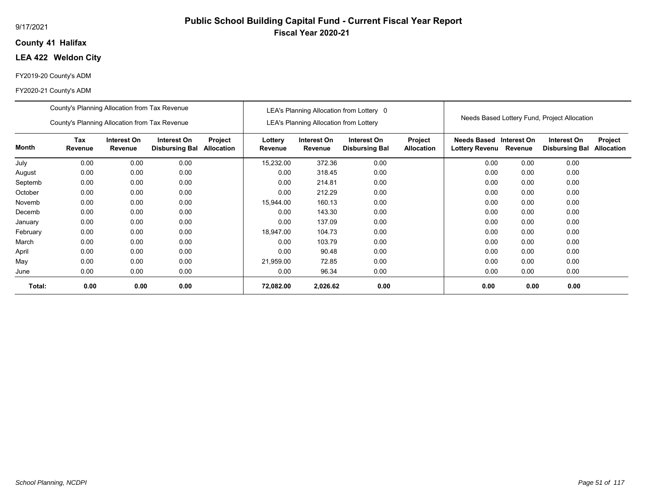#### 9/17/2021

## **41 Halifax County**

# **LEA 422 Weldon City**

#### FY2019-20 County's ADM

#### FY2020-21 County's ADM

|          | County's Planning Allocation from Tax Revenue |                        |                                      |                              |                    |                                               | LEA's Planning Allocation from Lottery 0 |                                     |                                             |                        | Needs Based Lottery Fund, Project Allocation |                              |
|----------|-----------------------------------------------|------------------------|--------------------------------------|------------------------------|--------------------|-----------------------------------------------|------------------------------------------|-------------------------------------|---------------------------------------------|------------------------|----------------------------------------------|------------------------------|
|          | County's Planning Allocation from Tax Revenue |                        |                                      |                              |                    | <b>LEA's Planning Allocation from Lottery</b> |                                          |                                     |                                             |                        |                                              |                              |
| Month    | Tax<br>Revenue                                | Interest On<br>Revenue | Interest On<br><b>Disbursing Bal</b> | Project<br><b>Allocation</b> | Lottery<br>Revenue | Interest On<br>Revenue                        | Interest On<br><b>Disbursing Bal</b>     | <b>Project</b><br><b>Allocation</b> | <b>Needs Based</b><br><b>Lottery Revenu</b> | Interest On<br>Revenue | Interest On<br><b>Disbursing Bal</b>         | Project<br><b>Allocation</b> |
| July     | 0.00                                          | 0.00                   | 0.00                                 |                              | 15,232.00          | 372.36                                        | 0.00                                     |                                     | 0.00                                        | 0.00                   | 0.00                                         |                              |
| August   | 0.00                                          | 0.00                   | 0.00                                 |                              | 0.00               | 318.45                                        | 0.00                                     |                                     | 0.00                                        | 0.00                   | 0.00                                         |                              |
| Septemb  | 0.00                                          | 0.00                   | 0.00                                 |                              | 0.00               | 214.81                                        | 0.00                                     |                                     | 0.00                                        | 0.00                   | 0.00                                         |                              |
| October  | 0.00                                          | 0.00                   | 0.00                                 |                              | 0.00               | 212.29                                        | 0.00                                     |                                     | 0.00                                        | 0.00                   | 0.00                                         |                              |
| Novemb   | 0.00                                          | 0.00                   | 0.00                                 |                              | 15,944.00          | 160.13                                        | 0.00                                     |                                     | 0.00                                        | 0.00                   | 0.00                                         |                              |
| Decemb   | 0.00                                          | 0.00                   | 0.00                                 |                              | 0.00               | 143.30                                        | 0.00                                     |                                     | 0.00                                        | 0.00                   | 0.00                                         |                              |
| January  | 0.00                                          | 0.00                   | 0.00                                 |                              | 0.00               | 137.09                                        | 0.00                                     |                                     | 0.00                                        | 0.00                   | 0.00                                         |                              |
| February | 0.00                                          | 0.00                   | 0.00                                 |                              | 18,947.00          | 104.73                                        | 0.00                                     |                                     | 0.00                                        | 0.00                   | 0.00                                         |                              |
| March    | 0.00                                          | 0.00                   | 0.00                                 |                              | 0.00               | 103.79                                        | 0.00                                     |                                     | 0.00                                        | 0.00                   | 0.00                                         |                              |
| April    | 0.00                                          | 0.00                   | 0.00                                 |                              | 0.00               | 90.48                                         | 0.00                                     |                                     | 0.00                                        | 0.00                   | 0.00                                         |                              |
| May      | 0.00                                          | 0.00                   | 0.00                                 |                              | 21,959.00          | 72.85                                         | 0.00                                     |                                     | 0.00                                        | 0.00                   | 0.00                                         |                              |
| June     | 0.00                                          | 0.00                   | 0.00                                 |                              | 0.00               | 96.34                                         | 0.00                                     |                                     | 0.00                                        | 0.00                   | 0.00                                         |                              |
| Total:   | 0.00                                          | 0.00                   | 0.00                                 |                              | 72,082.00          | 2,026.62                                      | 0.00                                     |                                     | 0.00                                        | 0.00                   | 0.00                                         |                              |

# **Public School Building Capital Fund - Current Fiscal Year Report Fiscal Year 2020-21**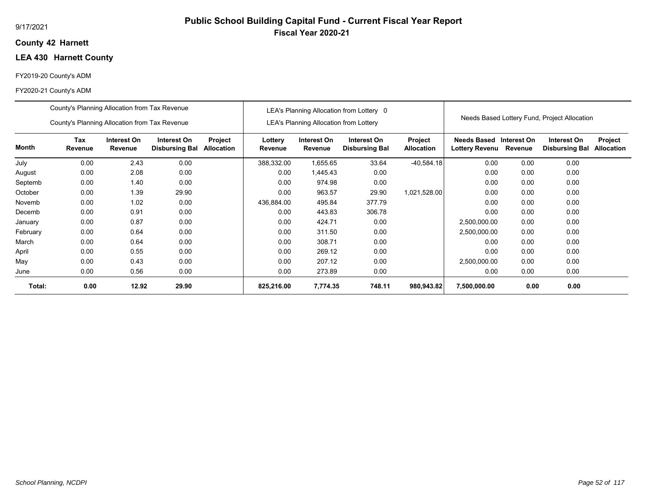## **42 Harnett County**

# **LEA 430 Harnett County**

#### FY2019-20 County's ADM

|          | County's Planning Allocation from Tax Revenue |                                                                                                                        |       |  |                    |                                               | LEA's Planning Allocation from Lottery 0 |                              |                               |                        |                                              |                              |
|----------|-----------------------------------------------|------------------------------------------------------------------------------------------------------------------------|-------|--|--------------------|-----------------------------------------------|------------------------------------------|------------------------------|-------------------------------|------------------------|----------------------------------------------|------------------------------|
|          | County's Planning Allocation from Tax Revenue |                                                                                                                        |       |  |                    | <b>LEA's Planning Allocation from Lottery</b> |                                          |                              |                               |                        | Needs Based Lottery Fund, Project Allocation |                              |
| Month    | Tax<br>Revenue                                | Interest On<br>Interest On<br>Project<br>Revenue<br><b>Disbursing Bal</b><br><b>Allocation</b><br>0.00<br>2.43<br>0.00 |       |  | Lottery<br>Revenue | Interest On<br>Revenue                        | Interest On<br><b>Disbursing Bal</b>     | Project<br><b>Allocation</b> | Needs Based<br>Lottery Revenu | Interest On<br>Revenue | Interest On<br><b>Disbursing Bal</b>         | Project<br><b>Allocation</b> |
| July     |                                               |                                                                                                                        |       |  | 388,332.00         | 1,655.65                                      | 33.64                                    | $-40,584.18$                 | 0.00                          | 0.00                   | 0.00                                         |                              |
| August   | 0.00                                          | 2.08                                                                                                                   | 0.00  |  | 0.00               | 1,445.43                                      | 0.00                                     |                              | 0.00                          | 0.00                   | 0.00                                         |                              |
| Septemb  | 0.00                                          | 1.40                                                                                                                   | 0.00  |  | 0.00               | 974.98                                        | 0.00                                     |                              | 0.00                          | 0.00                   | 0.00                                         |                              |
| October  | 0.00                                          | 1.39                                                                                                                   | 29.90 |  | 0.00               | 963.57                                        | 29.90                                    | 1,021,528.00                 | 0.00                          | 0.00                   | 0.00                                         |                              |
| Novemb   | 0.00                                          | 1.02                                                                                                                   | 0.00  |  | 436,884.00         | 495.84                                        | 377.79                                   |                              | 0.00                          | 0.00                   | 0.00                                         |                              |
| Decemb   | 0.00                                          | 0.91                                                                                                                   | 0.00  |  | 0.00               | 443.83                                        | 306.78                                   |                              | 0.00                          | 0.00                   | 0.00                                         |                              |
| January  | 0.00                                          | 0.87                                                                                                                   | 0.00  |  | 0.00               | 424.71                                        | 0.00                                     |                              | 2,500,000.00                  | 0.00                   | 0.00                                         |                              |
| February | 0.00                                          | 0.64                                                                                                                   | 0.00  |  | 0.00               | 311.50                                        | 0.00                                     |                              | 2,500,000.00                  | 0.00                   | 0.00                                         |                              |
| March    | 0.00                                          | 0.64                                                                                                                   | 0.00  |  | 0.00               | 308.71                                        | 0.00                                     |                              | 0.00                          | 0.00                   | 0.00                                         |                              |
| April    | 0.00                                          | 0.55                                                                                                                   | 0.00  |  | 0.00               | 269.12                                        | 0.00                                     |                              | 0.00                          | 0.00                   | 0.00                                         |                              |
| May      | 0.00                                          | 0.43                                                                                                                   | 0.00  |  | 0.00               | 207.12                                        | 0.00                                     |                              | 2,500,000.00                  | 0.00                   | 0.00                                         |                              |
| June     | 0.00                                          | 0.56                                                                                                                   | 0.00  |  | 0.00               | 273.89                                        | 0.00                                     |                              | 0.00                          | 0.00                   | 0.00                                         |                              |
| Total:   | 0.00                                          | 12.92                                                                                                                  | 29.90 |  | 825,216.00         | 7,774.35                                      | 748.11                                   | 980,943.82                   | 7,500,000.00                  | 0.00                   | 0.00                                         |                              |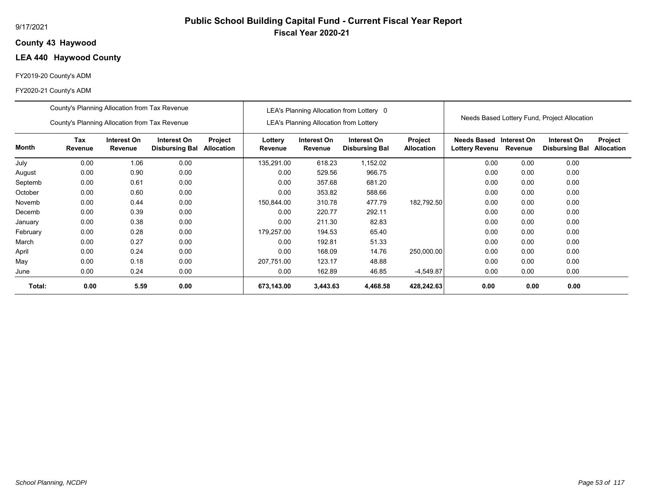## **43 Haywood County**

## **LEA 440 Haywood County**

#### FY2019-20 County's ADM

|          | County's Planning Allocation from Tax Revenue |                        |                                      |                       |                    |                                               | LEA's Planning Allocation from Lottery 0 |                              |                                           |         |                                              |                              |
|----------|-----------------------------------------------|------------------------|--------------------------------------|-----------------------|--------------------|-----------------------------------------------|------------------------------------------|------------------------------|-------------------------------------------|---------|----------------------------------------------|------------------------------|
|          | County's Planning Allocation from Tax Revenue |                        |                                      |                       |                    | <b>LEA's Planning Allocation from Lottery</b> |                                          |                              |                                           |         | Needs Based Lottery Fund, Project Allocation |                              |
| Month    | Tax<br>Revenue                                | Interest On<br>Revenue | Interest On<br><b>Disbursing Bal</b> | Project<br>Allocation | Lottery<br>Revenue | Interest On<br>Revenue                        | Interest On<br><b>Disbursing Bal</b>     | Project<br><b>Allocation</b> | Needs Based Interest On<br>Lottery Revenu | Revenue | Interest On<br><b>Disbursing Bal</b>         | Project<br><b>Allocation</b> |
| July     | 0.00                                          | 1.06                   | 0.00                                 |                       | 135,291.00         | 618.23                                        | 1,152.02                                 |                              | 0.00                                      | 0.00    | 0.00                                         |                              |
| August   | 0.00                                          | 0.90                   | 0.00                                 |                       | 0.00               | 529.56                                        | 966.75                                   |                              | 0.00                                      | 0.00    | 0.00                                         |                              |
| Septemb  | 0.00                                          | 0.61                   | 0.00                                 |                       | 0.00               | 357.68                                        | 681.20                                   |                              | 0.00                                      | 0.00    | 0.00                                         |                              |
| October  | 0.00                                          | 0.60                   | 0.00                                 |                       | 0.00               | 353.82                                        | 588.66                                   |                              | 0.00                                      | 0.00    | 0.00                                         |                              |
| Novemb   | 0.00                                          | 0.44                   | 0.00                                 |                       | 150,844.00         | 310.78                                        | 477.79                                   | 182,792.50                   | 0.00                                      | 0.00    | 0.00                                         |                              |
| Decemb   | 0.00                                          | 0.39                   | 0.00                                 |                       | 0.00               | 220.77                                        | 292.11                                   |                              | 0.00                                      | 0.00    | 0.00                                         |                              |
| January  | 0.00                                          | 0.38                   | 0.00                                 |                       | 0.00               | 211.30                                        | 82.83                                    |                              | 0.00                                      | 0.00    | 0.00                                         |                              |
| February | 0.00                                          | 0.28                   | 0.00                                 |                       | 179,257.00         | 194.53                                        | 65.40                                    |                              | 0.00                                      | 0.00    | 0.00                                         |                              |
| March    | 0.00                                          | 0.27                   | 0.00                                 |                       | 0.00               | 192.81                                        | 51.33                                    |                              | 0.00                                      | 0.00    | 0.00                                         |                              |
| April    | 0.00                                          | 0.24                   | 0.00                                 |                       | 0.00               | 168.09                                        | 14.76                                    | 250,000.00                   | 0.00                                      | 0.00    | 0.00                                         |                              |
| May      | 0.00                                          | 0.18                   | 0.00                                 |                       | 207,751.00         | 123.17                                        | 48.88                                    |                              | 0.00                                      | 0.00    | 0.00                                         |                              |
| June     | 0.00                                          | 0.24                   | 0.00                                 |                       | 0.00               | 162.89                                        | 46.85                                    | -4,549.87                    | 0.00                                      | 0.00    | 0.00                                         |                              |
| Total:   | 0.00                                          | 5.59                   | 0.00                                 |                       | 673,143.00         | 3,443.63                                      | 4,468.58                                 | 428,242.63                   | 0.00                                      | 0.00    | 0.00                                         |                              |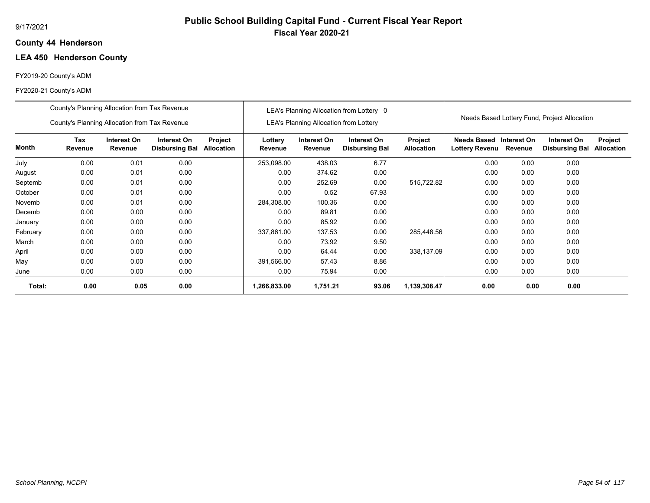# **Public School Building Capital Fund - Current Fiscal Year Report Fiscal Year 2020-21**

#### **44 Henderson County**

# **LEA 450 Henderson County**

## FY2019-20 County's ADM

|          | County's Planning Allocation from Tax Revenue                                                                                            |      |      |  |                    |                                               | LEA's Planning Allocation from Lottery 0 |                              |                                      |                        |                                              |                                     |
|----------|------------------------------------------------------------------------------------------------------------------------------------------|------|------|--|--------------------|-----------------------------------------------|------------------------------------------|------------------------------|--------------------------------------|------------------------|----------------------------------------------|-------------------------------------|
|          | County's Planning Allocation from Tax Revenue                                                                                            |      |      |  |                    | <b>LEA's Planning Allocation from Lottery</b> |                                          |                              |                                      |                        | Needs Based Lottery Fund, Project Allocation |                                     |
| Month    | Tax<br>Interest On<br>Interest On<br><b>Project</b><br>Allocation<br>Revenue<br>Revenue<br><b>Disbursing Bal</b><br>0.01<br>0.00<br>0.00 |      |      |  | Lottery<br>Revenue | Interest On<br>Revenue                        | Interest On<br><b>Disbursing Bal</b>     | Project<br><b>Allocation</b> | Needs Based<br><b>Lottery Revenu</b> | Interest On<br>Revenue | Interest On<br><b>Disbursing Bal</b>         | <b>Project</b><br><b>Allocation</b> |
| July     |                                                                                                                                          |      |      |  | 253,098.00         | 438.03                                        | 6.77                                     |                              | 0.00                                 | 0.00                   | 0.00                                         |                                     |
| August   | 0.00                                                                                                                                     | 0.01 | 0.00 |  | 0.00               | 374.62                                        | 0.00                                     |                              | 0.00                                 | 0.00                   | 0.00                                         |                                     |
| Septemb  | 0.00                                                                                                                                     | 0.01 | 0.00 |  | 0.00               | 252.69                                        | 0.00                                     | 515,722.82                   | 0.00                                 | 0.00                   | 0.00                                         |                                     |
| October  | 0.00                                                                                                                                     | 0.01 | 0.00 |  | 0.00               | 0.52                                          | 67.93                                    |                              | 0.00                                 | 0.00                   | 0.00                                         |                                     |
| Novemb   | 0.00                                                                                                                                     | 0.01 | 0.00 |  | 284,308.00         | 100.36                                        | 0.00                                     |                              | 0.00                                 | 0.00                   | 0.00                                         |                                     |
| Decemb   | 0.00                                                                                                                                     | 0.00 | 0.00 |  | 0.00               | 89.81                                         | 0.00                                     |                              | 0.00                                 | 0.00                   | 0.00                                         |                                     |
| January  | 0.00                                                                                                                                     | 0.00 | 0.00 |  | 0.00               | 85.92                                         | 0.00                                     |                              | 0.00                                 | 0.00                   | 0.00                                         |                                     |
| February | 0.00                                                                                                                                     | 0.00 | 0.00 |  | 337,861.00         | 137.53                                        | 0.00                                     | 285,448.56                   | 0.00                                 | 0.00                   | 0.00                                         |                                     |
| March    | 0.00                                                                                                                                     | 0.00 | 0.00 |  | 0.00               | 73.92                                         | 9.50                                     |                              | 0.00                                 | 0.00                   | 0.00                                         |                                     |
| April    | 0.00                                                                                                                                     | 0.00 | 0.00 |  | 0.00               | 64.44                                         | 0.00                                     | 338,137.09                   | 0.00                                 | 0.00                   | 0.00                                         |                                     |
| May      | 0.00                                                                                                                                     | 0.00 | 0.00 |  | 391,566.00         | 57.43                                         | 8.86                                     |                              | 0.00                                 | 0.00                   | 0.00                                         |                                     |
| June     | 0.00                                                                                                                                     | 0.00 | 0.00 |  | 0.00               | 75.94                                         | 0.00                                     |                              | 0.00                                 | 0.00                   | 0.00                                         |                                     |
| Total:   | 0.00                                                                                                                                     | 0.05 | 0.00 |  | 1,266,833.00       | 1,751.21                                      | 93.06                                    | 1,139,308.47                 | 0.00                                 | 0.00                   | 0.00                                         |                                     |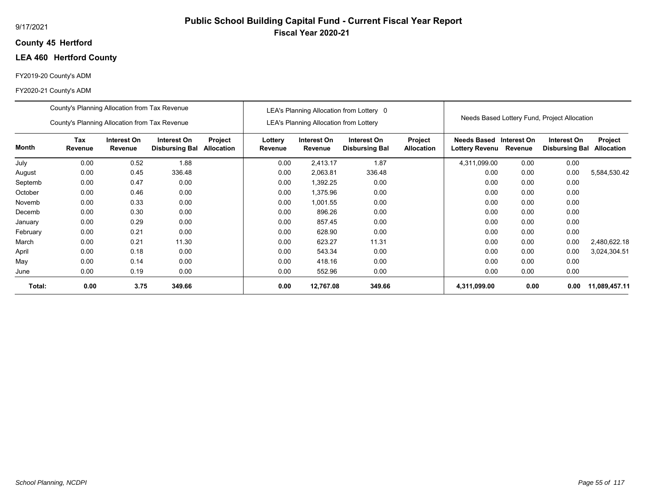## **45 Hertford County**

# **LEA 460 Hertford County**

#### FY2019-20 County's ADM

|          | County's Planning Allocation from Tax Revenue |                        |                                      |                       |                    |                                               | LEA's Planning Allocation from Lottery 0 |                              |                                      |                        |                                              |                              |
|----------|-----------------------------------------------|------------------------|--------------------------------------|-----------------------|--------------------|-----------------------------------------------|------------------------------------------|------------------------------|--------------------------------------|------------------------|----------------------------------------------|------------------------------|
|          | County's Planning Allocation from Tax Revenue |                        |                                      |                       |                    | <b>LEA's Planning Allocation from Lottery</b> |                                          |                              |                                      |                        | Needs Based Lottery Fund, Project Allocation |                              |
| Month    | <b>Tax</b><br>Revenue                         | Interest On<br>Revenue | Interest On<br><b>Disbursing Bal</b> | Project<br>Allocation | Lottery<br>Revenue | Interest On<br>Revenue                        | Interest On<br><b>Disbursing Bal</b>     | Project<br><b>Allocation</b> | Needs Based<br><b>Lottery Revenu</b> | Interest On<br>Revenue | Interest On<br><b>Disbursing Bal</b>         | Project<br><b>Allocation</b> |
| July     | 0.00                                          | 0.52                   | 1.88                                 |                       | 0.00               | 2,413.17                                      | 1.87                                     |                              | 4,311,099.00                         | 0.00                   | 0.00                                         |                              |
| August   | 0.00                                          | 0.45                   | 336.48                               |                       | 0.00               | 2,063.81                                      | 336.48                                   |                              | 0.00                                 | 0.00                   | 0.00                                         | 5,584,530.42                 |
| Septemb  | 0.00                                          | 0.47                   | 0.00                                 |                       | 0.00               | 1,392.25                                      | 0.00                                     |                              | 0.00                                 | 0.00                   | 0.00                                         |                              |
| October  | 0.00                                          | 0.46                   | 0.00                                 |                       | 0.00               | 1,375.96                                      | 0.00                                     |                              | 0.00                                 | 0.00                   | 0.00                                         |                              |
| Novemb   | 0.00                                          | 0.33                   | 0.00                                 |                       | 0.00               | 1,001.55                                      | 0.00                                     |                              | 0.00                                 | 0.00                   | 0.00                                         |                              |
| Decemb   | 0.00                                          | 0.30                   | 0.00                                 |                       | 0.00               | 896.26                                        | 0.00                                     |                              | 0.00                                 | 0.00                   | 0.00                                         |                              |
| January  | 0.00                                          | 0.29                   | 0.00                                 |                       | 0.00               | 857.45                                        | 0.00                                     |                              | 0.00                                 | 0.00                   | 0.00                                         |                              |
| February | 0.00                                          | 0.21                   | 0.00                                 |                       | 0.00               | 628.90                                        | 0.00                                     |                              | 0.00                                 | 0.00                   | 0.00                                         |                              |
| March    | 0.00                                          | 0.21                   | 11.30                                |                       | 0.00               | 623.27                                        | 11.31                                    |                              | 0.00                                 | 0.00                   | 0.00                                         | 2,480,622.18                 |
| April    | 0.00                                          | 0.18                   | 0.00                                 |                       | 0.00               | 543.34                                        | 0.00                                     |                              | 0.00                                 | 0.00                   | 0.00                                         | 3,024,304.51                 |
| May      | 0.00                                          | 0.14                   | 0.00                                 |                       | 0.00               | 418.16                                        | 0.00                                     |                              | 0.00                                 | 0.00                   | 0.00                                         |                              |
| June     | 0.00                                          | 0.19                   | 0.00                                 |                       | 0.00               | 552.96                                        | 0.00                                     |                              | 0.00                                 | 0.00                   | 0.00                                         |                              |
| Total:   | 0.00                                          | 3.75                   | 349.66                               |                       | 0.00               | 12,767.08                                     | 349.66                                   |                              | 4,311,099.00                         | 0.00                   | 0.00                                         | 11,089,457.11                |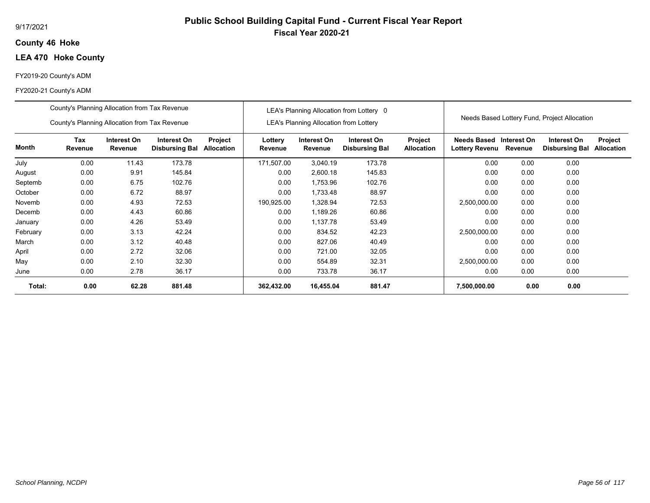## **46 Hoke County**

## **LEA 470 Hoke County**

#### FY2019-20 County's ADM

|          | County's Planning Allocation from Tax Revenue |                        |                                      |                       |                    |                                               | LEA's Planning Allocation from Lottery 0 |                                     |                                      |                        | Needs Based Lottery Fund, Project Allocation |                              |
|----------|-----------------------------------------------|------------------------|--------------------------------------|-----------------------|--------------------|-----------------------------------------------|------------------------------------------|-------------------------------------|--------------------------------------|------------------------|----------------------------------------------|------------------------------|
|          | County's Planning Allocation from Tax Revenue |                        |                                      |                       |                    | <b>LEA's Planning Allocation from Lottery</b> |                                          |                                     |                                      |                        |                                              |                              |
| Month    | Tax<br>Revenue                                | Interest On<br>Revenue | Interest On<br><b>Disbursing Bal</b> | Project<br>Allocation | Lottery<br>Revenue | Interest On<br>Revenue                        | Interest On<br><b>Disbursing Bal</b>     | <b>Project</b><br><b>Allocation</b> | Needs Based<br><b>Lottery Revenu</b> | Interest On<br>Revenue | Interest On<br><b>Disbursing Bal</b>         | Project<br><b>Allocation</b> |
| July     | 0.00                                          | 11.43                  | 173.78                               |                       | 171,507.00         | 3,040.19                                      | 173.78                                   |                                     | 0.00                                 | 0.00                   | 0.00                                         |                              |
| August   | 0.00                                          | 9.91                   | 145.84                               |                       | 0.00               | 2,600.18                                      | 145.83                                   |                                     | 0.00                                 | 0.00                   | 0.00                                         |                              |
| Septemb  | 0.00                                          | 6.75                   | 102.76                               |                       | 0.00               | 1,753.96                                      | 102.76                                   |                                     | 0.00                                 | 0.00                   | 0.00                                         |                              |
| October  | 0.00                                          | 6.72                   | 88.97                                |                       | 0.00               | 1,733.48                                      | 88.97                                    |                                     | 0.00                                 | 0.00                   | 0.00                                         |                              |
| Novemb   | 0.00                                          | 4.93                   | 72.53                                |                       | 190,925.00         | 1,328.94                                      | 72.53                                    |                                     | 2,500,000.00                         | 0.00                   | 0.00                                         |                              |
| Decemb   | 0.00                                          | 4.43                   | 60.86                                |                       | 0.00               | 1,189.26                                      | 60.86                                    |                                     | 0.00                                 | 0.00                   | 0.00                                         |                              |
| January  | 0.00                                          | 4.26                   | 53.49                                |                       | 0.00               | 1.137.78                                      | 53.49                                    |                                     | 0.00                                 | 0.00                   | 0.00                                         |                              |
| February | 0.00                                          | 3.13                   | 42.24                                |                       | 0.00               | 834.52                                        | 42.23                                    |                                     | 2,500,000.00                         | 0.00                   | 0.00                                         |                              |
| March    | 0.00                                          | 3.12                   | 40.48                                |                       | 0.00               | 827.06                                        | 40.49                                    |                                     | 0.00                                 | 0.00                   | 0.00                                         |                              |
| April    | 0.00                                          | 2.72                   | 32.06                                |                       | 0.00               | 721.00                                        | 32.05                                    |                                     | 0.00                                 | 0.00                   | 0.00                                         |                              |
| May      | 0.00                                          | 2.10                   | 32.30                                |                       | 0.00               | 554.89                                        | 32.31                                    |                                     | 2,500,000.00                         | 0.00                   | 0.00                                         |                              |
| June     | 0.00                                          | 2.78                   | 36.17                                |                       | 0.00               | 733.78                                        | 36.17                                    |                                     | 0.00                                 | 0.00                   | 0.00                                         |                              |
| Total:   | 0.00                                          | 62.28                  | 881.48                               |                       | 362,432.00         | 16,455.04                                     | 881.47                                   |                                     | 7,500,000.00                         | 0.00                   | 0.00                                         |                              |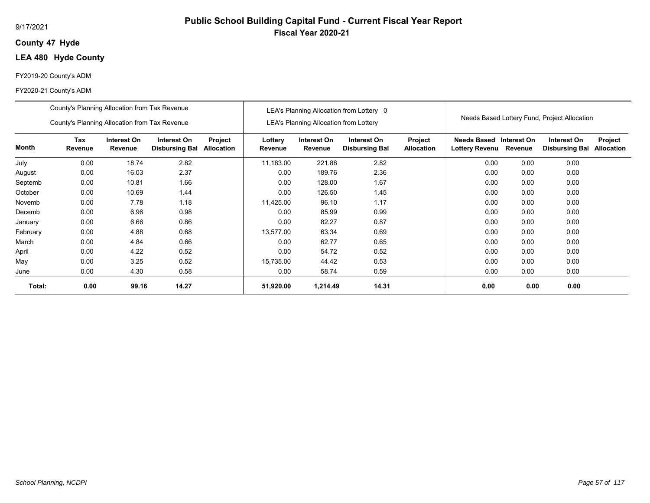#### 9/17/2021

## **47 Hyde County**

# **LEA 480 Hyde County**

#### FY2019-20 County's ADM

|          | County's Planning Allocation from Tax Revenue |                        |                                      |                              |                    |                                               | LEA's Planning Allocation from Lottery 0 |                              |                                           |         |                                              |                              |
|----------|-----------------------------------------------|------------------------|--------------------------------------|------------------------------|--------------------|-----------------------------------------------|------------------------------------------|------------------------------|-------------------------------------------|---------|----------------------------------------------|------------------------------|
|          | County's Planning Allocation from Tax Revenue |                        |                                      |                              |                    | <b>LEA's Planning Allocation from Lottery</b> |                                          |                              |                                           |         | Needs Based Lottery Fund, Project Allocation |                              |
| Month    | Tax<br>Revenue                                | Interest On<br>Revenue | Interest On<br><b>Disbursing Bal</b> | Project<br><b>Allocation</b> | Lottery<br>Revenue | Interest On<br>Revenue                        | Interest On<br><b>Disbursing Bal</b>     | Project<br><b>Allocation</b> | Needs Based Interest On<br>Lottery Revenu | Revenue | Interest On<br><b>Disbursing Bal</b>         | Project<br><b>Allocation</b> |
| July     | 0.00                                          | 18.74                  | 2.82                                 |                              | 11,183.00          | 221.88                                        | 2.82                                     |                              | 0.00                                      | 0.00    | 0.00                                         |                              |
| August   | 0.00                                          | 16.03                  | 2.37                                 |                              | 0.00               | 189.76                                        | 2.36                                     |                              | 0.00                                      | 0.00    | 0.00                                         |                              |
| Septemb  | 0.00                                          | 10.81                  | 1.66                                 |                              | 0.00               | 128.00                                        | 1.67                                     |                              | 0.00                                      | 0.00    | 0.00                                         |                              |
| October  | 0.00                                          | 10.69                  | 1.44                                 |                              | 0.00               | 126.50                                        | 1.45                                     |                              | 0.00                                      | 0.00    | 0.00                                         |                              |
| Novemb   | 0.00                                          | 7.78                   | 1.18                                 |                              | 11,425.00          | 96.10                                         | 1.17                                     |                              | 0.00                                      | 0.00    | 0.00                                         |                              |
| Decemb   | 0.00                                          | 6.96                   | 0.98                                 |                              | 0.00               | 85.99                                         | 0.99                                     |                              | 0.00                                      | 0.00    | 0.00                                         |                              |
| January  | 0.00                                          | 6.66                   | 0.86                                 |                              | 0.00               | 82.27                                         | 0.87                                     |                              | 0.00                                      | 0.00    | 0.00                                         |                              |
| February | 0.00                                          | 4.88                   | 0.68                                 |                              | 13,577.00          | 63.34                                         | 0.69                                     |                              | 0.00                                      | 0.00    | 0.00                                         |                              |
| March    | 0.00                                          | 4.84                   | 0.66                                 |                              | 0.00               | 62.77                                         | 0.65                                     |                              | 0.00                                      | 0.00    | 0.00                                         |                              |
| April    | 0.00                                          | 4.22                   | 0.52                                 |                              | 0.00               | 54.72                                         | 0.52                                     |                              | 0.00                                      | 0.00    | 0.00                                         |                              |
| May      | 0.00                                          | 3.25                   | 0.52                                 |                              | 15,735.00          | 44.42                                         | 0.53                                     |                              | 0.00                                      | 0.00    | 0.00                                         |                              |
| June     | 0.00                                          | 4.30                   | 0.58                                 |                              | 0.00               | 58.74                                         | 0.59                                     |                              | 0.00                                      | 0.00    | 0.00                                         |                              |
| Total:   | 0.00                                          | 99.16                  | 14.27                                |                              | 51,920.00          | 1,214.49                                      | 14.31                                    |                              | 0.00                                      | 0.00    | 0.00                                         |                              |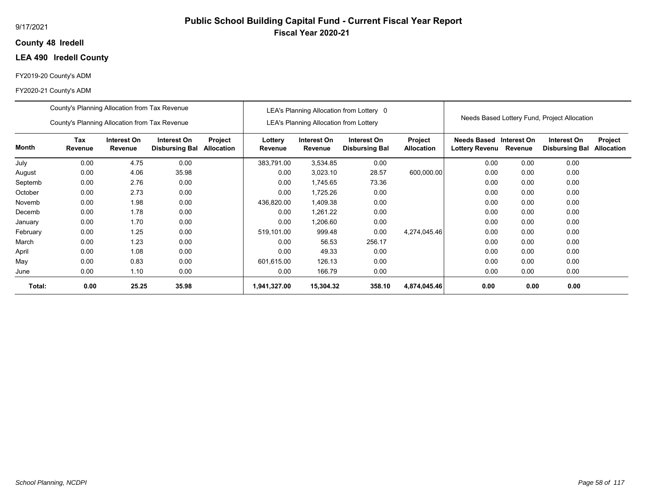## **48 Iredell County**

# **LEA 490 Iredell County**

#### FY2019-20 County's ADM

|          | County's Planning Allocation from Tax Revenue                                                                                     |       |       |      |                    |                                               | LEA's Planning Allocation from Lottery 0 |                                     |                                             |                        | Needs Based Lottery Fund, Project Allocation |                              |
|----------|-----------------------------------------------------------------------------------------------------------------------------------|-------|-------|------|--------------------|-----------------------------------------------|------------------------------------------|-------------------------------------|---------------------------------------------|------------------------|----------------------------------------------|------------------------------|
|          | County's Planning Allocation from Tax Revenue                                                                                     |       |       |      |                    | <b>LEA's Planning Allocation from Lottery</b> |                                          |                                     |                                             |                        |                                              |                              |
| Month    | Tax<br>Interest On<br>Interest On<br>Project<br>Allocation<br>Revenue<br><b>Disbursing Bal</b><br>Revenue<br>0.00<br>0.00<br>4.75 |       |       |      | Lottery<br>Revenue | Interest On<br>Revenue                        | Interest On<br><b>Disbursing Bal</b>     | <b>Project</b><br><b>Allocation</b> | <b>Needs Based</b><br><b>Lottery Revenu</b> | Interest On<br>Revenue | Interest On<br><b>Disbursing Bal</b>         | Project<br><b>Allocation</b> |
| July     |                                                                                                                                   |       |       |      | 383,791.00         | 3,534.85                                      | 0.00                                     |                                     | 0.00                                        | 0.00                   | 0.00                                         |                              |
| August   | 0.00                                                                                                                              | 4.06  | 35.98 |      | 0.00               | 3,023.10                                      | 28.57                                    | 600,000.00                          | 0.00                                        | 0.00                   | 0.00                                         |                              |
| Septemb  | 0.00                                                                                                                              | 0.00  |       | 0.00 | 1,745.65           | 73.36                                         |                                          | 0.00                                | 0.00                                        | 0.00                   |                                              |                              |
| October  | 0.00                                                                                                                              | 2.73  | 0.00  |      | 0.00               | 1,725.26                                      | 0.00                                     |                                     | 0.00                                        | 0.00                   | 0.00                                         |                              |
| Novemb   | 0.00                                                                                                                              | 1.98  | 0.00  |      | 436,820.00         | 1,409.38                                      | 0.00                                     |                                     | 0.00                                        | 0.00                   | 0.00                                         |                              |
| Decemb   | 0.00                                                                                                                              | 1.78  | 0.00  |      | 0.00               | 1,261.22                                      | 0.00                                     |                                     | 0.00                                        | 0.00                   | 0.00                                         |                              |
| January  | 0.00                                                                                                                              | 1.70  | 0.00  |      | 0.00               | .206.60                                       | 0.00                                     |                                     | 0.00                                        | 0.00                   | 0.00                                         |                              |
| February | 0.00                                                                                                                              | 1.25  | 0.00  |      | 519,101.00         | 999.48                                        | 0.00                                     | 4,274,045.46                        | 0.00                                        | 0.00                   | 0.00                                         |                              |
| March    | 0.00                                                                                                                              | 1.23  | 0.00  |      | 0.00               | 56.53                                         | 256.17                                   |                                     | 0.00                                        | 0.00                   | 0.00                                         |                              |
| April    | 0.00                                                                                                                              | 1.08  | 0.00  |      | 0.00               | 49.33                                         | 0.00                                     |                                     | 0.00                                        | 0.00                   | 0.00                                         |                              |
| May      | 0.00                                                                                                                              | 0.83  | 0.00  |      | 601,615.00         | 126.13                                        | 0.00                                     |                                     | 0.00                                        | 0.00                   | 0.00                                         |                              |
| June     | 0.00                                                                                                                              | 1.10  | 0.00  |      | 0.00               | 166.79                                        | 0.00                                     |                                     | 0.00                                        | 0.00                   | 0.00                                         |                              |
| Total:   | 0.00                                                                                                                              | 25.25 | 35.98 |      | 1,941,327.00       | 15,304.32                                     | 358.10                                   | 4,874,045.46                        | 0.00                                        | 0.00                   | 0.00                                         |                              |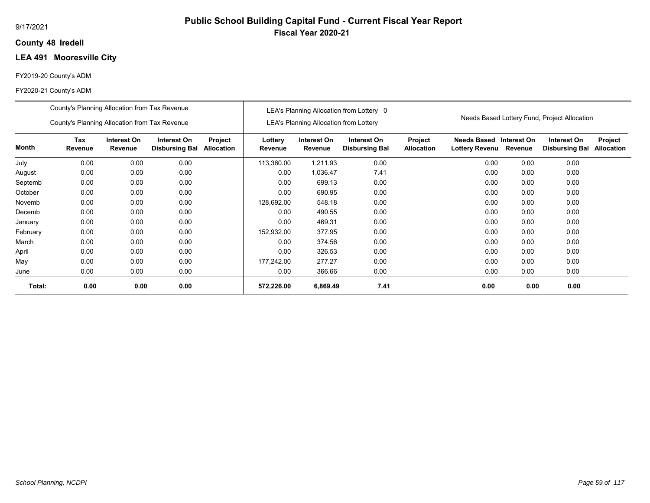## **48 Iredell County**

# **LEA 491 Mooresville City**

#### FY2019-20 County's ADM

|          | County's Planning Allocation from Tax Revenue |                        |                                      |                              |                    |                                               | LEA's Planning Allocation from Lottery 0 |                              |                                           |         |                                              |                              |
|----------|-----------------------------------------------|------------------------|--------------------------------------|------------------------------|--------------------|-----------------------------------------------|------------------------------------------|------------------------------|-------------------------------------------|---------|----------------------------------------------|------------------------------|
|          | County's Planning Allocation from Tax Revenue |                        |                                      |                              |                    | <b>LEA's Planning Allocation from Lottery</b> |                                          |                              |                                           |         | Needs Based Lottery Fund, Project Allocation |                              |
| Month    | Tax<br>Revenue                                | Interest On<br>Revenue | Interest On<br><b>Disbursing Bal</b> | Project<br><b>Allocation</b> | Lottery<br>Revenue | Interest On<br>Revenue                        | Interest On<br><b>Disbursing Bal</b>     | Project<br><b>Allocation</b> | Needs Based Interest On<br>Lottery Revenu | Revenue | Interest On<br><b>Disbursing Bal</b>         | Project<br><b>Allocation</b> |
| July     | 0.00                                          | 0.00                   | 0.00                                 |                              | 113,360.00         | 1,211.93                                      | 0.00                                     |                              | 0.00                                      | 0.00    | 0.00                                         |                              |
| August   | 0.00                                          | 0.00                   | 0.00                                 |                              | 0.00               | 1,036.47                                      | 7.41                                     |                              | 0.00                                      | 0.00    | 0.00                                         |                              |
| Septemb  | 0.00                                          | 0.00                   | 0.00                                 |                              | 0.00               | 699.13                                        | 0.00                                     |                              | 0.00                                      | 0.00    | 0.00                                         |                              |
| October  | 0.00                                          | 0.00                   | 0.00                                 |                              | 0.00               | 690.95                                        | 0.00                                     |                              | 0.00                                      | 0.00    | 0.00                                         |                              |
| Novemb   | 0.00                                          | 0.00                   | 0.00                                 |                              | 128,692.00         | 548.18                                        | 0.00                                     |                              | 0.00                                      | 0.00    | 0.00                                         |                              |
| Decemb   | 0.00                                          | 0.00                   | 0.00                                 |                              | 0.00               | 490.55                                        | 0.00                                     |                              | 0.00                                      | 0.00    | 0.00                                         |                              |
| January  | 0.00                                          | 0.00                   | 0.00                                 |                              | 0.00               | 469.31                                        | 0.00                                     |                              | 0.00                                      | 0.00    | 0.00                                         |                              |
| February | 0.00                                          | 0.00                   | 0.00                                 |                              | 152,932.00         | 377.95                                        | 0.00                                     |                              | 0.00                                      | 0.00    | 0.00                                         |                              |
| March    | 0.00                                          | 0.00                   | 0.00                                 |                              | 0.00               | 374.56                                        | 0.00                                     |                              | 0.00                                      | 0.00    | 0.00                                         |                              |
| April    | 0.00                                          | 0.00                   | 0.00                                 |                              | 0.00               | 326.53                                        | 0.00                                     |                              | 0.00                                      | 0.00    | 0.00                                         |                              |
| May      | 0.00                                          | 0.00                   | 0.00                                 |                              | 177,242.00         | 277.27                                        | 0.00                                     |                              | 0.00                                      | 0.00    | 0.00                                         |                              |
| June     | 0.00                                          | 0.00                   | 0.00                                 |                              | 0.00               | 366.66                                        | 0.00                                     |                              | 0.00                                      | 0.00    | 0.00                                         |                              |
| Total:   | 0.00                                          | 0.00                   | 0.00                                 |                              | 572,226.00         | 6,869.49                                      | 7.41                                     |                              | 0.00                                      | 0.00    | 0.00                                         |                              |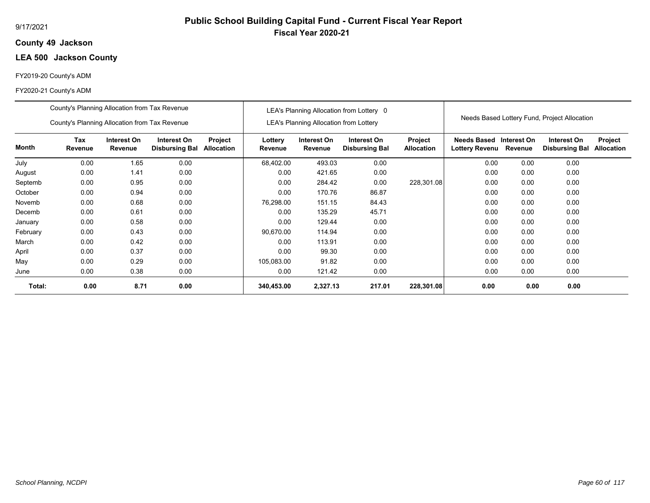## **49 Jackson County**

# **LEA 500 Jackson County**

#### FY2019-20 County's ADM

|          | County's Planning Allocation from Tax Revenue                                                                                            |      |      |  |                    |                                               | LEA's Planning Allocation from Lottery 0 |                              |                                           |         |                                              |                              |
|----------|------------------------------------------------------------------------------------------------------------------------------------------|------|------|--|--------------------|-----------------------------------------------|------------------------------------------|------------------------------|-------------------------------------------|---------|----------------------------------------------|------------------------------|
|          | County's Planning Allocation from Tax Revenue                                                                                            |      |      |  |                    | <b>LEA's Planning Allocation from Lottery</b> |                                          |                              |                                           |         | Needs Based Lottery Fund, Project Allocation |                              |
| Month    | Tax<br>Interest On<br>Interest On<br>Project<br>Revenue<br>Revenue<br><b>Allocation</b><br><b>Disbursing Bal</b><br>0.00<br>0.00<br>1.65 |      |      |  | Lottery<br>Revenue | Interest On<br>Revenue                        | Interest On<br><b>Disbursing Bal</b>     | Project<br><b>Allocation</b> | Needs Based Interest On<br>Lottery Revenu | Revenue | Interest On<br><b>Disbursing Bal</b>         | Project<br><b>Allocation</b> |
| July     |                                                                                                                                          |      |      |  | 68,402.00          | 493.03                                        | 0.00                                     |                              | 0.00                                      | 0.00    | 0.00                                         |                              |
| August   | 0.00                                                                                                                                     | 1.41 | 0.00 |  | 0.00               | 421.65                                        | 0.00                                     |                              | 0.00                                      | 0.00    | 0.00                                         |                              |
| Septemb  | 0.00                                                                                                                                     | 0.95 | 0.00 |  | 0.00               | 284.42                                        | 0.00                                     | 228,301.08                   | 0.00                                      | 0.00    | 0.00                                         |                              |
| October  | 0.00                                                                                                                                     | 0.94 | 0.00 |  | 0.00               | 170.76                                        | 86.87                                    |                              | 0.00                                      | 0.00    | 0.00                                         |                              |
| Novemb   | 0.00                                                                                                                                     | 0.68 | 0.00 |  | 76,298.00          | 151.15                                        | 84.43                                    |                              | 0.00                                      | 0.00    | 0.00                                         |                              |
| Decemb   | 0.00                                                                                                                                     | 0.61 | 0.00 |  | 0.00               | 135.29                                        | 45.71                                    |                              | 0.00                                      | 0.00    | 0.00                                         |                              |
| January  | 0.00                                                                                                                                     | 0.58 | 0.00 |  | 0.00               | 129.44                                        | 0.00                                     |                              | 0.00                                      | 0.00    | 0.00                                         |                              |
| February | 0.00                                                                                                                                     | 0.43 | 0.00 |  | 90,670.00          | 114.94                                        | 0.00                                     |                              | 0.00                                      | 0.00    | 0.00                                         |                              |
| March    | 0.00                                                                                                                                     | 0.42 | 0.00 |  | 0.00               | 113.91                                        | 0.00                                     |                              | 0.00                                      | 0.00    | 0.00                                         |                              |
| April    | 0.00                                                                                                                                     | 0.37 | 0.00 |  | 0.00               | 99.30                                         | 0.00                                     |                              | 0.00                                      | 0.00    | 0.00                                         |                              |
| May      | 0.00                                                                                                                                     | 0.29 | 0.00 |  | 105,083.00         | 91.82                                         | 0.00                                     |                              | 0.00                                      | 0.00    | 0.00                                         |                              |
| June     | 0.00                                                                                                                                     | 0.38 | 0.00 |  | 0.00               | 121.42                                        | 0.00                                     |                              | 0.00                                      | 0.00    | 0.00                                         |                              |
| Total:   | 0.00                                                                                                                                     | 8.71 | 0.00 |  | 340,453.00         | 2,327.13                                      | 217.01                                   | 228,301.08                   | 0.00                                      | 0.00    | 0.00                                         |                              |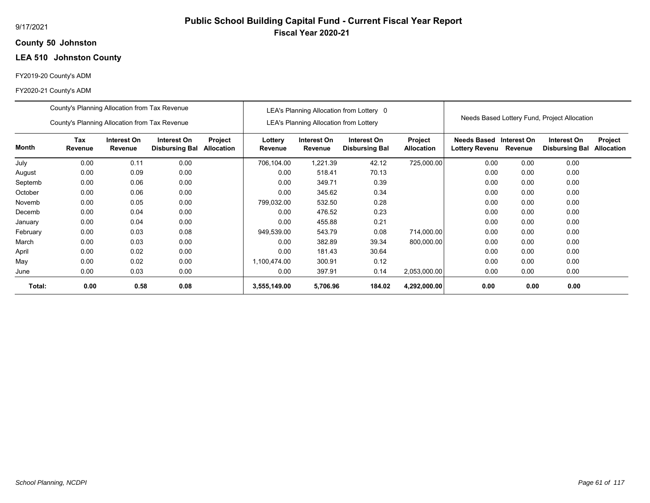## **50 Johnston County**

# **LEA 510 Johnston County**

#### FY2019-20 County's ADM

|          | County's Planning Allocation from Tax Revenue |                        |                                      |                       |                    |                                               | LEA's Planning Allocation from Lottery 0 |                              |                                           |         |                                              |                              |
|----------|-----------------------------------------------|------------------------|--------------------------------------|-----------------------|--------------------|-----------------------------------------------|------------------------------------------|------------------------------|-------------------------------------------|---------|----------------------------------------------|------------------------------|
|          | County's Planning Allocation from Tax Revenue |                        |                                      |                       |                    | <b>LEA's Planning Allocation from Lottery</b> |                                          |                              |                                           |         | Needs Based Lottery Fund, Project Allocation |                              |
| Month    | Tax<br>Revenue                                | Interest On<br>Revenue | Interest On<br><b>Disbursing Bal</b> | Project<br>Allocation | Lottery<br>Revenue | Interest On<br>Revenue                        | Interest On<br><b>Disbursing Bal</b>     | Project<br><b>Allocation</b> | Needs Based Interest On<br>Lottery Revenu | Revenue | Interest On<br><b>Disbursing Bal</b>         | Project<br><b>Allocation</b> |
| July     | 0.00                                          | 0.11                   | 0.00                                 |                       | 706,104.00         | 1,221.39                                      | 42.12                                    | 725,000.00                   | 0.00                                      | 0.00    | 0.00                                         |                              |
| August   | 0.00                                          | 0.09                   | 0.00                                 |                       | 0.00               | 518.41                                        | 70.13                                    |                              | 0.00                                      | 0.00    | 0.00                                         |                              |
| Septemb  | 0.00                                          | 0.06                   | 0.00                                 |                       | 0.00               | 349.71                                        | 0.39                                     |                              | 0.00                                      | 0.00    | 0.00                                         |                              |
| October  | 0.00                                          | 0.06                   | 0.00                                 |                       | 0.00               | 345.62                                        | 0.34                                     |                              | 0.00                                      | 0.00    | 0.00                                         |                              |
| Novemb   | 0.00                                          | 0.05                   | 0.00                                 |                       | 799,032.00         | 532.50                                        | 0.28                                     |                              | 0.00                                      | 0.00    | 0.00                                         |                              |
| Decemb   | 0.00                                          | 0.04                   | 0.00                                 |                       | 0.00               | 476.52                                        | 0.23                                     |                              | 0.00                                      | 0.00    | 0.00                                         |                              |
| January  | 0.00                                          | 0.04                   | 0.00                                 |                       | 0.00               | 455.88                                        | 0.21                                     |                              | 0.00                                      | 0.00    | 0.00                                         |                              |
| February | 0.00                                          | 0.03                   | 0.08                                 |                       | 949,539.00         | 543.79                                        | 0.08                                     | 714,000.00                   | 0.00                                      | 0.00    | 0.00                                         |                              |
| March    | 0.00                                          | 0.03                   | 0.00                                 |                       | 0.00               | 382.89                                        | 39.34                                    | 800,000.00                   | 0.00                                      | 0.00    | 0.00                                         |                              |
| April    | 0.00                                          | 0.02                   | 0.00                                 |                       | 0.00               | 181.43                                        | 30.64                                    |                              | 0.00                                      | 0.00    | 0.00                                         |                              |
| May      | 0.00                                          | 0.02                   | 0.00                                 |                       | 1,100,474.00       | 300.91                                        | 0.12                                     |                              | 0.00                                      | 0.00    | 0.00                                         |                              |
| June     | 0.00                                          | 0.03                   | 0.00                                 |                       | 0.00               | 397.91                                        | 0.14                                     | 2,053,000.00                 | 0.00                                      | 0.00    | 0.00                                         |                              |
| Total:   | 0.00                                          | 0.58                   | 0.08                                 |                       | 3,555,149.00       | 5,706.96                                      | 184.02                                   | 4,292,000.00                 | 0.00                                      | 0.00    | 0.00                                         |                              |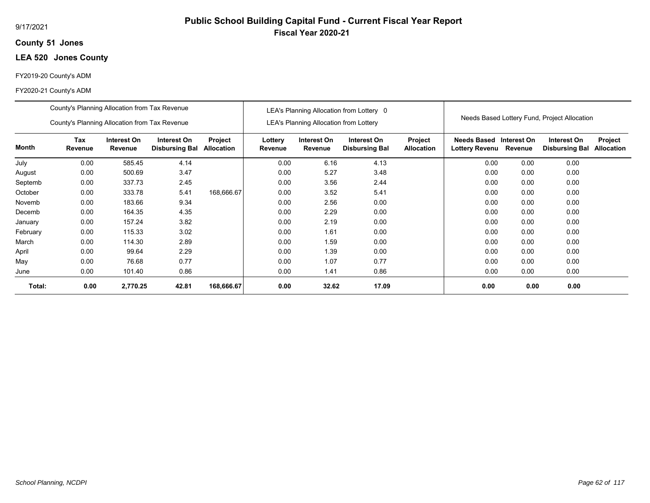## **51 Jones County**

# **LEA 520 Jones County**

#### FY2019-20 County's ADM

#### FY2020-21 County's ADM

|              | County's Planning Allocation from Tax Revenue<br>County's Planning Allocation from Tax Revenue |                        |                                      |                              |                    | <b>LEA's Planning Allocation from Lottery</b> | LEA's Planning Allocation from Lottery 0 |                              |                                              |             | Needs Based Lottery Fund, Project Allocation |                              |
|--------------|------------------------------------------------------------------------------------------------|------------------------|--------------------------------------|------------------------------|--------------------|-----------------------------------------------|------------------------------------------|------------------------------|----------------------------------------------|-------------|----------------------------------------------|------------------------------|
| <b>Month</b> | Tax<br>Revenue                                                                                 | Interest On<br>Revenue | Interest On<br><b>Disbursing Bal</b> | Project<br><b>Allocation</b> | Lottery<br>Revenue | Interest On<br>Revenue                        | Interest On<br><b>Disbursing Bal</b>     | Project<br><b>Allocation</b> | <b>Needs Based</b><br>Lottery Revenu Revenue | Interest On | Interest On<br><b>Disbursing Bal</b>         | Project<br><b>Allocation</b> |
| July         | 0.00                                                                                           | 585.45                 | 4.14                                 |                              | 0.00               | 6.16                                          | 4.13                                     |                              | 0.00                                         | 0.00        | 0.00                                         |                              |
| August       | 0.00                                                                                           | 500.69                 | 3.47                                 |                              | 0.00               | 5.27                                          | 3.48                                     |                              | 0.00                                         | 0.00        | 0.00                                         |                              |
| Septemb      | 0.00                                                                                           | 337.73                 | 2.45                                 |                              | 0.00               | 3.56                                          | 2.44                                     |                              | 0.00                                         | 0.00        | 0.00                                         |                              |
| October      | 0.00                                                                                           | 333.78                 | 5.41                                 | 168,666.67                   | 0.00               | 3.52                                          | 5.41                                     |                              | 0.00                                         | 0.00        | 0.00                                         |                              |
| Novemb       | 0.00                                                                                           | 183.66                 | 9.34                                 |                              | 0.00               | 2.56                                          | 0.00                                     |                              | 0.00                                         | 0.00        | 0.00                                         |                              |
| Decemb       | 0.00                                                                                           | 164.35                 | 4.35                                 |                              | 0.00               | 2.29                                          | 0.00                                     |                              | 0.00                                         | 0.00        | 0.00                                         |                              |
| January      | 0.00                                                                                           | 157.24                 | 3.82                                 |                              | 0.00               | 2.19                                          | 0.00                                     |                              | 0.00                                         | 0.00        | 0.00                                         |                              |
| February     | 0.00                                                                                           | 115.33                 | 3.02                                 |                              | 0.00               | 1.61                                          | 0.00                                     |                              | 0.00                                         | 0.00        | 0.00                                         |                              |
| March        | 0.00                                                                                           | 114.30                 | 2.89                                 |                              | 0.00               | 1.59                                          | 0.00                                     |                              | 0.00                                         | 0.00        | 0.00                                         |                              |
| April        | 0.00                                                                                           | 99.64                  | 2.29                                 |                              | 0.00               | 1.39                                          | 0.00                                     |                              | 0.00                                         | 0.00        | 0.00                                         |                              |
| May          | 0.00                                                                                           | 76.68                  | 0.77                                 |                              | 0.00               | 1.07                                          | 0.77                                     |                              | 0.00                                         | 0.00        | 0.00                                         |                              |
| June         | 0.00                                                                                           | 101.40                 | 0.86                                 |                              | 0.00               | 1.41                                          | 0.86                                     |                              | 0.00                                         | 0.00        | 0.00                                         |                              |
| Total:       | 0.00                                                                                           | 2,770.25               | 42.81                                | 168,666.67                   | 0.00               | 32.62                                         | 17.09                                    |                              | 0.00                                         | 0.00        | 0.00                                         |                              |

**Public School Building Capital Fund - Current Fiscal Year Report**

**Fiscal Year 2020-21**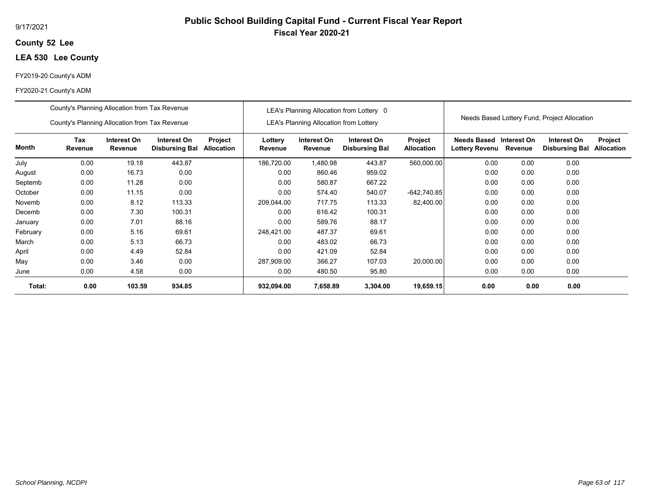#### 9/17/2021

## **52 Lee County**

# **LEA 530 Lee County**

#### FY2019-20 County's ADM

|          | County's Planning Allocation from Tax Revenue |                        |                                      |                       |                    |                                               | LEA's Planning Allocation from Lottery 0 |                                     |                                      |                        |                                              |                       |
|----------|-----------------------------------------------|------------------------|--------------------------------------|-----------------------|--------------------|-----------------------------------------------|------------------------------------------|-------------------------------------|--------------------------------------|------------------------|----------------------------------------------|-----------------------|
|          | County's Planning Allocation from Tax Revenue |                        |                                      |                       |                    | <b>LEA's Planning Allocation from Lottery</b> |                                          |                                     |                                      |                        | Needs Based Lottery Fund, Project Allocation |                       |
| Month    | Tax<br>Revenue                                | Interest On<br>Revenue | Interest On<br><b>Disbursing Bal</b> | Project<br>Allocation | Lottery<br>Revenue | Interest On<br>Revenue                        | Interest On<br><b>Disbursing Bal</b>     | <b>Project</b><br><b>Allocation</b> | Needs Based<br><b>Lottery Revenu</b> | Interest On<br>Revenue | Interest On<br><b>Disbursing Bal</b>         | Project<br>Allocation |
| July     | 0.00                                          | 19.18                  | 443.87                               |                       | 186,720.00         | .480.98                                       | 443.87                                   | 560,000.00                          | 0.00                                 | 0.00                   | 0.00                                         |                       |
| August   | 0.00                                          | 16.73                  | 0.00                                 |                       | 0.00               | 860.46                                        | 959.02                                   |                                     | 0.00                                 | 0.00                   | 0.00                                         |                       |
| Septemb  | 0.00                                          | 11.28                  | 0.00                                 |                       | 0.00               | 580.87                                        | 667.22                                   |                                     | 0.00                                 | 0.00                   | 0.00                                         |                       |
| October  | 0.00                                          | 11.15                  | 0.00                                 |                       | 0.00               | 574.40                                        | 540.07                                   | $-642,740.85$                       | 0.00                                 | 0.00                   | 0.00                                         |                       |
| Novemb   | 0.00                                          | 8.12                   | 113.33                               |                       | 209,044.00         | 717.75                                        | 113.33                                   | 82,400.00                           | 0.00                                 | 0.00                   | 0.00                                         |                       |
| Decemb   | 0.00                                          | 7.30                   | 100.31                               |                       | 0.00               | 616.42                                        | 100.31                                   |                                     | 0.00                                 | 0.00                   | 0.00                                         |                       |
| January  | 0.00                                          | 7.01                   | 88.16                                |                       | 0.00               | 589.76                                        | 88.17                                    |                                     | 0.00                                 | 0.00                   | 0.00                                         |                       |
| February | 0.00                                          | 5.16                   | 69.61                                |                       | 248,421.00         | 487.37                                        | 69.61                                    |                                     | 0.00                                 | 0.00                   | 0.00                                         |                       |
| March    | 0.00                                          | 5.13                   | 66.73                                |                       | 0.00               | 483.02                                        | 66.73                                    |                                     | 0.00                                 | 0.00                   | 0.00                                         |                       |
| April    | 0.00                                          | 4.49                   | 52.84                                |                       | 0.00               | 421.09                                        | 52.84                                    |                                     | 0.00                                 | 0.00                   | 0.00                                         |                       |
| May      | 0.00                                          | 3.46                   | 0.00                                 |                       | 287,909.00         | 366.27                                        | 107.03                                   | 20,000.00                           | 0.00                                 | 0.00                   | 0.00                                         |                       |
| June     | 0.00                                          | 4.58                   | 0.00                                 |                       | 0.00               | 480.50                                        | 95.80                                    |                                     | 0.00                                 | 0.00                   | 0.00                                         |                       |
| Total:   | 0.00                                          | 103.59                 | 934.85                               |                       | 932,094.00         | 7,658.89                                      | 3,304.00                                 | 19,659.15                           | 0.00                                 | 0.00                   | 0.00                                         |                       |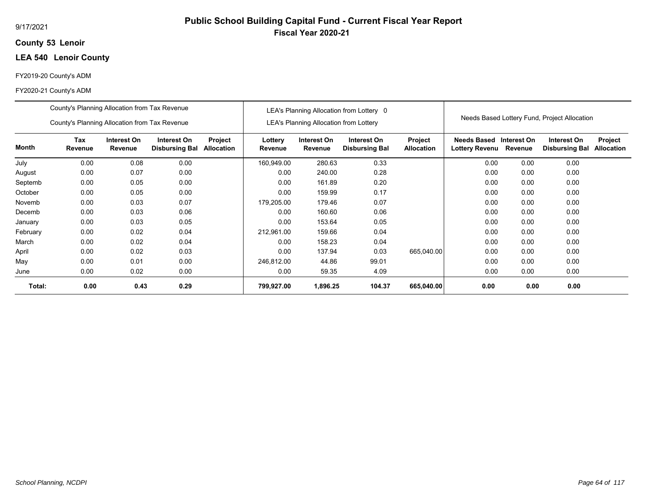## **53 Lenoir County**

## **LEA 540 Lenoir County**

#### FY2019-20 County's ADM

|          | County's Planning Allocation from Tax Revenue |                        |                                      |                       |                    |                                               | LEA's Planning Allocation from Lottery 0 |                              |                               |                        |                                              |                              |
|----------|-----------------------------------------------|------------------------|--------------------------------------|-----------------------|--------------------|-----------------------------------------------|------------------------------------------|------------------------------|-------------------------------|------------------------|----------------------------------------------|------------------------------|
|          | County's Planning Allocation from Tax Revenue |                        |                                      |                       |                    | <b>LEA's Planning Allocation from Lottery</b> |                                          |                              |                               |                        | Needs Based Lottery Fund, Project Allocation |                              |
| Month    | Tax<br>Revenue                                | Interest On<br>Revenue | Interest On<br><b>Disbursing Bal</b> | Project<br>Allocation | Lottery<br>Revenue | Interest On<br>Revenue                        | Interest On<br><b>Disbursing Bal</b>     | Project<br><b>Allocation</b> | Needs Based<br>Lottery Revenu | Interest On<br>Revenue | Interest On<br><b>Disbursing Bal</b>         | Project<br><b>Allocation</b> |
| July     | 0.00                                          | 0.08                   | 0.00                                 |                       | 160,949.00         | 280.63                                        | 0.33                                     |                              | 0.00                          | 0.00                   | 0.00                                         |                              |
| August   | 0.00                                          | 0.07                   | 0.00                                 |                       | 0.00               | 240.00                                        | 0.28                                     |                              | 0.00                          | 0.00                   | 0.00                                         |                              |
| Septemb  | 0.00                                          | 0.05                   | 0.00                                 |                       | 0.00               | 161.89                                        | 0.20                                     |                              | 0.00                          | 0.00                   | 0.00                                         |                              |
| October  | 0.00                                          | 0.05                   | 0.00                                 |                       | 0.00               | 159.99                                        | 0.17                                     |                              | 0.00                          | 0.00                   | 0.00                                         |                              |
| Novemb   | 0.00                                          | 0.03                   | 0.07                                 |                       | 179,205.00         | 179.46                                        | 0.07                                     |                              | 0.00                          | 0.00                   | 0.00                                         |                              |
| Decemb   | 0.00                                          | 0.03                   | 0.06                                 |                       | 0.00               | 160.60                                        | 0.06                                     |                              | 0.00                          | 0.00                   | 0.00                                         |                              |
| January  | 0.00                                          | 0.03                   | 0.05                                 |                       | 0.00               | 153.64                                        | 0.05                                     |                              | 0.00                          | 0.00                   | 0.00                                         |                              |
| February | 0.00                                          | 0.02                   | 0.04                                 |                       | 212,961.00         | 159.66                                        | 0.04                                     |                              | 0.00                          | 0.00                   | 0.00                                         |                              |
| March    | 0.00                                          | 0.02                   | 0.04                                 |                       | 0.00               | 158.23                                        | 0.04                                     |                              | 0.00                          | 0.00                   | 0.00                                         |                              |
| April    | 0.00                                          | 0.02                   | 0.03                                 |                       | 0.00               | 137.94                                        | 0.03                                     | 665,040.00                   | 0.00                          | 0.00                   | 0.00                                         |                              |
| May      | 0.00                                          | 0.01                   | 0.00                                 |                       | 246,812.00         | 44.86                                         | 99.01                                    |                              | 0.00                          | 0.00                   | 0.00                                         |                              |
| June     | 0.00                                          | 0.02                   | 0.00                                 |                       | 0.00               | 59.35                                         | 4.09                                     |                              | 0.00                          | 0.00                   | 0.00                                         |                              |
| Total:   | 0.00                                          | 0.43                   | 0.29                                 |                       | 799,927.00         | 1,896.25                                      | 104.37                                   | 665,040.00                   | 0.00                          | 0.00                   | 0.00                                         |                              |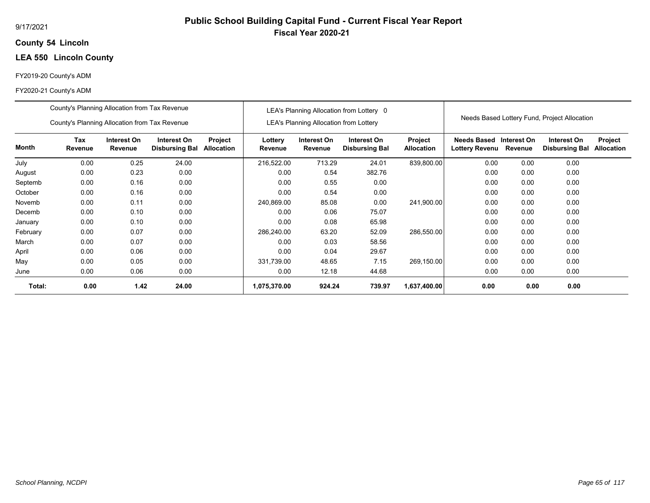## **54 Lincoln County**

# **LEA 550 Lincoln County**

#### FY2019-20 County's ADM

|          | County's Planning Allocation from Tax Revenue                                                                                      |      |       |  |                    |                                               | LEA's Planning Allocation from Lottery 0 |                              |                                                  |         |                                              |                              |
|----------|------------------------------------------------------------------------------------------------------------------------------------|------|-------|--|--------------------|-----------------------------------------------|------------------------------------------|------------------------------|--------------------------------------------------|---------|----------------------------------------------|------------------------------|
|          | County's Planning Allocation from Tax Revenue                                                                                      |      |       |  |                    | <b>LEA's Planning Allocation from Lottery</b> |                                          |                              |                                                  |         | Needs Based Lottery Fund, Project Allocation |                              |
| Month    | Tax<br>Interest On<br>Interest On<br>Project<br>Revenue<br>Revenue<br>Allocation<br><b>Disbursing Bal</b><br>0.00<br>0.25<br>24.00 |      |       |  | Lottery<br>Revenue | Interest On<br>Revenue                        | Interest On<br><b>Disbursing Bal</b>     | Project<br><b>Allocation</b> | <b>Needs Based Interest On</b><br>Lottery Revenu | Revenue | Interest On<br><b>Disbursing Bal</b>         | Project<br><b>Allocation</b> |
| July     |                                                                                                                                    |      |       |  | 216,522.00         | 713.29                                        | 24.01                                    | 839,800.00                   | 0.00                                             | 0.00    | 0.00                                         |                              |
| August   | 0.00                                                                                                                               | 0.23 | 0.00  |  | 0.00               | 0.54                                          | 382.76                                   |                              | 0.00                                             | 0.00    | 0.00                                         |                              |
| Septemb  | 0.00                                                                                                                               | 0.16 | 0.00  |  | 0.00               | 0.55                                          | 0.00                                     |                              | 0.00                                             | 0.00    | 0.00                                         |                              |
| October  | 0.00                                                                                                                               | 0.16 | 0.00  |  | 0.00               | 0.54                                          | 0.00                                     |                              | 0.00                                             | 0.00    | 0.00                                         |                              |
| Novemb   | 0.00                                                                                                                               | 0.11 | 0.00  |  | 240,869.00         | 85.08                                         | 0.00                                     | 241,900.00                   | 0.00                                             | 0.00    | 0.00                                         |                              |
| Decemb   | 0.00                                                                                                                               | 0.10 | 0.00  |  | 0.00               | 0.06                                          | 75.07                                    |                              | 0.00                                             | 0.00    | 0.00                                         |                              |
| January  | 0.00                                                                                                                               | 0.10 | 0.00  |  | 0.00               | 0.08                                          | 65.98                                    |                              | 0.00                                             | 0.00    | 0.00                                         |                              |
| February | 0.00                                                                                                                               | 0.07 | 0.00  |  | 286,240.00         | 63.20                                         | 52.09                                    | 286,550.00                   | 0.00                                             | 0.00    | 0.00                                         |                              |
| March    | 0.00                                                                                                                               | 0.07 | 0.00  |  | 0.00               | 0.03                                          | 58.56                                    |                              | 0.00                                             | 0.00    | 0.00                                         |                              |
| April    | 0.00                                                                                                                               | 0.06 | 0.00  |  | 0.00               | 0.04                                          | 29.67                                    |                              | 0.00                                             | 0.00    | 0.00                                         |                              |
| May      | 0.00                                                                                                                               | 0.05 | 0.00  |  | 331.739.00         | 48.65                                         | 7.15                                     | 269,150.00                   | 0.00                                             | 0.00    | 0.00                                         |                              |
| June     | 0.00                                                                                                                               | 0.06 | 0.00  |  | 0.00               | 12.18                                         | 44.68                                    |                              | 0.00                                             | 0.00    | 0.00                                         |                              |
| Total:   | 0.00                                                                                                                               | 1.42 | 24.00 |  | 1,075,370.00       | 924.24                                        | 739.97                                   | 1,637,400.00                 | 0.00                                             | 0.00    | 0.00                                         |                              |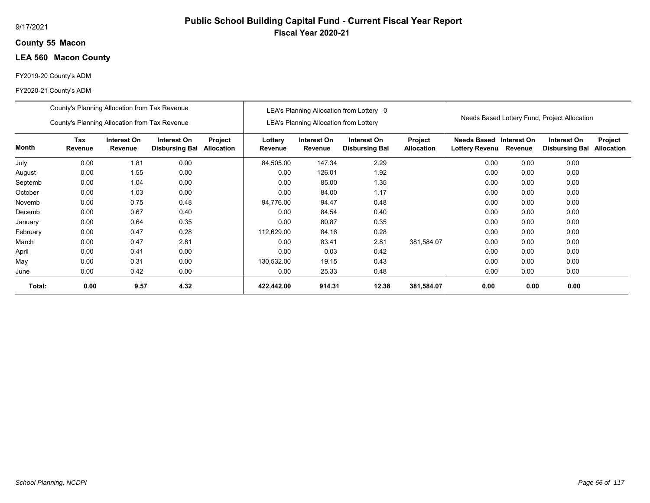## **55 Macon County**

# **LEA 560 Macon County**

#### FY2019-20 County's ADM

#### FY2020-21 County's ADM

|          | County's Planning Allocation from Tax Revenue |                        |                                      |                              |                    |                                               | LEA's Planning Allocation from Lottery 0 |                              |                                           |         |                                              |                              |
|----------|-----------------------------------------------|------------------------|--------------------------------------|------------------------------|--------------------|-----------------------------------------------|------------------------------------------|------------------------------|-------------------------------------------|---------|----------------------------------------------|------------------------------|
|          | County's Planning Allocation from Tax Revenue |                        |                                      |                              |                    | <b>LEA's Planning Allocation from Lottery</b> |                                          |                              |                                           |         | Needs Based Lottery Fund, Project Allocation |                              |
| Month    | Tax<br>Revenue                                | Interest On<br>Revenue | Interest On<br><b>Disbursing Bal</b> | Project<br><b>Allocation</b> | Lottery<br>Revenue | Interest On<br>Revenue                        | Interest On<br><b>Disbursing Bal</b>     | Project<br><b>Allocation</b> | Needs Based Interest On<br>Lottery Revenu | Revenue | Interest On<br><b>Disbursing Bal</b>         | Project<br><b>Allocation</b> |
| July     | 0.00                                          | 1.81                   | 0.00                                 |                              | 84,505.00          | 147.34                                        | 2.29                                     |                              | 0.00                                      | 0.00    | 0.00                                         |                              |
| August   | 0.00                                          | 1.55                   | 0.00                                 |                              | 0.00               | 126.01                                        | 1.92                                     |                              | 0.00                                      | 0.00    | 0.00                                         |                              |
| Septemb  | 0.00                                          | 1.04                   | 0.00                                 |                              | 0.00               | 85.00                                         | 1.35                                     |                              | 0.00                                      | 0.00    | 0.00                                         |                              |
| October  | 0.00                                          | 1.03                   | 0.00                                 |                              | 0.00               | 84.00                                         | 1.17                                     |                              | 0.00                                      | 0.00    | 0.00                                         |                              |
| Novemb   | 0.00                                          | 0.75                   | 0.48                                 |                              | 94,776.00          | 94.47                                         | 0.48                                     |                              | 0.00                                      | 0.00    | 0.00                                         |                              |
| Decemb   | 0.00                                          | 0.67                   | 0.40                                 |                              | 0.00               | 84.54                                         | 0.40                                     |                              | 0.00                                      | 0.00    | 0.00                                         |                              |
| January  | 0.00                                          | 0.64                   | 0.35                                 |                              | 0.00               | 80.87                                         | 0.35                                     |                              | 0.00                                      | 0.00    | 0.00                                         |                              |
| February | 0.00                                          | 0.47                   | 0.28                                 |                              | 112,629.00         | 84.16                                         | 0.28                                     |                              | 0.00                                      | 0.00    | 0.00                                         |                              |
| March    | 0.00                                          | 0.47                   | 2.81                                 |                              | 0.00               | 83.41                                         | 2.81                                     | 381,584.07                   | 0.00                                      | 0.00    | 0.00                                         |                              |
| April    | 0.00                                          | 0.41                   | 0.00                                 |                              | 0.00               | 0.03                                          | 0.42                                     |                              | 0.00                                      | 0.00    | 0.00                                         |                              |
| May      | 0.00                                          | 0.31                   | 0.00                                 |                              | 130,532.00         | 19.15                                         | 0.43                                     |                              | 0.00                                      | 0.00    | 0.00                                         |                              |
| June     | 0.00                                          | 0.42                   | 0.00                                 |                              | 0.00               | 25.33                                         | 0.48                                     |                              | 0.00                                      | 0.00    | 0.00                                         |                              |
| Total:   | 0.00                                          | 9.57                   | 4.32                                 |                              | 422,442.00         | 914.31                                        | 12.38                                    | 381,584.07                   | 0.00                                      | 0.00    | 0.00                                         |                              |

**Public School Building Capital Fund - Current Fiscal Year Report**

**Fiscal Year 2020-21**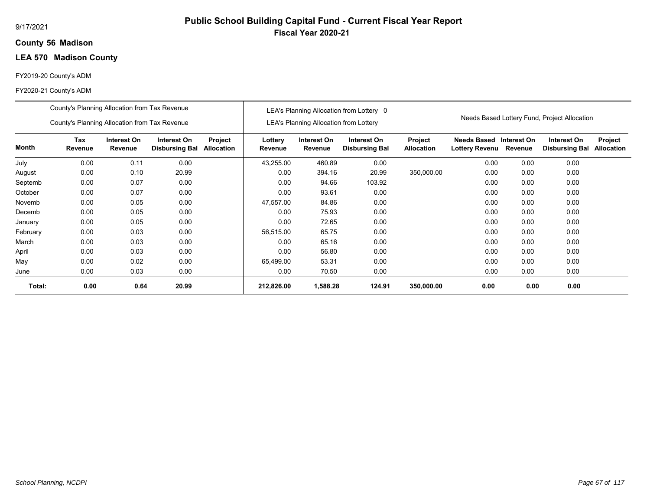## **56 Madison County**

# **LEA 570 Madison County**

#### FY2019-20 County's ADM

|          | County's Planning Allocation from Tax Revenue                                                                                     |      |       |  |                    |                                               | LEA's Planning Allocation from Lottery 0 |                              |                                                  |         |                                              |                              |
|----------|-----------------------------------------------------------------------------------------------------------------------------------|------|-------|--|--------------------|-----------------------------------------------|------------------------------------------|------------------------------|--------------------------------------------------|---------|----------------------------------------------|------------------------------|
|          | County's Planning Allocation from Tax Revenue                                                                                     |      |       |  |                    | <b>LEA's Planning Allocation from Lottery</b> |                                          |                              |                                                  |         | Needs Based Lottery Fund, Project Allocation |                              |
| Month    | Tax<br>Interest On<br>Interest On<br>Project<br>Revenue<br>Revenue<br>Allocation<br><b>Disbursing Bal</b><br>0.00<br>0.00<br>0.11 |      |       |  | Lottery<br>Revenue | Interest On<br>Revenue                        | Interest On<br><b>Disbursing Bal</b>     | Project<br><b>Allocation</b> | Needs Based Interest On<br><b>Lottery Revenu</b> | Revenue | Interest On<br><b>Disbursing Bal</b>         | Project<br><b>Allocation</b> |
| July     |                                                                                                                                   |      |       |  | 43,255.00          | 460.89                                        | 0.00                                     |                              | 0.00                                             | 0.00    | 0.00                                         |                              |
| August   | 0.00                                                                                                                              | 0.10 | 20.99 |  | 0.00               | 394.16                                        | 20.99                                    | 350,000.00                   | 0.00                                             | 0.00    | 0.00                                         |                              |
| Septemb  | 0.00                                                                                                                              | 0.07 | 0.00  |  | 0.00               | 94.66                                         | 103.92                                   |                              | 0.00                                             | 0.00    | 0.00                                         |                              |
| October  | 0.00                                                                                                                              | 0.07 | 0.00  |  | 0.00               | 93.61                                         | 0.00                                     |                              | 0.00                                             | 0.00    | 0.00                                         |                              |
| Novemb   | 0.00                                                                                                                              | 0.05 | 0.00  |  | 47,557.00          | 84.86                                         | 0.00                                     |                              | 0.00                                             | 0.00    | 0.00                                         |                              |
| Decemb   | 0.00                                                                                                                              | 0.05 | 0.00  |  | 0.00               | 75.93                                         | 0.00                                     |                              | 0.00                                             | 0.00    | 0.00                                         |                              |
| January  | 0.00                                                                                                                              | 0.05 | 0.00  |  | 0.00               | 72.65                                         | 0.00                                     |                              | 0.00                                             | 0.00    | 0.00                                         |                              |
| February | 0.00                                                                                                                              | 0.03 | 0.00  |  | 56,515.00          | 65.75                                         | 0.00                                     |                              | 0.00                                             | 0.00    | 0.00                                         |                              |
| March    | 0.00                                                                                                                              | 0.03 | 0.00  |  | 0.00               | 65.16                                         | 0.00                                     |                              | 0.00                                             | 0.00    | 0.00                                         |                              |
| April    | 0.00                                                                                                                              | 0.03 | 0.00  |  | 0.00               | 56.80                                         | 0.00                                     |                              | 0.00                                             | 0.00    | 0.00                                         |                              |
| May      | 0.00                                                                                                                              | 0.02 | 0.00  |  | 65,499.00          | 53.31                                         | 0.00                                     |                              | 0.00                                             | 0.00    | 0.00                                         |                              |
| June     | 0.00                                                                                                                              | 0.03 | 0.00  |  | 0.00               | 70.50                                         | 0.00                                     |                              | 0.00                                             | 0.00    | 0.00                                         |                              |
| Total:   | 0.00                                                                                                                              | 0.64 | 20.99 |  | 212,826.00         | 1,588.28                                      | 124.91                                   | 350,000.00                   | 0.00                                             | 0.00    | 0.00                                         |                              |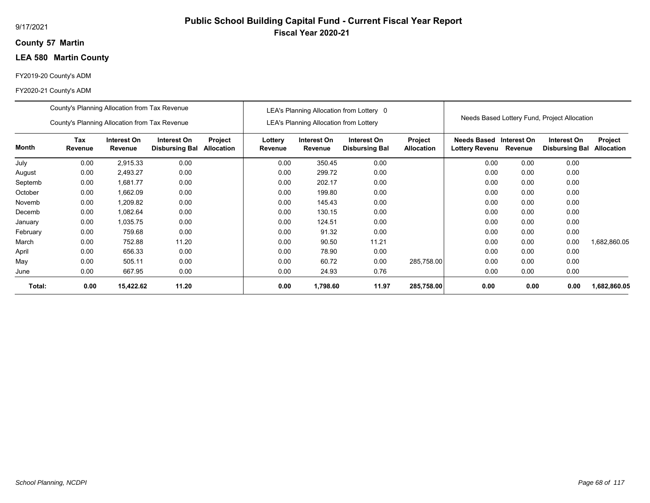## **57 Martin County**

# **LEA 580 Martin County**

#### FY2019-20 County's ADM

|          | County's Planning Allocation from Tax Revenue |                        |                                      |                              |                           |                                               | LEA's Planning Allocation from Lottery 0 |                              |                                                          |      |                                              |                              |
|----------|-----------------------------------------------|------------------------|--------------------------------------|------------------------------|---------------------------|-----------------------------------------------|------------------------------------------|------------------------------|----------------------------------------------------------|------|----------------------------------------------|------------------------------|
|          | County's Planning Allocation from Tax Revenue |                        |                                      |                              |                           | <b>LEA's Planning Allocation from Lottery</b> |                                          |                              |                                                          |      | Needs Based Lottery Fund, Project Allocation |                              |
| Month    | Tax<br>Revenue                                | Interest On<br>Revenue | Interest On<br><b>Disbursing Bal</b> | Project<br><b>Allocation</b> | Lottery<br><b>Revenue</b> | Interest On<br>Revenue                        | Interest On<br><b>Disbursing Bal</b>     | Project<br><b>Allocation</b> | <b>Needs Based Interest On</b><br>Lottery Revenu Revenue |      | Interest On<br><b>Disbursing Bal</b>         | Project<br><b>Allocation</b> |
| July     | 0.00                                          | 2,915.33               | 0.00                                 |                              | 0.00                      | 350.45                                        | 0.00                                     |                              | 0.00                                                     | 0.00 | 0.00                                         |                              |
| August   | 0.00                                          | 2,493.27               | 0.00                                 |                              | 0.00                      | 299.72                                        | 0.00                                     |                              | 0.00                                                     | 0.00 | 0.00                                         |                              |
| Septemb  | 0.00                                          | 1,681.77               | 0.00                                 |                              | 0.00                      | 202.17                                        | 0.00                                     |                              | 0.00                                                     | 0.00 | 0.00                                         |                              |
| October  | 0.00                                          | 1,662.09               | 0.00                                 |                              | 0.00                      | 199.80                                        | 0.00                                     |                              | 0.00                                                     | 0.00 | 0.00                                         |                              |
| Novemb   | 0.00                                          | 1,209.82               | 0.00                                 |                              | 0.00                      | 145.43                                        | 0.00                                     |                              | 0.00                                                     | 0.00 | 0.00                                         |                              |
| Decemb   | 0.00                                          | 1,082.64               | 0.00                                 |                              | 0.00                      | 130.15                                        | 0.00                                     |                              | 0.00                                                     | 0.00 | 0.00                                         |                              |
| January  | 0.00                                          | 1,035.75               | 0.00                                 |                              | 0.00                      | 124.51                                        | 0.00                                     |                              | 0.00                                                     | 0.00 | 0.00                                         |                              |
| February | 0.00                                          | 759.68                 | 0.00                                 |                              | 0.00                      | 91.32                                         | 0.00                                     |                              | 0.00                                                     | 0.00 | 0.00                                         |                              |
| March    | 0.00                                          | 752.88                 | 11.20                                |                              | 0.00                      | 90.50                                         | 11.21                                    |                              | 0.00                                                     | 0.00 | 0.00                                         | 1,682,860.05                 |
| April    | 0.00                                          | 656.33                 | 0.00                                 |                              | 0.00                      | 78.90                                         | 0.00                                     |                              | 0.00                                                     | 0.00 | 0.00                                         |                              |
| May      | 0.00                                          | 505.11                 | 0.00                                 |                              | 0.00                      | 60.72                                         | 0.00                                     | 285,758.00                   | 0.00                                                     | 0.00 | 0.00                                         |                              |
| June     | 0.00                                          | 667.95                 | 0.00                                 |                              | 0.00                      | 24.93                                         | 0.76                                     |                              | 0.00                                                     | 0.00 | 0.00                                         |                              |
| Total:   | 0.00                                          | 15,422.62              | 11.20                                |                              | 0.00                      | 1,798.60                                      | 11.97                                    | 285,758.00                   | 0.00                                                     | 0.00 | 0.00                                         | 1,682,860.05                 |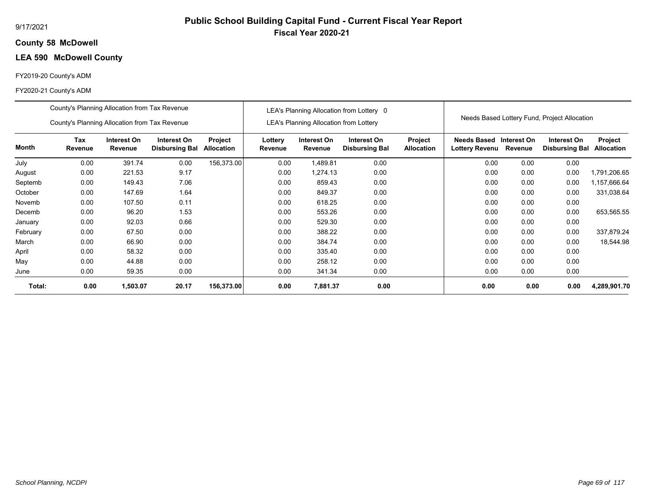## **58 McDowell County**

# **LEA 590 McDowell County**

#### FY2019-20 County's ADM

|          | County's Planning Allocation from Tax Revenue |                        |                                      |                              |                    |                                               | LEA's Planning Allocation from Lottery 0 |                              |                                                  |         |                                              |                              |
|----------|-----------------------------------------------|------------------------|--------------------------------------|------------------------------|--------------------|-----------------------------------------------|------------------------------------------|------------------------------|--------------------------------------------------|---------|----------------------------------------------|------------------------------|
|          | County's Planning Allocation from Tax Revenue |                        |                                      |                              |                    | <b>LEA's Planning Allocation from Lottery</b> |                                          |                              |                                                  |         | Needs Based Lottery Fund, Project Allocation |                              |
| Month    | Tax<br>Revenue                                | Interest On<br>Revenue | Interest On<br><b>Disbursing Bal</b> | Project<br><b>Allocation</b> | Lottery<br>Revenue | Interest On<br>Revenue                        | Interest On<br><b>Disbursing Bal</b>     | Project<br><b>Allocation</b> | Needs Based Interest On<br><b>Lottery Revenu</b> | Revenue | Interest On<br><b>Disbursing Bal</b>         | Project<br><b>Allocation</b> |
| July     | 0.00                                          | 391.74                 | 0.00                                 | 156,373.00                   | 0.00               | 1,489.81                                      | 0.00                                     |                              | 0.00                                             | 0.00    | 0.00                                         |                              |
| August   | 0.00                                          | 221.53                 | 9.17                                 |                              | 0.00               | 1,274.13                                      | 0.00                                     |                              | 0.00                                             | 0.00    | 0.00                                         | 1,791,206.65                 |
| Septemb  | 0.00                                          | 149.43                 | 7.06                                 |                              | 0.00               | 859.43                                        | 0.00                                     |                              | 0.00                                             | 0.00    | 0.00                                         | 1,157,666.64                 |
| October  | 0.00                                          | 147.69                 | 1.64                                 |                              | 0.00               | 849.37                                        | 0.00                                     |                              | 0.00                                             | 0.00    | 0.00                                         | 331,038.64                   |
| Novemb   | 0.00                                          | 107.50                 | 0.11                                 |                              | 0.00               | 618.25                                        | 0.00                                     |                              | 0.00                                             | 0.00    | 0.00                                         |                              |
| Decemb   | 0.00                                          | 96.20                  | 1.53                                 |                              | 0.00               | 553.26                                        | 0.00                                     |                              | 0.00                                             | 0.00    | 0.00                                         | 653,565.55                   |
| January  | 0.00                                          | 92.03                  | 0.66                                 |                              | 0.00               | 529.30                                        | 0.00                                     |                              | 0.00                                             | 0.00    | 0.00                                         |                              |
| February | 0.00                                          | 67.50                  | 0.00                                 |                              | 0.00               | 388.22                                        | 0.00                                     |                              | 0.00                                             | 0.00    | 0.00                                         | 337,879.24                   |
| March    | 0.00                                          | 66.90                  | 0.00                                 |                              | 0.00               | 384.74                                        | 0.00                                     |                              | 0.00                                             | 0.00    | 0.00                                         | 18,544.98                    |
| April    | 0.00                                          | 58.32                  | 0.00                                 |                              | 0.00               | 335.40                                        | 0.00                                     |                              | 0.00                                             | 0.00    | 0.00                                         |                              |
| May      | 0.00                                          | 44.88                  | 0.00                                 |                              | 0.00               | 258.12                                        | 0.00                                     |                              | 0.00                                             | 0.00    | 0.00                                         |                              |
| June     | 0.00                                          | 59.35                  | 0.00                                 |                              | 0.00               | 341.34                                        | 0.00                                     |                              | 0.00                                             | 0.00    | 0.00                                         |                              |
| Total:   | 0.00                                          | 1,503.07               | 20.17                                | 156,373.00                   | 0.00               | 7,881.37                                      | 0.00                                     |                              | 0.00                                             | 0.00    | 0.00                                         | 4,289,901.70                 |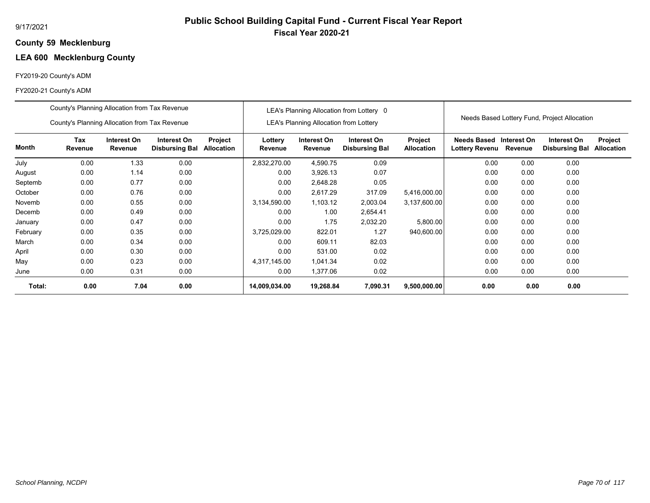# **Public School Building Capital Fund - Current Fiscal Year Report Fiscal Year 2020-21**

## **59 Mecklenburg County**

# **LEA 600 Mecklenburg County**

## FY2019-20 County's ADM

|          | County's Planning Allocation from Tax Revenue |                        |                                      |                       |                    |                                               | LEA's Planning Allocation from Lottery 0 |                              |                                      |                        | Needs Based Lottery Fund, Project Allocation |                              |
|----------|-----------------------------------------------|------------------------|--------------------------------------|-----------------------|--------------------|-----------------------------------------------|------------------------------------------|------------------------------|--------------------------------------|------------------------|----------------------------------------------|------------------------------|
|          | County's Planning Allocation from Tax Revenue |                        |                                      |                       |                    | <b>LEA's Planning Allocation from Lottery</b> |                                          |                              |                                      |                        |                                              |                              |
| Month    | Tax<br>Revenue                                | Interest On<br>Revenue | Interest On<br><b>Disbursing Bal</b> | Project<br>Allocation | Lottery<br>Revenue | Interest On<br>Revenue                        | Interest On<br><b>Disbursing Bal</b>     | Project<br><b>Allocation</b> | Needs Based<br><b>Lottery Revenu</b> | Interest On<br>Revenue | Interest On<br><b>Disbursing Bal</b>         | Project<br><b>Allocation</b> |
| July     | 0.00                                          | 1.33                   | 0.00                                 |                       | 2,832,270.00       | 4,590.75                                      | 0.09                                     |                              | 0.00                                 | 0.00                   | 0.00                                         |                              |
| August   | 0.00                                          | 1.14                   | 0.00                                 |                       | 0.00               | 3,926.13                                      | 0.07                                     |                              | 0.00                                 | 0.00                   | 0.00                                         |                              |
| Septemb  | 0.00                                          | 0.77                   | 0.00                                 |                       | 0.00               | 2,648.28                                      | 0.05                                     |                              | 0.00                                 | 0.00                   | 0.00                                         |                              |
| October  | 0.00                                          | 0.76                   | 0.00                                 |                       | 0.00               | 2,617.29                                      | 317.09                                   | 5,416,000.00                 | 0.00                                 | 0.00                   | 0.00                                         |                              |
| Novemb   | 0.00                                          | 0.55                   | 0.00                                 |                       | 3,134,590.00       | 1,103.12                                      | 2,003.04                                 | 3,137,600.00                 | 0.00                                 | 0.00                   | 0.00                                         |                              |
| Decemb   | 0.00                                          | 0.49                   | 0.00                                 |                       | 0.00               | 1.00                                          | 2,654.41                                 |                              | 0.00                                 | 0.00                   | 0.00                                         |                              |
| January  | 0.00                                          | 0.47                   | 0.00                                 |                       | 0.00               | 1.75                                          | 2,032.20                                 | 5,800.00                     | 0.00                                 | 0.00                   | 0.00                                         |                              |
| February | 0.00                                          | 0.35                   | 0.00                                 |                       | 3,725,029.00       | 822.01                                        | 1.27                                     | 940,600.00                   | 0.00                                 | 0.00                   | 0.00                                         |                              |
| March    | 0.00                                          | 0.34                   | 0.00                                 |                       | 0.00               | 609.11                                        | 82.03                                    |                              | 0.00                                 | 0.00                   | 0.00                                         |                              |
| April    | 0.00                                          | 0.30                   | 0.00                                 |                       | 0.00               | 531.00                                        | 0.02                                     |                              | 0.00                                 | 0.00                   | 0.00                                         |                              |
| May      | 0.00                                          | 0.23                   | 0.00                                 |                       | 4,317,145.00       | 1,041.34                                      | 0.02                                     |                              | 0.00                                 | 0.00                   | 0.00                                         |                              |
| June     | 0.00                                          | 0.31                   | 0.00                                 |                       | 0.00               | 1,377.06                                      | 0.02                                     |                              | 0.00                                 | 0.00                   | 0.00                                         |                              |
| Total:   | 0.00                                          | 7.04                   | 0.00                                 |                       | 14,009,034.00      | 19,268.84                                     | 7,090.31                                 | 9,500,000.00                 | 0.00                                 | 0.00                   | 0.00                                         |                              |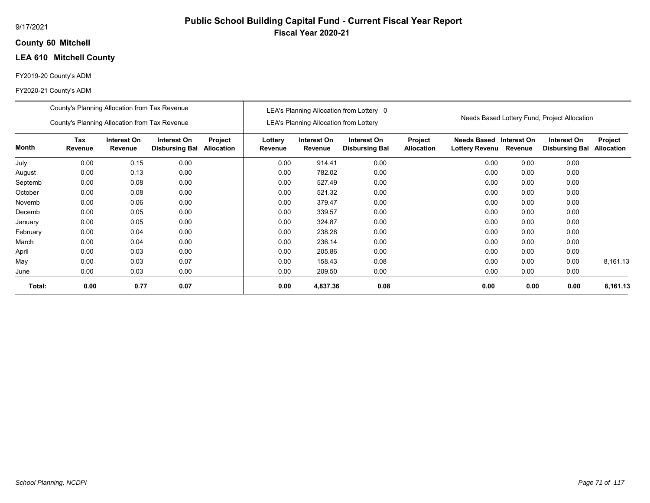## **60 Mitchell County**

# **LEA 610 Mitchell County**

#### FY2019-20 County's ADM

#### FY2020-21 County's ADM

|          | County's Planning Allocation from Tax Revenue |                        |                                      |                       |                    |                                               | LEA's Planning Allocation from Lottery 0 |                              |                                                   |      |                                              |                              |
|----------|-----------------------------------------------|------------------------|--------------------------------------|-----------------------|--------------------|-----------------------------------------------|------------------------------------------|------------------------------|---------------------------------------------------|------|----------------------------------------------|------------------------------|
|          | County's Planning Allocation from Tax Revenue |                        |                                      |                       |                    | <b>LEA's Planning Allocation from Lottery</b> |                                          |                              |                                                   |      | Needs Based Lottery Fund, Project Allocation |                              |
| Month    | Tax<br>Revenue                                | Interest On<br>Revenue | Interest On<br><b>Disbursing Bal</b> | Project<br>Allocation | Lottery<br>Revenue | Interest On<br>Revenue                        | Interest On<br><b>Disbursing Bal</b>     | Project<br><b>Allocation</b> | Needs Based Interest On<br>Lottery Revenu Revenue |      | Interest On<br><b>Disbursing Bal</b>         | Project<br><b>Allocation</b> |
| July     | 0.00                                          | 0.15                   | 0.00                                 |                       | 0.00               | 914.41                                        | 0.00                                     |                              | 0.00                                              | 0.00 | 0.00                                         |                              |
| August   | 0.00                                          | 0.13                   | 0.00                                 |                       | 0.00               | 782.02                                        | 0.00                                     |                              | 0.00                                              | 0.00 | 0.00                                         |                              |
| Septemb  | 0.00                                          | 0.08                   | 0.00                                 |                       | 0.00               | 527.49                                        | 0.00                                     |                              | 0.00                                              | 0.00 | 0.00                                         |                              |
| October  | 0.00                                          | 0.08                   | 0.00                                 |                       | 0.00               | 521.32                                        | 0.00                                     |                              | 0.00                                              | 0.00 | 0.00                                         |                              |
| Novemb   | 0.00                                          | 0.06                   | 0.00                                 |                       | 0.00               | 379.47                                        | 0.00                                     |                              | 0.00                                              | 0.00 | 0.00                                         |                              |
| Decemb   | 0.00                                          | 0.05                   | 0.00                                 |                       | 0.00               | 339.57                                        | 0.00                                     |                              | 0.00                                              | 0.00 | 0.00                                         |                              |
| January  | 0.00                                          | 0.05                   | 0.00                                 |                       | 0.00               | 324.87                                        | 0.00                                     |                              | 0.00                                              | 0.00 | 0.00                                         |                              |
| February | 0.00                                          | 0.04                   | 0.00                                 |                       | 0.00               | 238.28                                        | 0.00                                     |                              | 0.00                                              | 0.00 | 0.00                                         |                              |
| March    | 0.00                                          | 0.04                   | 0.00                                 |                       | 0.00               | 236.14                                        | 0.00                                     |                              | 0.00                                              | 0.00 | 0.00                                         |                              |
| April    | 0.00                                          | 0.03                   | 0.00                                 |                       | 0.00               | 205.86                                        | 0.00                                     |                              | 0.00                                              | 0.00 | 0.00                                         |                              |
| May      | 0.00                                          | 0.03                   | 0.07                                 |                       | 0.00               | 158.43                                        | 0.08                                     |                              | 0.00                                              | 0.00 | 0.00                                         | 8,161.13                     |
| June     | 0.00                                          | 0.03                   | 0.00                                 |                       | 0.00               | 209.50                                        | 0.00                                     |                              | 0.00                                              | 0.00 | 0.00                                         |                              |
| Total:   | 0.00                                          | 0.77                   | 0.07                                 |                       | 0.00               | 4,837.36                                      | 0.08                                     |                              | 0.00                                              | 0.00 | 0.00                                         | 8,161.13                     |

**Public School Building Capital Fund - Current Fiscal Year Report**

**Fiscal Year 2020-21**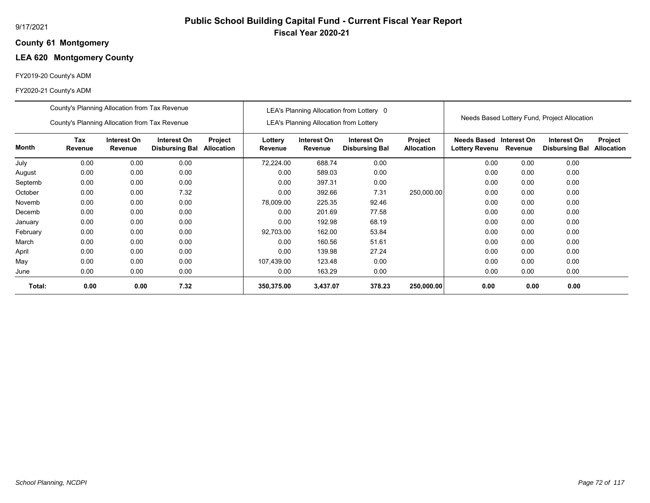### **61 Montgomery County**

## **LEA 620 Montgomery County**

## FY2019-20 County's ADM

|          | County's Planning Allocation from Tax Revenue                                                                                            |      |      |  |                    |                                        | LEA's Planning Allocation from Lottery 0 |                              |                                      |                        |                                              |                              |
|----------|------------------------------------------------------------------------------------------------------------------------------------------|------|------|--|--------------------|----------------------------------------|------------------------------------------|------------------------------|--------------------------------------|------------------------|----------------------------------------------|------------------------------|
|          | County's Planning Allocation from Tax Revenue                                                                                            |      |      |  |                    | LEA's Planning Allocation from Lottery |                                          |                              |                                      |                        | Needs Based Lottery Fund, Project Allocation |                              |
| Month    | Tax<br>Interest On<br>Interest On<br>Project<br>Revenue<br>Revenue<br><b>Disbursing Bal</b><br><b>Allocation</b><br>0.00<br>0.00<br>0.00 |      |      |  | Lottery<br>Revenue | Interest On<br>Revenue                 | Interest On<br><b>Disbursing Bal</b>     | Project<br><b>Allocation</b> | <b>Needs Based</b><br>Lottery Revenu | Interest On<br>Revenue | Interest On<br><b>Disbursing Bal</b>         | Project<br><b>Allocation</b> |
| July     |                                                                                                                                          |      |      |  | 72,224.00          | 688.74                                 | 0.00                                     |                              | 0.00                                 | 0.00                   | 0.00                                         |                              |
| August   | 0.00                                                                                                                                     | 0.00 | 0.00 |  | 0.00               | 589.03                                 | 0.00                                     |                              | 0.00                                 | 0.00                   | 0.00                                         |                              |
| Septemb  | 0.00                                                                                                                                     | 0.00 | 0.00 |  | 0.00               | 397.31                                 | 0.00                                     |                              | 0.00                                 | 0.00                   | 0.00                                         |                              |
| October  | 0.00                                                                                                                                     | 0.00 | 7.32 |  | 0.00               | 392.66                                 | 7.31                                     | 250,000.00                   | 0.00                                 | 0.00                   | 0.00                                         |                              |
| Novemb   | 0.00                                                                                                                                     | 0.00 | 0.00 |  | 78,009.00          | 225.35                                 | 92.46                                    |                              | 0.00                                 | 0.00                   | 0.00                                         |                              |
| Decemb   | 0.00                                                                                                                                     | 0.00 | 0.00 |  | 0.00               | 201.69                                 | 77.58                                    |                              | 0.00                                 | 0.00                   | 0.00                                         |                              |
| January  | 0.00                                                                                                                                     | 0.00 | 0.00 |  | 0.00               | 192.98                                 | 68.19                                    |                              | 0.00                                 | 0.00                   | 0.00                                         |                              |
| February | 0.00                                                                                                                                     | 0.00 | 0.00 |  | 92,703.00          | 162.00                                 | 53.84                                    |                              | 0.00                                 | 0.00                   | 0.00                                         |                              |
| March    | 0.00                                                                                                                                     | 0.00 | 0.00 |  | 0.00               | 160.56                                 | 51.61                                    |                              | 0.00                                 | 0.00                   | 0.00                                         |                              |
| April    | 0.00                                                                                                                                     | 0.00 | 0.00 |  | 0.00               | 139.98                                 | 27.24                                    |                              | 0.00                                 | 0.00                   | 0.00                                         |                              |
| May      | 0.00                                                                                                                                     | 0.00 | 0.00 |  | 107,439.00         | 123.48                                 | 0.00                                     |                              | 0.00                                 | 0.00                   | 0.00                                         |                              |
| June     | 0.00                                                                                                                                     | 0.00 | 0.00 |  | 0.00               | 163.29                                 | 0.00                                     |                              | 0.00                                 | 0.00                   | 0.00                                         |                              |
| Total:   | 0.00                                                                                                                                     | 0.00 | 7.32 |  | 350,375.00         | 3,437.07                               | 378.23                                   | 250,000.00                   | 0.00                                 | 0.00                   | 0.00                                         |                              |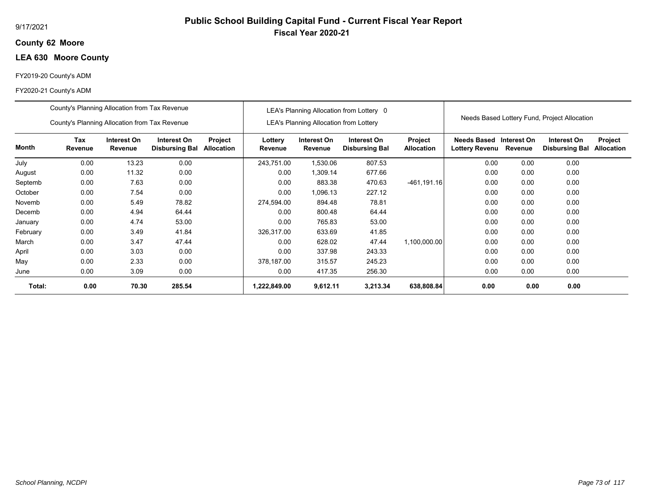## **62 Moore County**

## **LEA 630 Moore County**

## FY2019-20 County's ADM

|          | County's Planning Allocation from Tax Revenue |                        |                                      |                       |                    |                                               | LEA's Planning Allocation from Lottery 0 |                                     |                                      |                        | Needs Based Lottery Fund, Project Allocation |                              |
|----------|-----------------------------------------------|------------------------|--------------------------------------|-----------------------|--------------------|-----------------------------------------------|------------------------------------------|-------------------------------------|--------------------------------------|------------------------|----------------------------------------------|------------------------------|
|          | County's Planning Allocation from Tax Revenue |                        |                                      |                       |                    | <b>LEA's Planning Allocation from Lottery</b> |                                          |                                     |                                      |                        |                                              |                              |
| Month    | Tax<br>Revenue                                | Interest On<br>Revenue | Interest On<br><b>Disbursing Bal</b> | Project<br>Allocation | Lottery<br>Revenue | Interest On<br>Revenue                        | Interest On<br><b>Disbursing Bal</b>     | <b>Project</b><br><b>Allocation</b> | Needs Based<br><b>Lottery Revenu</b> | Interest On<br>Revenue | Interest On<br><b>Disbursing Bal</b>         | Project<br><b>Allocation</b> |
| July     | 0.00                                          | 13.23                  | 0.00                                 |                       | 243,751.00         | 1,530.06                                      | 807.53                                   |                                     | 0.00                                 | 0.00                   | 0.00                                         |                              |
| August   | 0.00                                          | 11.32                  | 0.00                                 |                       | 0.00               | 1,309.14                                      | 677.66                                   |                                     | 0.00                                 | 0.00                   | 0.00                                         |                              |
| Septemb  | 0.00                                          | 0.00                   |                                      | 0.00                  | 883.38             | 470.63                                        | $-461, 191.16$                           | 0.00                                | 0.00                                 | 0.00                   |                                              |                              |
| October  | 0.00                                          | 7.54                   | 0.00                                 |                       | 0.00               | .096.13                                       | 227.12                                   |                                     | 0.00                                 | 0.00                   | 0.00                                         |                              |
| Novemb   | 0.00                                          | 5.49                   | 78.82                                |                       | 274,594.00         | 894.48                                        | 78.81                                    |                                     | 0.00                                 | 0.00                   | 0.00                                         |                              |
| Decemb   | 0.00                                          | 4.94                   | 64.44                                |                       | 0.00               | 800.48                                        | 64.44                                    |                                     | 0.00                                 | 0.00                   | 0.00                                         |                              |
| January  | 0.00                                          | 4.74                   | 53.00                                |                       | 0.00               | 765.83                                        | 53.00                                    |                                     | 0.00                                 | 0.00                   | 0.00                                         |                              |
| February | 0.00                                          | 3.49                   | 41.84                                |                       | 326,317.00         | 633.69                                        | 41.85                                    |                                     | 0.00                                 | 0.00                   | 0.00                                         |                              |
| March    | 0.00                                          | 3.47                   | 47.44                                |                       | 0.00               | 628.02                                        | 47.44                                    | 1,100,000.00                        | 0.00                                 | 0.00                   | 0.00                                         |                              |
| April    | 0.00                                          | 3.03                   | 0.00                                 |                       | 0.00               | 337.98                                        | 243.33                                   |                                     | 0.00                                 | 0.00                   | 0.00                                         |                              |
| May      | 0.00                                          | 2.33                   | 0.00                                 |                       | 378,187.00         | 315.57                                        | 245.23                                   |                                     | 0.00                                 | 0.00                   | 0.00                                         |                              |
| June     | 0.00                                          | 3.09                   | 0.00                                 |                       | 0.00               | 417.35                                        | 256.30                                   |                                     | 0.00                                 | 0.00                   | 0.00                                         |                              |
| Total:   | 0.00                                          | 70.30                  | 285.54                               |                       | 1,222,849.00       | 9,612.11                                      | 3,213.34                                 | 638,808.84                          | 0.00                                 | 0.00                   | 0.00                                         |                              |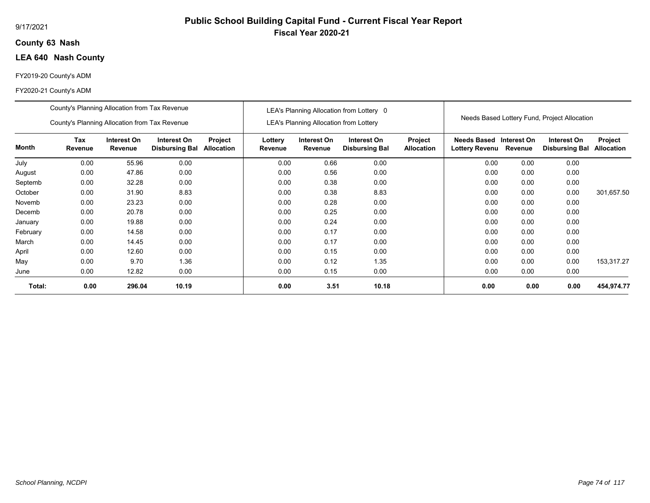## **63 Nash County**

## **LEA 640 Nash County**

## FY2019-20 County's ADM

#### FY2020-21 County's ADM

|          | County's Planning Allocation from Tax Revenue |                        |                                      |                              |                    |                                        | LEA's Planning Allocation from Lottery 0 |                              |                                      |                        |                                              |                              |
|----------|-----------------------------------------------|------------------------|--------------------------------------|------------------------------|--------------------|----------------------------------------|------------------------------------------|------------------------------|--------------------------------------|------------------------|----------------------------------------------|------------------------------|
|          | County's Planning Allocation from Tax Revenue |                        |                                      |                              |                    | LEA's Planning Allocation from Lottery |                                          |                              |                                      |                        | Needs Based Lottery Fund, Project Allocation |                              |
| Month    | Tax<br>Revenue                                | Interest On<br>Revenue | Interest On<br><b>Disbursing Bal</b> | Project<br><b>Allocation</b> | Lottery<br>Revenue | Interest On<br>Revenue                 | Interest On<br><b>Disbursing Bal</b>     | Project<br><b>Allocation</b> | Needs Based<br><b>Lottery Revenu</b> | Interest On<br>Revenue | Interest On<br><b>Disbursing Bal</b>         | Project<br><b>Allocation</b> |
| July     | 0.00                                          | 55.96                  | 0.00                                 |                              | 0.00               | 0.66                                   | 0.00                                     |                              | 0.00                                 | 0.00                   | 0.00                                         |                              |
| August   | 0.00                                          | 47.86                  | 0.00                                 |                              | 0.00               | 0.56                                   | 0.00                                     |                              | 0.00                                 | 0.00                   | 0.00                                         |                              |
| Septemb  | 0.00<br>0.00<br>32.28                         |                        |                                      |                              | 0.00               | 0.38                                   | 0.00                                     |                              | 0.00                                 | 0.00                   | 0.00                                         |                              |
| October  | 0.00                                          | 31.90                  | 8.83                                 |                              | 0.00               | 0.38                                   | 8.83                                     |                              | 0.00                                 | 0.00                   | 0.00                                         | 301,657.50                   |
| Novemb   | 0.00                                          | 23.23                  | 0.00                                 |                              | 0.00               | 0.28                                   | 0.00                                     |                              | 0.00                                 | 0.00                   | 0.00                                         |                              |
| Decemb   | 0.00                                          | 20.78                  | 0.00                                 |                              | 0.00               | 0.25                                   | 0.00                                     |                              | 0.00                                 | 0.00                   | 0.00                                         |                              |
| January  | 0.00                                          | 19.88                  | 0.00                                 |                              | 0.00               | 0.24                                   | 0.00                                     |                              | 0.00                                 | 0.00                   | 0.00                                         |                              |
| February | 0.00                                          | 14.58                  | 0.00                                 |                              | 0.00               | 0.17                                   | 0.00                                     |                              | 0.00                                 | 0.00                   | 0.00                                         |                              |
| March    | 0.00                                          | 14.45                  | 0.00                                 |                              | 0.00               | 0.17                                   | 0.00                                     |                              | 0.00                                 | 0.00                   | 0.00                                         |                              |
| April    | 0.00                                          | 12.60                  | 0.00                                 |                              | 0.00               | 0.15                                   | 0.00                                     |                              | 0.00                                 | 0.00                   | 0.00                                         |                              |
| May      | 0.00                                          | 9.70                   | 1.36                                 |                              | 0.00               | 0.12                                   | 1.35                                     |                              | 0.00                                 | 0.00                   | 0.00                                         | 153,317.27                   |
| June     | 0.00                                          | 12.82                  | 0.00                                 |                              | 0.00               | 0.15                                   | 0.00                                     |                              | 0.00                                 | 0.00                   | 0.00                                         |                              |
| Total:   | 0.00                                          | 296.04                 | 10.19                                |                              | 0.00               | 3.51                                   | 10.18                                    |                              | 0.00                                 | 0.00                   | 0.00                                         | 454,974.77                   |

## **Public School Building Capital Fund - Current Fiscal Year Report Fiscal Year 2020-21**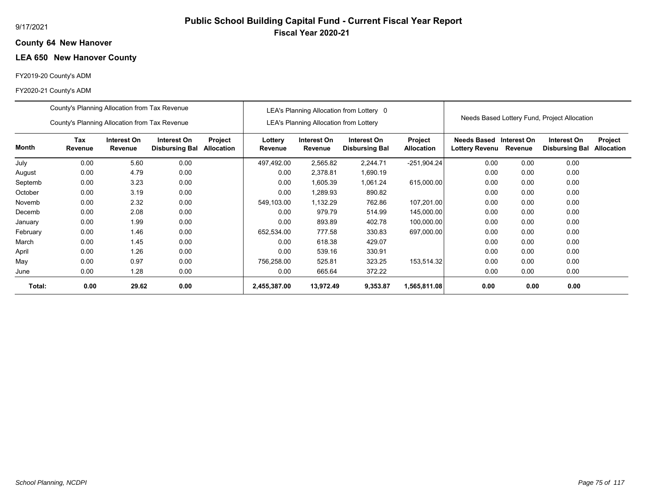### **64 New Hanover County**

## **LEA 650 New Hanover County**

## FY2019-20 County's ADM

|          | County's Planning Allocation from Tax Revenue |                        |                                      |                              |                    |                                        | LEA's Planning Allocation from Lottery 0 |                              |                                      |                        |                                              |                              |
|----------|-----------------------------------------------|------------------------|--------------------------------------|------------------------------|--------------------|----------------------------------------|------------------------------------------|------------------------------|--------------------------------------|------------------------|----------------------------------------------|------------------------------|
|          | County's Planning Allocation from Tax Revenue |                        |                                      |                              |                    | LEA's Planning Allocation from Lottery |                                          |                              |                                      |                        | Needs Based Lottery Fund, Project Allocation |                              |
| Month    | Tax<br>Revenue                                | Interest On<br>Revenue | Interest On<br><b>Disbursing Bal</b> | Project<br><b>Allocation</b> | Lottery<br>Revenue | Interest On<br>Revenue                 | Interest On<br><b>Disbursing Bal</b>     | Project<br><b>Allocation</b> | <b>Needs Based</b><br>Lottery Revenu | Interest On<br>Revenue | Interest On<br><b>Disbursing Bal</b>         | Project<br><b>Allocation</b> |
| July     | 0.00                                          | 5.60                   | 0.00                                 |                              | 497,492.00         | 2,565.82                               | 2,244.71                                 | $-251,904.24$                | 0.00                                 | 0.00                   | 0.00                                         |                              |
| August   | 0.00                                          | 4.79                   | 0.00                                 |                              | 0.00               | 2,378.81                               | 1,690.19                                 |                              | 0.00                                 | 0.00                   | 0.00                                         |                              |
| Septemb  | 3.23<br>0.00<br>0.00                          |                        |                                      |                              | 0.00               | 1,605.39                               | 1,061.24                                 | 615,000.00                   | 0.00                                 | 0.00                   | 0.00                                         |                              |
| October  | 0.00                                          | 3.19                   | 0.00                                 |                              | 0.00               | 1,289.93                               | 890.82                                   |                              | 0.00                                 | 0.00                   | 0.00                                         |                              |
| Novemb   | 0.00                                          | 2.32                   | 0.00                                 |                              | 549,103.00         | 1,132.29                               | 762.86                                   | 107,201.00                   | 0.00                                 | 0.00                   | 0.00                                         |                              |
| Decemb   | 0.00                                          | 2.08                   | 0.00                                 |                              | 0.00               | 979.79                                 | 514.99                                   | 145,000.00                   | 0.00                                 | 0.00                   | 0.00                                         |                              |
| January  | 0.00                                          | 1.99                   | 0.00                                 |                              | 0.00               | 893.89                                 | 402.78                                   | 100,000.00                   | 0.00                                 | 0.00                   | 0.00                                         |                              |
| February | 0.00                                          | 1.46                   | 0.00                                 |                              | 652,534.00         | 777.58                                 | 330.83                                   | 697,000.00                   | 0.00                                 | 0.00                   | 0.00                                         |                              |
| March    | 0.00                                          | 1.45                   | 0.00                                 |                              | 0.00               | 618.38                                 | 429.07                                   |                              | 0.00                                 | 0.00                   | 0.00                                         |                              |
| April    | 0.00                                          | 1.26                   | 0.00                                 |                              | 0.00               | 539.16                                 | 330.91                                   |                              | 0.00                                 | 0.00                   | 0.00                                         |                              |
| May      | 0.97<br>0.00<br>0.00                          |                        |                                      |                              | 756,258.00         | 525.81                                 | 323.25                                   | 153,514.32                   | 0.00                                 | 0.00                   | 0.00                                         |                              |
| June     | 0.00                                          | 1.28                   | 0.00                                 |                              | 0.00               | 665.64                                 | 372.22                                   |                              | 0.00                                 | 0.00                   | 0.00                                         |                              |
| Total:   | 0.00                                          | 29.62                  | 0.00                                 |                              | 2,455,387.00       | 13,972.49                              | 9,353.87                                 | 1,565,811.08                 | 0.00                                 | 0.00                   | 0.00                                         |                              |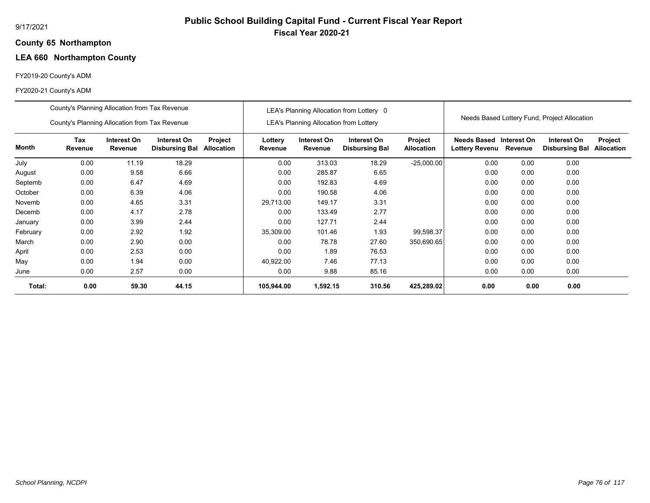### **65 Northampton County**

## **LEA 660 Northampton County**

## FY2019-20 County's ADM

|          | County's Planning Allocation from Tax Revenue                                                                                              |       |       |  |                    |                                        | LEA's Planning Allocation from Lottery 0 |                              |                                      |                        |                                              |                              |
|----------|--------------------------------------------------------------------------------------------------------------------------------------------|-------|-------|--|--------------------|----------------------------------------|------------------------------------------|------------------------------|--------------------------------------|------------------------|----------------------------------------------|------------------------------|
|          | County's Planning Allocation from Tax Revenue                                                                                              |       |       |  |                    | LEA's Planning Allocation from Lottery |                                          |                              |                                      |                        | Needs Based Lottery Fund, Project Allocation |                              |
| Month    | Tax<br>Interest On<br>Interest On<br>Project<br>Revenue<br>Revenue<br><b>Disbursing Bal</b><br><b>Allocation</b><br>18.29<br>0.00<br>11.19 |       |       |  | Lottery<br>Revenue | Interest On<br>Revenue                 | Interest On<br><b>Disbursing Bal</b>     | Project<br><b>Allocation</b> | <b>Needs Based</b><br>Lottery Revenu | Interest On<br>Revenue | Interest On<br><b>Disbursing Bal</b>         | Project<br><b>Allocation</b> |
| July     |                                                                                                                                            |       |       |  | 0.00               | 313.03                                 | 18.29                                    | $-25,000.00$                 | 0.00                                 | 0.00                   | 0.00                                         |                              |
| August   | 0.00                                                                                                                                       | 9.58  | 6.66  |  | 0.00               | 285.87                                 | 6.65                                     |                              | 0.00                                 | 0.00                   | 0.00                                         |                              |
| Septemb  | 4.69<br>0.00<br>6.47                                                                                                                       |       |       |  | 0.00               | 192.83                                 | 4.69                                     |                              | 0.00                                 | 0.00                   | 0.00                                         |                              |
| October  | 0.00                                                                                                                                       | 6.39  | 4.06  |  | 0.00               | 190.58                                 | 4.06                                     |                              | 0.00                                 | 0.00                   | 0.00                                         |                              |
| Novemb   | 0.00                                                                                                                                       | 4.65  | 3.31  |  | 29,713.00          | 149.17                                 | 3.31                                     |                              | 0.00                                 | 0.00                   | 0.00                                         |                              |
| Decemb   | 0.00                                                                                                                                       | 4.17  | 2.78  |  | 0.00               | 133.49                                 | 2.77                                     |                              | 0.00                                 | 0.00                   | 0.00                                         |                              |
| January  | 0.00                                                                                                                                       | 3.99  | 2.44  |  | 0.00               | 127.71                                 | 2.44                                     |                              | 0.00                                 | 0.00                   | 0.00                                         |                              |
| February | 0.00                                                                                                                                       | 2.92  | 1.92  |  | 35,309.00          | 101.46                                 | 1.93                                     | 99,598.37                    | 0.00                                 | 0.00                   | 0.00                                         |                              |
| March    | 0.00                                                                                                                                       | 2.90  | 0.00  |  | 0.00               | 78.78                                  | 27.60                                    | 350,690.65                   | 0.00                                 | 0.00                   | 0.00                                         |                              |
| April    | 0.00                                                                                                                                       | 2.53  | 0.00  |  | 0.00               | 1.89                                   | 76.53                                    |                              | 0.00                                 | 0.00                   | 0.00                                         |                              |
| May      | 0.00                                                                                                                                       | 1.94  | 0.00  |  | 40,922.00          | 7.46                                   | 77.13                                    |                              | 0.00                                 | 0.00                   | 0.00                                         |                              |
| June     | 0.00                                                                                                                                       | 2.57  | 0.00  |  | 0.00               | 9.88                                   | 85.16                                    |                              | 0.00                                 | 0.00                   | 0.00                                         |                              |
| Total:   | 0.00                                                                                                                                       | 59.30 | 44.15 |  | 105,944.00         | 1,592.15                               | 310.56                                   | 425,289.02                   | 0.00                                 | 0.00                   | 0.00                                         |                              |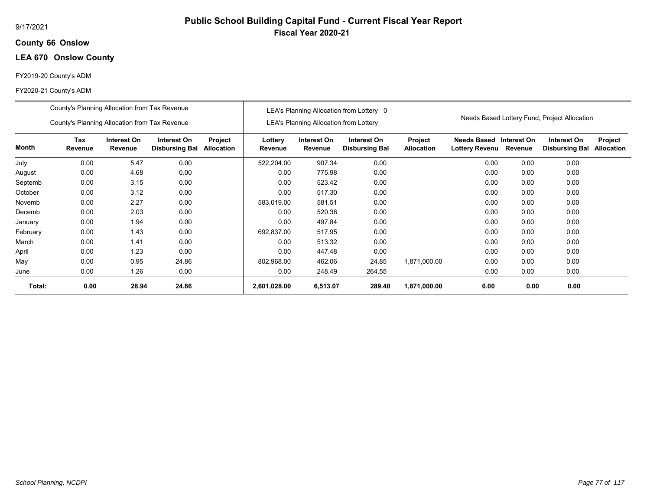## **66 Onslow County**

## **LEA 670 Onslow County**

## FY2019-20 County's ADM

|          | County's Planning Allocation from Tax Revenue |                        |                                      |                              |                    |                                               | LEA's Planning Allocation from Lottery 0 |                              |                                                  |         |                                              |                              |
|----------|-----------------------------------------------|------------------------|--------------------------------------|------------------------------|--------------------|-----------------------------------------------|------------------------------------------|------------------------------|--------------------------------------------------|---------|----------------------------------------------|------------------------------|
|          | County's Planning Allocation from Tax Revenue |                        |                                      |                              |                    | <b>LEA's Planning Allocation from Lottery</b> |                                          |                              |                                                  |         | Needs Based Lottery Fund, Project Allocation |                              |
| Month    | Tax<br>Revenue                                | Interest On<br>Revenue | Interest On<br><b>Disbursing Bal</b> | Project<br><b>Allocation</b> | Lottery<br>Revenue | Interest On<br>Revenue                        | Interest On<br><b>Disbursing Bal</b>     | Project<br><b>Allocation</b> | Needs Based Interest On<br><b>Lottery Revenu</b> | Revenue | Interest On<br><b>Disbursing Bal</b>         | Project<br><b>Allocation</b> |
| July     | 0.00                                          | 5.47                   | 0.00                                 |                              | 522,204.00         | 907.34                                        | 0.00                                     |                              | 0.00                                             | 0.00    | 0.00                                         |                              |
| August   | 0.00                                          | 4.68                   | 0.00                                 |                              | 0.00               | 775.98                                        | 0.00                                     |                              | 0.00                                             | 0.00    | 0.00                                         |                              |
| Septemb  | 0.00                                          | 3.15                   | 0.00                                 |                              | 0.00               | 523.42                                        | 0.00                                     |                              | 0.00                                             | 0.00    | 0.00                                         |                              |
| October  | 0.00                                          | 3.12                   | 0.00                                 |                              | 0.00               | 517.30                                        | 0.00                                     |                              | 0.00                                             | 0.00    | 0.00                                         |                              |
| Novemb   | 0.00                                          | 2.27                   | 0.00                                 |                              | 583,019.00         | 581.51                                        | 0.00                                     |                              | 0.00                                             | 0.00    | 0.00                                         |                              |
| Decemb   | 0.00                                          | 2.03                   | 0.00                                 |                              | 0.00               | 520.38                                        | 0.00                                     |                              | 0.00                                             | 0.00    | 0.00                                         |                              |
| January  | 0.00                                          | 1.94                   | 0.00                                 |                              | 0.00               | 497.84                                        | 0.00                                     |                              | 0.00                                             | 0.00    | 0.00                                         |                              |
| February | 0.00                                          | 1.43                   | 0.00                                 |                              | 692,837.00         | 517.95                                        | 0.00                                     |                              | 0.00                                             | 0.00    | 0.00                                         |                              |
| March    | 0.00                                          | 1.41                   | 0.00                                 |                              | 0.00               | 513.32                                        | 0.00                                     |                              | 0.00                                             | 0.00    | 0.00                                         |                              |
| April    | 0.00                                          | 1.23                   | 0.00                                 |                              | 0.00               | 447.48                                        | 0.00                                     |                              | 0.00                                             | 0.00    | 0.00                                         |                              |
| May      | 0.00                                          | 0.95                   | 24.86                                |                              | 802,968.00         | 462.06                                        | 24.85                                    | 1,871,000.00                 | 0.00                                             | 0.00    | 0.00                                         |                              |
| June     | 0.00                                          | 1.26                   | 0.00                                 |                              | 0.00               | 248.49                                        | 264.55                                   |                              | 0.00                                             | 0.00    | 0.00                                         |                              |
| Total:   | 0.00                                          | 28.94                  | 24.86                                |                              | 2,601,028.00       | 6,513.07                                      | 289.40                                   | 1,871,000.00                 | 0.00                                             | 0.00    | 0.00                                         |                              |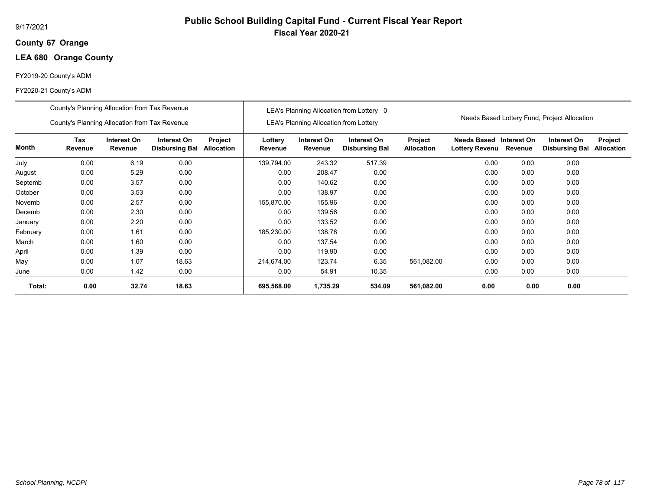## **67 Orange County**

## **LEA 680 Orange County**

## FY2019-20 County's ADM

|          | County's Planning Allocation from Tax Revenue |                        |                                      |                       |                    |                                               | LEA's Planning Allocation from Lottery 0 |                              |                                      |                        |                                              |                              |
|----------|-----------------------------------------------|------------------------|--------------------------------------|-----------------------|--------------------|-----------------------------------------------|------------------------------------------|------------------------------|--------------------------------------|------------------------|----------------------------------------------|------------------------------|
|          | County's Planning Allocation from Tax Revenue |                        |                                      |                       |                    | <b>LEA's Planning Allocation from Lottery</b> |                                          |                              |                                      |                        | Needs Based Lottery Fund, Project Allocation |                              |
| Month    | Tax<br>Revenue                                | Interest On<br>Revenue | Interest On<br><b>Disbursing Bal</b> | Project<br>Allocation | Lottery<br>Revenue | Interest On<br>Revenue                        | Interest On<br><b>Disbursing Bal</b>     | Project<br><b>Allocation</b> | <b>Needs Based</b><br>Lottery Revenu | Interest On<br>Revenue | Interest On<br><b>Disbursing Bal</b>         | Project<br><b>Allocation</b> |
| July     | 0.00                                          | 6.19                   | 0.00                                 |                       | 139,794.00         | 243.32                                        | 517.39                                   |                              | 0.00                                 | 0.00                   | 0.00                                         |                              |
| August   | 0.00                                          | 5.29                   | 0.00                                 |                       | 0.00               | 208.47                                        | 0.00                                     |                              | 0.00                                 | 0.00                   | 0.00                                         |                              |
| Septemb  | 0.00                                          | 3.57                   | 0.00                                 |                       | 0.00               | 140.62                                        | 0.00                                     |                              | 0.00                                 | 0.00                   | 0.00                                         |                              |
| October  | 0.00                                          | 3.53                   | 0.00                                 |                       | 0.00               | 138.97                                        | 0.00                                     |                              | 0.00                                 | 0.00                   | 0.00                                         |                              |
| Novemb   | 0.00                                          | 2.57                   | 0.00                                 |                       | 155,870.00         | 155.96                                        | 0.00                                     |                              | 0.00                                 | 0.00                   | 0.00                                         |                              |
| Decemb   | 0.00                                          | 2.30                   | 0.00                                 |                       | 0.00               | 139.56                                        | 0.00                                     |                              | 0.00                                 | 0.00                   | 0.00                                         |                              |
| January  | 0.00                                          | 2.20                   | 0.00                                 |                       | 0.00               | 133.52                                        | 0.00                                     |                              | 0.00                                 | 0.00                   | 0.00                                         |                              |
| February | 0.00                                          | 1.61                   | 0.00                                 |                       | 185,230.00         | 138.78                                        | 0.00                                     |                              | 0.00                                 | 0.00                   | 0.00                                         |                              |
| March    | 0.00                                          | 1.60                   | 0.00                                 |                       | 0.00               | 137.54                                        | 0.00                                     |                              | 0.00                                 | 0.00                   | 0.00                                         |                              |
| April    | 0.00                                          | 1.39                   | 0.00                                 |                       | 0.00               | 119.90                                        | 0.00                                     |                              | 0.00                                 | 0.00                   | 0.00                                         |                              |
| May      | 0.00                                          | 1.07                   | 18.63                                |                       | 214,674.00         | 123.74                                        | 6.35                                     | 561,082.00                   | 0.00                                 | 0.00                   | 0.00                                         |                              |
| June     | 0.00                                          | 1.42                   | 0.00                                 |                       | 0.00               | 54.91                                         | 10.35                                    |                              | 0.00                                 | 0.00                   | 0.00                                         |                              |
| Total:   | 0.00                                          | 32.74                  | 18.63                                |                       | 695,568.00         | 1,735.29                                      | 534.09                                   | 561,082.00                   | 0.00                                 | 0.00                   | 0.00                                         |                              |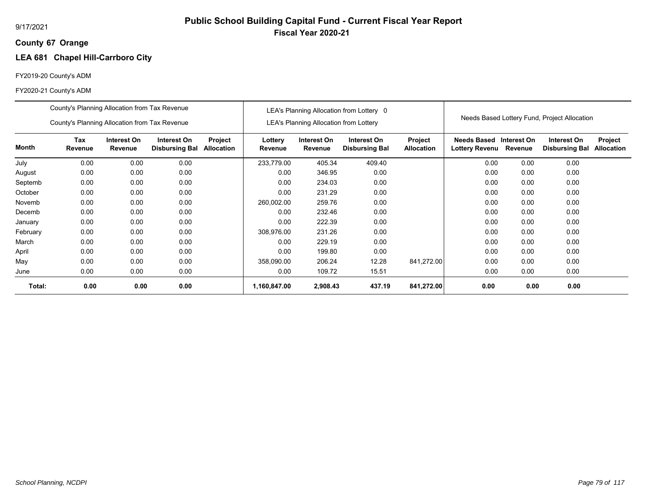## **67 Orange County**

# **LEA 681 Chapel Hill-Carrboro City**

## FY2019-20 County's ADM

|          | County's Planning Allocation from Tax Revenue |                        |                                      |                              |                    |                                               | LEA's Planning Allocation from Lottery 0 |                              |                                             |                        |                                              |                              |
|----------|-----------------------------------------------|------------------------|--------------------------------------|------------------------------|--------------------|-----------------------------------------------|------------------------------------------|------------------------------|---------------------------------------------|------------------------|----------------------------------------------|------------------------------|
|          | County's Planning Allocation from Tax Revenue |                        |                                      |                              |                    | <b>LEA's Planning Allocation from Lottery</b> |                                          |                              |                                             |                        | Needs Based Lottery Fund, Project Allocation |                              |
| Month    | Tax<br>Revenue                                | Interest On<br>Revenue | Interest On<br><b>Disbursing Bal</b> | Project<br><b>Allocation</b> | Lottery<br>Revenue | Interest On<br>Revenue                        | Interest On<br><b>Disbursing Bal</b>     | Project<br><b>Allocation</b> | <b>Needs Based</b><br><b>Lottery Revenu</b> | Interest On<br>Revenue | Interest On<br><b>Disbursing Bal</b>         | Project<br><b>Allocation</b> |
| July     | 0.00                                          | 0.00                   | 0.00                                 |                              | 233,779.00         | 405.34                                        | 409.40                                   |                              | 0.00                                        | 0.00                   | 0.00                                         |                              |
| August   | 0.00                                          | 0.00                   | 0.00                                 |                              | 0.00               | 346.95                                        | 0.00                                     |                              | 0.00                                        | 0.00                   | 0.00                                         |                              |
| Septemb  | 0.00                                          | 0.00                   | 0.00                                 |                              | 0.00               | 234.03                                        | 0.00                                     |                              | 0.00                                        | 0.00                   | 0.00                                         |                              |
| October  | 0.00                                          | 0.00                   | 0.00                                 |                              | 0.00               | 231.29                                        | 0.00                                     |                              | 0.00                                        | 0.00                   | 0.00                                         |                              |
| Novemb   | 0.00                                          | 0.00                   | 0.00                                 |                              | 260,002.00         | 259.76                                        | 0.00                                     |                              | 0.00                                        | 0.00                   | 0.00                                         |                              |
| Decemb   | 0.00                                          | 0.00                   | 0.00                                 |                              | 0.00               | 232.46                                        | 0.00                                     |                              | 0.00                                        | 0.00                   | 0.00                                         |                              |
| January  | 0.00                                          | 0.00                   | 0.00                                 |                              | 0.00               | 222.39                                        | 0.00                                     |                              | 0.00                                        | 0.00                   | 0.00                                         |                              |
| February | 0.00                                          | 0.00                   | 0.00                                 |                              | 308,976.00         | 231.26                                        | 0.00                                     |                              | 0.00                                        | 0.00                   | 0.00                                         |                              |
| March    | 0.00                                          | 0.00                   | 0.00                                 |                              | 0.00               | 229.19                                        | 0.00                                     |                              | 0.00                                        | 0.00                   | 0.00                                         |                              |
| April    | 0.00                                          | 0.00                   | 0.00                                 |                              | 0.00               | 199.80                                        | 0.00                                     |                              | 0.00                                        | 0.00                   | 0.00                                         |                              |
| May      | 0.00                                          | 0.00                   | 0.00                                 |                              | 358,090.00         | 206.24                                        | 12.28                                    | 841,272.00                   | 0.00                                        | 0.00                   | 0.00                                         |                              |
| June     | 0.00                                          | 0.00                   | 0.00                                 |                              | 0.00               | 109.72                                        | 15.51                                    |                              | 0.00                                        | 0.00                   | 0.00                                         |                              |
| Total:   | 0.00                                          | 0.00                   | 0.00                                 |                              | 1,160,847.00       | 2,908.43                                      | 437.19                                   | 841,272.00                   | 0.00                                        | 0.00                   | 0.00                                         |                              |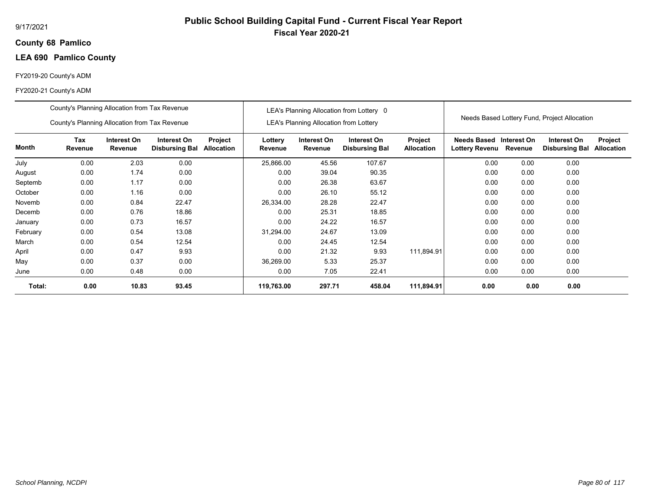## **68 Pamlico County**

## **LEA 690 Pamlico County**

## FY2019-20 County's ADM

|          | County's Planning Allocation from Tax Revenue |                        |                                      |                              |                    |                                               | LEA's Planning Allocation from Lottery 0 |                              |                                           |         |                                              |                              |
|----------|-----------------------------------------------|------------------------|--------------------------------------|------------------------------|--------------------|-----------------------------------------------|------------------------------------------|------------------------------|-------------------------------------------|---------|----------------------------------------------|------------------------------|
|          | County's Planning Allocation from Tax Revenue |                        |                                      |                              |                    | <b>LEA's Planning Allocation from Lottery</b> |                                          |                              |                                           |         | Needs Based Lottery Fund, Project Allocation |                              |
| Month    | Tax<br>Revenue                                | Interest On<br>Revenue | Interest On<br><b>Disbursing Bal</b> | Project<br><b>Allocation</b> | Lottery<br>Revenue | Interest On<br>Revenue                        | Interest On<br><b>Disbursing Bal</b>     | Project<br><b>Allocation</b> | Needs Based Interest On<br>Lottery Revenu | Revenue | Interest On<br><b>Disbursing Bal</b>         | Project<br><b>Allocation</b> |
| July     | 0.00                                          | 2.03                   | 0.00                                 |                              | 25,866.00          | 45.56                                         | 107.67                                   |                              | 0.00                                      | 0.00    | 0.00                                         |                              |
| August   | 0.00                                          | 1.74                   | 0.00                                 |                              | 0.00               | 39.04                                         | 90.35                                    |                              | 0.00                                      | 0.00    | 0.00                                         |                              |
| Septemb  | 0.00                                          | 1.17                   | 0.00                                 |                              | 0.00               | 26.38                                         | 63.67                                    |                              | 0.00                                      | 0.00    | 0.00                                         |                              |
| October  | 0.00                                          | 1.16                   | 0.00                                 |                              | 0.00               | 26.10                                         | 55.12                                    |                              | 0.00                                      | 0.00    | 0.00                                         |                              |
| Novemb   | 0.00                                          | 0.84                   | 22.47                                |                              | 26,334.00          | 28.28                                         | 22.47                                    |                              | 0.00                                      | 0.00    | 0.00                                         |                              |
| Decemb   | 0.00                                          | 0.76                   | 18.86                                |                              | 0.00               | 25.31                                         | 18.85                                    |                              | 0.00                                      | 0.00    | 0.00                                         |                              |
| January  | 0.00                                          | 0.73                   | 16.57                                |                              | 0.00               | 24.22                                         | 16.57                                    |                              | 0.00                                      | 0.00    | 0.00                                         |                              |
| February | 0.00                                          | 0.54                   | 13.08                                |                              | 31,294.00          | 24.67                                         | 13.09                                    |                              | 0.00                                      | 0.00    | 0.00                                         |                              |
| March    | 0.00                                          | 0.54                   | 12.54                                |                              | 0.00               | 24.45                                         | 12.54                                    |                              | 0.00                                      | 0.00    | 0.00                                         |                              |
| April    | 0.00                                          | 0.47                   | 9.93                                 |                              | 0.00               | 21.32                                         | 9.93                                     | 111.894.91                   | 0.00                                      | 0.00    | 0.00                                         |                              |
| May      | 0.00                                          | 0.37                   | 0.00                                 |                              | 36,269.00          | 5.33                                          | 25.37                                    |                              | 0.00                                      | 0.00    | 0.00                                         |                              |
| June     | 0.00                                          | 0.48                   | 0.00                                 |                              | 0.00               | 7.05                                          | 22.41                                    |                              | 0.00                                      | 0.00    | 0.00                                         |                              |
| Total:   | 0.00                                          | 10.83                  | 93.45                                |                              | 119,763.00         | 297.71                                        | 458.04                                   | 111,894.91                   | 0.00                                      | 0.00    | 0.00                                         |                              |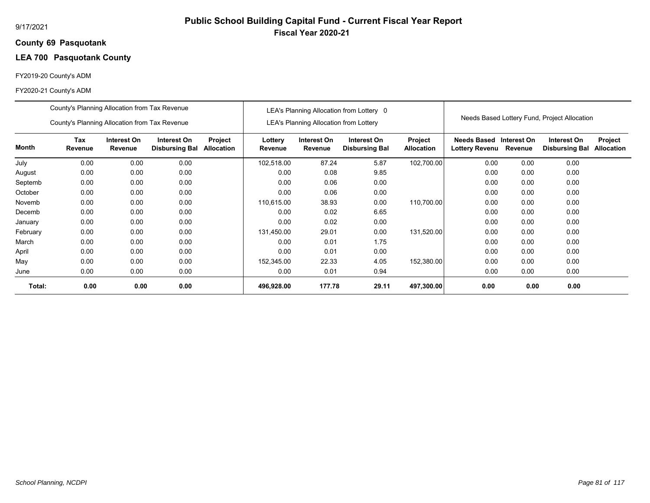### **69 Pasquotank County**

## **LEA 700 Pasquotank County**

## FY2019-20 County's ADM

|          | County's Planning Allocation from Tax Revenue |                        |                                      |                                     |                    |                                        | LEA's Planning Allocation from Lottery 0 |                              |                               |                        |                                              |                                     |
|----------|-----------------------------------------------|------------------------|--------------------------------------|-------------------------------------|--------------------|----------------------------------------|------------------------------------------|------------------------------|-------------------------------|------------------------|----------------------------------------------|-------------------------------------|
|          | County's Planning Allocation from Tax Revenue |                        |                                      |                                     |                    | LEA's Planning Allocation from Lottery |                                          |                              |                               |                        | Needs Based Lottery Fund, Project Allocation |                                     |
| Month    | Tax<br>Revenue                                | Interest On<br>Revenue | Interest On<br><b>Disbursing Bal</b> | <b>Project</b><br><b>Allocation</b> | Lottery<br>Revenue | Interest On<br>Revenue                 | Interest On<br><b>Disbursing Bal</b>     | Project<br><b>Allocation</b> | Needs Based<br>Lottery Revenu | Interest On<br>Revenue | Interest On<br><b>Disbursing Bal</b>         | <b>Project</b><br><b>Allocation</b> |
| July     | 0.00                                          | 0.00                   | 0.00                                 |                                     | 102,518.00         | 87.24                                  | 5.87                                     | 102,700.00                   | 0.00                          | 0.00                   | 0.00                                         |                                     |
| August   | 0.00                                          | 0.00                   | 0.00                                 |                                     | 0.00               | 0.08                                   | 9.85                                     |                              | 0.00                          | 0.00                   | 0.00                                         |                                     |
| Septemb  | 0.00                                          | 0.00                   | 0.00                                 |                                     | 0.00               | 0.06                                   | 0.00                                     |                              | 0.00                          | 0.00                   | 0.00                                         |                                     |
| October  | 0.00                                          | 0.00                   | 0.00                                 |                                     | 0.00               | 0.06                                   | 0.00                                     |                              | 0.00                          | 0.00                   | 0.00                                         |                                     |
| Novemb   | 0.00                                          | 0.00                   | 0.00                                 |                                     | 110,615.00         | 38.93                                  | 0.00                                     | 110,700.00                   | 0.00                          | 0.00                   | 0.00                                         |                                     |
| Decemb   | 0.00                                          | 0.00                   | 0.00                                 |                                     | 0.00               | 0.02                                   | 6.65                                     |                              | 0.00                          | 0.00                   | 0.00                                         |                                     |
| January  | 0.00                                          | 0.00                   | 0.00                                 |                                     | 0.00               | 0.02                                   | 0.00                                     |                              | 0.00                          | 0.00                   | 0.00                                         |                                     |
| February | 0.00                                          | 0.00                   | 0.00                                 |                                     | 131,450.00         | 29.01                                  | 0.00                                     | 131,520.00                   | 0.00                          | 0.00                   | 0.00                                         |                                     |
| March    | 0.00                                          | 0.00                   | 0.00                                 |                                     | 0.00               | 0.01                                   | 1.75                                     |                              | 0.00                          | 0.00                   | 0.00                                         |                                     |
| April    | 0.00                                          | 0.00                   | 0.00                                 |                                     | 0.00               | 0.01                                   | 0.00                                     |                              | 0.00                          | 0.00                   | 0.00                                         |                                     |
| May      | 0.00                                          | 0.00                   | 0.00                                 |                                     | 152,345.00         | 22.33                                  | 4.05                                     | 152,380.00                   | 0.00                          | 0.00                   | 0.00                                         |                                     |
| June     | 0.00                                          | 0.00                   | 0.00                                 |                                     | 0.00               | 0.01                                   | 0.94                                     |                              | 0.00                          | 0.00                   | 0.00                                         |                                     |
| Total:   | 0.00                                          | 0.00                   | 0.00                                 |                                     | 496,928.00         | 177.78                                 | 29.11                                    | 497,300.00                   | 0.00                          | 0.00                   | 0.00                                         |                                     |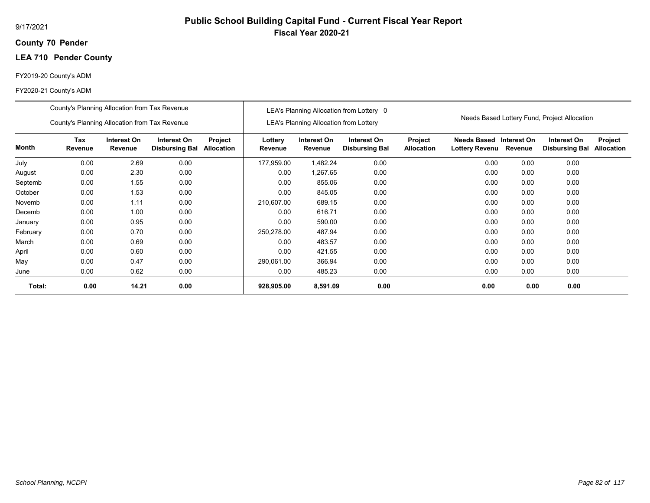## **70 Pender County**

## **LEA 710 Pender County**

## FY2019-20 County's ADM

|          | County's Planning Allocation from Tax Revenue |                        |                                      |                              |                    |                                               | LEA's Planning Allocation from Lottery 0 |                              |                                                  |         |                                              |                              |
|----------|-----------------------------------------------|------------------------|--------------------------------------|------------------------------|--------------------|-----------------------------------------------|------------------------------------------|------------------------------|--------------------------------------------------|---------|----------------------------------------------|------------------------------|
|          | County's Planning Allocation from Tax Revenue |                        |                                      |                              |                    | <b>LEA's Planning Allocation from Lottery</b> |                                          |                              |                                                  |         | Needs Based Lottery Fund, Project Allocation |                              |
| Month    | Tax<br>Revenue                                | Interest On<br>Revenue | Interest On<br><b>Disbursing Bal</b> | Project<br><b>Allocation</b> | Lottery<br>Revenue | Interest On<br>Revenue                        | Interest On<br><b>Disbursing Bal</b>     | Project<br><b>Allocation</b> | Needs Based Interest On<br><b>Lottery Revenu</b> | Revenue | Interest On<br><b>Disbursing Bal</b>         | Project<br><b>Allocation</b> |
| July     | 0.00                                          | 2.69                   | 0.00                                 |                              | 177,959.00         | 1,482.24                                      | 0.00                                     |                              | 0.00                                             | 0.00    | 0.00                                         |                              |
| August   | 0.00                                          | 2.30                   | 0.00                                 |                              | 0.00               | 1,267.65                                      | 0.00                                     |                              | 0.00                                             | 0.00    | 0.00                                         |                              |
| Septemb  | 0.00                                          | 1.55                   | 0.00                                 |                              | 0.00               | 855.06                                        | 0.00                                     |                              | 0.00                                             | 0.00    | 0.00                                         |                              |
| October  | 0.00                                          | 1.53                   | 0.00                                 |                              | 0.00               | 845.05                                        | 0.00                                     |                              | 0.00                                             | 0.00    | 0.00                                         |                              |
| Novemb   | 0.00                                          | 1.11                   | 0.00                                 |                              | 210,607.00         | 689.15                                        | 0.00                                     |                              | 0.00                                             | 0.00    | 0.00                                         |                              |
| Decemb   | 0.00                                          | 1.00                   | 0.00                                 |                              | 0.00               | 616.71                                        | 0.00                                     |                              | 0.00                                             | 0.00    | 0.00                                         |                              |
| January  | 0.00                                          | 0.95                   | 0.00                                 |                              | 0.00               | 590.00                                        | 0.00                                     |                              | 0.00                                             | 0.00    | 0.00                                         |                              |
| February | 0.00                                          | 0.70                   | 0.00                                 |                              | 250,278.00         | 487.94                                        | 0.00                                     |                              | 0.00                                             | 0.00    | 0.00                                         |                              |
| March    | 0.00                                          | 0.69                   | 0.00                                 |                              | 0.00               | 483.57                                        | 0.00                                     |                              | 0.00                                             | 0.00    | 0.00                                         |                              |
| April    | 0.00                                          | 0.60                   | 0.00                                 |                              | 0.00               | 421.55                                        | 0.00                                     |                              | 0.00                                             | 0.00    | 0.00                                         |                              |
| May      | 0.00                                          | 0.47                   | 0.00                                 |                              | 290,061.00         | 366.94                                        | 0.00                                     |                              | 0.00                                             | 0.00    | 0.00                                         |                              |
| June     | 0.00                                          | 0.62                   | 0.00                                 |                              | 0.00               | 485.23                                        | 0.00                                     |                              | 0.00                                             | 0.00    | 0.00                                         |                              |
| Total:   | 0.00                                          | 14.21                  | 0.00                                 |                              | 928,905.00         | 8,591.09                                      | 0.00                                     |                              | 0.00                                             | 0.00    | 0.00                                         |                              |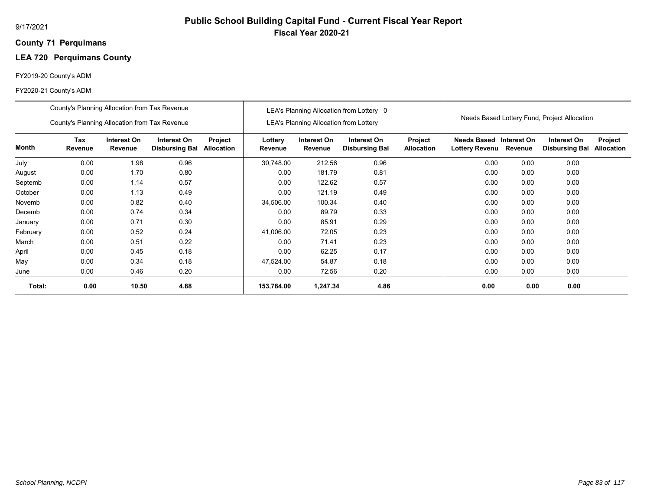## **71 Perquimans County**

## **LEA 720 Perquimans County**

## FY2019-20 County's ADM

|          | County's Planning Allocation from Tax Revenue |                               |                                      |                              |                    |                                        | LEA's Planning Allocation from Lottery 0 |                              |                                             |                        |                                              |                              |
|----------|-----------------------------------------------|-------------------------------|--------------------------------------|------------------------------|--------------------|----------------------------------------|------------------------------------------|------------------------------|---------------------------------------------|------------------------|----------------------------------------------|------------------------------|
|          | County's Planning Allocation from Tax Revenue |                               |                                      |                              |                    | LEA's Planning Allocation from Lottery |                                          |                              |                                             |                        | Needs Based Lottery Fund, Project Allocation |                              |
| Month    | Tax<br>Revenue                                | Interest On<br><b>Revenue</b> | Interest On<br><b>Disbursing Bal</b> | Project<br><b>Allocation</b> | Lottery<br>Revenue | Interest On<br>Revenue                 | Interest On<br><b>Disbursing Bal</b>     | Project<br><b>Allocation</b> | <b>Needs Based</b><br><b>Lottery Revenu</b> | Interest On<br>Revenue | Interest On<br><b>Disbursing Bal</b>         | Project<br><b>Allocation</b> |
| July     | 0.00                                          | 1.98                          | 0.96                                 |                              | 30,748.00          | 212.56                                 | 0.96                                     |                              | 0.00                                        | 0.00                   | 0.00                                         |                              |
| August   | 0.00                                          | 1.70                          | 0.80                                 |                              | 0.00               | 181.79                                 | 0.81                                     |                              | 0.00                                        | 0.00                   | 0.00                                         |                              |
| Septemb  | 0.00                                          | 1.14                          | 0.57                                 |                              | 0.00               | 122.62                                 | 0.57                                     |                              | 0.00                                        | 0.00                   | 0.00                                         |                              |
| October  | 0.00                                          | 1.13                          | 0.49                                 |                              | 0.00               | 121.19                                 | 0.49                                     |                              | 0.00                                        | 0.00                   | 0.00                                         |                              |
| Novemb   | 0.00                                          | 0.82                          | 0.40                                 |                              | 34,506.00          | 100.34                                 | 0.40                                     |                              | 0.00                                        | 0.00                   | 0.00                                         |                              |
| Decemb   | 0.00                                          | 0.74                          | 0.34                                 |                              | 0.00               | 89.79                                  | 0.33                                     |                              | 0.00                                        | 0.00                   | 0.00                                         |                              |
| January  | 0.00                                          | 0.71                          | 0.30                                 |                              | 0.00               | 85.91                                  | 0.29                                     |                              | 0.00                                        | 0.00                   | 0.00                                         |                              |
| February | 0.00                                          | 0.52                          | 0.24                                 |                              | 41,006.00          | 72.05                                  | 0.23                                     |                              | 0.00                                        | 0.00                   | 0.00                                         |                              |
| March    | 0.00                                          | 0.51                          | 0.22                                 |                              | 0.00               | 71.41                                  | 0.23                                     |                              | 0.00                                        | 0.00                   | 0.00                                         |                              |
| April    | 0.00                                          | 0.45                          | 0.18                                 |                              | 0.00               | 62.25                                  | 0.17                                     |                              | 0.00                                        | 0.00                   | 0.00                                         |                              |
| May      | 0.00                                          | 0.34                          | 0.18                                 |                              | 47,524.00          | 54.87                                  | 0.18                                     |                              | 0.00                                        | 0.00                   | 0.00                                         |                              |
| June     | 0.00                                          | 0.46                          | 0.20                                 |                              | 0.00               | 72.56                                  | 0.20                                     |                              | 0.00                                        | 0.00                   | 0.00                                         |                              |
| Total:   | 0.00                                          | 10.50                         | 4.88                                 |                              | 153,784.00         | 1,247.34                               | 4.86                                     |                              | 0.00                                        | 0.00                   | 0.00                                         |                              |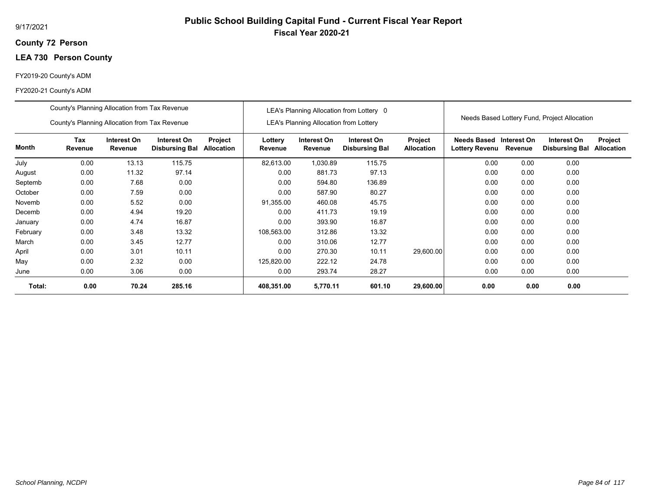## **72 Person County**

## **LEA 730 Person County**

## FY2019-20 County's ADM

|          | County's Planning Allocation from Tax Revenue |                        |                                      |                       |                    |                                               | LEA's Planning Allocation from Lottery 0 |                              |                                      |                        |                                              |                              |
|----------|-----------------------------------------------|------------------------|--------------------------------------|-----------------------|--------------------|-----------------------------------------------|------------------------------------------|------------------------------|--------------------------------------|------------------------|----------------------------------------------|------------------------------|
|          | County's Planning Allocation from Tax Revenue |                        |                                      |                       |                    | <b>LEA's Planning Allocation from Lottery</b> |                                          |                              |                                      |                        | Needs Based Lottery Fund, Project Allocation |                              |
| Month    | Tax<br>Revenue                                | Interest On<br>Revenue | Interest On<br><b>Disbursing Bal</b> | Project<br>Allocation | Lottery<br>Revenue | Interest On<br>Revenue                        | Interest On<br><b>Disbursing Bal</b>     | Project<br><b>Allocation</b> | <b>Needs Based</b><br>Lottery Revenu | Interest On<br>Revenue | Interest On<br><b>Disbursing Bal</b>         | Project<br><b>Allocation</b> |
| July     | 0.00                                          | 13.13                  | 115.75                               |                       | 82,613.00          | 1,030.89                                      | 115.75                                   |                              | 0.00                                 | 0.00                   | 0.00                                         |                              |
| August   | 0.00                                          | 11.32                  | 97.14                                |                       | 0.00               | 881.73                                        | 97.13                                    |                              | 0.00                                 | 0.00                   | 0.00                                         |                              |
| Septemb  | 0.00                                          | 7.68                   | 0.00                                 |                       | 0.00               | 594.80                                        | 136.89                                   |                              | 0.00                                 | 0.00                   | 0.00                                         |                              |
| October  | 0.00                                          | 7.59                   | 0.00                                 |                       | 0.00               | 587.90                                        | 80.27                                    |                              | 0.00                                 | 0.00                   | 0.00                                         |                              |
| Novemb   | 0.00                                          | 5.52                   | 0.00                                 |                       | 91,355.00          | 460.08                                        | 45.75                                    |                              | 0.00                                 | 0.00                   | 0.00                                         |                              |
| Decemb   | 0.00                                          | 4.94                   | 19.20                                |                       | 0.00               | 411.73                                        | 19.19                                    |                              | 0.00                                 | 0.00                   | 0.00                                         |                              |
| January  | 0.00                                          | 4.74                   | 16.87                                |                       | 0.00               | 393.90                                        | 16.87                                    |                              | 0.00                                 | 0.00                   | 0.00                                         |                              |
| February | 0.00                                          | 3.48                   | 13.32                                |                       | 108,563.00         | 312.86                                        | 13.32                                    |                              | 0.00                                 | 0.00                   | 0.00                                         |                              |
| March    | 0.00                                          | 3.45                   | 12.77                                |                       | 0.00               | 310.06                                        | 12.77                                    |                              | 0.00                                 | 0.00                   | 0.00                                         |                              |
| April    | 0.00                                          | 3.01                   | 10.11                                |                       | 0.00               | 270.30                                        | 10.11                                    | 29,600.00                    | 0.00                                 | 0.00                   | 0.00                                         |                              |
| May      | 0.00                                          | 2.32                   | 0.00                                 |                       | 125,820.00         | 222.12                                        | 24.78                                    |                              | 0.00                                 | 0.00                   | 0.00                                         |                              |
| June     | 0.00                                          | 3.06                   | 0.00                                 |                       | 0.00               | 293.74                                        | 28.27                                    |                              | 0.00                                 | 0.00                   | 0.00                                         |                              |
| Total:   | 0.00                                          | 70.24                  | 285.16                               |                       | 408,351.00         | 5,770.11                                      | 601.10                                   | 29,600.00                    | 0.00                                 | 0.00                   | 0.00                                         |                              |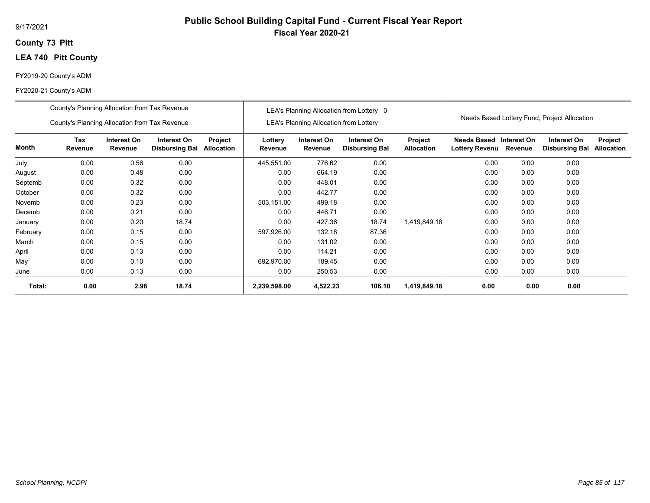## **73 Pitt County**

## **LEA 740 Pitt County**

## FY2019-20 County's ADM

|          | County's Planning Allocation from Tax Revenue<br>County's Planning Allocation from Tax Revenue |                        |                                      |                              |                    | LEA's Planning Allocation from Lottery | LEA's Planning Allocation from Lottery 0 |                              |                                      |                        | Needs Based Lottery Fund, Project Allocation |                              |
|----------|------------------------------------------------------------------------------------------------|------------------------|--------------------------------------|------------------------------|--------------------|----------------------------------------|------------------------------------------|------------------------------|--------------------------------------|------------------------|----------------------------------------------|------------------------------|
| Month    | Tax<br>Revenue                                                                                 | Interest On<br>Revenue | Interest On<br><b>Disbursing Bal</b> | Project<br><b>Allocation</b> | Lottery<br>Revenue | Interest On<br>Revenue                 | Interest On<br><b>Disbursing Bal</b>     | Project<br><b>Allocation</b> | <b>Needs Based</b><br>Lottery Revenu | Interest On<br>Revenue | Interest On<br><b>Disbursing Bal</b>         | Project<br><b>Allocation</b> |
| July     | 0.00                                                                                           | 0.56                   | 0.00                                 |                              | 445,551.00         | 776.62                                 | 0.00                                     |                              | 0.00                                 | 0.00                   | 0.00                                         |                              |
| August   | 0.00                                                                                           | 0.48                   | 0.00                                 |                              | 0.00               | 664.19                                 | 0.00                                     |                              | 0.00                                 | 0.00                   | 0.00                                         |                              |
| Septemb  | 0.00<br>0.32<br>0.00                                                                           |                        |                                      |                              |                    | 448.01                                 | 0.00                                     |                              | 0.00                                 | 0.00                   | 0.00                                         |                              |
| October  | 0.00                                                                                           | 0.32                   | 0.00                                 |                              | 0.00               | 442.77                                 | 0.00                                     |                              | 0.00                                 | 0.00                   | 0.00                                         |                              |
| Novemb   | 0.00                                                                                           | 0.23                   | 0.00                                 |                              | 503,151.00         | 499.18                                 | 0.00                                     |                              | 0.00                                 | 0.00                   | 0.00                                         |                              |
| Decemb   | 0.00                                                                                           | 0.21                   | 0.00                                 |                              | 0.00               | 446.71                                 | 0.00                                     |                              | 0.00                                 | 0.00                   | 0.00                                         |                              |
| January  | 0.00                                                                                           | 0.20                   | 18.74                                |                              | 0.00               | 427.36                                 | 18.74                                    | 1,419,849.18                 | 0.00                                 | 0.00                   | 0.00                                         |                              |
| February | 0.00                                                                                           | 0.15                   | 0.00                                 |                              | 597,926.00         | 132.18                                 | 87.36                                    |                              | 0.00                                 | 0.00                   | 0.00                                         |                              |
| March    | 0.00                                                                                           | 0.15                   | 0.00                                 |                              | 0.00               | 131.02                                 | 0.00                                     |                              | 0.00                                 | 0.00                   | 0.00                                         |                              |
| April    | 0.00                                                                                           | 0.13                   | 0.00                                 |                              | 0.00               | 114.21                                 | 0.00                                     |                              | 0.00                                 | 0.00                   | 0.00                                         |                              |
| May      | 0.00<br>0.10<br>0.00                                                                           |                        |                                      |                              | 692,970.00         | 189.45                                 | 0.00                                     |                              | 0.00                                 | 0.00                   | 0.00                                         |                              |
| June     | 0.00                                                                                           | 0.13                   | 0.00                                 |                              | 0.00               | 250.53                                 | 0.00                                     |                              | 0.00                                 | 0.00                   | 0.00                                         |                              |
| Total:   | 0.00                                                                                           | 2.98                   | 18.74                                |                              | 2,239,598.00       | 4,522.23                               | 106.10                                   | 1,419,849.18                 | 0.00                                 | 0.00                   | 0.00                                         |                              |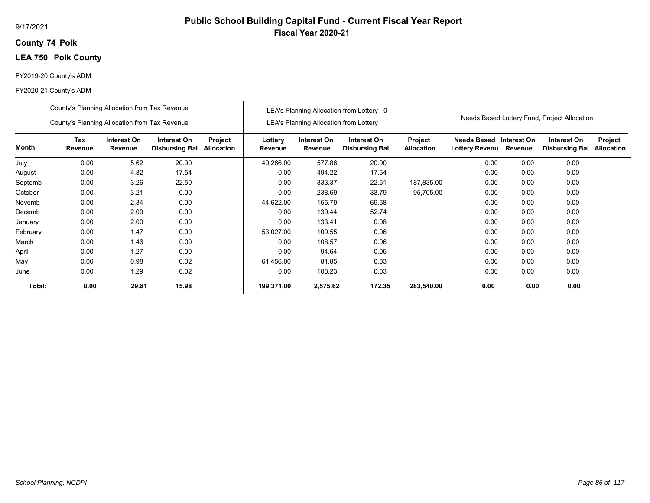## **74 Polk County**

## **LEA 750 Polk County**

## FY2019-20 County's ADM

|          | County's Planning Allocation from Tax Revenue<br>County's Planning Allocation from Tax Revenue |                        |                                      |                       |                    | <b>LEA's Planning Allocation from Lottery</b> | LEA's Planning Allocation from Lottery 0 |                              |                                                  |         | Needs Based Lottery Fund, Project Allocation |                              |
|----------|------------------------------------------------------------------------------------------------|------------------------|--------------------------------------|-----------------------|--------------------|-----------------------------------------------|------------------------------------------|------------------------------|--------------------------------------------------|---------|----------------------------------------------|------------------------------|
| Month    | Tax<br>Revenue                                                                                 | Interest On<br>Revenue | Interest On<br><b>Disbursing Bal</b> | Project<br>Allocation | Lottery<br>Revenue | Interest On<br>Revenue                        | Interest On<br><b>Disbursing Bal</b>     | Project<br><b>Allocation</b> | Needs Based Interest On<br><b>Lottery Revenu</b> | Revenue | Interest On<br><b>Disbursing Bal</b>         | Project<br><b>Allocation</b> |
| July     | 0.00                                                                                           | 5.62                   | 20.90                                |                       | 40,266.00          | 577.86                                        | 20.90                                    |                              | 0.00                                             | 0.00    | 0.00                                         |                              |
| August   | 0.00                                                                                           | 4.82                   | 17.54                                |                       | 0.00               | 494.22                                        | 17.54                                    |                              | 0.00                                             | 0.00    | 0.00                                         |                              |
| Septemb  | 0.00<br>3.26<br>$-22.50$                                                                       |                        |                                      |                       | 0.00               | 333.37                                        | $-22.51$                                 | 187,835.00                   | 0.00                                             | 0.00    | 0.00                                         |                              |
| October  | 0.00                                                                                           | 3.21                   | 0.00                                 |                       | 0.00               | 238.69                                        | 33.79                                    | 95,705.00                    | 0.00                                             | 0.00    | 0.00                                         |                              |
| Novemb   | 0.00                                                                                           | 2.34                   | 0.00                                 |                       | 44,622.00          | 155.79                                        | 69.58                                    |                              | 0.00                                             | 0.00    | 0.00                                         |                              |
| Decemb   | 0.00                                                                                           | 2.09                   | 0.00                                 |                       | 0.00               | 139.44                                        | 52.74                                    |                              | 0.00                                             | 0.00    | 0.00                                         |                              |
| January  | 0.00                                                                                           | 2.00                   | 0.00                                 |                       | 0.00               | 133.41                                        | 0.08                                     |                              | 0.00                                             | 0.00    | 0.00                                         |                              |
| February | 0.00                                                                                           | 1.47                   | 0.00                                 |                       | 53,027.00          | 109.55                                        | 0.06                                     |                              | 0.00                                             | 0.00    | 0.00                                         |                              |
| March    | 0.00                                                                                           | 1.46                   | 0.00                                 |                       | 0.00               | 108.57                                        | 0.06                                     |                              | 0.00                                             | 0.00    | 0.00                                         |                              |
| April    | 0.00                                                                                           | 1.27                   | 0.00                                 |                       | 0.00               | 94.64                                         | 0.05                                     |                              | 0.00                                             | 0.00    | 0.00                                         |                              |
| May      | 0.00                                                                                           | 0.98                   | 0.02                                 |                       | 61,456.00          | 81.85                                         | 0.03                                     |                              | 0.00                                             | 0.00    | 0.00                                         |                              |
| June     | 0.00                                                                                           | 1.29                   | 0.02                                 |                       | 0.00               | 108.23                                        | 0.03                                     |                              | 0.00                                             | 0.00    | 0.00                                         |                              |
| Total:   | 0.00                                                                                           | 29.81                  | 15.98                                |                       | 199,371.00         | 2,575.62                                      | 172.35                                   | 283,540.00                   | 0.00                                             | 0.00    | 0.00                                         |                              |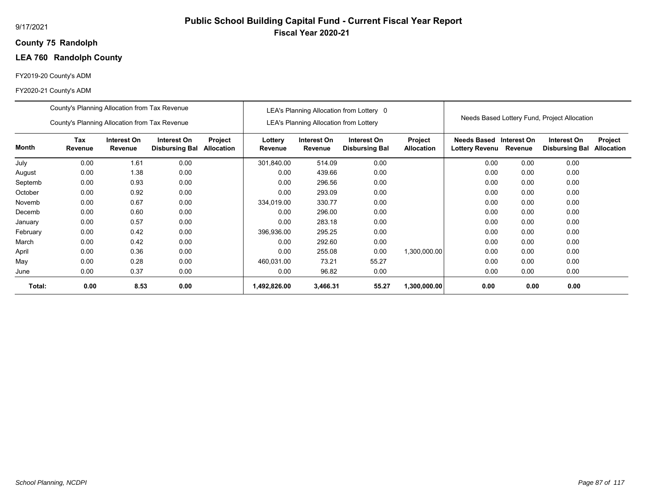## **75 Randolph County**

## **LEA 760 Randolph County**

## FY2019-20 County's ADM

|          | County's Planning Allocation from Tax Revenue                                                                                                   |      |      |  |                    |                                               | LEA's Planning Allocation from Lottery 0 |                              |                                           |         |                                              |                              |
|----------|-------------------------------------------------------------------------------------------------------------------------------------------------|------|------|--|--------------------|-----------------------------------------------|------------------------------------------|------------------------------|-------------------------------------------|---------|----------------------------------------------|------------------------------|
|          | County's Planning Allocation from Tax Revenue                                                                                                   |      |      |  |                    | <b>LEA's Planning Allocation from Lottery</b> |                                          |                              |                                           |         | Needs Based Lottery Fund, Project Allocation |                              |
| Month    | <b>Tax</b><br>Interest On<br>Interest On<br>Project<br>Revenue<br>Revenue<br><b>Allocation</b><br><b>Disbursing Bal</b><br>0.00<br>1.61<br>0.00 |      |      |  | Lottery<br>Revenue | Interest On<br>Revenue                        | Interest On<br><b>Disbursing Bal</b>     | Project<br><b>Allocation</b> | Needs Based Interest On<br>Lottery Revenu | Revenue | Interest On<br><b>Disbursing Bal</b>         | Project<br><b>Allocation</b> |
| July     |                                                                                                                                                 |      |      |  | 301,840.00         | 514.09                                        | 0.00                                     |                              | 0.00                                      | 0.00    | 0.00                                         |                              |
| August   | 0.00                                                                                                                                            | 1.38 | 0.00 |  | 0.00               | 439.66                                        | 0.00                                     |                              | 0.00                                      | 0.00    | 0.00                                         |                              |
| Septemb  | 0.00                                                                                                                                            | 0.93 | 0.00 |  | 0.00               | 296.56                                        | 0.00                                     |                              | 0.00                                      | 0.00    | 0.00                                         |                              |
| October  | 0.00                                                                                                                                            | 0.92 | 0.00 |  | 0.00               | 293.09                                        | 0.00                                     |                              | 0.00                                      | 0.00    | 0.00                                         |                              |
| Novemb   | 0.00                                                                                                                                            | 0.67 | 0.00 |  | 334,019.00         | 330.77                                        | 0.00                                     |                              | 0.00                                      | 0.00    | 0.00                                         |                              |
| Decemb   | 0.00                                                                                                                                            | 0.60 | 0.00 |  | 0.00               | 296.00                                        | 0.00                                     |                              | 0.00                                      | 0.00    | 0.00                                         |                              |
| January  | 0.00                                                                                                                                            | 0.57 | 0.00 |  | 0.00               | 283.18                                        | 0.00                                     |                              | 0.00                                      | 0.00    | 0.00                                         |                              |
| February | 0.00                                                                                                                                            | 0.42 | 0.00 |  | 396,936.00         | 295.25                                        | 0.00                                     |                              | 0.00                                      | 0.00    | 0.00                                         |                              |
| March    | 0.00                                                                                                                                            | 0.42 | 0.00 |  | 0.00               | 292.60                                        | 0.00                                     |                              | 0.00                                      | 0.00    | 0.00                                         |                              |
| April    | 0.00                                                                                                                                            | 0.36 | 0.00 |  | 0.00               | 255.08                                        | 0.00                                     | 1,300,000.00                 | 0.00                                      | 0.00    | 0.00                                         |                              |
| May      | 0.00                                                                                                                                            | 0.28 | 0.00 |  | 460,031.00         | 73.21                                         | 55.27                                    |                              | 0.00                                      | 0.00    | 0.00                                         |                              |
| June     | 0.00                                                                                                                                            | 0.37 | 0.00 |  | 0.00               | 96.82                                         | 0.00                                     |                              | 0.00                                      | 0.00    | 0.00                                         |                              |
| Total:   | 0.00                                                                                                                                            | 8.53 | 0.00 |  | 1,492,826.00       | 3,466.31                                      | 55.27                                    | 1,300,000.00                 | 0.00                                      | 0.00    | 0.00                                         |                              |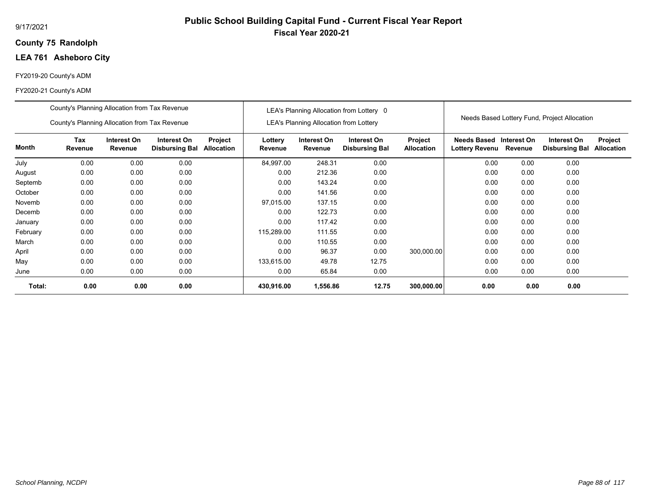## **75 Randolph County**

## **LEA 761 Asheboro City**

## FY2019-20 County's ADM

|          | County's Planning Allocation from Tax Revenue |                        |                                      |                       |                    |                                               | LEA's Planning Allocation from Lottery 0 |                              |                                      |                        |                                              |                              |
|----------|-----------------------------------------------|------------------------|--------------------------------------|-----------------------|--------------------|-----------------------------------------------|------------------------------------------|------------------------------|--------------------------------------|------------------------|----------------------------------------------|------------------------------|
|          | County's Planning Allocation from Tax Revenue |                        |                                      |                       |                    | <b>LEA's Planning Allocation from Lottery</b> |                                          |                              |                                      |                        | Needs Based Lottery Fund, Project Allocation |                              |
| Month    | Tax<br>Revenue                                | Interest On<br>Revenue | Interest On<br><b>Disbursing Bal</b> | Project<br>Allocation | Lottery<br>Revenue | Interest On<br>Revenue                        | Interest On<br><b>Disbursing Bal</b>     | Project<br><b>Allocation</b> | <b>Needs Based</b><br>Lottery Revenu | Interest On<br>Revenue | Interest On<br><b>Disbursing Bal</b>         | Project<br><b>Allocation</b> |
| July     | 0.00                                          | 0.00                   | 0.00                                 |                       | 84,997.00          | 248.31                                        | 0.00                                     |                              | 0.00                                 | 0.00                   | 0.00                                         |                              |
| August   | 0.00                                          | 0.00                   | 0.00                                 |                       | 0.00               | 212.36                                        | 0.00                                     |                              | 0.00                                 | 0.00                   | 0.00                                         |                              |
| Septemb  | 0.00                                          | 0.00                   | 0.00                                 |                       | 0.00               | 143.24                                        | 0.00                                     |                              | 0.00                                 | 0.00                   | 0.00                                         |                              |
| October  | 0.00                                          | 0.00                   | 0.00                                 |                       | 0.00               | 141.56                                        | 0.00                                     |                              | 0.00                                 | 0.00                   | 0.00                                         |                              |
| Novemb   | 0.00                                          | 0.00                   | 0.00                                 |                       | 97,015.00          | 137.15                                        | 0.00                                     |                              | 0.00                                 | 0.00                   | 0.00                                         |                              |
| Decemb   | 0.00                                          | 0.00                   | 0.00                                 |                       | 0.00               | 122.73                                        | 0.00                                     |                              | 0.00                                 | 0.00                   | 0.00                                         |                              |
| January  | 0.00                                          | 0.00                   | 0.00                                 |                       | 0.00               | 117.42                                        | 0.00                                     |                              | 0.00                                 | 0.00                   | 0.00                                         |                              |
| February | 0.00                                          | 0.00                   | 0.00                                 |                       | 115,289.00         | 111.55                                        | 0.00                                     |                              | 0.00                                 | 0.00                   | 0.00                                         |                              |
| March    | 0.00                                          | 0.00                   | 0.00                                 |                       | 0.00               | 110.55                                        | 0.00                                     |                              | 0.00                                 | 0.00                   | 0.00                                         |                              |
| April    | 0.00                                          | 0.00                   | 0.00                                 |                       | 0.00               | 96.37                                         | 0.00                                     | 300,000.00                   | 0.00                                 | 0.00                   | 0.00                                         |                              |
| May      | 0.00                                          | 0.00                   | 0.00                                 |                       | 133,615.00         | 49.78                                         | 12.75                                    |                              | 0.00                                 | 0.00                   | 0.00                                         |                              |
| June     | 0.00                                          | 0.00                   | 0.00                                 |                       | 0.00               | 65.84                                         | 0.00                                     |                              | 0.00                                 | 0.00                   | 0.00                                         |                              |
| Total:   | 0.00                                          | 0.00                   | 0.00                                 |                       | 430,916.00         | 1,556.86                                      | 12.75                                    | 300,000.00                   | 0.00                                 | 0.00                   | 0.00                                         |                              |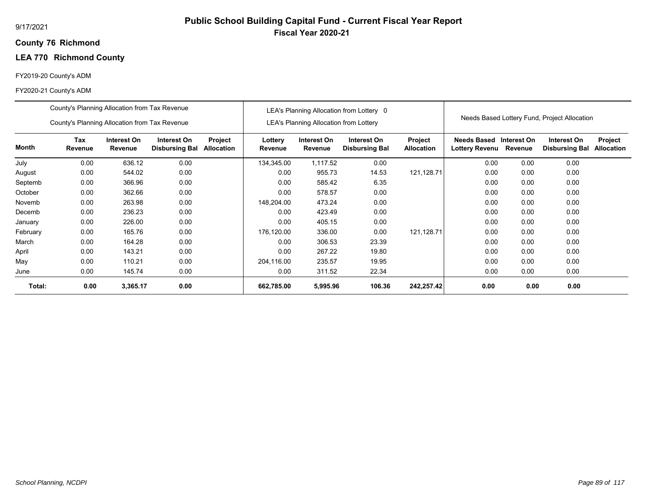## **76 Richmond County**

## **LEA 770 Richmond County**

## FY2019-20 County's ADM

|          | County's Planning Allocation from Tax Revenue                                                                                              |          |      |  |                    |                                               | LEA's Planning Allocation from Lottery 0 |                              |                                      |                        |                                              |                              |
|----------|--------------------------------------------------------------------------------------------------------------------------------------------|----------|------|--|--------------------|-----------------------------------------------|------------------------------------------|------------------------------|--------------------------------------|------------------------|----------------------------------------------|------------------------------|
|          | County's Planning Allocation from Tax Revenue                                                                                              |          |      |  |                    | <b>LEA's Planning Allocation from Lottery</b> |                                          |                              |                                      |                        | Needs Based Lottery Fund, Project Allocation |                              |
| Month    | Tax<br>Interest On<br>Interest On<br>Project<br>Revenue<br>Revenue<br><b>Allocation</b><br><b>Disbursing Bal</b><br>0.00<br>636.12<br>0.00 |          |      |  | Lottery<br>Revenue | Interest On<br>Revenue                        | Interest On<br><b>Disbursing Bal</b>     | Project<br><b>Allocation</b> | Needs Based<br><b>Lottery Revenu</b> | Interest On<br>Revenue | Interest On<br><b>Disbursing Bal</b>         | Project<br><b>Allocation</b> |
| July     |                                                                                                                                            |          |      |  | 134,345.00         | 1,117.52                                      | 0.00                                     |                              | 0.00                                 | 0.00                   | 0.00                                         |                              |
| August   | 0.00                                                                                                                                       | 544.02   | 0.00 |  | 0.00               | 955.73                                        | 14.53                                    | 121,128.71                   | 0.00                                 | 0.00                   | 0.00                                         |                              |
| Septemb  | 0.00                                                                                                                                       | 366.96   | 0.00 |  | 0.00               | 585.42                                        | 6.35                                     |                              | 0.00                                 | 0.00                   | 0.00                                         |                              |
| October  | 0.00                                                                                                                                       | 362.66   | 0.00 |  | 0.00               | 578.57                                        | 0.00                                     |                              | 0.00                                 | 0.00                   | 0.00                                         |                              |
| Novemb   | 0.00                                                                                                                                       | 263.98   | 0.00 |  | 148,204.00         | 473.24                                        | 0.00                                     |                              | 0.00                                 | 0.00                   | 0.00                                         |                              |
| Decemb   | 0.00                                                                                                                                       | 236.23   | 0.00 |  | 0.00               | 423.49                                        | 0.00                                     |                              | 0.00                                 | 0.00                   | 0.00                                         |                              |
| January  | 0.00                                                                                                                                       | 226.00   | 0.00 |  | 0.00               | 405.15                                        | 0.00                                     |                              | 0.00                                 | 0.00                   | 0.00                                         |                              |
| February | 0.00                                                                                                                                       | 165.76   | 0.00 |  | 176,120.00         | 336.00                                        | 0.00                                     | 121,128.71                   | 0.00                                 | 0.00                   | 0.00                                         |                              |
| March    | 0.00                                                                                                                                       | 164.28   | 0.00 |  | 0.00               | 306.53                                        | 23.39                                    |                              | 0.00                                 | 0.00                   | 0.00                                         |                              |
| April    | 0.00                                                                                                                                       | 143.21   | 0.00 |  | 0.00               | 267.22                                        | 19.80                                    |                              | 0.00                                 | 0.00                   | 0.00                                         |                              |
| May      | 0.00                                                                                                                                       | 110.21   | 0.00 |  | 204,116.00         | 235.57                                        | 19.95                                    |                              | 0.00                                 | 0.00                   | 0.00                                         |                              |
| June     | 0.00                                                                                                                                       | 145.74   | 0.00 |  | 0.00               | 311.52                                        | 22.34                                    |                              | 0.00                                 | 0.00                   | 0.00                                         |                              |
| Total:   | 0.00                                                                                                                                       | 3,365.17 | 0.00 |  | 662,785.00         | 5,995.96                                      | 106.36                                   | 242,257.42                   | 0.00                                 | 0.00                   | 0.00                                         |                              |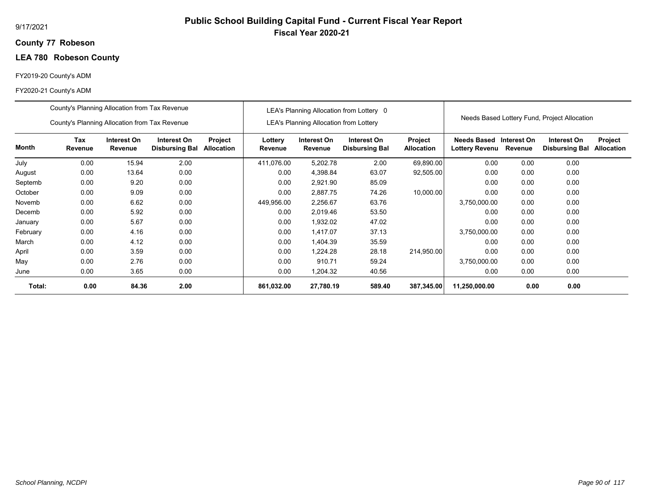## **77 Robeson County**

## **LEA 780 Robeson County**

## FY2019-20 County's ADM

|          | County's Planning Allocation from Tax Revenue                                                                                                    |       |      |  |                    |                                               | LEA's Planning Allocation from Lottery 0 |                       |                               |                        |                                              |                              |
|----------|--------------------------------------------------------------------------------------------------------------------------------------------------|-------|------|--|--------------------|-----------------------------------------------|------------------------------------------|-----------------------|-------------------------------|------------------------|----------------------------------------------|------------------------------|
|          | County's Planning Allocation from Tax Revenue                                                                                                    |       |      |  |                    | <b>LEA's Planning Allocation from Lottery</b> |                                          |                       |                               |                        | Needs Based Lottery Fund, Project Allocation |                              |
| Month    | <b>Tax</b><br>Interest On<br>Interest On<br>Project<br>Revenue<br>Revenue<br><b>Allocation</b><br><b>Disbursing Bal</b><br>0.00<br>2.00<br>15.94 |       |      |  | Lottery<br>Revenue | Interest On<br>Revenue                        | Interest On<br><b>Disbursing Bal</b>     | Project<br>Allocation | Needs Based<br>Lottery Revenu | Interest On<br>Revenue | Interest On<br><b>Disbursing Bal</b>         | Project<br><b>Allocation</b> |
| July     |                                                                                                                                                  |       |      |  | 411,076.00         | 5,202.78                                      | 2.00                                     | 69,890.00             | 0.00                          | 0.00                   | 0.00                                         |                              |
| August   | 0.00                                                                                                                                             | 13.64 | 0.00 |  | 0.00               | 4,398.84                                      | 63.07                                    | 92,505.00             | 0.00                          | 0.00                   | 0.00                                         |                              |
| Septemb  | 0.00                                                                                                                                             | 9.20  | 0.00 |  | 0.00               | 2,921.90                                      | 85.09                                    |                       | 0.00                          | 0.00                   | 0.00                                         |                              |
| October  | 0.00                                                                                                                                             | 9.09  | 0.00 |  | 0.00               | 2,887.75                                      | 74.26                                    | 10,000.00             | 0.00                          | 0.00                   | 0.00                                         |                              |
| Novemb   | 0.00                                                                                                                                             | 6.62  | 0.00 |  | 449,956.00         | 2,256.67                                      | 63.76                                    |                       | 3,750,000.00                  | 0.00                   | 0.00                                         |                              |
| Decemb   | 0.00                                                                                                                                             | 5.92  | 0.00 |  | 0.00               | 2,019.46                                      | 53.50                                    |                       | 0.00                          | 0.00                   | 0.00                                         |                              |
| January  | 0.00                                                                                                                                             | 5.67  | 0.00 |  | 0.00               | 1,932.02                                      | 47.02                                    |                       | 0.00                          | 0.00                   | 0.00                                         |                              |
| February | 0.00                                                                                                                                             | 4.16  | 0.00 |  | 0.00               | 1,417.07                                      | 37.13                                    |                       | 3,750,000.00                  | 0.00                   | 0.00                                         |                              |
| March    | 0.00                                                                                                                                             | 4.12  | 0.00 |  | 0.00               | 1.404.39                                      | 35.59                                    |                       | 0.00                          | 0.00                   | 0.00                                         |                              |
| April    | 0.00                                                                                                                                             | 3.59  | 0.00 |  | 0.00               | 1,224.28                                      | 28.18                                    | 214.950.00            | 0.00                          | 0.00                   | 0.00                                         |                              |
| May      | 0.00                                                                                                                                             | 2.76  | 0.00 |  | 0.00               | 910.71                                        | 59.24                                    |                       | 3,750,000.00                  | 0.00                   | 0.00                                         |                              |
| June     | 0.00                                                                                                                                             | 3.65  | 0.00 |  | 0.00               | 1,204.32                                      | 40.56                                    |                       | 0.00                          | 0.00                   | 0.00                                         |                              |
| Total:   | 0.00                                                                                                                                             | 84.36 | 2.00 |  | 861,032.00         | 27,780.19                                     | 589.40                                   | 387,345.00            | 11,250,000.00                 | 0.00                   | 0.00                                         |                              |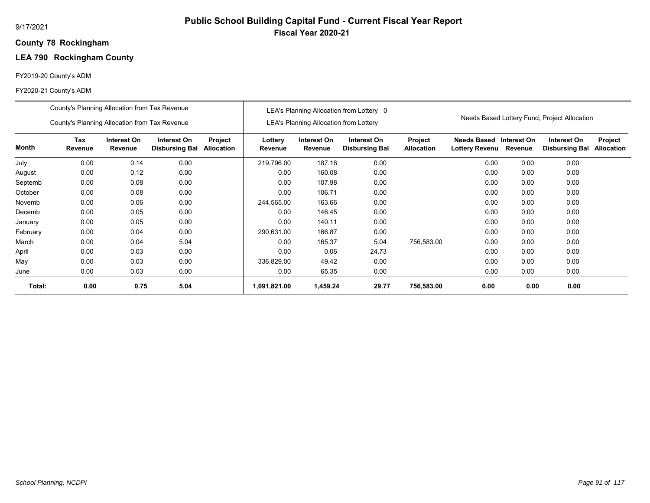## **78 Rockingham County**

# **LEA 790 Rockingham County**

## FY2019-20 County's ADM

|          | County's Planning Allocation from Tax Revenue |                        |                                      |                              |                    |                                        | LEA's Planning Allocation from Lottery 0 |                              |                                      |                        |                                              |                              |
|----------|-----------------------------------------------|------------------------|--------------------------------------|------------------------------|--------------------|----------------------------------------|------------------------------------------|------------------------------|--------------------------------------|------------------------|----------------------------------------------|------------------------------|
|          | County's Planning Allocation from Tax Revenue |                        |                                      |                              |                    | LEA's Planning Allocation from Lottery |                                          |                              |                                      |                        | Needs Based Lottery Fund, Project Allocation |                              |
| Month    | Tax<br>Revenue                                | Interest On<br>Revenue | Interest On<br><b>Disbursing Bal</b> | Project<br><b>Allocation</b> | Lottery<br>Revenue | Interest On<br>Revenue                 | Interest On<br><b>Disbursing Bal</b>     | Project<br><b>Allocation</b> | <b>Needs Based</b><br>Lottery Revenu | Interest On<br>Revenue | Interest On<br><b>Disbursing Bal</b>         | Project<br><b>Allocation</b> |
| July     | 0.00                                          | 0.14                   | 0.00                                 |                              | 219,796.00         | 187.18                                 | 0.00                                     |                              | 0.00                                 | 0.00                   | 0.00                                         |                              |
| August   | 0.00                                          | 0.12                   | 0.00                                 |                              | 0.00               | 160.08                                 | 0.00                                     |                              | 0.00                                 | 0.00                   | 0.00                                         |                              |
| Septemb  | 0.00<br>0.00<br>0.08                          |                        |                                      |                              | 0.00               | 107.98                                 | 0.00                                     |                              | 0.00                                 | 0.00                   | 0.00                                         |                              |
| October  | 0.00                                          | 0.08                   | 0.00                                 |                              | 0.00               | 106.71                                 | 0.00                                     |                              | 0.00                                 | 0.00                   | 0.00                                         |                              |
| Novemb   | 0.00                                          | 0.06                   | 0.00                                 |                              | 244,565.00         | 163.66                                 | 0.00                                     |                              | 0.00                                 | 0.00                   | 0.00                                         |                              |
| Decemb   | 0.00                                          | 0.05                   | 0.00                                 |                              | 0.00               | 146.45                                 | 0.00                                     |                              | 0.00                                 | 0.00                   | 0.00                                         |                              |
| January  | 0.00                                          | 0.05                   | 0.00                                 |                              | 0.00               | 140.11                                 | 0.00                                     |                              | 0.00                                 | 0.00                   | 0.00                                         |                              |
| February | 0.00                                          | 0.04                   | 0.00                                 |                              | 290,631.00         | 166.87                                 | 0.00                                     |                              | 0.00                                 | 0.00                   | 0.00                                         |                              |
| March    | 0.00                                          | 0.04                   | 5.04                                 |                              | 0.00               | 165.37                                 | 5.04                                     | 756,583.00                   | 0.00                                 | 0.00                   | 0.00                                         |                              |
| April    | 0.00                                          | 0.03                   | 0.00                                 |                              | 0.00               | 0.06                                   | 24.73                                    |                              | 0.00                                 | 0.00                   | 0.00                                         |                              |
| May      | 0.00                                          | 0.03                   | 0.00                                 |                              | 336,829.00         | 49.42                                  | 0.00                                     |                              | 0.00                                 | 0.00                   | 0.00                                         |                              |
| June     | 0.00                                          | 0.03                   | 0.00                                 |                              | 0.00               | 65.35                                  | 0.00                                     |                              | 0.00                                 | 0.00                   | 0.00                                         |                              |
| Total:   | 0.00                                          | 0.75                   | 5.04                                 |                              | 1,091,821.00       | 1,459.24                               | 29.77                                    | 756,583.00                   | 0.00                                 | 0.00                   | 0.00                                         |                              |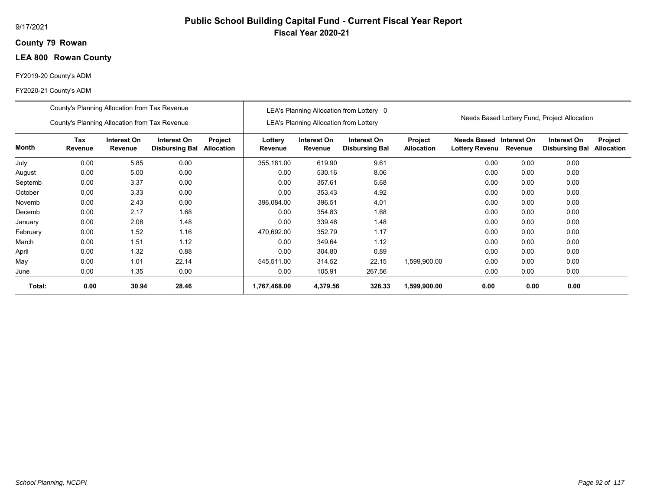## **79 Rowan County**

## **LEA 800 Rowan County**

## FY2019-20 County's ADM

|          | County's Planning Allocation from Tax Revenue |                        |                                      |                       |                    |                                               | LEA's Planning Allocation from Lottery 0 |                              |                                      |                        |                                              |                              |
|----------|-----------------------------------------------|------------------------|--------------------------------------|-----------------------|--------------------|-----------------------------------------------|------------------------------------------|------------------------------|--------------------------------------|------------------------|----------------------------------------------|------------------------------|
|          | County's Planning Allocation from Tax Revenue |                        |                                      |                       |                    | <b>LEA's Planning Allocation from Lottery</b> |                                          |                              |                                      |                        | Needs Based Lottery Fund, Project Allocation |                              |
| Month    | Tax<br>Revenue                                | Interest On<br>Revenue | Interest On<br><b>Disbursing Bal</b> | Project<br>Allocation | Lottery<br>Revenue | Interest On<br>Revenue                        | Interest On<br><b>Disbursing Bal</b>     | Project<br><b>Allocation</b> | <b>Needs Based</b><br>Lottery Revenu | Interest On<br>Revenue | Interest On<br><b>Disbursing Bal</b>         | Project<br><b>Allocation</b> |
| July     | 0.00                                          | 5.85                   | 0.00                                 |                       | 355,181.00         | 619.90                                        | 9.61                                     |                              | 0.00                                 | 0.00                   | 0.00                                         |                              |
| August   | 0.00                                          | 5.00                   | 0.00                                 |                       | 0.00               | 530.16                                        | 8.06                                     |                              | 0.00                                 | 0.00                   | 0.00                                         |                              |
| Septemb  | 0.00                                          | 3.37                   | 0.00                                 |                       | 0.00               | 357.61                                        | 5.68                                     |                              | 0.00                                 | 0.00                   | 0.00                                         |                              |
| October  | 0.00                                          | 3.33                   | 0.00                                 |                       | 0.00               | 353.43                                        | 4.92                                     |                              | 0.00                                 | 0.00                   | 0.00                                         |                              |
| Novemb   | 0.00                                          | 2.43                   | 0.00                                 |                       | 396,084.00         | 396.51                                        | 4.01                                     |                              | 0.00                                 | 0.00                   | 0.00                                         |                              |
| Decemb   | 0.00                                          | 2.17                   | 1.68                                 |                       | 0.00               | 354.83                                        | 1.68                                     |                              | 0.00                                 | 0.00                   | 0.00                                         |                              |
| January  | 0.00                                          | 2.08                   | 1.48                                 |                       | 0.00               | 339.46                                        | 1.48                                     |                              | 0.00                                 | 0.00                   | 0.00                                         |                              |
| February | 0.00                                          | 1.52                   | 1.16                                 |                       | 470,692.00         | 352.79                                        | 1.17                                     |                              | 0.00                                 | 0.00                   | 0.00                                         |                              |
| March    | 0.00                                          | 1.51                   | 1.12                                 |                       | 0.00               | 349.64                                        | 1.12                                     |                              | 0.00                                 | 0.00                   | 0.00                                         |                              |
| April    | 0.00                                          | 1.32                   | 0.88                                 |                       | 0.00               | 304.80                                        | 0.89                                     |                              | 0.00                                 | 0.00                   | 0.00                                         |                              |
| May      | 0.00                                          | 1.01                   | 22.14                                |                       | 545,511.00         | 314.52                                        | 22.15                                    | 1,599,900.00                 | 0.00                                 | 0.00                   | 0.00                                         |                              |
| June     | 0.00                                          | 1.35                   | 0.00                                 |                       | 0.00               | 105.91                                        | 267.56                                   |                              | 0.00                                 | 0.00                   | 0.00                                         |                              |
| Total:   | 0.00                                          | 30.94                  | 28.46                                |                       | 1,767,468.00       | 4,379.56                                      | 328.33                                   | 1,599,900.00                 | 0.00                                 | 0.00                   | 0.00                                         |                              |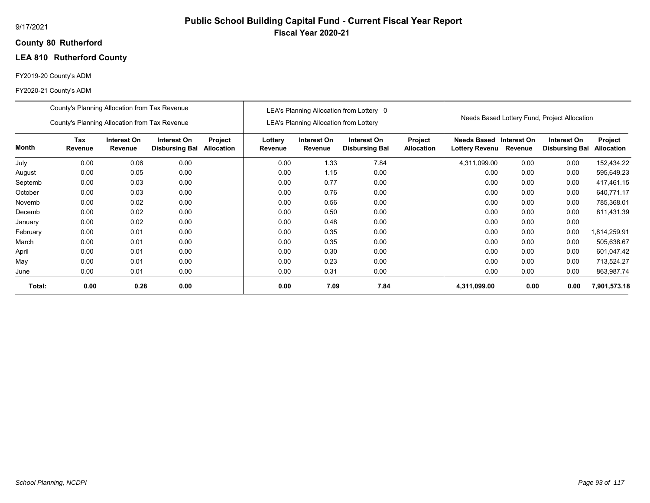## **80 Rutherford County**

## **LEA 810 Rutherford County**

## FY2019-20 County's ADM

|          | County's Planning Allocation from Tax Revenue |                        |                                      |                              |                    |                                               | LEA's Planning Allocation from Lottery 0 |                              |                                      |                        |                                              |                              |
|----------|-----------------------------------------------|------------------------|--------------------------------------|------------------------------|--------------------|-----------------------------------------------|------------------------------------------|------------------------------|--------------------------------------|------------------------|----------------------------------------------|------------------------------|
|          | County's Planning Allocation from Tax Revenue |                        |                                      |                              |                    | <b>LEA's Planning Allocation from Lottery</b> |                                          |                              |                                      |                        | Needs Based Lottery Fund, Project Allocation |                              |
| Month    | Tax<br>Revenue                                | Interest On<br>Revenue | Interest On<br><b>Disbursing Bal</b> | Project<br><b>Allocation</b> | Lottery<br>Revenue | Interest On<br>Revenue                        | Interest On<br><b>Disbursing Bal</b>     | Project<br><b>Allocation</b> | Needs Based<br><b>Lottery Revenu</b> | Interest On<br>Revenue | Interest On<br><b>Disbursing Bal</b>         | Project<br><b>Allocation</b> |
| July     | 0.00                                          | 0.06                   | 0.00                                 |                              | 0.00               | 1.33                                          | 7.84                                     |                              | 4,311,099.00                         | 0.00                   | 0.00                                         | 152,434.22                   |
| August   | 0.00                                          | 0.05                   | 0.00                                 |                              | 0.00               | 1.15                                          | 0.00                                     |                              | 0.00                                 | 0.00                   | 0.00                                         | 595,649.23                   |
| Septemb  | 0.00<br>0.03<br>0.00                          |                        |                                      |                              | 0.00               | 0.77                                          | 0.00                                     |                              | 0.00                                 | 0.00                   | 0.00                                         | 417,461.15                   |
| October  | 0.00                                          | 0.03                   | 0.00                                 |                              | 0.00               | 0.76                                          | 0.00                                     |                              | 0.00                                 | 0.00                   | 0.00                                         | 640,771.17                   |
| Novemb   | 0.00                                          | 0.02                   | 0.00                                 |                              | 0.00               | 0.56                                          | 0.00                                     |                              | 0.00                                 | 0.00                   | 0.00                                         | 785,368.01                   |
| Decemb   | 0.00                                          | 0.02                   | 0.00                                 |                              | 0.00               | 0.50                                          | 0.00                                     |                              | 0.00                                 | 0.00                   | 0.00                                         | 811,431.39                   |
| January  | 0.00                                          | 0.02                   | 0.00                                 |                              | 0.00               | 0.48                                          | 0.00                                     |                              | 0.00                                 | 0.00                   | 0.00                                         |                              |
| February | 0.00                                          | 0.01                   | 0.00                                 |                              | 0.00               | 0.35                                          | 0.00                                     |                              | 0.00                                 | 0.00                   | 0.00                                         | 1,814,259.91                 |
| March    | 0.00                                          | 0.01                   | 0.00                                 |                              | 0.00               | 0.35                                          | 0.00                                     |                              | 0.00                                 | 0.00                   | 0.00                                         | 505,638.67                   |
| April    | 0.00                                          | 0.01                   | 0.00                                 |                              | 0.00               | 0.30                                          | 0.00                                     |                              | 0.00                                 | 0.00                   | 0.00                                         | 601,047.42                   |
| May      | 0.00                                          | 0.01                   | 0.00                                 |                              | 0.00               | 0.23                                          | 0.00                                     |                              | 0.00                                 | 0.00                   | 0.00                                         | 713,524.27                   |
| June     | 0.00                                          | 0.01                   | 0.00                                 |                              | 0.00               | 0.31                                          | 0.00                                     |                              | 0.00                                 | 0.00                   | 0.00                                         | 863,987.74                   |
| Total:   | 0.00                                          | 0.28                   | 0.00                                 |                              | 0.00               | 7.09                                          | 7.84                                     |                              | 4,311,099.00                         | 0.00                   | 0.00                                         | 7,901,573.18                 |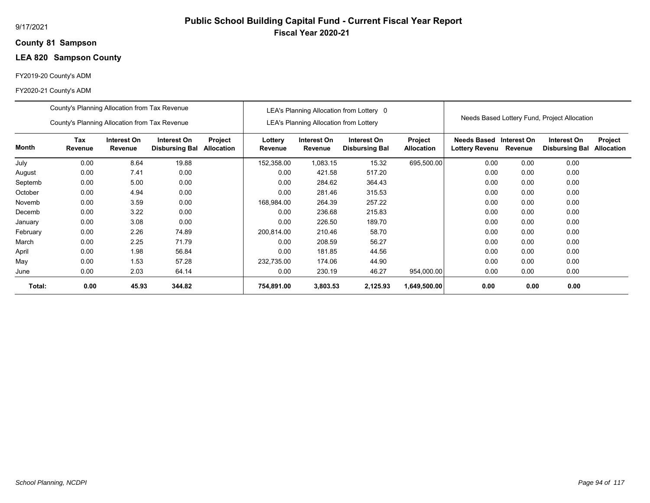## **81 Sampson County**

## **LEA 820 Sampson County**

## FY2019-20 County's ADM

|          | County's Planning Allocation from Tax Revenue |                        |                                      |                              |                    |                                               | LEA's Planning Allocation from Lottery 0 |                              |                                      |                        |                                              |                              |
|----------|-----------------------------------------------|------------------------|--------------------------------------|------------------------------|--------------------|-----------------------------------------------|------------------------------------------|------------------------------|--------------------------------------|------------------------|----------------------------------------------|------------------------------|
|          | County's Planning Allocation from Tax Revenue |                        |                                      |                              |                    | <b>LEA's Planning Allocation from Lottery</b> |                                          |                              |                                      |                        | Needs Based Lottery Fund, Project Allocation |                              |
| Month    | Tax<br>Revenue                                | Interest On<br>Revenue | Interest On<br><b>Disbursing Bal</b> | Project<br><b>Allocation</b> | Lottery<br>Revenue | Interest On<br>Revenue                        | Interest On<br><b>Disbursing Bal</b>     | Project<br><b>Allocation</b> | Needs Based<br><b>Lottery Revenu</b> | Interest On<br>Revenue | Interest On<br><b>Disbursing Bal</b>         | Project<br><b>Allocation</b> |
| July     | 0.00                                          | 8.64                   | 19.88                                |                              | 152,358.00         | 1,083.15                                      | 15.32                                    | 695,500.00                   | 0.00                                 | 0.00                   | 0.00                                         |                              |
| August   | 0.00                                          | 7.41                   | 0.00                                 |                              | 0.00               | 421.58                                        | 517.20                                   |                              | 0.00                                 | 0.00                   | 0.00                                         |                              |
| Septemb  | 0.00                                          | 5.00                   | 0.00                                 |                              | 0.00               | 284.62                                        | 364.43                                   |                              | 0.00                                 | 0.00                   | 0.00                                         |                              |
| October  | 0.00                                          | 4.94                   | 0.00                                 |                              | 0.00               | 281.46                                        | 315.53                                   |                              | 0.00                                 | 0.00                   | 0.00                                         |                              |
| Novemb   | 0.00                                          | 3.59                   | 0.00                                 |                              | 168,984.00         | 264.39                                        | 257.22                                   |                              | 0.00                                 | 0.00                   | 0.00                                         |                              |
| Decemb   | 0.00                                          | 3.22                   | 0.00                                 |                              | 0.00               | 236.68                                        | 215.83                                   |                              | 0.00                                 | 0.00                   | 0.00                                         |                              |
| January  | 0.00                                          | 3.08                   | 0.00                                 |                              | 0.00               | 226.50                                        | 189.70                                   |                              | 0.00                                 | 0.00                   | 0.00                                         |                              |
| February | 0.00                                          | 2.26                   | 74.89                                |                              | 200,814.00         | 210.46                                        | 58.70                                    |                              | 0.00                                 | 0.00                   | 0.00                                         |                              |
| March    | 0.00                                          | 2.25                   | 71.79                                |                              | 0.00               | 208.59                                        | 56.27                                    |                              | 0.00                                 | 0.00                   | 0.00                                         |                              |
| April    | 0.00                                          | 1.98                   | 56.84                                |                              | 0.00               | 181.85                                        | 44.56                                    |                              | 0.00                                 | 0.00                   | 0.00                                         |                              |
| May      | 0.00                                          | 1.53                   | 57.28                                |                              | 232,735.00         | 174.06                                        | 44.90                                    |                              | 0.00                                 | 0.00                   | 0.00                                         |                              |
| June     | 0.00                                          | 2.03                   | 64.14                                |                              | 0.00               | 230.19                                        | 46.27                                    | 954,000.00                   | 0.00                                 | 0.00                   | 0.00                                         |                              |
| Total:   | 0.00                                          | 45.93                  | 344.82                               |                              | 754,891.00         | 3,803.53                                      | 2,125.93                                 | 1,649,500.00                 | 0.00                                 | 0.00                   | 0.00                                         |                              |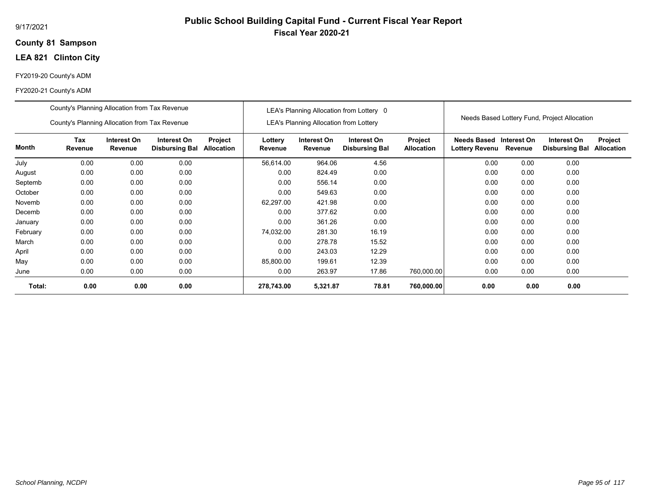### **81 Sampson County**

## **LEA 821 Clinton City**

## FY2019-20 County's ADM

|          | County's Planning Allocation from Tax Revenue<br>County's Planning Allocation from Tax Revenue                                           |      |      |      |                    | <b>LEA's Planning Allocation from Lottery</b> | LEA's Planning Allocation from Lottery 0 |                                     |                                      |                        | Needs Based Lottery Fund, Project Allocation |                       |
|----------|------------------------------------------------------------------------------------------------------------------------------------------|------|------|------|--------------------|-----------------------------------------------|------------------------------------------|-------------------------------------|--------------------------------------|------------------------|----------------------------------------------|-----------------------|
| Month    | Tax<br>Interest On<br>Interest On<br>Project<br><b>Allocation</b><br>Revenue<br><b>Disbursing Bal</b><br>Revenue<br>0.00<br>0.00<br>0.00 |      |      |      | Lottery<br>Revenue | Interest On<br>Revenue                        | Interest On<br><b>Disbursing Bal</b>     | <b>Project</b><br><b>Allocation</b> | <b>Needs Based</b><br>Lottery Revenu | Interest On<br>Revenue | Interest On<br><b>Disbursing Bal</b>         | Project<br>Allocation |
| July     |                                                                                                                                          |      |      |      | 56,614.00          | 964.06                                        | 4.56                                     |                                     | 0.00                                 | 0.00                   | 0.00                                         |                       |
| August   | 0.00                                                                                                                                     | 0.00 | 0.00 |      | 0.00               | 824.49                                        | 0.00                                     |                                     | 0.00                                 | 0.00                   | 0.00                                         |                       |
| Septemb  | 0.00                                                                                                                                     | 0.00 |      | 0.00 | 556.14             | 0.00                                          |                                          | 0.00                                | 0.00                                 | 0.00                   |                                              |                       |
| October  | 0.00                                                                                                                                     | 0.00 | 0.00 |      | 0.00               | 549.63                                        | 0.00                                     |                                     | 0.00                                 | 0.00                   | 0.00                                         |                       |
| Novemb   | 0.00                                                                                                                                     | 0.00 | 0.00 |      | 62,297.00          | 421.98                                        | 0.00                                     |                                     | 0.00                                 | 0.00                   | 0.00                                         |                       |
| Decemb   | 0.00                                                                                                                                     | 0.00 | 0.00 |      | 0.00               | 377.62                                        | 0.00                                     |                                     | 0.00                                 | 0.00                   | 0.00                                         |                       |
| January  | 0.00                                                                                                                                     | 0.00 | 0.00 |      | 0.00               | 361.26                                        | 0.00                                     |                                     | 0.00                                 | 0.00                   | 0.00                                         |                       |
| February | 0.00                                                                                                                                     | 0.00 | 0.00 |      | 74,032.00          | 281.30                                        | 16.19                                    |                                     | 0.00                                 | 0.00                   | 0.00                                         |                       |
| March    | 0.00                                                                                                                                     | 0.00 | 0.00 |      | 0.00               | 278.78                                        | 15.52                                    |                                     | 0.00                                 | 0.00                   | 0.00                                         |                       |
| April    | 0.00                                                                                                                                     | 0.00 | 0.00 |      | 0.00               | 243.03                                        | 12.29                                    |                                     | 0.00                                 | 0.00                   | 0.00                                         |                       |
| May      | 0.00                                                                                                                                     | 0.00 | 0.00 |      | 85,800.00          | 199.61                                        | 12.39                                    |                                     | 0.00                                 | 0.00                   | 0.00                                         |                       |
| June     | 0.00<br>0.00<br>0.00                                                                                                                     |      |      |      | 0.00               | 263.97                                        | 17.86                                    | 760,000.00                          | 0.00                                 | 0.00                   | 0.00                                         |                       |
| Total:   | 0.00                                                                                                                                     | 0.00 | 0.00 |      | 278,743.00         | 5,321.87                                      | 78.81                                    | 760,000.00                          | 0.00                                 | 0.00                   | 0.00                                         |                       |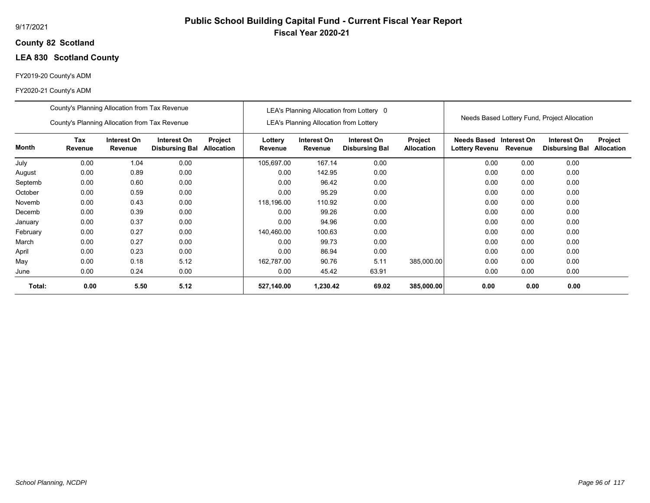## **82 Scotland County**

## **LEA 830 Scotland County**

## FY2019-20 County's ADM

|          | County's Planning Allocation from Tax Revenue |                        |                                      |                              |                    |                                               | LEA's Planning Allocation from Lottery 0 |                              |                                                  |         |                                              |                              |
|----------|-----------------------------------------------|------------------------|--------------------------------------|------------------------------|--------------------|-----------------------------------------------|------------------------------------------|------------------------------|--------------------------------------------------|---------|----------------------------------------------|------------------------------|
|          | County's Planning Allocation from Tax Revenue |                        |                                      |                              |                    | <b>LEA's Planning Allocation from Lottery</b> |                                          |                              |                                                  |         | Needs Based Lottery Fund, Project Allocation |                              |
| Month    | Tax<br>Revenue                                | Interest On<br>Revenue | Interest On<br><b>Disbursing Bal</b> | Project<br><b>Allocation</b> | Lottery<br>Revenue | Interest On<br>Revenue                        | Interest On<br><b>Disbursing Bal</b>     | Project<br><b>Allocation</b> | Needs Based Interest On<br><b>Lottery Revenu</b> | Revenue | Interest On<br><b>Disbursing Bal</b>         | Project<br><b>Allocation</b> |
| July     | 0.00                                          | 1.04                   | 0.00                                 |                              | 105,697.00         | 167.14                                        | 0.00                                     |                              | 0.00                                             | 0.00    | 0.00                                         |                              |
| August   | 0.00                                          | 0.89                   | 0.00                                 |                              | 0.00               | 142.95                                        | 0.00                                     |                              | 0.00                                             | 0.00    | 0.00                                         |                              |
| Septemb  | 0.00                                          | 0.60                   | 0.00                                 |                              | 0.00               | 96.42                                         | 0.00                                     |                              | 0.00                                             | 0.00    | 0.00                                         |                              |
| October  | 0.00                                          | 0.59                   | 0.00                                 |                              | 0.00               | 95.29                                         | 0.00                                     |                              | 0.00                                             | 0.00    | 0.00                                         |                              |
| Novemb   | 0.00                                          | 0.43                   | 0.00                                 |                              | 118,196.00         | 110.92                                        | 0.00                                     |                              | 0.00                                             | 0.00    | 0.00                                         |                              |
| Decemb   | 0.00                                          | 0.39                   | 0.00                                 |                              | 0.00               | 99.26                                         | 0.00                                     |                              | 0.00                                             | 0.00    | 0.00                                         |                              |
| January  | 0.00                                          | 0.37                   | 0.00                                 |                              | 0.00               | 94.96                                         | 0.00                                     |                              | 0.00                                             | 0.00    | 0.00                                         |                              |
| February | 0.00                                          | 0.27                   | 0.00                                 |                              | 140,460.00         | 100.63                                        | 0.00                                     |                              | 0.00                                             | 0.00    | 0.00                                         |                              |
| March    | 0.00                                          | 0.27                   | 0.00                                 |                              | 0.00               | 99.73                                         | 0.00                                     |                              | 0.00                                             | 0.00    | 0.00                                         |                              |
| April    | 0.00                                          | 0.23                   | 0.00                                 |                              | 0.00               | 86.94                                         | 0.00                                     |                              | 0.00                                             | 0.00    | 0.00                                         |                              |
| May      | 0.00                                          | 0.18                   | 5.12                                 |                              | 162,787.00         | 90.76                                         | 5.11                                     | 385,000.00                   | 0.00                                             | 0.00    | 0.00                                         |                              |
| June     | 0.00                                          | 0.24                   | 0.00                                 |                              | 0.00               | 45.42                                         | 63.91                                    |                              | 0.00                                             | 0.00    | 0.00                                         |                              |
| Total:   | 0.00                                          | 5.50                   | 5.12                                 |                              | 527,140.00         | 1,230.42                                      | 69.02                                    | 385,000.00                   | 0.00                                             | 0.00    | 0.00                                         |                              |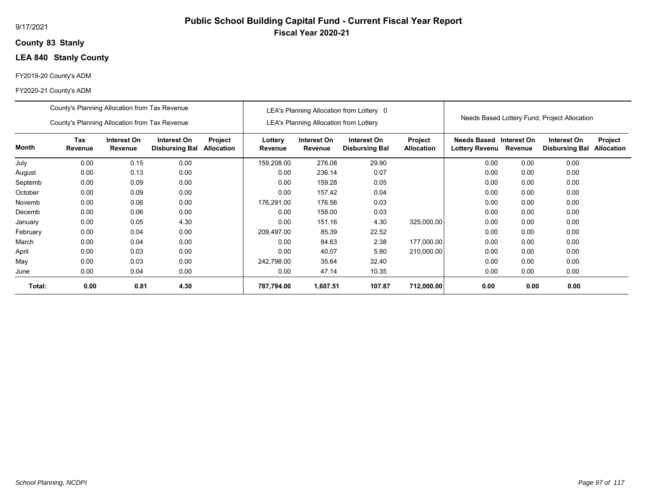## **83 Stanly County**

## **LEA 840 Stanly County**

## FY2019-20 County's ADM

|          | County's Planning Allocation from Tax Revenue |                        |                                      |                              |                    |                                               | LEA's Planning Allocation from Lottery 0 |                              |                                                  |         |                                              |                              |
|----------|-----------------------------------------------|------------------------|--------------------------------------|------------------------------|--------------------|-----------------------------------------------|------------------------------------------|------------------------------|--------------------------------------------------|---------|----------------------------------------------|------------------------------|
|          | County's Planning Allocation from Tax Revenue |                        |                                      |                              |                    | <b>LEA's Planning Allocation from Lottery</b> |                                          |                              |                                                  |         | Needs Based Lottery Fund, Project Allocation |                              |
| Month    | Tax<br>Revenue                                | Interest On<br>Revenue | Interest On<br><b>Disbursing Bal</b> | Project<br><b>Allocation</b> | Lottery<br>Revenue | Interest On<br>Revenue                        | Interest On<br><b>Disbursing Bal</b>     | Project<br><b>Allocation</b> | Needs Based Interest On<br><b>Lottery Revenu</b> | Revenue | Interest On<br><b>Disbursing Bal</b>         | Project<br><b>Allocation</b> |
| July     | 0.00                                          | 0.15                   | 0.00                                 |                              | 159,208.00         | 276.08                                        | 29.90                                    |                              | 0.00                                             | 0.00    | 0.00                                         |                              |
| August   | 0.00                                          | 0.13                   | 0.00                                 |                              | 0.00               | 236.14                                        | 0.07                                     |                              | 0.00                                             | 0.00    | 0.00                                         |                              |
| Septemb  | 0.00                                          | 0.09                   | 0.00                                 |                              | 0.00               | 159.28                                        | 0.05                                     |                              | 0.00                                             | 0.00    | 0.00                                         |                              |
| October  | 0.00                                          | 0.09                   | 0.00                                 |                              | 0.00               | 157.42                                        | 0.04                                     |                              | 0.00                                             | 0.00    | 0.00                                         |                              |
| Novemb   | 0.00                                          | 0.06                   | 0.00                                 |                              | 176,291.00         | 176.56                                        | 0.03                                     |                              | 0.00                                             | 0.00    | 0.00                                         |                              |
| Decemb   | 0.00                                          | 0.06                   | 0.00                                 |                              | 0.00               | 158.00                                        | 0.03                                     |                              | 0.00                                             | 0.00    | 0.00                                         |                              |
| January  | 0.00                                          | 0.05                   | 4.30                                 |                              | 0.00               | 151.16                                        | 4.30                                     | 325,000.00                   | 0.00                                             | 0.00    | 0.00                                         |                              |
| February | 0.00                                          | 0.04                   | 0.00                                 |                              | 209,497.00         | 85.39                                         | 22.52                                    |                              | 0.00                                             | 0.00    | 0.00                                         |                              |
| March    | 0.00                                          | 0.04                   | 0.00                                 |                              | 0.00               | 84.63                                         | 2.38                                     | 177,000.00                   | 0.00                                             | 0.00    | 0.00                                         |                              |
| April    | 0.00                                          | 0.03                   | 0.00                                 |                              | 0.00               | 40.07                                         | 5.80                                     | 210.000.00                   | 0.00                                             | 0.00    | 0.00                                         |                              |
| May      | 0.00                                          | 0.03                   | 0.00                                 |                              | 242,798.00         | 35.64                                         | 32.40                                    |                              | 0.00                                             | 0.00    | 0.00                                         |                              |
| June     | 0.00                                          | 0.04                   | 0.00                                 |                              | 0.00               | 47.14                                         | 10.35                                    |                              | 0.00                                             | 0.00    | 0.00                                         |                              |
| Total:   | 0.00                                          | 0.81                   | 4.30                                 |                              | 787,794.00         | 1,607.51                                      | 107.87                                   | 712,000.00                   | 0.00                                             | 0.00    | 0.00                                         |                              |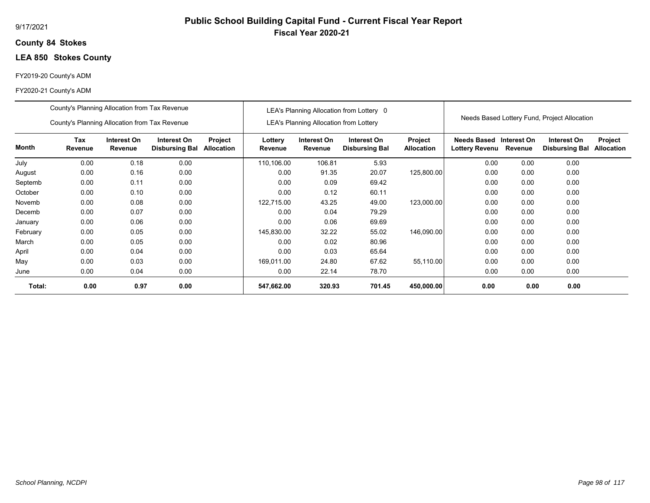## **84 Stokes County**

## **LEA 850 Stokes County**

## FY2019-20 County's ADM

|          | County's Planning Allocation from Tax Revenue |                        |                                      |                       |                    |                                               | LEA's Planning Allocation from Lottery 0 |                                     |                                      |                        | Needs Based Lottery Fund, Project Allocation |                              |
|----------|-----------------------------------------------|------------------------|--------------------------------------|-----------------------|--------------------|-----------------------------------------------|------------------------------------------|-------------------------------------|--------------------------------------|------------------------|----------------------------------------------|------------------------------|
|          | County's Planning Allocation from Tax Revenue |                        |                                      |                       |                    | <b>LEA's Planning Allocation from Lottery</b> |                                          |                                     |                                      |                        |                                              |                              |
| Month    | Tax<br>Revenue                                | Interest On<br>Revenue | Interest On<br><b>Disbursing Bal</b> | Project<br>Allocation | Lottery<br>Revenue | Interest On<br>Revenue                        | Interest On<br><b>Disbursing Bal</b>     | <b>Project</b><br><b>Allocation</b> | Needs Based<br><b>Lottery Revenu</b> | Interest On<br>Revenue | Interest On<br><b>Disbursing Bal</b>         | Project<br><b>Allocation</b> |
| July     | 0.00                                          | 0.18                   | 0.00                                 |                       | 110,106.00         | 106.81                                        | 5.93                                     |                                     | 0.00                                 | 0.00                   | 0.00                                         |                              |
| August   | 0.00                                          | 0.16                   | 0.00                                 |                       | 0.00               | 91.35                                         | 20.07                                    | 125,800.00                          | 0.00                                 | 0.00                   | 0.00                                         |                              |
| Septemb  | 0.00                                          | 0.11                   | 0.00                                 |                       | 0.00               | 0.09                                          | 69.42                                    |                                     | 0.00                                 | 0.00                   | 0.00                                         |                              |
| October  | 0.00                                          | 0.10                   | 0.00                                 |                       | 0.00               | 0.12                                          | 60.11                                    |                                     | 0.00                                 | 0.00                   | 0.00                                         |                              |
| Novemb   | 0.00                                          | 0.08                   | 0.00                                 |                       | 122,715.00         | 43.25                                         | 49.00                                    | 123,000.00                          | 0.00                                 | 0.00                   | 0.00                                         |                              |
| Decemb   | 0.00                                          | 0.07                   | 0.00                                 |                       | 0.00               | 0.04                                          | 79.29                                    |                                     | 0.00                                 | 0.00                   | 0.00                                         |                              |
| January  | 0.00                                          | 0.06                   | 0.00                                 |                       | 0.00               | 0.06                                          | 69.69                                    |                                     | 0.00                                 | 0.00                   | 0.00                                         |                              |
| February | 0.00                                          | 0.05                   | 0.00                                 |                       | 145,830.00         | 32.22                                         | 55.02                                    | 146,090.00                          | 0.00                                 | 0.00                   | 0.00                                         |                              |
| March    | 0.00                                          | 0.05                   | 0.00                                 |                       | 0.00               | 0.02                                          | 80.96                                    |                                     | 0.00                                 | 0.00                   | 0.00                                         |                              |
| April    | 0.00                                          | 0.04                   | 0.00                                 |                       | 0.00               | 0.03                                          | 65.64                                    |                                     | 0.00                                 | 0.00                   | 0.00                                         |                              |
| May      | 0.00                                          | 0.03                   | 0.00                                 |                       | 169,011.00         | 24.80                                         | 67.62                                    | 55,110.00                           | 0.00                                 | 0.00                   | 0.00                                         |                              |
| June     | 0.00                                          | 0.04                   | 0.00                                 |                       | 0.00               | 22.14                                         | 78.70                                    |                                     | 0.00                                 | 0.00                   | 0.00                                         |                              |
| Total:   | 0.00                                          | 0.97                   | 0.00                                 |                       | 547,662.00         | 320.93                                        | 701.45                                   | 450,000.00                          | 0.00                                 | 0.00                   | 0.00                                         |                              |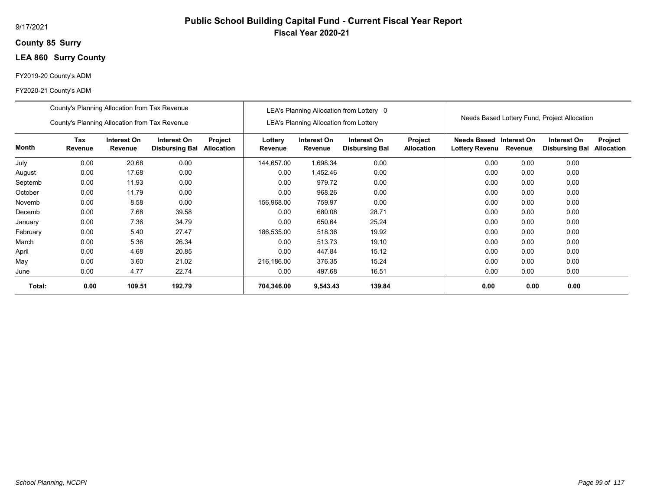## **85 Surry County**

## **LEA 860 Surry County**

## FY2019-20 County's ADM

|          | County's Planning Allocation from Tax Revenue |                        |                                      |                       |                    |                                               | LEA's Planning Allocation from Lottery 0 |                                     |                                      |                        |                                              |                              |
|----------|-----------------------------------------------|------------------------|--------------------------------------|-----------------------|--------------------|-----------------------------------------------|------------------------------------------|-------------------------------------|--------------------------------------|------------------------|----------------------------------------------|------------------------------|
|          | County's Planning Allocation from Tax Revenue |                        |                                      |                       |                    | <b>LEA's Planning Allocation from Lottery</b> |                                          |                                     |                                      |                        | Needs Based Lottery Fund, Project Allocation |                              |
| Month    | Tax<br>Revenue                                | Interest On<br>Revenue | Interest On<br><b>Disbursing Bal</b> | Project<br>Allocation | Lottery<br>Revenue | Interest On<br>Revenue                        | Interest On<br><b>Disbursing Bal</b>     | <b>Project</b><br><b>Allocation</b> | Needs Based<br><b>Lottery Revenu</b> | Interest On<br>Revenue | Interest On<br><b>Disbursing Bal</b>         | Project<br><b>Allocation</b> |
| July     | 0.00                                          | 20.68                  | 0.00                                 |                       | 144,657.00         | 1,698.34                                      | 0.00                                     |                                     | 0.00                                 | 0.00                   | 0.00                                         |                              |
| August   | 0.00                                          | 17.68                  | 0.00                                 |                       | 0.00               | 1,452.46                                      | 0.00                                     |                                     | 0.00                                 | 0.00                   | 0.00                                         |                              |
| Septemb  | 0.00                                          | 11.93                  | 0.00                                 |                       | 0.00               | 979.72                                        | 0.00                                     |                                     | 0.00                                 | 0.00                   | 0.00                                         |                              |
| October  | 0.00                                          | 11.79                  | 0.00                                 |                       | 0.00               | 968.26                                        | 0.00                                     |                                     | 0.00                                 | 0.00                   | 0.00                                         |                              |
| Novemb   | 0.00                                          | 8.58                   | 0.00                                 |                       | 156,968.00         | 759.97                                        | 0.00                                     |                                     | 0.00                                 | 0.00                   | 0.00                                         |                              |
| Decemb   | 0.00                                          | 7.68                   | 39.58                                |                       | 0.00               | 680.08                                        | 28.71                                    |                                     | 0.00                                 | 0.00                   | 0.00                                         |                              |
| January  | 0.00                                          | 7.36                   | 34.79                                |                       | 0.00               | 650.64                                        | 25.24                                    |                                     | 0.00                                 | 0.00                   | 0.00                                         |                              |
| February | 0.00                                          | 5.40                   | 27.47                                |                       | 186,535.00         | 518.36                                        | 19.92                                    |                                     | 0.00                                 | 0.00                   | 0.00                                         |                              |
| March    | 0.00                                          | 5.36                   | 26.34                                |                       | 0.00               | 513.73                                        | 19.10                                    |                                     | 0.00                                 | 0.00                   | 0.00                                         |                              |
| April    | 0.00                                          | 4.68                   | 20.85                                |                       | 0.00               | 447.84                                        | 15.12                                    |                                     | 0.00                                 | 0.00                   | 0.00                                         |                              |
| May      | 0.00                                          | 3.60                   | 21.02                                |                       | 216,186.00         | 376.35                                        | 15.24                                    |                                     | 0.00                                 | 0.00                   | 0.00                                         |                              |
| June     | 0.00                                          | 4.77                   | 22.74                                |                       | 0.00               | 497.68                                        | 16.51                                    |                                     | 0.00                                 | 0.00                   | 0.00                                         |                              |
| Total:   | 0.00                                          | 109.51                 | 192.79                               |                       | 704,346.00         | 9,543.43                                      | 139.84                                   |                                     | 0.00                                 | 0.00                   | 0.00                                         |                              |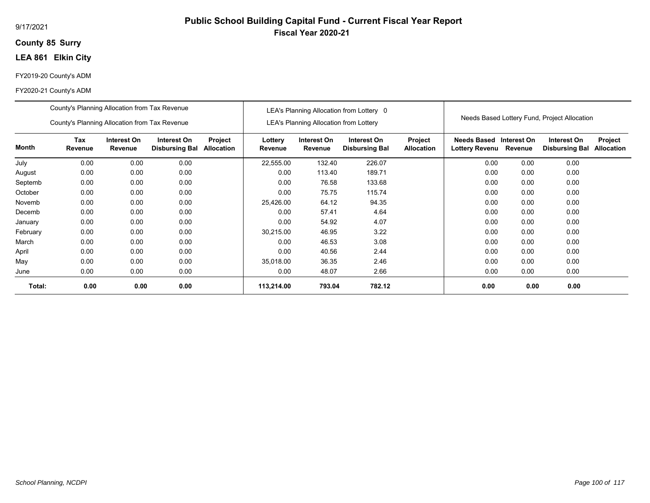### **85 Surry County**

## **LEA 861 Elkin City**

## FY2019-20 County's ADM

|          | County's Planning Allocation from Tax Revenue<br>County's Planning Allocation from Tax Revenue |                        |                                      |                              |                    | <b>LEA's Planning Allocation from Lottery</b> | LEA's Planning Allocation from Lottery 0 |                              |                                      |                        | Needs Based Lottery Fund, Project Allocation |                              |
|----------|------------------------------------------------------------------------------------------------|------------------------|--------------------------------------|------------------------------|--------------------|-----------------------------------------------|------------------------------------------|------------------------------|--------------------------------------|------------------------|----------------------------------------------|------------------------------|
| Month    | Tax<br>Revenue                                                                                 | Interest On<br>Revenue | Interest On<br><b>Disbursing Bal</b> | Project<br><b>Allocation</b> | Lottery<br>Revenue | Interest On<br>Revenue                        | Interest On<br><b>Disbursing Bal</b>     | Project<br><b>Allocation</b> | <b>Needs Based</b><br>Lottery Revenu | Interest On<br>Revenue | Interest On<br><b>Disbursing Bal</b>         | Project<br><b>Allocation</b> |
| July     | 0.00                                                                                           | 0.00                   | 0.00                                 |                              | 22,555.00          | 132.40                                        | 226.07                                   |                              | 0.00                                 | 0.00                   | 0.00                                         |                              |
| August   | 0.00                                                                                           | 0.00                   | 0.00                                 |                              | 0.00               | 113.40                                        | 189.71                                   |                              | 0.00                                 | 0.00                   | 0.00                                         |                              |
| Septemb  | 0.00                                                                                           | 0.00                   | 0.00                                 |                              | 0.00               | 76.58                                         | 133.68                                   |                              | 0.00                                 | 0.00                   | 0.00                                         |                              |
| October  | 0.00                                                                                           | 0.00                   | 0.00                                 |                              | 0.00               | 75.75                                         | 115.74                                   |                              | 0.00                                 | 0.00                   | 0.00                                         |                              |
| Novemb   | 0.00                                                                                           | 0.00                   | 0.00                                 |                              | 25,426.00          | 64.12                                         | 94.35                                    |                              | 0.00                                 | 0.00                   | 0.00                                         |                              |
| Decemb   | 0.00                                                                                           | 0.00                   | 0.00                                 |                              | 0.00               | 57.41                                         | 4.64                                     |                              | 0.00                                 | 0.00                   | 0.00                                         |                              |
| January  | 0.00                                                                                           | 0.00                   | 0.00                                 |                              | 0.00               | 54.92                                         | 4.07                                     |                              | 0.00                                 | 0.00                   | 0.00                                         |                              |
| February | 0.00                                                                                           | 0.00                   | 0.00                                 |                              | 30,215.00          | 46.95                                         | 3.22                                     |                              | 0.00                                 | 0.00                   | 0.00                                         |                              |
| March    | 0.00                                                                                           | 0.00                   | 0.00                                 |                              | 0.00               | 46.53                                         | 3.08                                     |                              | 0.00                                 | 0.00                   | 0.00                                         |                              |
| April    | 0.00                                                                                           | 0.00                   | 0.00                                 |                              | 0.00               | 40.56                                         | 2.44                                     |                              | 0.00                                 | 0.00                   | 0.00                                         |                              |
| May      | 0.00                                                                                           | 0.00                   | 0.00                                 |                              | 35,018.00          | 36.35                                         | 2.46                                     |                              | 0.00                                 | 0.00                   | 0.00                                         |                              |
| June     | 0.00                                                                                           | 0.00                   | 0.00                                 |                              | 0.00               | 48.07                                         | 2.66                                     |                              | 0.00                                 | 0.00                   | 0.00                                         |                              |
| Total:   | 0.00                                                                                           | 0.00                   | 0.00                                 |                              | 113,214.00         | 793.04                                        | 782.12                                   |                              | 0.00                                 | 0.00                   | 0.00                                         |                              |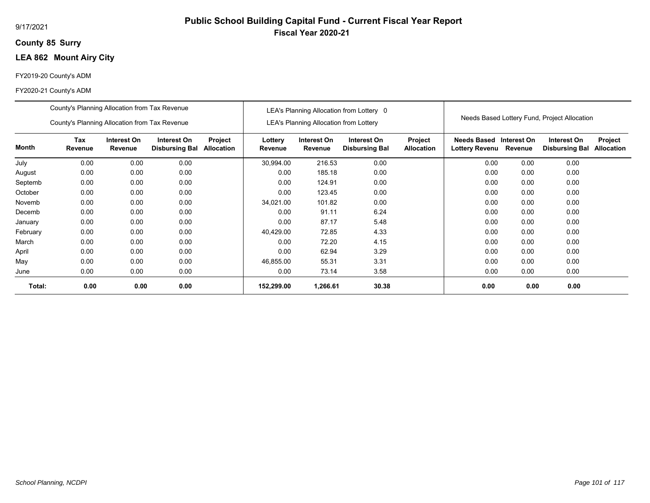## **85 Surry County**

## **LEA 862 Mount Airy City**

## FY2019-20 County's ADM

|          | County's Planning Allocation from Tax Revenue |                        |                                      |                              |                    |                                               | LEA's Planning Allocation from Lottery 0 |                              |                                           |         |                                              |                              |
|----------|-----------------------------------------------|------------------------|--------------------------------------|------------------------------|--------------------|-----------------------------------------------|------------------------------------------|------------------------------|-------------------------------------------|---------|----------------------------------------------|------------------------------|
|          | County's Planning Allocation from Tax Revenue |                        |                                      |                              |                    | <b>LEA's Planning Allocation from Lottery</b> |                                          |                              |                                           |         | Needs Based Lottery Fund, Project Allocation |                              |
| Month    | Tax<br>Revenue                                | Interest On<br>Revenue | Interest On<br><b>Disbursing Bal</b> | Project<br><b>Allocation</b> | Lottery<br>Revenue | Interest On<br>Revenue                        | Interest On<br><b>Disbursing Bal</b>     | Project<br><b>Allocation</b> | Needs Based Interest On<br>Lottery Revenu | Revenue | Interest On<br><b>Disbursing Bal</b>         | Project<br><b>Allocation</b> |
| July     | 0.00                                          | 0.00                   | 0.00                                 |                              | 30.994.00          | 216.53                                        | 0.00                                     |                              | 0.00                                      | 0.00    | 0.00                                         |                              |
| August   | 0.00                                          | 0.00                   | 0.00                                 |                              | 0.00               | 185.18                                        | 0.00                                     |                              | 0.00                                      | 0.00    | 0.00                                         |                              |
| Septemb  | 0.00                                          | 0.00                   | 0.00                                 |                              | 0.00               | 124.91                                        | 0.00                                     |                              | 0.00                                      | 0.00    | 0.00                                         |                              |
| October  | 0.00                                          | 0.00                   | 0.00                                 |                              | 0.00               | 123.45                                        | 0.00                                     |                              | 0.00                                      | 0.00    | 0.00                                         |                              |
| Novemb   | 0.00                                          | 0.00                   | 0.00                                 |                              | 34,021.00          | 101.82                                        | 0.00                                     |                              | 0.00                                      | 0.00    | 0.00                                         |                              |
| Decemb   | 0.00                                          | 0.00                   | 0.00                                 |                              | 0.00               | 91.11                                         | 6.24                                     |                              | 0.00                                      | 0.00    | 0.00                                         |                              |
| January  | 0.00                                          | 0.00                   | 0.00                                 |                              | 0.00               | 87.17                                         | 5.48                                     |                              | 0.00                                      | 0.00    | 0.00                                         |                              |
| February | 0.00                                          | 0.00                   | 0.00                                 |                              | 40,429.00          | 72.85                                         | 4.33                                     |                              | 0.00                                      | 0.00    | 0.00                                         |                              |
| March    | 0.00                                          | 0.00                   | 0.00                                 |                              | 0.00               | 72.20                                         | 4.15                                     |                              | 0.00                                      | 0.00    | 0.00                                         |                              |
| April    | 0.00                                          | 0.00                   | 0.00                                 |                              | 0.00               | 62.94                                         | 3.29                                     |                              | 0.00                                      | 0.00    | 0.00                                         |                              |
| May      | 0.00                                          | 0.00                   | 0.00                                 |                              | 46,855.00          | 55.31                                         | 3.31                                     |                              | 0.00                                      | 0.00    | 0.00                                         |                              |
| June     | 0.00                                          | 0.00                   | 0.00                                 |                              | 0.00               | 73.14                                         | 3.58                                     |                              | 0.00                                      | 0.00    | 0.00                                         |                              |
| Total:   | 0.00                                          | 0.00                   | 0.00                                 |                              | 152,299.00         | 1,266.61                                      | 30.38                                    |                              | 0.00                                      | 0.00    | 0.00                                         |                              |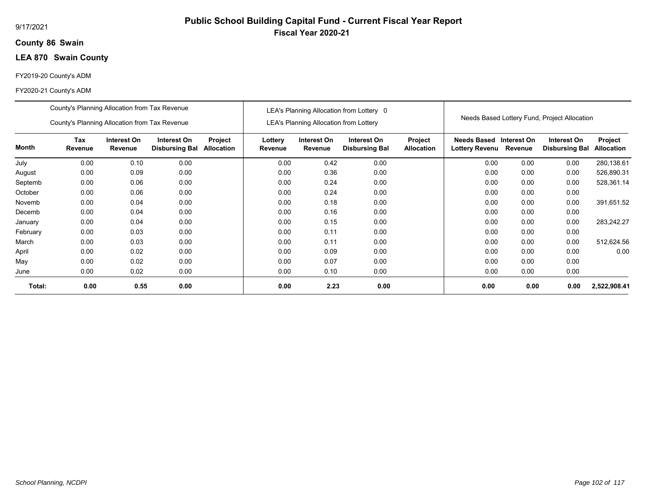## **86 Swain County**

## **LEA 870 Swain County**

## FY2019-20 County's ADM

|          | County's Planning Allocation from Tax Revenue |                        |                                      |                       |                    |                                               | LEA's Planning Allocation from Lottery 0 |                              |                                                   |      |                                              |                                     |
|----------|-----------------------------------------------|------------------------|--------------------------------------|-----------------------|--------------------|-----------------------------------------------|------------------------------------------|------------------------------|---------------------------------------------------|------|----------------------------------------------|-------------------------------------|
|          | County's Planning Allocation from Tax Revenue |                        |                                      |                       |                    | <b>LEA's Planning Allocation from Lottery</b> |                                          |                              |                                                   |      | Needs Based Lottery Fund, Project Allocation |                                     |
| Month    | Tax<br>Revenue                                | Interest On<br>Revenue | Interest On<br><b>Disbursing Bal</b> | Project<br>Allocation | Lottery<br>Revenue | Interest On<br>Revenue                        | Interest On<br><b>Disbursing Bal</b>     | Project<br><b>Allocation</b> | Needs Based Interest On<br>Lottery Revenu Revenue |      | Interest On<br><b>Disbursing Bal</b>         | <b>Project</b><br><b>Allocation</b> |
| July     | 0.00                                          | 0.10                   | 0.00                                 |                       | 0.00               | 0.42                                          | 0.00                                     |                              | 0.00                                              | 0.00 | 0.00                                         | 280,138.61                          |
| August   | 0.00                                          | 0.09                   | 0.00                                 |                       | 0.00               | 0.36                                          | 0.00                                     |                              | 0.00                                              | 0.00 | 0.00                                         | 526,890.31                          |
| Septemb  | 0.00                                          | 0.06                   | 0.00                                 |                       | 0.00               | 0.24                                          | 0.00                                     |                              | 0.00                                              | 0.00 | 0.00                                         | 528,361.14                          |
| October  | 0.00                                          | 0.06                   | 0.00                                 |                       | 0.00               | 0.24                                          | 0.00                                     |                              | 0.00                                              | 0.00 | 0.00                                         |                                     |
| Novemb   | 0.00                                          | 0.04                   | 0.00                                 |                       | 0.00               | 0.18                                          | 0.00                                     |                              | 0.00                                              | 0.00 | 0.00                                         | 391,651.52                          |
| Decemb   | 0.00                                          | 0.04                   | 0.00                                 |                       | 0.00               | 0.16                                          | 0.00                                     |                              | 0.00                                              | 0.00 | 0.00                                         |                                     |
| January  | 0.00                                          | 0.04                   | 0.00                                 |                       | 0.00               | 0.15                                          | 0.00                                     |                              | 0.00                                              | 0.00 | 0.00                                         | 283,242.27                          |
| February | 0.00                                          | 0.03                   | 0.00                                 |                       | 0.00               | 0.11                                          | 0.00                                     |                              | 0.00                                              | 0.00 | 0.00                                         |                                     |
| March    | 0.00                                          | 0.03                   | 0.00                                 |                       | 0.00               | 0.11                                          | 0.00                                     |                              | 0.00                                              | 0.00 | 0.00                                         | 512,624.56                          |
| April    | 0.00                                          | 0.02                   | 0.00                                 |                       | 0.00               | 0.09                                          | 0.00                                     |                              | 0.00                                              | 0.00 | 0.00                                         | 0.00                                |
| May      | 0.00                                          | 0.02                   | 0.00                                 |                       | 0.00               | 0.07                                          | 0.00                                     |                              | 0.00                                              | 0.00 | 0.00                                         |                                     |
| June     | 0.00                                          | 0.02                   | 0.00                                 |                       | 0.00               | 0.10                                          | 0.00                                     |                              | 0.00                                              | 0.00 | 0.00                                         |                                     |
| Total:   | 0.00                                          | 0.55                   | 0.00                                 |                       | 0.00               | 2.23                                          | 0.00                                     |                              | 0.00                                              | 0.00 | 0.00                                         | 2,522,908.41                        |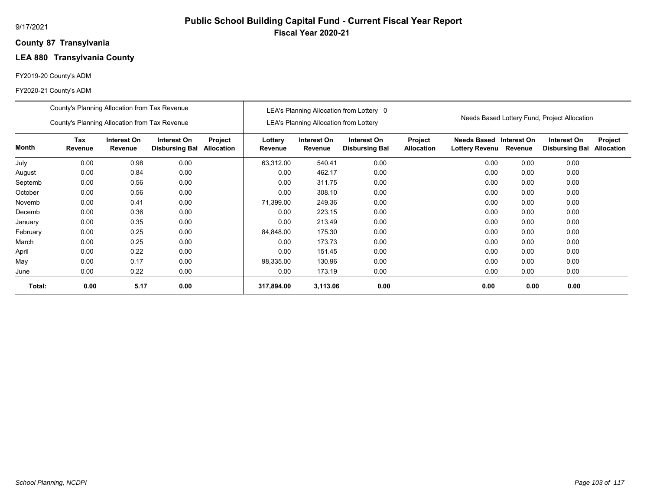## **87 Transylvania County**

# **LEA 880 Transylvania County**

## FY2019-20 County's ADM

|          | County's Planning Allocation from Tax Revenue |                               |                                      |                              |                    |                                               | LEA's Planning Allocation from Lottery 0 |                              |                               |                        |                                              |                              |
|----------|-----------------------------------------------|-------------------------------|--------------------------------------|------------------------------|--------------------|-----------------------------------------------|------------------------------------------|------------------------------|-------------------------------|------------------------|----------------------------------------------|------------------------------|
|          | County's Planning Allocation from Tax Revenue |                               |                                      |                              |                    | <b>LEA's Planning Allocation from Lottery</b> |                                          |                              |                               |                        | Needs Based Lottery Fund, Project Allocation |                              |
| Month    | Tax<br>Revenue                                | Interest On<br><b>Revenue</b> | Interest On<br><b>Disbursing Bal</b> | Project<br><b>Allocation</b> | Lottery<br>Revenue | Interest On<br>Revenue                        | Interest On<br><b>Disbursing Bal</b>     | Project<br><b>Allocation</b> | Needs Based<br>Lottery Revenu | Interest On<br>Revenue | Interest On<br><b>Disbursing Bal</b>         | Project<br><b>Allocation</b> |
| July     | 0.00                                          | 0.98                          | 0.00                                 |                              | 63,312.00          | 540.41                                        | 0.00                                     |                              | 0.00                          | 0.00                   | 0.00                                         |                              |
| August   | 0.00                                          | 0.84                          | 0.00                                 |                              | 0.00               | 462.17                                        | 0.00                                     |                              | 0.00                          | 0.00                   | 0.00                                         |                              |
| Septemb  | 0.00                                          | 0.56                          | 0.00                                 |                              | 0.00               | 311.75                                        | 0.00                                     |                              | 0.00                          | 0.00                   | 0.00                                         |                              |
| October  | 0.00                                          | 0.56                          | 0.00                                 |                              | 0.00               | 308.10                                        | 0.00                                     |                              | 0.00                          | 0.00                   | 0.00                                         |                              |
| Novemb   | 0.00                                          | 0.41                          | 0.00                                 |                              | 71,399.00          | 249.36                                        | 0.00                                     |                              | 0.00                          | 0.00                   | 0.00                                         |                              |
| Decemb   | 0.00                                          | 0.36                          | 0.00                                 |                              | 0.00               | 223.15                                        | 0.00                                     |                              | 0.00                          | 0.00                   | 0.00                                         |                              |
| January  | 0.00                                          | 0.35                          | 0.00                                 |                              | 0.00               | 213.49                                        | 0.00                                     |                              | 0.00                          | 0.00                   | 0.00                                         |                              |
| February | 0.00                                          | 0.25                          | 0.00                                 |                              | 84,848.00          | 175.30                                        | 0.00                                     |                              | 0.00                          | 0.00                   | 0.00                                         |                              |
| March    | 0.00                                          | 0.25                          | 0.00                                 |                              | 0.00               | 173.73                                        | 0.00                                     |                              | 0.00                          | 0.00                   | 0.00                                         |                              |
| April    | 0.00                                          | 0.22                          | 0.00                                 |                              | 0.00               | 151.45                                        | 0.00                                     |                              | 0.00                          | 0.00                   | 0.00                                         |                              |
| May      | 0.00                                          | 0.17                          | 0.00                                 |                              | 98,335.00          | 130.96                                        | 0.00                                     |                              | 0.00                          | 0.00                   | 0.00                                         |                              |
| June     | 0.00                                          | 0.22                          | 0.00                                 |                              | 0.00               | 173.19                                        | 0.00                                     |                              | 0.00                          | 0.00                   | 0.00                                         |                              |
| Total:   | 0.00                                          | 5.17                          | 0.00                                 |                              | 317,894.00         | 3,113.06                                      | 0.00                                     |                              | 0.00                          | 0.00                   | 0.00                                         |                              |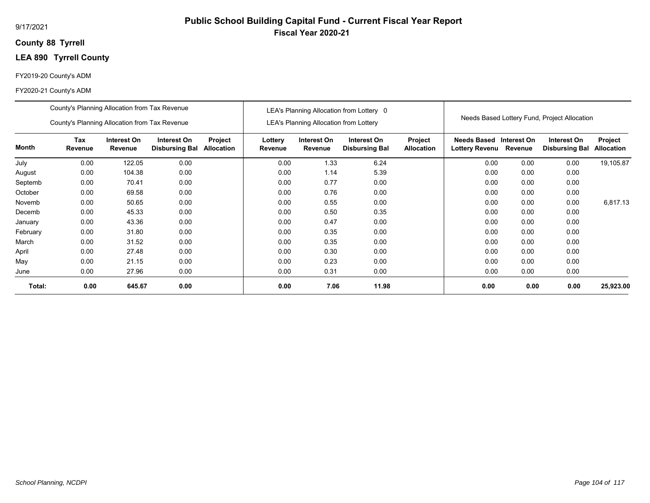## **88 Tyrrell County**

## **LEA 890 Tyrrell County**

## FY2019-20 County's ADM

|              | County's Planning Allocation from Tax Revenue                                                                           |        |      |  |                    |                                        | LEA's Planning Allocation from Lottery 0 |                              |                                              |             |                                              |                              |
|--------------|-------------------------------------------------------------------------------------------------------------------------|--------|------|--|--------------------|----------------------------------------|------------------------------------------|------------------------------|----------------------------------------------|-------------|----------------------------------------------|------------------------------|
|              | County's Planning Allocation from Tax Revenue                                                                           |        |      |  |                    | LEA's Planning Allocation from Lottery |                                          |                              |                                              |             | Needs Based Lottery Fund, Project Allocation |                              |
| <b>Month</b> | <b>Tax</b><br>Interest On<br>Interest On<br>Project<br><b>Disbursing Bal</b><br><b>Allocation</b><br>Revenue<br>Revenue |        |      |  | Lottery<br>Revenue | Interest On<br>Revenue                 | Interest On<br><b>Disbursing Bal</b>     | Project<br><b>Allocation</b> | <b>Needs Based</b><br>Lottery Revenu Revenue | Interest On | Interest On<br><b>Disbursing Bal</b>         | Project<br><b>Allocation</b> |
| July         | 0.00                                                                                                                    | 122.05 | 0.00 |  | 0.00               | 1.33                                   | 6.24                                     |                              | 0.00                                         | 0.00        | 0.00                                         | 19,105.87                    |
| August       | 0.00                                                                                                                    | 104.38 | 0.00 |  | 0.00               | 1.14                                   | 5.39                                     |                              | 0.00                                         | 0.00        | 0.00                                         |                              |
| Septemb      | 0.00                                                                                                                    | 70.41  | 0.00 |  | 0.00               | 0.77                                   | 0.00                                     |                              | 0.00                                         | 0.00        | 0.00                                         |                              |
| October      | 0.00                                                                                                                    | 69.58  | 0.00 |  | 0.00               | 0.76                                   | 0.00                                     |                              | 0.00                                         | 0.00        | 0.00                                         |                              |
| Novemb       | 0.00                                                                                                                    | 50.65  | 0.00 |  | 0.00               | 0.55                                   | 0.00                                     |                              | 0.00                                         | 0.00        | 0.00                                         | 6,817.13                     |
| Decemb       | 0.00                                                                                                                    | 45.33  | 0.00 |  | 0.00               | 0.50                                   | 0.35                                     |                              | 0.00                                         | 0.00        | 0.00                                         |                              |
| January      | 0.00                                                                                                                    | 43.36  | 0.00 |  | 0.00               | 0.47                                   | 0.00                                     |                              | 0.00                                         | 0.00        | 0.00                                         |                              |
| February     | 0.00                                                                                                                    | 31.80  | 0.00 |  | 0.00               | 0.35                                   | 0.00                                     |                              | 0.00                                         | 0.00        | 0.00                                         |                              |
| March        | 0.00                                                                                                                    | 31.52  | 0.00 |  | 0.00               | 0.35                                   | 0.00                                     |                              | 0.00                                         | 0.00        | 0.00                                         |                              |
| April        | 0.00                                                                                                                    | 27.48  | 0.00 |  | 0.00               | 0.30                                   | 0.00                                     |                              | 0.00                                         | 0.00        | 0.00                                         |                              |
| May          | 0.00                                                                                                                    | 21.15  | 0.00 |  | 0.00               | 0.23                                   | 0.00                                     |                              | 0.00                                         | 0.00        | 0.00                                         |                              |
| June         | 0.00                                                                                                                    | 27.96  | 0.00 |  | 0.00               | 0.31                                   | 0.00                                     |                              | 0.00                                         | 0.00        | 0.00                                         |                              |
| Total:       | 0.00                                                                                                                    | 645.67 | 0.00 |  | 0.00               | 7.06                                   | 11.98                                    |                              | 0.00                                         | 0.00        | 0.00                                         | 25,923.00                    |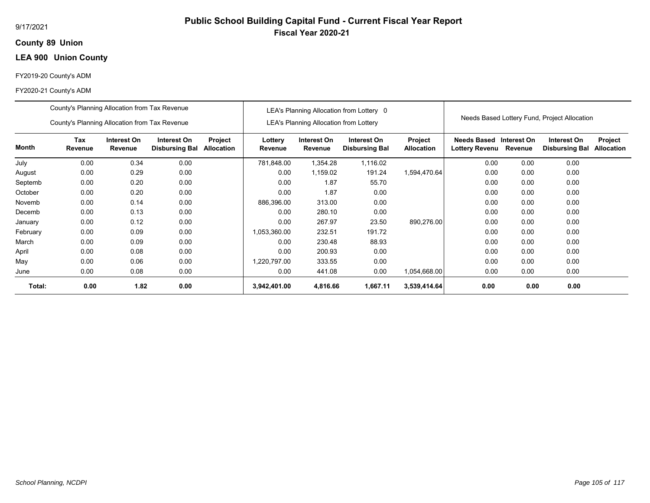## **89 Union County**

## **LEA 900 Union County**

## FY2019-20 County's ADM

|          | County's Planning Allocation from Tax Revenue |                        |                                      |                       |                    |                                               | LEA's Planning Allocation from Lottery 0 |                                     |                                      |                        |                                              |                              |
|----------|-----------------------------------------------|------------------------|--------------------------------------|-----------------------|--------------------|-----------------------------------------------|------------------------------------------|-------------------------------------|--------------------------------------|------------------------|----------------------------------------------|------------------------------|
|          | County's Planning Allocation from Tax Revenue |                        |                                      |                       |                    | <b>LEA's Planning Allocation from Lottery</b> |                                          |                                     |                                      |                        | Needs Based Lottery Fund, Project Allocation |                              |
| Month    | Tax<br>Revenue                                | Interest On<br>Revenue | Interest On<br><b>Disbursing Bal</b> | Project<br>Allocation | Lottery<br>Revenue | Interest On<br>Revenue                        | Interest On<br><b>Disbursing Bal</b>     | <b>Project</b><br><b>Allocation</b> | Needs Based<br><b>Lottery Revenu</b> | Interest On<br>Revenue | Interest On<br><b>Disbursing Bal</b>         | Project<br><b>Allocation</b> |
| July     | 0.00                                          | 0.34                   | 0.00                                 |                       | 781,848.00         | 1,354.28                                      | 1,116.02                                 |                                     | 0.00                                 | 0.00                   | 0.00                                         |                              |
| August   | 0.00                                          | 0.29                   | 0.00                                 |                       | 0.00               | 1,159.02                                      | 191.24                                   | 1,594,470.64                        | 0.00                                 | 0.00                   | 0.00                                         |                              |
| Septemb  | 0.00                                          | 0.20                   | 0.00                                 |                       | 0.00               | 1.87                                          | 55.70                                    |                                     | 0.00                                 | 0.00                   | 0.00                                         |                              |
| October  | 0.00                                          | 0.20                   | 0.00                                 |                       | 0.00               | 1.87                                          | 0.00                                     |                                     | 0.00                                 | 0.00                   | 0.00                                         |                              |
| Novemb   | 0.00                                          | 0.14                   | 0.00                                 |                       | 886,396.00         | 313.00                                        | 0.00                                     |                                     | 0.00                                 | 0.00                   | 0.00                                         |                              |
| Decemb   | 0.00                                          | 0.13                   | 0.00                                 |                       | 0.00               | 280.10                                        | 0.00                                     |                                     | 0.00                                 | 0.00                   | 0.00                                         |                              |
| January  | 0.00                                          | 0.12                   | 0.00                                 |                       | 0.00               | 267.97                                        | 23.50                                    | 890,276.00                          | 0.00                                 | 0.00                   | 0.00                                         |                              |
| February | 0.00                                          | 0.09                   | 0.00                                 |                       | 1,053,360.00       | 232.51                                        | 191.72                                   |                                     | 0.00                                 | 0.00                   | 0.00                                         |                              |
| March    | 0.00                                          | 0.09                   | 0.00                                 |                       | 0.00               | 230.48                                        | 88.93                                    |                                     | 0.00                                 | 0.00                   | 0.00                                         |                              |
| April    | 0.00                                          | 0.08                   | 0.00                                 |                       | 0.00               | 200.93                                        | 0.00                                     |                                     | 0.00                                 | 0.00                   | 0.00                                         |                              |
| May      | 0.00                                          | 0.06                   | 0.00                                 |                       | 1,220,797.00       | 333.55                                        | 0.00                                     |                                     | 0.00                                 | 0.00                   | 0.00                                         |                              |
| June     | 0.00                                          | 0.08                   | 0.00                                 |                       | 0.00               | 441.08                                        | 0.00                                     | 1,054,668.00                        | 0.00                                 | 0.00                   | 0.00                                         |                              |
| Total:   | 0.00                                          | 1.82                   | 0.00                                 |                       | 3,942,401.00       | 4,816.66                                      | 1,667.11                                 | 3,539,414.64                        | 0.00                                 | 0.00                   | 0.00                                         |                              |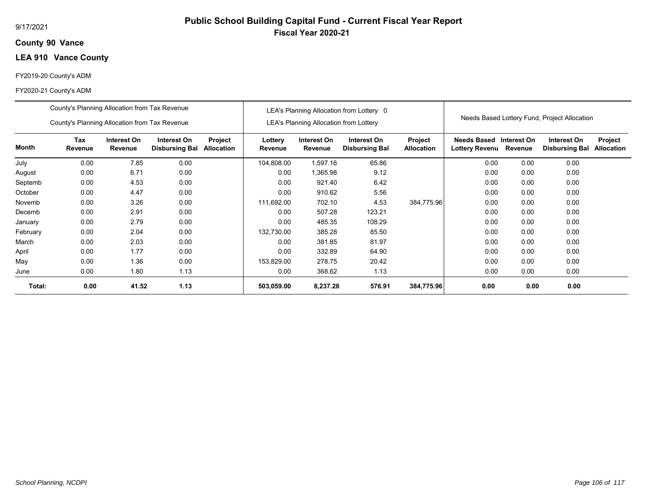## **90 Vance County**

## **LEA 910 Vance County**

## FY2019-20 County's ADM

|          | County's Planning Allocation from Tax Revenue |                        |                                      |                              |                    |                                               | LEA's Planning Allocation from Lottery 0 |                              |                                           |         |                                              |                              |
|----------|-----------------------------------------------|------------------------|--------------------------------------|------------------------------|--------------------|-----------------------------------------------|------------------------------------------|------------------------------|-------------------------------------------|---------|----------------------------------------------|------------------------------|
|          | County's Planning Allocation from Tax Revenue |                        |                                      |                              |                    | <b>LEA's Planning Allocation from Lottery</b> |                                          |                              |                                           |         | Needs Based Lottery Fund, Project Allocation |                              |
| Month    | Tax<br>Revenue                                | Interest On<br>Revenue | Interest On<br><b>Disbursing Bal</b> | Project<br><b>Allocation</b> | Lottery<br>Revenue | Interest On<br>Revenue                        | Interest On<br><b>Disbursing Bal</b>     | Project<br><b>Allocation</b> | Needs Based Interest On<br>Lottery Revenu | Revenue | Interest On<br><b>Disbursing Bal</b>         | Project<br><b>Allocation</b> |
| July     | 0.00                                          | 7.85                   | 0.00                                 |                              | 104,808.00         | 1,597.16                                      | 65.86                                    |                              | 0.00                                      | 0.00    | 0.00                                         |                              |
| August   | 0.00                                          | 6.71                   | 0.00                                 |                              | 0.00               | 1,365.98                                      | 9.12                                     |                              | 0.00                                      | 0.00    | 0.00                                         |                              |
| Septemb  | 0.00                                          | 4.53                   | 0.00                                 |                              | 0.00               | 921.40                                        | 6.42                                     |                              | 0.00                                      | 0.00    | 0.00                                         |                              |
| October  | 0.00                                          | 4.47                   | 0.00                                 |                              | 0.00               | 910.62                                        | 5.56                                     |                              | 0.00                                      | 0.00    | 0.00                                         |                              |
| Novemb   | 0.00                                          | 3.26                   | 0.00                                 |                              | 111,692.00         | 702.10                                        | 4.53                                     | 384,775.96                   | 0.00                                      | 0.00    | 0.00                                         |                              |
| Decemb   | 0.00                                          | 2.91                   | 0.00                                 |                              | 0.00               | 507.28                                        | 123.21                                   |                              | 0.00                                      | 0.00    | 0.00                                         |                              |
| January  | 0.00                                          | 2.79                   | 0.00                                 |                              | 0.00               | 485.35                                        | 108.29                                   |                              | 0.00                                      | 0.00    | 0.00                                         |                              |
| February | 0.00                                          | 2.04                   | 0.00                                 |                              | 132,730.00         | 385.28                                        | 85.50                                    |                              | 0.00                                      | 0.00    | 0.00                                         |                              |
| March    | 0.00                                          | 2.03                   | 0.00                                 |                              | 0.00               | 381.85                                        | 81.97                                    |                              | 0.00                                      | 0.00    | 0.00                                         |                              |
| April    | 0.00                                          | 1.77                   | 0.00                                 |                              | 0.00               | 332.89                                        | 64.90                                    |                              | 0.00                                      | 0.00    | 0.00                                         |                              |
| May      | 0.00                                          | 1.36                   | 0.00                                 |                              | 153,829.00         | 278.75                                        | 20.42                                    |                              | 0.00                                      | 0.00    | 0.00                                         |                              |
| June     | 0.00                                          | 1.80                   | 1.13                                 |                              | 0.00               | 368.62                                        | 1.13                                     |                              | 0.00                                      | 0.00    | 0.00                                         |                              |
| Total:   | 0.00                                          | 41.52                  | 1.13                                 |                              | 503,059.00         | 8,237.28                                      | 576.91                                   | 384,775.96                   | 0.00                                      | 0.00    | 0.00                                         |                              |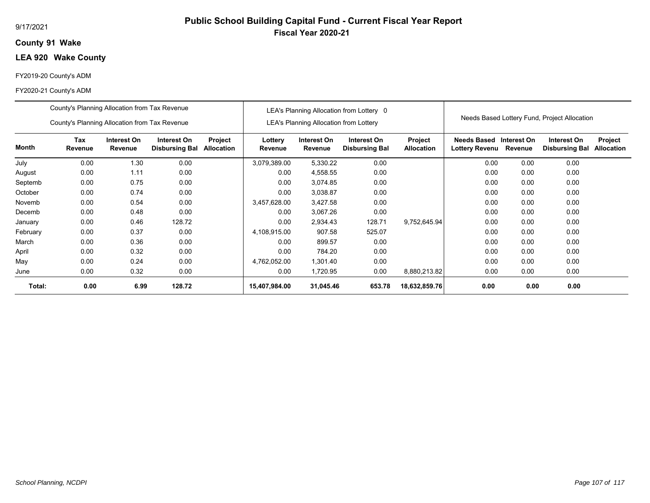## **91 Wake County**

## **LEA 920 Wake County**

## FY2019-20 County's ADM

|          | County's Planning Allocation from Tax Revenue<br>County's Planning Allocation from Tax Revenue |                        |                                      |                       |                    | <b>LEA's Planning Allocation from Lottery</b> | LEA's Planning Allocation from Lottery 0 |                              |                               |                        | Needs Based Lottery Fund, Project Allocation |                              |
|----------|------------------------------------------------------------------------------------------------|------------------------|--------------------------------------|-----------------------|--------------------|-----------------------------------------------|------------------------------------------|------------------------------|-------------------------------|------------------------|----------------------------------------------|------------------------------|
| Month    | Tax<br>Revenue                                                                                 | Interest On<br>Revenue | Interest On<br><b>Disbursing Bal</b> | Project<br>Allocation | Lottery<br>Revenue | Interest On<br>Revenue                        | Interest On<br><b>Disbursing Bal</b>     | Project<br><b>Allocation</b> | Needs Based<br>Lottery Revenu | Interest On<br>Revenue | Interest On<br><b>Disbursing Bal</b>         | Project<br><b>Allocation</b> |
| July     | 0.00                                                                                           | 1.30                   | 0.00                                 |                       | 3,079,389.00       | 5,330.22                                      | 0.00                                     |                              | 0.00                          | 0.00                   | 0.00                                         |                              |
| August   | 0.00                                                                                           | 1.11                   | 0.00                                 |                       | 0.00               | 4,558.55                                      | 0.00                                     |                              | 0.00                          | 0.00                   | 0.00                                         |                              |
| Septemb  | 0.00                                                                                           | 0.00                   |                                      | 0.00                  | 3,074.85           | 0.00                                          |                                          | 0.00                         | 0.00                          | 0.00                   |                                              |                              |
| October  | 0.00                                                                                           | 0.74                   | 0.00                                 |                       | 0.00               | 3,038.87                                      | 0.00                                     |                              | 0.00                          | 0.00                   | 0.00                                         |                              |
| Novemb   | 0.00                                                                                           | 0.54                   | 0.00                                 |                       | 3,457,628.00       | 3,427.58                                      | 0.00                                     |                              | 0.00                          | 0.00                   | 0.00                                         |                              |
| Decemb   | 0.00                                                                                           | 0.48                   | 0.00                                 |                       | 0.00               | 3,067.26                                      | 0.00                                     |                              | 0.00                          | 0.00                   | 0.00                                         |                              |
| January  | 0.00                                                                                           | 0.46                   | 128.72                               |                       | 0.00               | 2,934.43                                      | 128.71                                   | 9,752,645.94                 | 0.00                          | 0.00                   | 0.00                                         |                              |
| February | 0.00                                                                                           | 0.37                   | 0.00                                 |                       | 4,108,915.00       | 907.58                                        | 525.07                                   |                              | 0.00                          | 0.00                   | 0.00                                         |                              |
| March    | 0.00                                                                                           | 0.36                   | 0.00                                 |                       | 0.00               | 899.57                                        | 0.00                                     |                              | 0.00                          | 0.00                   | 0.00                                         |                              |
| April    | 0.00                                                                                           | 0.32                   | 0.00                                 |                       | 0.00               | 784.20                                        | 0.00                                     |                              | 0.00                          | 0.00                   | 0.00                                         |                              |
| May      | 0.00                                                                                           | 0.24                   | 0.00                                 |                       | 4,762,052.00       | 1,301.40                                      | 0.00                                     |                              | 0.00                          | 0.00                   | 0.00                                         |                              |
| June     | 0.00                                                                                           | 0.32                   | 0.00                                 |                       | 0.00               | 1,720.95                                      | 0.00                                     | 8,880,213.82                 | 0.00                          | 0.00                   | 0.00                                         |                              |
| Total:   | 0.00                                                                                           | 6.99                   | 128.72                               |                       | 15,407,984.00      | 31,045.46                                     | 653.78                                   | 18,632,859.76                | 0.00                          | 0.00                   | 0.00                                         |                              |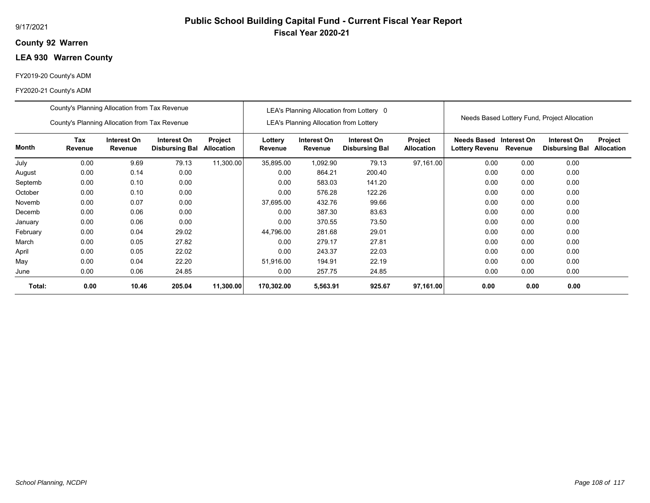## **92 Warren County**

# **LEA 930 Warren County**

### FY2019-20 County's ADM

|          | County's Planning Allocation from Tax Revenue |                        |                                      |                              | LEA's Planning Allocation from Lottery 0 |                                               |                                      |                              |                                              |                        |                                      |                              |  |
|----------|-----------------------------------------------|------------------------|--------------------------------------|------------------------------|------------------------------------------|-----------------------------------------------|--------------------------------------|------------------------------|----------------------------------------------|------------------------|--------------------------------------|------------------------------|--|
|          | County's Planning Allocation from Tax Revenue |                        |                                      |                              |                                          | <b>LEA's Planning Allocation from Lottery</b> |                                      |                              | Needs Based Lottery Fund, Project Allocation |                        |                                      |                              |  |
| Month    | <b>Tax</b><br>Revenue                         | Interest On<br>Revenue | Interest On<br><b>Disbursing Bal</b> | Project<br><b>Allocation</b> | Lottery<br>Revenue                       | Interest On<br>Revenue                        | Interest On<br><b>Disbursing Bal</b> | Project<br><b>Allocation</b> | Needs Based<br>Lottery Revenu                | Interest On<br>Revenue | Interest On<br><b>Disbursing Bal</b> | Project<br><b>Allocation</b> |  |
| July     | 0.00                                          | 9.69                   | 79.13                                | 11,300.00                    | 35,895.00                                | 1,092.90                                      | 79.13                                | 97,161.00                    | 0.00                                         | 0.00                   | 0.00                                 |                              |  |
| August   | 0.00                                          | 0.14                   | 0.00                                 |                              | 0.00                                     | 864.21                                        | 200.40                               |                              | 0.00                                         | 0.00                   | 0.00                                 |                              |  |
| Septemb  | 0.00                                          | 0.10                   | 0.00                                 |                              | 0.00                                     | 583.03                                        | 141.20                               |                              | 0.00                                         | 0.00                   | 0.00                                 |                              |  |
| October  | 0.00                                          | 0.10                   | 0.00                                 |                              | 0.00                                     | 576.28                                        | 122.26                               |                              | 0.00                                         | 0.00                   | 0.00                                 |                              |  |
| Novemb   | 0.00                                          | 0.07                   | 0.00                                 |                              | 37,695.00                                | 432.76                                        | 99.66                                |                              | 0.00                                         | 0.00                   | 0.00                                 |                              |  |
| Decemb   | 0.00                                          | 0.06                   | 0.00                                 |                              | 0.00                                     | 387.30                                        | 83.63                                |                              | 0.00                                         | 0.00                   | 0.00                                 |                              |  |
| January  | 0.00                                          | 0.06                   | 0.00                                 |                              | 0.00                                     | 370.55                                        | 73.50                                |                              | 0.00                                         | 0.00                   | 0.00                                 |                              |  |
| February | 0.00                                          | 0.04                   | 29.02                                |                              | 44,796.00                                | 281.68                                        | 29.01                                |                              | 0.00                                         | 0.00                   | 0.00                                 |                              |  |
| March    | 0.00                                          | 0.05                   | 27.82                                |                              | 0.00                                     | 279.17                                        | 27.81                                |                              | 0.00                                         | 0.00                   | 0.00                                 |                              |  |
| April    | 0.00                                          | 0.05                   | 22.02                                |                              | 0.00                                     | 243.37                                        | 22.03                                |                              | 0.00                                         | 0.00                   | 0.00                                 |                              |  |
| May      | 0.00                                          | 0.04                   | 22.20                                |                              | 51,916.00                                | 194.91                                        | 22.19                                |                              | 0.00                                         | 0.00                   | 0.00                                 |                              |  |
| June     | 0.00                                          | 0.06                   | 24.85                                |                              | 0.00                                     | 257.75                                        | 24.85                                |                              | 0.00                                         | 0.00                   | 0.00                                 |                              |  |
| Total:   | 0.00                                          | 10.46                  | 205.04                               | 11,300.00                    | 170,302.00                               | 5,563.91                                      | 925.67                               | 97,161.00                    | 0.00                                         | 0.00                   | 0.00                                 |                              |  |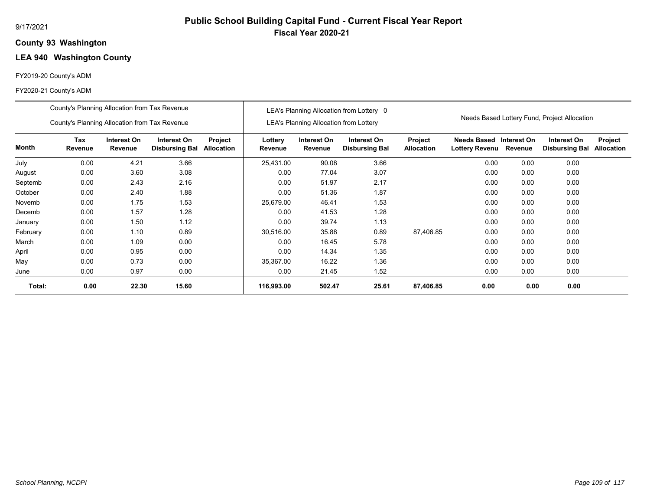# **Public School Building Capital Fund - Current Fiscal Year Report Fiscal Year 2020-21**

### **93 Washington County**

# **LEA 940 Washington County**

### FY2019-20 County's ADM

|          | County's Planning Allocation from Tax Revenue |                               |                                      | LEA's Planning Allocation from Lottery 0 |                    |                                        |                                      |                              |                                              |                        |                                      |                              |
|----------|-----------------------------------------------|-------------------------------|--------------------------------------|------------------------------------------|--------------------|----------------------------------------|--------------------------------------|------------------------------|----------------------------------------------|------------------------|--------------------------------------|------------------------------|
|          | County's Planning Allocation from Tax Revenue |                               |                                      |                                          |                    | LEA's Planning Allocation from Lottery |                                      |                              | Needs Based Lottery Fund, Project Allocation |                        |                                      |                              |
| Month    | Tax<br>Revenue                                | Interest On<br><b>Revenue</b> | Interest On<br><b>Disbursing Bal</b> | Project<br><b>Allocation</b>             | Lottery<br>Revenue | Interest On<br>Revenue                 | Interest On<br><b>Disbursing Bal</b> | Project<br><b>Allocation</b> | <b>Needs Based</b><br><b>Lottery Revenu</b>  | Interest On<br>Revenue | Interest On<br><b>Disbursing Bal</b> | Project<br><b>Allocation</b> |
| July     | 0.00                                          | 4.21                          | 3.66                                 |                                          | 25,431.00          | 90.08                                  | 3.66                                 |                              | 0.00                                         | 0.00                   | 0.00                                 |                              |
| August   | 0.00                                          | 3.60                          | 3.08                                 |                                          | 0.00               | 77.04                                  | 3.07                                 |                              | 0.00                                         | 0.00                   | 0.00                                 |                              |
| Septemb  | 0.00                                          | 2.43                          | 2.16                                 |                                          | 0.00               | 51.97                                  | 2.17                                 |                              | 0.00                                         | 0.00                   | 0.00                                 |                              |
| October  | 0.00                                          | 2.40                          | 1.88                                 |                                          | 0.00               | 51.36                                  | 1.87                                 |                              | 0.00                                         | 0.00                   | 0.00                                 |                              |
| Novemb   | 0.00                                          | 1.75                          | 1.53                                 |                                          | 25,679.00          | 46.41                                  | 1.53                                 |                              | 0.00                                         | 0.00                   | 0.00                                 |                              |
| Decemb   | 0.00                                          | 1.57                          | 1.28                                 |                                          | 0.00               | 41.53                                  | 1.28                                 |                              | 0.00                                         | 0.00                   | 0.00                                 |                              |
| January  | 0.00                                          | 1.50                          | 1.12                                 |                                          | 0.00               | 39.74                                  | 1.13                                 |                              | 0.00                                         | 0.00                   | 0.00                                 |                              |
| February | 0.00                                          | 1.10                          | 0.89                                 |                                          | 30,516.00          | 35.88                                  | 0.89                                 | 87,406.85                    | 0.00                                         | 0.00                   | 0.00                                 |                              |
| March    | 0.00                                          | 1.09                          | 0.00                                 |                                          | 0.00               | 16.45                                  | 5.78                                 |                              | 0.00                                         | 0.00                   | 0.00                                 |                              |
| April    | 0.00                                          | 0.95                          | 0.00                                 |                                          | 0.00               | 14.34                                  | 1.35                                 |                              | 0.00                                         | 0.00                   | 0.00                                 |                              |
| May      | 0.00                                          | 0.73                          | 0.00                                 |                                          | 35,367.00          | 16.22                                  | 1.36                                 |                              | 0.00                                         | 0.00                   | 0.00                                 |                              |
| June     | 0.00                                          | 0.97                          | 0.00                                 |                                          | 0.00               | 21.45                                  | 1.52                                 |                              | 0.00                                         | 0.00                   | 0.00                                 |                              |
| Total:   | 0.00                                          | 22.30                         | 15.60                                |                                          | 116,993.00         | 502.47                                 | 25.61                                | 87,406.85                    | 0.00                                         | 0.00                   | 0.00                                 |                              |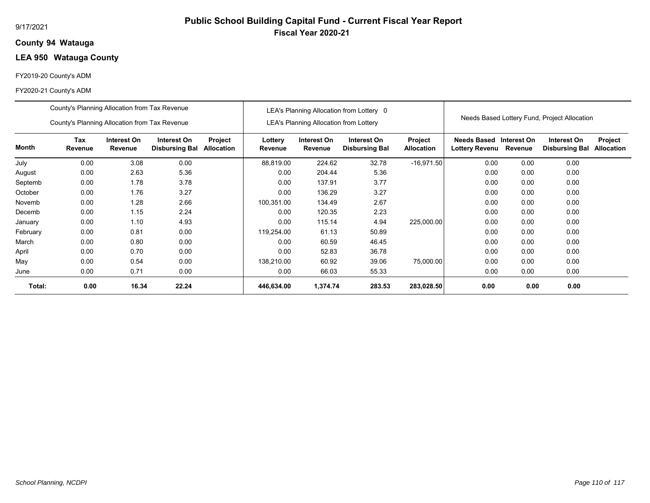## **94 Watauga County**

# **LEA 950 Watauga County**

### FY2019-20 County's ADM

|          | County's Planning Allocation from Tax Revenue |                        |                                      |                       | LEA's Planning Allocation from Lottery 0 |                                               |                                      |                              |                                              |         |                                      |                              |
|----------|-----------------------------------------------|------------------------|--------------------------------------|-----------------------|------------------------------------------|-----------------------------------------------|--------------------------------------|------------------------------|----------------------------------------------|---------|--------------------------------------|------------------------------|
|          | County's Planning Allocation from Tax Revenue |                        |                                      |                       |                                          | <b>LEA's Planning Allocation from Lottery</b> |                                      |                              | Needs Based Lottery Fund, Project Allocation |         |                                      |                              |
| Month    | Tax<br>Revenue                                | Interest On<br>Revenue | Interest On<br><b>Disbursing Bal</b> | Project<br>Allocation | Lottery<br>Revenue                       | Interest On<br>Revenue                        | Interest On<br><b>Disbursing Bal</b> | Project<br><b>Allocation</b> | Needs Based Interest On<br>Lottery Revenu    | Revenue | Interest On<br><b>Disbursing Bal</b> | Project<br><b>Allocation</b> |
| July     | 0.00                                          | 3.08                   | 0.00                                 |                       | 88,819.00                                | 224.62                                        | 32.78                                | $-16,971.50$                 | 0.00                                         | 0.00    | 0.00                                 |                              |
| August   | 0.00                                          | 2.63                   | 5.36                                 |                       | 0.00                                     | 204.44                                        | 5.36                                 |                              | 0.00                                         | 0.00    | 0.00                                 |                              |
| Septemb  | 0.00                                          | 1.78                   | 3.78                                 |                       | 0.00                                     | 137.91                                        | 3.77                                 |                              | 0.00                                         | 0.00    | 0.00                                 |                              |
| October  | 0.00                                          | 1.76                   | 3.27                                 |                       | 0.00                                     | 136.29                                        | 3.27                                 |                              | 0.00                                         | 0.00    | 0.00                                 |                              |
| Novemb   | 0.00                                          | 1.28                   | 2.66                                 |                       | 100,351.00                               | 134.49                                        | 2.67                                 |                              | 0.00                                         | 0.00    | 0.00                                 |                              |
| Decemb   | 0.00                                          | 1.15                   | 2.24                                 |                       | 0.00                                     | 120.35                                        | 2.23                                 |                              | 0.00                                         | 0.00    | 0.00                                 |                              |
| January  | 0.00                                          | 1.10                   | 4.93                                 |                       | 0.00                                     | 115.14                                        | 4.94                                 | 225,000.00                   | 0.00                                         | 0.00    | 0.00                                 |                              |
| February | 0.00                                          | 0.81                   | 0.00                                 |                       | 119,254.00                               | 61.13                                         | 50.89                                |                              | 0.00                                         | 0.00    | 0.00                                 |                              |
| March    | 0.00                                          | 0.80                   | 0.00                                 |                       | 0.00                                     | 60.59                                         | 46.45                                |                              | 0.00                                         | 0.00    | 0.00                                 |                              |
| April    | 0.00                                          | 0.70                   | 0.00                                 |                       | 0.00                                     | 52.83                                         | 36.78                                |                              | 0.00                                         | 0.00    | 0.00                                 |                              |
| May      | 0.00                                          | 0.54                   | 0.00                                 |                       | 138,210.00                               | 60.92                                         | 39.06                                | 75,000.00                    | 0.00                                         | 0.00    | 0.00                                 |                              |
| June     | 0.00                                          | 0.71                   | 0.00                                 |                       | 0.00                                     | 66.03                                         | 55.33                                |                              | 0.00                                         | 0.00    | 0.00                                 |                              |
| Total:   | 0.00                                          | 16.34                  | 22.24                                |                       | 446,634.00                               | 1,374.74                                      | 283.53                               | 283,028.50                   | 0.00                                         | 0.00    | 0.00                                 |                              |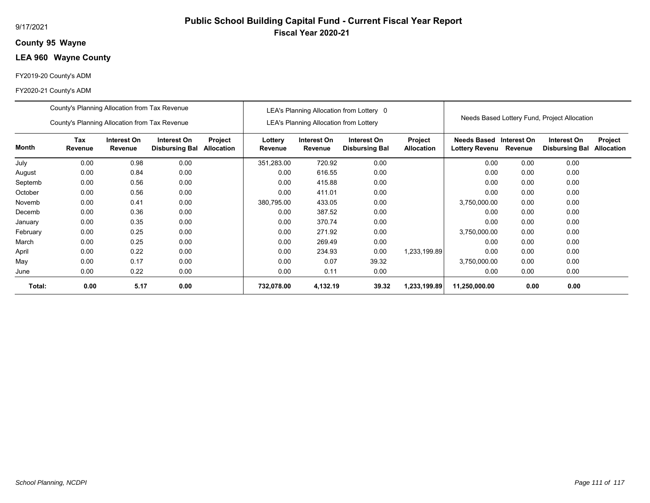## **95 Wayne County**

# **LEA 960 Wayne County**

### FY2019-20 County's ADM

|          | County's Planning Allocation from Tax Revenue |                        |                                      |                              |                                               | LEA's Planning Allocation from Lottery 0 |                                      |                              |                                              |                        |                                      |                              |
|----------|-----------------------------------------------|------------------------|--------------------------------------|------------------------------|-----------------------------------------------|------------------------------------------|--------------------------------------|------------------------------|----------------------------------------------|------------------------|--------------------------------------|------------------------------|
|          | County's Planning Allocation from Tax Revenue |                        |                                      |                              | <b>LEA's Planning Allocation from Lottery</b> |                                          |                                      |                              | Needs Based Lottery Fund, Project Allocation |                        |                                      |                              |
| Month    | Tax<br>Revenue                                | Interest On<br>Revenue | Interest On<br><b>Disbursing Bal</b> | <b>Project</b><br>Allocation | Lottery<br>Revenue                            | Interest On<br>Revenue                   | Interest On<br><b>Disbursing Bal</b> | Project<br><b>Allocation</b> | Needs Based<br><b>Lottery Revenu</b>         | Interest On<br>Revenue | Interest On<br><b>Disbursing Bal</b> | Project<br><b>Allocation</b> |
| July     | 0.00                                          | 0.98                   | 0.00                                 |                              | 351,283.00                                    | 720.92                                   | 0.00                                 |                              | 0.00                                         | 0.00                   | 0.00                                 |                              |
| August   | 0.00                                          | 0.84                   | 0.00                                 |                              | 0.00                                          | 616.55                                   | 0.00                                 |                              | 0.00                                         | 0.00                   | 0.00                                 |                              |
| Septemb  | 0.00                                          | 0.56                   | 0.00                                 |                              | 0.00                                          | 415.88                                   | 0.00                                 |                              | 0.00                                         | 0.00                   | 0.00                                 |                              |
| October  | 0.00                                          | 0.56                   | 0.00                                 |                              | 0.00                                          | 411.01                                   | 0.00                                 |                              | 0.00                                         | 0.00                   | 0.00                                 |                              |
| Novemb   | 0.00                                          | 0.41                   | 0.00                                 |                              | 380,795.00                                    | 433.05                                   | 0.00                                 |                              | 3,750,000.00                                 | 0.00                   | 0.00                                 |                              |
| Decemb   | 0.00                                          | 0.36                   | 0.00                                 |                              | 0.00                                          | 387.52                                   | 0.00                                 |                              | 0.00                                         | 0.00                   | 0.00                                 |                              |
| January  | 0.00                                          | 0.35                   | 0.00                                 |                              | 0.00                                          | 370.74                                   | 0.00                                 |                              | 0.00                                         | 0.00                   | 0.00                                 |                              |
| February | 0.00                                          | 0.25                   | 0.00                                 |                              | 0.00                                          | 271.92                                   | 0.00                                 |                              | 3,750,000.00                                 | 0.00                   | 0.00                                 |                              |
| March    | 0.00                                          | 0.25                   | 0.00                                 |                              | 0.00                                          | 269.49                                   | 0.00                                 |                              | 0.00                                         | 0.00                   | 0.00                                 |                              |
| April    | 0.00                                          | 0.22                   | 0.00                                 |                              | 0.00                                          | 234.93                                   | 0.00                                 | 1,233,199.89                 | 0.00                                         | 0.00                   | 0.00                                 |                              |
| May      | 0.00                                          | 0.17                   | 0.00                                 |                              | 0.00                                          | 0.07                                     | 39.32                                |                              | 3,750,000.00                                 | 0.00                   | 0.00                                 |                              |
| June     | 0.00                                          | 0.22                   | 0.00                                 |                              | 0.00                                          | 0.11                                     | 0.00                                 |                              | 0.00                                         | 0.00                   | 0.00                                 |                              |
| Total:   | 0.00                                          | 5.17                   | 0.00                                 |                              | 732,078.00                                    | 4,132.19                                 | 39.32                                | 1,233,199.89                 | 11,250,000.00                                | 0.00                   | 0.00                                 |                              |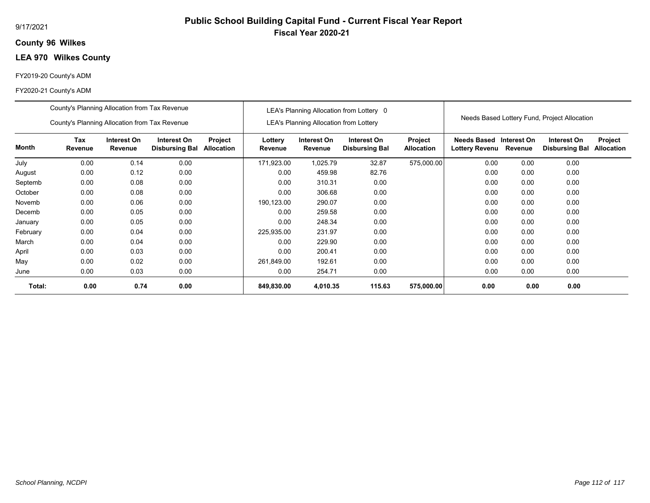## **96 Wilkes County**

# **LEA 970 Wilkes County**

### FY2019-20 County's ADM

|          | County's Planning Allocation from Tax Revenue |                        |                                      |                              | LEA's Planning Allocation from Lottery 0 |                                               |                                      |                              |                                              |         |                                      |                              |
|----------|-----------------------------------------------|------------------------|--------------------------------------|------------------------------|------------------------------------------|-----------------------------------------------|--------------------------------------|------------------------------|----------------------------------------------|---------|--------------------------------------|------------------------------|
|          | County's Planning Allocation from Tax Revenue |                        |                                      |                              |                                          | <b>LEA's Planning Allocation from Lottery</b> |                                      |                              | Needs Based Lottery Fund, Project Allocation |         |                                      |                              |
| Month    | Tax<br>Revenue                                | Interest On<br>Revenue | Interest On<br><b>Disbursing Bal</b> | Project<br><b>Allocation</b> | Lottery<br>Revenue                       | Interest On<br>Revenue                        | Interest On<br><b>Disbursing Bal</b> | Project<br><b>Allocation</b> | Needs Based Interest On<br>Lottery Revenu    | Revenue | Interest On<br><b>Disbursing Bal</b> | Project<br><b>Allocation</b> |
| July     | 0.00                                          | 0.14                   | 0.00                                 |                              | 171,923.00                               | 1,025.79                                      | 32.87                                | 575,000.00                   | 0.00                                         | 0.00    | 0.00                                 |                              |
| August   | 0.00                                          | 0.12                   | 0.00                                 |                              | 0.00                                     | 459.98                                        | 82.76                                |                              | 0.00                                         | 0.00    | 0.00                                 |                              |
| Septemb  | 0.00                                          | 0.08                   | 0.00                                 |                              | 0.00                                     | 310.31                                        | 0.00                                 |                              | 0.00                                         | 0.00    | 0.00                                 |                              |
| October  | 0.00                                          | 0.08                   | 0.00                                 |                              | 0.00                                     | 306.68                                        | 0.00                                 |                              | 0.00                                         | 0.00    | 0.00                                 |                              |
| Novemb   | 0.00                                          | 0.06                   | 0.00                                 |                              | 190,123.00                               | 290.07                                        | 0.00                                 |                              | 0.00                                         | 0.00    | 0.00                                 |                              |
| Decemb   | 0.00                                          | 0.05                   | 0.00                                 |                              | 0.00                                     | 259.58                                        | 0.00                                 |                              | 0.00                                         | 0.00    | 0.00                                 |                              |
| January  | 0.00                                          | 0.05                   | 0.00                                 |                              | 0.00                                     | 248.34                                        | 0.00                                 |                              | 0.00                                         | 0.00    | 0.00                                 |                              |
| February | 0.00                                          | 0.04                   | 0.00                                 |                              | 225,935.00                               | 231.97                                        | 0.00                                 |                              | 0.00                                         | 0.00    | 0.00                                 |                              |
| March    | 0.00                                          | 0.04                   | 0.00                                 |                              | 0.00                                     | 229.90                                        | 0.00                                 |                              | 0.00                                         | 0.00    | 0.00                                 |                              |
| April    | 0.00                                          | 0.03                   | 0.00                                 |                              | 0.00                                     | 200.41                                        | 0.00                                 |                              | 0.00                                         | 0.00    | 0.00                                 |                              |
| May      | 0.00                                          | 0.02                   | 0.00                                 |                              | 261,849.00                               | 192.61                                        | 0.00                                 |                              | 0.00                                         | 0.00    | 0.00                                 |                              |
| June     | 0.00                                          | 0.03                   | 0.00                                 |                              | 0.00                                     | 254.71                                        | 0.00                                 |                              | 0.00                                         | 0.00    | 0.00                                 |                              |
| Total:   | 0.00                                          | 0.74                   | 0.00                                 |                              | 849,830.00                               | 4,010.35                                      | 115.63                               | 575,000.00                   | 0.00                                         | 0.00    | 0.00                                 |                              |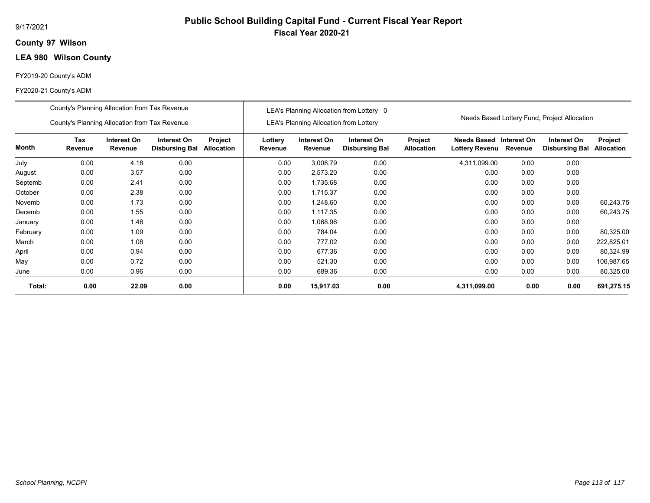## **97 Wilson County**

# **LEA 980 Wilson County**

### FY2019-20 County's ADM

|          | County's Planning Allocation from Tax Revenue |                        |                                      |                              |                    | LEA's Planning Allocation from Lottery 0      |                                      |                                     |                                                   | Needs Based Lottery Fund, Project Allocation |                                      |                                     |  |
|----------|-----------------------------------------------|------------------------|--------------------------------------|------------------------------|--------------------|-----------------------------------------------|--------------------------------------|-------------------------------------|---------------------------------------------------|----------------------------------------------|--------------------------------------|-------------------------------------|--|
|          | County's Planning Allocation from Tax Revenue |                        |                                      |                              |                    | <b>LEA's Planning Allocation from Lottery</b> |                                      |                                     |                                                   |                                              |                                      |                                     |  |
| Month    | Tax<br><b>Revenue</b>                         | Interest On<br>Revenue | Interest On<br><b>Disbursing Bal</b> | Project<br><b>Allocation</b> | Lottery<br>Revenue | Interest On<br>Revenue                        | Interest On<br><b>Disbursing Bal</b> | <b>Project</b><br><b>Allocation</b> | Needs Based Interest On<br>Lottery Revenu Revenue |                                              | Interest On<br><b>Disbursing Bal</b> | <b>Project</b><br><b>Allocation</b> |  |
| July     | 0.00                                          | 4.18                   | 0.00                                 |                              | 0.00               | 3,008.79                                      | 0.00                                 |                                     | 4,311,099.00                                      | 0.00                                         | 0.00                                 |                                     |  |
| August   | 0.00                                          | 3.57                   | 0.00                                 |                              | 0.00               | 2,573.20                                      | 0.00                                 |                                     | 0.00                                              | 0.00                                         | 0.00                                 |                                     |  |
| Septemb  | 0.00                                          | 2.41                   | 0.00                                 |                              | 0.00               | 1,735.68                                      | 0.00                                 |                                     | 0.00                                              | 0.00                                         | 0.00                                 |                                     |  |
| October  | 0.00                                          | 2.38                   | 0.00                                 |                              | 0.00               | 1,715.37                                      | 0.00                                 |                                     | 0.00                                              | 0.00                                         | 0.00                                 |                                     |  |
| Novemb   | 0.00                                          | 1.73                   | 0.00                                 |                              | 0.00               | 1,248.60                                      | 0.00                                 |                                     | 0.00                                              | 0.00                                         | 0.00                                 | 60,243.75                           |  |
| Decemb   | 0.00                                          | 1.55                   | 0.00                                 |                              | 0.00               | 1,117.35                                      | 0.00                                 |                                     | 0.00                                              | 0.00                                         | 0.00                                 | 60,243.75                           |  |
| January  | 0.00                                          | 1.48                   | 0.00                                 |                              | 0.00               | 1,068.96                                      | 0.00                                 |                                     | 0.00                                              | 0.00                                         | 0.00                                 |                                     |  |
| February | 0.00                                          | 1.09                   | 0.00                                 |                              | 0.00               | 784.04                                        | 0.00                                 |                                     | 0.00                                              | 0.00                                         | 0.00                                 | 80,325.00                           |  |
| March    | 0.00                                          | 1.08                   | 0.00                                 |                              | 0.00               | 777.02                                        | 0.00                                 |                                     | 0.00                                              | 0.00                                         | 0.00                                 | 222,825.01                          |  |
| April    | 0.00                                          | 0.94                   | 0.00                                 |                              | 0.00               | 677.36                                        | 0.00                                 |                                     | 0.00                                              | 0.00                                         | 0.00                                 | 80,324.99                           |  |
| May      | 0.00                                          | 0.72                   | 0.00                                 |                              | 0.00               | 521.30                                        | 0.00                                 |                                     | 0.00                                              | 0.00                                         | 0.00                                 | 106,987.65                          |  |
| June     | 0.00                                          | 0.96                   | 0.00                                 |                              | 0.00               | 689.36                                        | 0.00                                 |                                     | 0.00                                              | 0.00                                         | 0.00                                 | 80,325.00                           |  |
| Total:   | 0.00                                          | 22.09                  | 0.00                                 |                              | 0.00               | 15,917.03                                     | 0.00                                 |                                     | 4,311,099.00                                      | 0.00                                         | 0.00                                 | 691,275.15                          |  |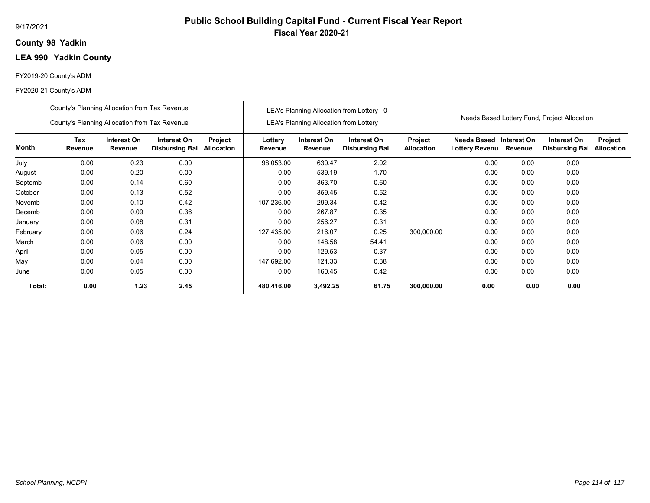## **98 Yadkin County**

# **LEA 990 Yadkin County**

### FY2019-20 County's ADM

|          | County's Planning Allocation from Tax Revenue |                        |                                      |                              | LEA's Planning Allocation from Lottery 0 |                                               |                                      |                              |                                              |         |                                      |                              |
|----------|-----------------------------------------------|------------------------|--------------------------------------|------------------------------|------------------------------------------|-----------------------------------------------|--------------------------------------|------------------------------|----------------------------------------------|---------|--------------------------------------|------------------------------|
|          | County's Planning Allocation from Tax Revenue |                        |                                      |                              |                                          | <b>LEA's Planning Allocation from Lottery</b> |                                      |                              | Needs Based Lottery Fund, Project Allocation |         |                                      |                              |
| Month    | Tax<br>Revenue                                | Interest On<br>Revenue | Interest On<br><b>Disbursing Bal</b> | Project<br><b>Allocation</b> | Lottery<br>Revenue                       | Interest On<br>Revenue                        | Interest On<br><b>Disbursing Bal</b> | Project<br><b>Allocation</b> | Needs Based Interest On<br>Lottery Revenu    | Revenue | Interest On<br><b>Disbursing Bal</b> | Project<br><b>Allocation</b> |
| July     | 0.00                                          | 0.23                   | 0.00                                 |                              | 98,053.00                                | 630.47                                        | 2.02                                 |                              | 0.00                                         | 0.00    | 0.00                                 |                              |
| August   | 0.00                                          | 0.20                   | 0.00                                 |                              | 0.00                                     | 539.19                                        | 1.70                                 |                              | 0.00                                         | 0.00    | 0.00                                 |                              |
| Septemb  | 0.00                                          | 0.14                   | 0.60                                 |                              | 0.00                                     | 363.70                                        | 0.60                                 |                              | 0.00                                         | 0.00    | 0.00                                 |                              |
| October  | 0.00                                          | 0.13                   | 0.52                                 |                              | 0.00                                     | 359.45                                        | 0.52                                 |                              | 0.00                                         | 0.00    | 0.00                                 |                              |
| Novemb   | 0.00                                          | 0.10                   | 0.42                                 |                              | 107,236.00                               | 299.34                                        | 0.42                                 |                              | 0.00                                         | 0.00    | 0.00                                 |                              |
| Decemb   | 0.00                                          | 0.09                   | 0.36                                 |                              | 0.00                                     | 267.87                                        | 0.35                                 |                              | 0.00                                         | 0.00    | 0.00                                 |                              |
| January  | 0.00                                          | 0.08                   | 0.31                                 |                              | 0.00                                     | 256.27                                        | 0.31                                 |                              | 0.00                                         | 0.00    | 0.00                                 |                              |
| February | 0.00                                          | 0.06                   | 0.24                                 |                              | 127,435.00                               | 216.07                                        | 0.25                                 | 300,000.00                   | 0.00                                         | 0.00    | 0.00                                 |                              |
| March    | 0.00                                          | 0.06                   | 0.00                                 |                              | 0.00                                     | 148.58                                        | 54.41                                |                              | 0.00                                         | 0.00    | 0.00                                 |                              |
| April    | 0.00                                          | 0.05                   | 0.00                                 |                              | 0.00                                     | 129.53                                        | 0.37                                 |                              | 0.00                                         | 0.00    | 0.00                                 |                              |
| May      | 0.00                                          | 0.04                   | 0.00                                 |                              | 147,692.00                               | 121.33                                        | 0.38                                 |                              | 0.00                                         | 0.00    | 0.00                                 |                              |
| June     | 0.00                                          | 0.05                   | 0.00                                 |                              | 0.00                                     | 160.45                                        | 0.42                                 |                              | 0.00                                         | 0.00    | 0.00                                 |                              |
| Total:   | 0.00                                          | 1.23                   | 2.45                                 |                              | 480,416.00                               | 3,492.25                                      | 61.75                                | 300,000.00                   | 0.00                                         | 0.00    | 0.00                                 |                              |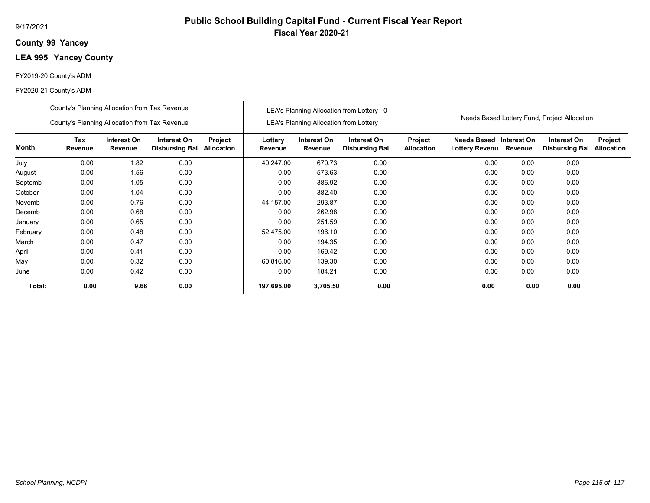## **99 Yancey County**

# **LEA 995 Yancey County**

### FY2019-20 County's ADM

|          | County's Planning Allocation from Tax Revenue |                        |                                      |                              |                    | LEA's Planning Allocation from Lottery 0      |                                      |                              |                                              |         |                                      |                              |
|----------|-----------------------------------------------|------------------------|--------------------------------------|------------------------------|--------------------|-----------------------------------------------|--------------------------------------|------------------------------|----------------------------------------------|---------|--------------------------------------|------------------------------|
|          | County's Planning Allocation from Tax Revenue |                        |                                      |                              |                    | <b>LEA's Planning Allocation from Lottery</b> |                                      |                              | Needs Based Lottery Fund, Project Allocation |         |                                      |                              |
| Month    | Tax<br>Revenue                                | Interest On<br>Revenue | Interest On<br><b>Disbursing Bal</b> | Project<br><b>Allocation</b> | Lottery<br>Revenue | Interest On<br>Revenue                        | Interest On<br><b>Disbursing Bal</b> | Project<br><b>Allocation</b> | Needs Based Interest On<br>Lottery Revenu    | Revenue | Interest On<br><b>Disbursing Bal</b> | Project<br><b>Allocation</b> |
| July     | 0.00                                          | 1.82                   | 0.00                                 |                              | 40.247.00          | 670.73                                        | 0.00                                 |                              | 0.00                                         | 0.00    | 0.00                                 |                              |
| August   | 0.00                                          | 1.56                   | 0.00                                 |                              | 0.00               | 573.63                                        | 0.00                                 |                              | 0.00                                         | 0.00    | 0.00                                 |                              |
| Septemb  | 0.00                                          | 1.05                   | 0.00                                 |                              | 0.00               | 386.92                                        | 0.00                                 |                              | 0.00                                         | 0.00    | 0.00                                 |                              |
| October  | 0.00                                          | 1.04                   | 0.00                                 |                              | 0.00               | 382.40                                        | 0.00                                 |                              | 0.00                                         | 0.00    | 0.00                                 |                              |
| Novemb   | 0.00                                          | 0.76                   | 0.00                                 |                              | 44,157.00          | 293.87                                        | 0.00                                 |                              | 0.00                                         | 0.00    | 0.00                                 |                              |
| Decemb   | 0.00                                          | 0.68                   | 0.00                                 |                              | 0.00               | 262.98                                        | 0.00                                 |                              | 0.00                                         | 0.00    | 0.00                                 |                              |
| January  | 0.00                                          | 0.65                   | 0.00                                 |                              | 0.00               | 251.59                                        | 0.00                                 |                              | 0.00                                         | 0.00    | 0.00                                 |                              |
| February | 0.00                                          | 0.48                   | 0.00                                 |                              | 52,475.00          | 196.10                                        | 0.00                                 |                              | 0.00                                         | 0.00    | 0.00                                 |                              |
| March    | 0.00                                          | 0.47                   | 0.00                                 |                              | 0.00               | 194.35                                        | 0.00                                 |                              | 0.00                                         | 0.00    | 0.00                                 |                              |
| April    | 0.00                                          | 0.41                   | 0.00                                 |                              | 0.00               | 169.42                                        | 0.00                                 |                              | 0.00                                         | 0.00    | 0.00                                 |                              |
| May      | 0.00                                          | 0.32                   | 0.00                                 |                              | 60,816.00          | 139.30                                        | 0.00                                 |                              | 0.00                                         | 0.00    | 0.00                                 |                              |
| June     | 0.00                                          | 0.42                   | 0.00                                 |                              | 0.00               | 184.21                                        | 0.00                                 |                              | 0.00                                         | 0.00    | 0.00                                 |                              |
| Total:   | 0.00                                          | 9.66                   | 0.00                                 |                              | 197,695.00         | 3,705.50                                      | 0.00                                 |                              | 0.00                                         | 0.00    | 0.00                                 |                              |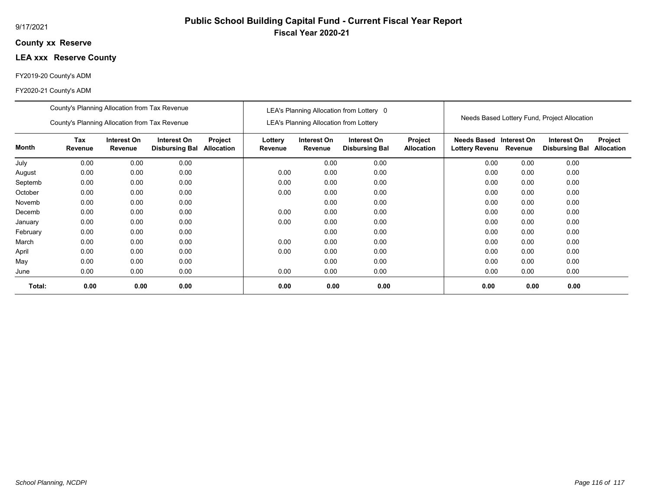## **xx Reserve County**

# **LEA xxx Reserve County**

### FY2019-20 County's ADM

|          | County's Planning Allocation from Tax Revenue |                        |                                      |                              |                    | LEA's Planning Allocation from Lottery 0      |                                      |                              |                                              |         |                                      |                              |
|----------|-----------------------------------------------|------------------------|--------------------------------------|------------------------------|--------------------|-----------------------------------------------|--------------------------------------|------------------------------|----------------------------------------------|---------|--------------------------------------|------------------------------|
|          | County's Planning Allocation from Tax Revenue |                        |                                      |                              |                    | <b>LEA's Planning Allocation from Lottery</b> |                                      |                              | Needs Based Lottery Fund, Project Allocation |         |                                      |                              |
| Month    | Tax<br>Revenue                                | Interest On<br>Revenue | Interest On<br><b>Disbursing Bal</b> | Project<br><b>Allocation</b> | Lottery<br>Revenue | Interest On<br>Revenue                        | Interest On<br><b>Disbursing Bal</b> | Project<br><b>Allocation</b> | Needs Based Interest On<br>Lottery Revenu    | Revenue | Interest On<br><b>Disbursing Bal</b> | Project<br><b>Allocation</b> |
| July     | 0.00                                          | 0.00                   | 0.00                                 |                              |                    | 0.00                                          | 0.00                                 |                              | 0.00                                         | 0.00    | 0.00                                 |                              |
| August   | 0.00                                          | 0.00                   | 0.00                                 |                              | 0.00               | 0.00                                          | 0.00                                 |                              | 0.00                                         | 0.00    | 0.00                                 |                              |
| Septemb  | 0.00                                          | 0.00                   | 0.00                                 |                              | 0.00               | 0.00                                          | 0.00                                 |                              | 0.00                                         | 0.00    | 0.00                                 |                              |
| October  | 0.00                                          | 0.00                   | 0.00                                 |                              | 0.00               | 0.00                                          | 0.00                                 |                              | 0.00                                         | 0.00    | 0.00                                 |                              |
| Novemb   | 0.00                                          | 0.00                   | 0.00                                 |                              |                    | 0.00                                          | 0.00                                 |                              | 0.00                                         | 0.00    | 0.00                                 |                              |
| Decemb   | 0.00                                          | 0.00                   | 0.00                                 |                              | 0.00               | 0.00                                          | 0.00                                 |                              | 0.00                                         | 0.00    | 0.00                                 |                              |
| January  | 0.00                                          | 0.00                   | 0.00                                 |                              | 0.00               | 0.00                                          | 0.00                                 |                              | 0.00                                         | 0.00    | 0.00                                 |                              |
| February | 0.00                                          | 0.00                   | 0.00                                 |                              |                    | 0.00                                          | 0.00                                 |                              | 0.00                                         | 0.00    | 0.00                                 |                              |
| March    | 0.00                                          | 0.00                   | 0.00                                 |                              | 0.00               | 0.00                                          | 0.00                                 |                              | 0.00                                         | 0.00    | 0.00                                 |                              |
| April    | 0.00                                          | 0.00                   | 0.00                                 |                              | 0.00               | 0.00                                          | 0.00                                 |                              | 0.00                                         | 0.00    | 0.00                                 |                              |
| May      | 0.00                                          | 0.00                   | 0.00                                 |                              |                    | 0.00                                          | 0.00                                 |                              | 0.00                                         | 0.00    | 0.00                                 |                              |
| June     | 0.00                                          | 0.00                   | 0.00                                 |                              | 0.00               | 0.00                                          | 0.00                                 |                              | 0.00                                         | 0.00    | 0.00                                 |                              |
| Total:   | 0.00                                          | 0.00                   | 0.00                                 |                              | 0.00               | 0.00                                          | 0.00                                 |                              | 0.00                                         | 0.00    | 0.00                                 |                              |